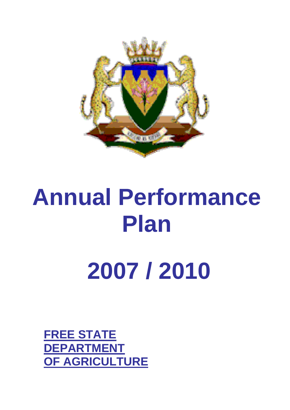

# **Annual Performance Plan**

**2007 / 2010** 

**FREE STATE DEPARTMENT OF AGRICULTURE**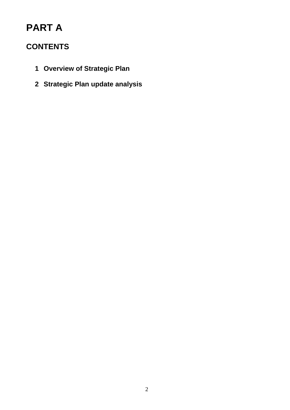# **PART A**

## **CONTENTS**

- **1 Overview of Strategic Plan**
- **2 Strategic Plan update analysis**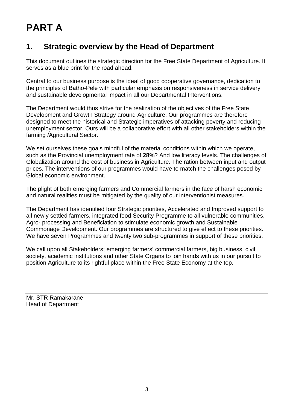# **PART A**

## **1. Strategic overview by the Head of Department**

This document outlines the strategic direction for the Free State Department of Agriculture. It serves as a blue print for the road ahead.

Central to our business purpose is the ideal of good cooperative governance, dedication to the principles of Batho-Pele with particular emphasis on responsiveness in service delivery and sustainable developmental impact in all our Departmental Interventions.

The Department would thus strive for the realization of the objectives of the Free State Development and Growth Strategy around Agriculture. Our programmes are therefore designed to meet the historical and Strategic imperatives of attacking poverty and reducing unemployment sector. Ours will be a collaborative effort with all other stakeholders within the farming /Agricultural Sector.

We set ourselves these goals mindful of the material conditions within which we operate, such as the Provincial unemployment rate of **28%**? And low literacy levels. The challenges of Globalization around the cost of business in Agriculture. The ration between input and output prices. The interventions of our programmes would have to match the challenges posed by Global economic environment.

The plight of both emerging farmers and Commercial farmers in the face of harsh economic and natural realities must be mitigated by the quality of our interventionist measures.

The Department has identified four Strategic priorities, Accelerated and Improved support to all newly settled farmers, integrated food Security Programme to all vulnerable communities, Agro- processing and Beneficiation to stimulate economic growth and Sustainable Commonage Development. Our programmes are structured to give effect to these priorities. We have seven Programmes and twenty two sub-programmes in support of these priorities.

We call upon all Stakeholders; emerging farmers' commercial farmers, big business, civil society, academic institutions and other State Organs to join hands with us in our pursuit to position Agriculture to its rightful place within the Free State Economy at the top.

Mr. STR Ramakarane Head of Department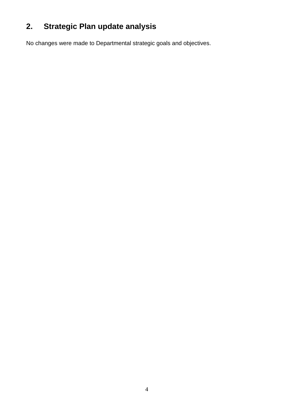# **2. Strategic Plan update analysis**

No changes were made to Departmental strategic goals and objectives.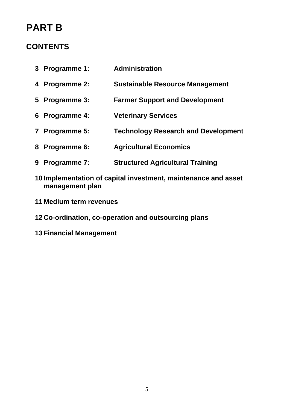# **PART B**

## **CONTENTS**

- **3 Programme 1: Administration**
- **4 Programme 2: Sustainable Resource Management**
- **5 Programme 3: Farmer Support and Development**
- **6 Programme 4: Veterinary Services**
- **7 Programme 5: Technology Research and Development**
- **8 Programme 6: Agricultural Economics**
- **9 Programme 7: Structured Agricultural Training**
- **10 Implementation of capital investment, maintenance and asset management plan**
- **11 Medium term revenues**

#### **12 Co-ordination, co-operation and outsourcing plans**

**13 Financial Management**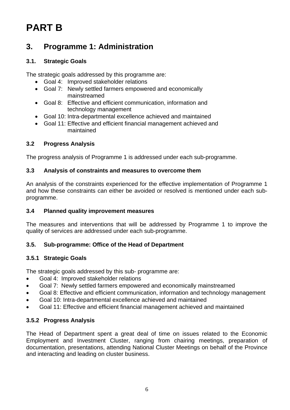# **PART B**

## **3. Programme 1: Administration**

#### **3.1. Strategic Goals**

The strategic goals addressed by this programme are:

- Goal 4: Improved stakeholder relations
- Goal 7: Newly settled farmers empowered and economically mainstreamed
- Goal 8: Effective and efficient communication, information and technology management
- Goal 10: Intra-departmental excellence achieved and maintained
- Goal 11: Effective and efficient financial management achieved and maintained

#### **3.2 Progress Analysis**

The progress analysis of Programme 1 is addressed under each sub-programme.

#### **3.3 Analysis of constraints and measures to overcome them**

An analysis of the constraints experienced for the effective implementation of Programme 1 and how these constraints can either be avoided or resolved is mentioned under each subprogramme.

#### **3.4 Planned quality improvement measures**

The measures and interventions that will be addressed by Programme 1 to improve the quality of services are addressed under each sub-programme.

#### **3.5. Sub-programme: Office of the Head of Department**

#### **3.5.1 Strategic Goals**

The strategic goals addressed by this sub- programme are:

- Goal 4: Improved stakeholder relations
- Goal 7: Newly settled farmers empowered and economically mainstreamed
- Goal 8: Effective and efficient communication, information and technology management
- Goal 10: Intra-departmental excellence achieved and maintained
- Goal 11: Effective and efficient financial management achieved and maintained

#### **3.5.2 Progress Analysis**

The Head of Department spent a great deal of time on issues related to the Economic Employment and Investment Cluster, ranging from chairing meetings, preparation of documentation, presentations, attending National Cluster Meetings on behalf of the Province and interacting and leading on cluster business.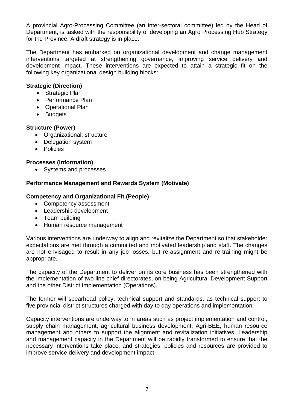A provincial Agro-Processing Committee (an inter-sectoral committee) led by the Head of Department, is tasked with the responsibility of developing an Agro Processing Hub Strategy for the Province. A draft strategy is in place.

The Department has embarked on organizational development and change management interventions targeted at strengthening governance, improving service delivery and development impact. These interventions are expected to attain a strategic fit on the following key organizational design building blocks:

#### **Strategic (Direction)**

- Strategic Plan
- Performance Plan
- Operational Plan
- Budgets

#### **Structure (Power)**

- Organizational; structure
- Delegation system
- Policies

#### **Processes (Information)**

• Systems and processes

#### **Performance Management and Rewards System (Motivate)**

#### **Competency and Organizational Fit (People)**

- Competency assessment
- Leadership development
- Team building
- Human resource management

Various interventions are underway to align and revitalize the Department so that stakeholder expectations are met through a committed and motivated leadership and staff. The changes are not envisaged to result in any job losses, but re-assignment and re-training might be appropriate.

The capacity of the Department to deliver on its core business has been strengthened with the implementation of two line chief directorates, on being Agricultural Development Support and the other District Implementation (Operations).

The former will spearhead policy, technical support and standards, as technical support to five provincial district structures charged with day to day operations and implementation.

Capacity interventions are underway to in areas such as project implementation and control, supply chain management, agricultural business development, Agri-BEE, human resource management and others to support the alignment and revitalization initiatives. Leadership and management capacity in the Department will be rapidly transformed to ensure that the necessary interventions take place, and strategies, policies and resources are provided to improve service delivery and development impact.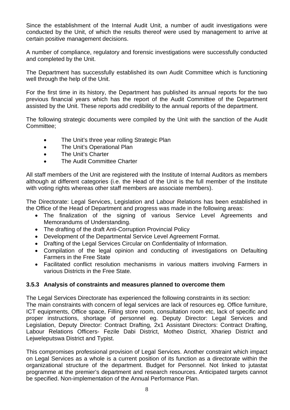Since the establishment of the Internal Audit Unit, a number of audit investigations were conducted by the Unit, of which the results thereof were used by management to arrive at certain positive management decisions.

A number of compliance, regulatory and forensic investigations were successfully conducted and completed by the Unit.

The Department has successfully established its own Audit Committee which is functioning well through the help of the Unit.

For the first time in its history, the Department has published its annual reports for the two previous financial years which has the report of the Audit Committee of the Department assisted by the Unit. These reports add credibility to the annual reports of the department.

The following strategic documents were compiled by the Unit with the sanction of the Audit Committee;

- The Unit's three year rolling Strategic Plan
- The Unit's Operational Plan
- The Unit's Charter

Lejweleputswa District and Typist.

The Audit Committee Charter

All staff members of the Unit are registered with the Institute of Internal Auditors as members although at different categories (i.e. the Head of the Unit is the full member of the Institute with voting rights whereas other staff members are associate members).

The Directorate: Legal Services, Legislation and Labour Relations has been established in the Office of the Head of Department and progress was made in the following areas:

- The finalization of the signing of various Service Level Agreements and Memorandums of Understanding.
- The drafting of the draft Anti-Corruption Provincial Policy
- Development of the Departmental Service Level Agreement Format.
- Drafting of the Legal Services Circular on Confidentiality of Information.
- Compilation of the legal opinion and conducting of investigations on Defaulting Farmers in the Free State
- Facilitated conflict resolution mechanisms in various matters involving Farmers in various Districts in the Free State.

#### **3.5.3 Analysis of constraints and measures planned to overcome them**

The Legal Services Directorate has experienced the following constraints in its section: The main constraints with concern of legal services are lack of resources eg. Office furniture, ICT equipments, Office space, Filling store room, consultation room etc, lack of specific and proper instructions, shortage of personnel eg. Deputy Director: Legal Services and Legislation, Deputy Director: Contract Drafting, 2x1 Assistant Directors: Contract Drafting, Labour Relations Officers- Fezile Dabi District, Motheo District, Xhariep District and

This compromises professional provision of Legal Services. Another constraint which impact on Legal Services as a whole is a current position of its function as a directorate within the organizational structure of the department. Budget for Personnel. Not linked to jutastat programme at the premier's department and research resources. Anticipated targets cannot be specified. Non-implementation of the Annual Performance Plan.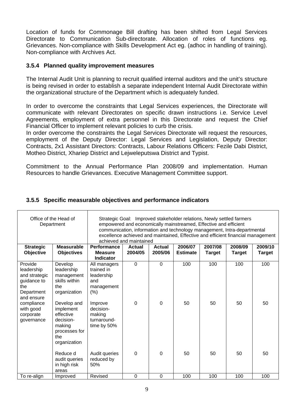Location of funds for Commonage Bill drafting has been shifted from Legal Services Directorate to Communication Sub-directorate. Allocation of roles of functions eg. Grievances. Non-compliance with Skills Development Act eg. (adhoc in handling of training). Non-compliance with Archives Act.

#### **3.5.4 Planned quality improvement measures**

The Internal Audit Unit is planning to recruit qualified internal auditors and the unit's structure is being revised in order to establish a separate independent Internal Audit Directorate within the organizational structure of the Department which is adequately funded.

In order to overcome the constraints that Legal Services experiences, the Directorate will communicate with relevant Directorates on specific drawn instructions i.e. Service Level Agreements, employment of extra personnel in this Directorate and request the Chief Financial Officer to implement relevant policies to curb the crisis.

In order overcome the constraints the Legal Services Directorate will request the resources, employment of the Deputy Director: Legal Services and Legislation, Deputy Director: Contracts, 2x1 Assistant Directors: Contracts, Labour Relations Officers: Fezile Dabi District, Motheo District, Xhariep District and Lejweleputswa District and Typist.

Commitment to the Annual Performance Plan 2008/09 and implementation. Human Resources to handle Grievances. Executive Management Committee support.

|                                                                                          | Office of the Head of<br>Department                                                                  | Strategic Goal: Improved stakeholder relations, Newly settled farmers<br>empowered and economically mainstreamed, Effective and efficient<br>communication, information and technology management, Intra-departmental<br>excellence achieved and maintained, Effective and efficient financial management<br>achieved and maintained |                   |                          |                            |                          |                          |                          |  |
|------------------------------------------------------------------------------------------|------------------------------------------------------------------------------------------------------|--------------------------------------------------------------------------------------------------------------------------------------------------------------------------------------------------------------------------------------------------------------------------------------------------------------------------------------|-------------------|--------------------------|----------------------------|--------------------------|--------------------------|--------------------------|--|
| <b>Strategic</b><br>Objective                                                            | <b>Measurable</b><br><b>Objectives</b>                                                               | <b>Performance</b><br><b>Measure</b>                                                                                                                                                                                                                                                                                                 | Actual<br>2004/05 | <b>Actual</b><br>2005/06 | 2006/07<br><b>Estimate</b> | 2007/08<br><b>Target</b> | 2008/09<br><b>Target</b> | 2009/10<br><b>Target</b> |  |
|                                                                                          |                                                                                                      | <b>Indicator</b>                                                                                                                                                                                                                                                                                                                     |                   |                          |                            |                          |                          |                          |  |
| Provide<br>leadership<br>and strategic<br>guidance to<br>the<br>Department<br>and ensure | Develop<br>leadership<br>management<br>skills within<br>the<br>organization                          | All managers<br>trained in<br>leadership<br>and<br>management<br>(%)                                                                                                                                                                                                                                                                 | $\Omega$          | $\Omega$                 | 100                        | 100                      | 100                      | 100                      |  |
| compliance<br>with good<br>corporate<br>governance                                       | Develop and<br>implement<br>effective<br>decision-<br>making<br>processes for<br>the<br>organization | Improve<br>decision-<br>making<br>turnaround-<br>time by 50%                                                                                                                                                                                                                                                                         | $\Omega$          | $\mathbf 0$              | 50                         | 50                       | 50                       | 50                       |  |
|                                                                                          | Reduce d<br>audit queries<br>in high risk<br>areas                                                   | Audit queries<br>reduced by<br>50%                                                                                                                                                                                                                                                                                                   | $\Omega$          | 0                        | 50                         | 50                       | 50                       | 50                       |  |
| To re-align                                                                              | Improved                                                                                             | Revised                                                                                                                                                                                                                                                                                                                              | $\mathbf 0$       | 0                        | 100                        | 100                      | 100                      | 100                      |  |

#### **3.5.5 Specific measurable objectives and performance indicators**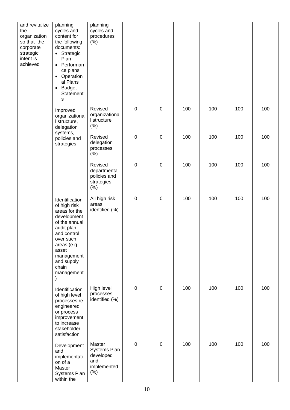| and revitalize<br>the<br>organization<br>so that the<br>corporate<br>strategic<br>intent is<br>achieved | planning<br>cycles and<br>content for<br>the following<br>documents:<br>• Strategic<br>Plan<br>• Performan<br>ce plans<br>• Operation<br>al Plans<br><b>Budget</b><br>$\bullet$<br>Statement<br>s    | planning<br>cycles and<br>procedures<br>(% )                     |                  |             |     |     |     |     |
|---------------------------------------------------------------------------------------------------------|------------------------------------------------------------------------------------------------------------------------------------------------------------------------------------------------------|------------------------------------------------------------------|------------------|-------------|-----|-----|-----|-----|
|                                                                                                         | Improved<br>organizationa<br>I structure,<br>delegation                                                                                                                                              | Revised<br>organizationa<br>I structure<br>$(\%)$                | $\boldsymbol{0}$ | $\mathbf 0$ | 100 | 100 | 100 | 100 |
|                                                                                                         | systems,<br>policies and<br>strategies                                                                                                                                                               | Revised<br>delegation<br>processes<br>$(\%)$                     | $\boldsymbol{0}$ | $\pmb{0}$   | 100 | 100 | 100 | 100 |
|                                                                                                         |                                                                                                                                                                                                      | Revised<br>departmental<br>policies and<br>strategies<br>$(\%)$  | $\boldsymbol{0}$ | $\pmb{0}$   | 100 | 100 | 100 | 100 |
|                                                                                                         | Identification<br>of high risk<br>areas for the<br>development<br>of the annual<br>audit plan<br>and control<br>over such<br>areas (e.g.<br>asset<br>management<br>and supply<br>chain<br>management | All high risk<br>areas<br>identified (%)                         | $\boldsymbol{0}$ | $\pmb{0}$   | 100 | 100 | 100 | 100 |
|                                                                                                         | Identification<br>of high level<br>processes re-<br>engineered<br>or process<br>improvement<br>to increase<br>stakeholder<br>satisfaction                                                            | High level<br>processes<br>identified (%)                        | $\boldsymbol{0}$ | $\pmb{0}$   | 100 | 100 | 100 | 100 |
|                                                                                                         | Development<br>and<br>implementati<br>on of a<br>Master<br>Systems Plan<br>within the                                                                                                                | Master<br>Systems Plan<br>developed<br>and<br>implemented<br>(%) | $\pmb{0}$        | $\pmb{0}$   | 100 | 100 | 100 | 100 |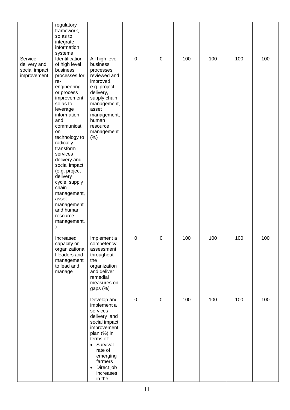|                                                         | regulatory<br>framework,<br>so as to<br>integrate<br>information<br>systems                                                                                                                                                                                                                                                                                                                                     |                                                                                                                                                                                                                      |                  |                  |     |     |     |     |
|---------------------------------------------------------|-----------------------------------------------------------------------------------------------------------------------------------------------------------------------------------------------------------------------------------------------------------------------------------------------------------------------------------------------------------------------------------------------------------------|----------------------------------------------------------------------------------------------------------------------------------------------------------------------------------------------------------------------|------------------|------------------|-----|-----|-----|-----|
| Service<br>delivery and<br>social impact<br>improvement | Identification<br>of high level<br>business<br>processes for<br>re-<br>engineering<br>or process<br>improvement<br>so as to<br>leverage<br>information<br>and<br>communicati<br>on<br>technology to<br>radically<br>transform<br>services<br>delivery and<br>social impact<br>(e.g. project<br>delivery<br>cycle, supply<br>chain<br>management,<br>asset<br>management<br>and human<br>resource<br>management. | All high level<br>business<br>processes<br>reviewed and<br>improved,<br>e.g. project<br>delivery,<br>supply chain<br>management,<br>asset<br>management,<br>human<br>resource<br>management<br>(% )                  | $\pmb{0}$        | $\mathbf 0$      | 100 | 100 | 100 | 100 |
|                                                         | Increased<br>capacity or<br>organizationa<br>I leaders and<br>management<br>to lead and<br>manage                                                                                                                                                                                                                                                                                                               | Implement a<br>competency<br>assessment<br>throughout<br>the<br>organization<br>and deliver<br>remedial<br>measures on<br>gaps (%)                                                                                   | $\pmb{0}$        | 0                | 100 | 100 | 100 | 100 |
|                                                         |                                                                                                                                                                                                                                                                                                                                                                                                                 | Develop and<br>implement a<br>services<br>delivery and<br>social impact<br>improvement<br>plan (%) in<br>terms of:<br>• Survival<br>rate of<br>emerging<br>farmers<br>Direct job<br>$\bullet$<br>increases<br>in the | $\boldsymbol{0}$ | $\boldsymbol{0}$ | 100 | 100 | 100 | 100 |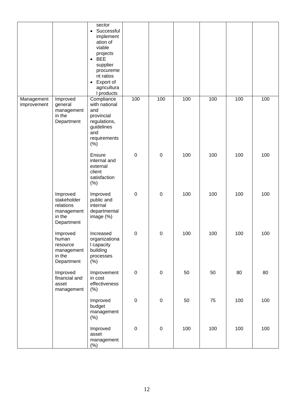|                           |                                                                            | sector<br>Successful<br>$\bullet$<br>implement<br>ation of<br>viable<br>projects<br><b>BEE</b><br>$\bullet$<br>supplier<br>procureme<br>nt ratios<br>Export of<br>$\bullet$<br>agricultura<br>I products |           |                  |     |     |     |     |
|---------------------------|----------------------------------------------------------------------------|----------------------------------------------------------------------------------------------------------------------------------------------------------------------------------------------------------|-----------|------------------|-----|-----|-----|-----|
| Management<br>improvement | Improved<br>general<br>management<br>in the<br>Department                  | Compliance<br>with national<br>and<br>provincial<br>regulations,<br>guidelines<br>and<br>requirements<br>(% )                                                                                            | 100       | 100              | 100 | 100 | 100 | 100 |
|                           |                                                                            | Ensure<br>internal and<br>external<br>client<br>satisfaction<br>(%)                                                                                                                                      | $\pmb{0}$ | $\pmb{0}$        | 100 | 100 | 100 | 100 |
|                           | Improved<br>stakeholder<br>relations<br>management<br>in the<br>Department | Improved<br>public and<br>internal<br>departmental<br>image (%)                                                                                                                                          | $\pmb{0}$ | $\mathbf 0$      | 100 | 100 | 100 | 100 |
|                           | Improved<br>human<br>resource<br>management<br>in the<br>Department        | Increased<br>organizationa<br>I capacity<br>building<br>processes<br>$(\%)$                                                                                                                              | $\pmb{0}$ | $\boldsymbol{0}$ | 100 | 100 | 100 | 100 |
|                           | Improved<br>financial and<br>asset<br>management                           | Improvement<br>in cost<br>effectiveness<br>$(\%)$                                                                                                                                                        | $\pmb{0}$ | $\pmb{0}$        | 50  | 50  | 80  | 80  |
|                           |                                                                            | Improved<br>budget<br>management<br>$(\%)$                                                                                                                                                               | $\pmb{0}$ | $\pmb{0}$        | 50  | 75  | 100 | 100 |
|                           |                                                                            | Improved<br>asset<br>management<br>$(\%)$                                                                                                                                                                | $\pmb{0}$ | $\pmb{0}$        | 100 | 100 | 100 | 100 |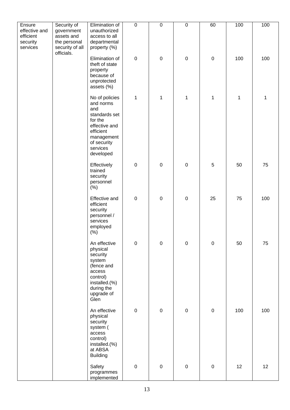| Ensure                                             | Security of                                                               | Elimination of                                                                                                                                     | $\overline{0}$   | $\mathsf 0$         | $\overline{0}$ | 60          | 100         | 100 |
|----------------------------------------------------|---------------------------------------------------------------------------|----------------------------------------------------------------------------------------------------------------------------------------------------|------------------|---------------------|----------------|-------------|-------------|-----|
| effective and<br>efficient<br>security<br>services | government<br>assets and<br>the personal<br>security of all<br>officials. | unauthorized<br>access to all<br>departmental<br>property (%)                                                                                      |                  |                     |                |             |             |     |
|                                                    |                                                                           | Elimination of<br>theft of state<br>property<br>because of<br>unprotected<br>assets (%)                                                            | $\boldsymbol{0}$ | $\pmb{0}$           | $\mathbf 0$    | $\mathbf 0$ | 100         | 100 |
|                                                    |                                                                           | No of policies<br>and norms<br>and<br>standards set<br>for the<br>effective and<br>efficient<br>management<br>of security<br>services<br>developed | 1                | $\mathbf 1$         | $\mathbf 1$    | $\mathbf 1$ | $\mathbf 1$ | 1   |
|                                                    |                                                                           | Effectively<br>trained<br>security<br>personnel<br>$(\%)$                                                                                          | $\pmb{0}$        | $\boldsymbol{0}$    | $\pmb{0}$      | $\mathbf 5$ | 50          | 75  |
|                                                    |                                                                           | Effective and<br>efficient<br>security<br>personnel /<br>services<br>employed<br>$(\%)$                                                            | $\boldsymbol{0}$ | $\pmb{0}$           | $\mathbf 0$    | 25          | 75          | 100 |
|                                                    |                                                                           | An effective<br>physical<br>security<br>system<br>(fence and<br>access<br>control)<br>installed.(%)<br>during the<br>upgrade of<br>Glen            | $\boldsymbol{0}$ | $\pmb{0}$           | $\pmb{0}$      | $\pmb{0}$   | 50          | 75  |
|                                                    |                                                                           | An effective<br>physical<br>security<br>system (<br>access<br>control)<br>installed.(%)<br>at ABSA<br><b>Building</b>                              | $\pmb{0}$        | $\pmb{0}$           | $\pmb{0}$      | $\pmb{0}$   | 100         | 100 |
|                                                    |                                                                           | Safety<br>programmes<br>implemented                                                                                                                | $\pmb{0}$        | $\mathsf{O}\xspace$ | $\pmb{0}$      | $\mathbf 0$ | 12          | 12  |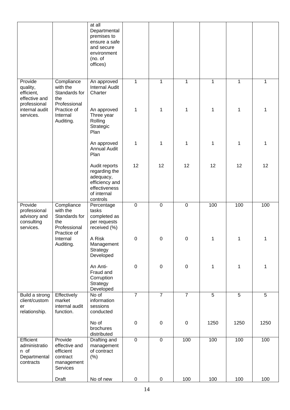|                                                                    |                                                                               | at all<br>Departmental<br>premises to<br>ensure a safe<br>and secure<br>environment<br>(no. of<br>offices) |                |                |                |      |                |      |
|--------------------------------------------------------------------|-------------------------------------------------------------------------------|------------------------------------------------------------------------------------------------------------|----------------|----------------|----------------|------|----------------|------|
| Provide<br>quality,<br>efficient,<br>effective and<br>professional | Compliance<br>with the<br>Standards for<br>the<br>Professional                | An approved<br><b>Internal Audit</b><br>Charter                                                            | $\mathbf{1}$   | 1              | 1              | 1    | 1              | 1    |
| internal audit<br>services.                                        | Practice of<br>Internal<br>Auditing.                                          | An approved<br>Three year<br>Rolling<br>Strategic<br>Plan                                                  | 1              | 1              | 1              | 1    | 1              | 1    |
|                                                                    |                                                                               | An approved<br><b>Annual Audit</b><br>Plan                                                                 | 1              | 1              | 1              | 1    | 1              | 1    |
|                                                                    |                                                                               | Audit reports<br>regarding the<br>adequacy,<br>efficiency and<br>effectiveness<br>of internal<br>controls  | 12             | 12             | 12             | 12   | 12             | 12   |
| Provide<br>professional<br>advisory and<br>consulting<br>services. | Compliance<br>with the<br>Standards for<br>the<br>Professional<br>Practice of | Percentage<br>tasks<br>completed as<br>per requests<br>received (%)                                        | $\mathbf 0$    | $\mathbf 0$    | $\pmb{0}$      | 100  | 100            | 100  |
|                                                                    | Internal<br>Auditing.                                                         | A Risk<br>Management<br>Strategy<br>Developed                                                              | $\Omega$       | $\Omega$       | $\Omega$       |      | 1              |      |
|                                                                    |                                                                               | An Anti-<br>Fraud and<br>Corruption<br>Strategy<br>Developed                                               | $\pmb{0}$      | $\mathbf 0$    | $\pmb{0}$      | 1    | 1              | 1    |
| Build a strong<br>client/custom<br>er<br>relationship.             | Effectively<br>market<br>internal audit<br>function.                          | No of<br>information<br>sessions<br>conducted                                                              | $\overline{7}$ | $\overline{7}$ | $\overline{7}$ | 5    | $\overline{5}$ | 5    |
|                                                                    |                                                                               | No of<br>brochures<br>distributed                                                                          | $\mathbf 0$    | $\pmb{0}$      | $\pmb{0}$      | 1250 | 1250           | 1250 |
| Efficient<br>administratio<br>n of<br>Departmental<br>contracts    | Provide<br>effective and<br>efficient<br>contract<br>management<br>Services   | Drafting and<br>management<br>of contract<br>$(\%)$                                                        | $\overline{0}$ | $\mathbf 0$    | 100            | 100  | 100            | 100  |
|                                                                    | Draft                                                                         | No of new                                                                                                  | $\pmb{0}$      | $\pmb{0}$      | 100            | 100  | 100            | 100  |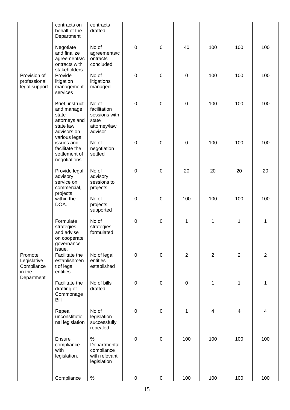|                                                              | contracts on<br>behalf of the<br>Department                                                          | contracts<br>drafted                                                       |                  |             |                |                |                |                |
|--------------------------------------------------------------|------------------------------------------------------------------------------------------------------|----------------------------------------------------------------------------|------------------|-------------|----------------|----------------|----------------|----------------|
|                                                              | Negotiate<br>and finalize<br>agreements/c<br>ontracts with<br>stakeholders                           | No of<br>agreements/c<br>ontracts<br>concluded                             | $\mathbf 0$      | $\pmb{0}$   | 40             | 100            | 100            | 100            |
| Provision of<br>professional<br>legal support                | Provide<br>litigation<br>management<br>services                                                      | No of<br>litigations<br>managed                                            | $\mathbf 0$      | $\mathbf 0$ | $\mathbf 0$    | 100            | 100            | 100            |
|                                                              | Brief, instruct<br>and manage<br>state<br>attorneys and<br>state law<br>advisors on<br>various legal | No of<br>facilitation<br>sessions with<br>state<br>attorney/law<br>advisor | $\mathbf 0$      | $\pmb{0}$   | $\pmb{0}$      | 100            | 100            | 100            |
|                                                              | issues and<br>facilitate the<br>settlement of<br>negotiations.                                       | No of<br>negotiation<br>settled                                            | $\boldsymbol{0}$ | $\pmb{0}$   | $\pmb{0}$      | 100            | 100            | 100            |
|                                                              | Provide legal<br>advisory<br>service on<br>commercial,<br>projects                                   | No of<br>advisory<br>sessions to<br>projects                               | $\mathbf 0$      | $\pmb{0}$   | 20             | 20             | 20             | 20             |
|                                                              | within the<br>DOA.                                                                                   | No of<br>projects<br>supported                                             | $\boldsymbol{0}$ | $\pmb{0}$   | 100            | 100            | 100            | 100            |
|                                                              | Formulate<br>strategies<br>and advise<br>on cooperate<br>governance<br>issue.                        | No of<br>strategies<br>formulated                                          | $\mathbf 0$      | $\pmb{0}$   | 1              | 1              | $\mathbf 1$    | 1              |
| Promote<br>Legislative<br>Compliance<br>in the<br>Department | Facilitate the<br>establishmen<br>t of legal<br>entities                                             | No of legal<br>entities<br>established                                     | $\overline{0}$   | 0           | $\overline{2}$ | $\overline{2}$ | $\overline{2}$ | $\overline{2}$ |
|                                                              | Facilitate the<br>drafting of<br>Commonage<br>Bill                                                   | No of bills<br>drafted                                                     | $\pmb{0}$        | $\pmb{0}$   | $\pmb{0}$      | $\mathbf{1}$   | $\mathbf 1$    | 1              |
|                                                              | Repeal<br>unconstitutio<br>nal legislation                                                           | No of<br>legislation<br>successfully<br>repealed                           | $\mathbf 0$      | $\pmb{0}$   | 1              | 4              | $\overline{4}$ | 4              |
|                                                              | Ensure<br>compliance<br>with<br>legislation.                                                         | $\%$<br>Departmental<br>compliance<br>with relevant<br>legislation         | $\pmb{0}$        | $\mathbf 0$ | 100            | 100            | 100            | 100            |
|                                                              | Compliance                                                                                           | $\%$                                                                       | $\pmb{0}$        | $\pmb{0}$   | 100            | 100            | 100            | 100            |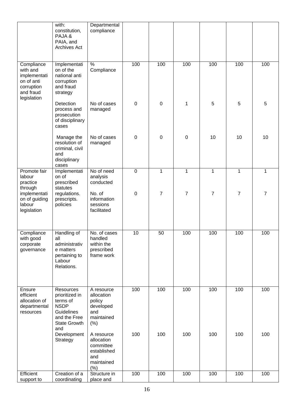|                                                                                                | with:<br>constitution,<br>PAJA&<br>PAIA, and<br><b>Archives Act</b>                                                | Departmental<br>compliance                                                        |                  |                |                |                |                |                |
|------------------------------------------------------------------------------------------------|--------------------------------------------------------------------------------------------------------------------|-----------------------------------------------------------------------------------|------------------|----------------|----------------|----------------|----------------|----------------|
| Compliance<br>with and<br>implementati<br>on of anti<br>corruption<br>and fraud<br>legislation | Implementati<br>on of the<br>national anti<br>corruption<br>and fraud<br>strategy                                  | $\frac{1}{2}$<br>Compliance                                                       | 100              | 100            | 100            | 100            | 100            | 100            |
|                                                                                                | Detection<br>process and<br>prosecution<br>of disciplinary<br>cases                                                | No of cases<br>managed                                                            | $\mathbf 0$      | $\mathbf 0$    | 1              | 5              | 5              | 5              |
|                                                                                                | Manage the<br>resolution of<br>criminal, civil<br>and<br>disciplinary<br>cases                                     | No of cases<br>managed                                                            | $\boldsymbol{0}$ | $\mathbf 0$    | $\pmb{0}$      | 10             | 10             | 10             |
| Promote fair<br>labour<br>practice                                                             | Implementati<br>on of<br>prescribed<br>statutes                                                                    | No of need<br>analysis<br>conducted                                               | $\mathbf 0$      | $\mathbf 1$    | $\mathbf{1}$   | $\mathbf{1}$   | $\mathbf{1}$   | 1              |
| through<br>implementati<br>on of guiding<br>labour<br>legislation                              | regulations.<br>prescripts.<br>policies                                                                            | No. of<br>information<br>sessions<br>facilitated                                  | $\boldsymbol{0}$ | $\overline{7}$ | $\overline{7}$ | $\overline{7}$ | $\overline{7}$ | $\overline{7}$ |
| Compliance<br>with good<br>corporate<br>governance                                             | Handling of<br>all<br>administrativ<br>e matters<br>pertaining to<br>Labour<br>Relations.                          | No. of cases<br>handled<br>within the<br>prescribed<br>frame work                 | 10               | 50             | 100            | 100            | 100            | 100            |
| Ensure<br>efficient<br>allocation of<br>departmental<br>resources                              | Resources<br>prioritized in<br>terms of<br><b>NSDP</b><br>Guidelines<br>and the Free<br><b>State Growth</b><br>and | A resource<br>allocation<br>policy<br>developed<br>and<br>maintained<br>(% )      | 100              | 100            | 100            | 100            | 100            | 100            |
|                                                                                                | Development<br>Strategy                                                                                            | A resource<br>allocation<br>committee<br>established<br>and<br>maintained<br>(% ) | 100              | 100            | 100            | 100            | 100            | 100            |
| Efficient<br>support to                                                                        | Creation of a<br>coordinating                                                                                      | Structure in<br>place and                                                         | 100              | 100            | 100            | 100            | 100            | 100            |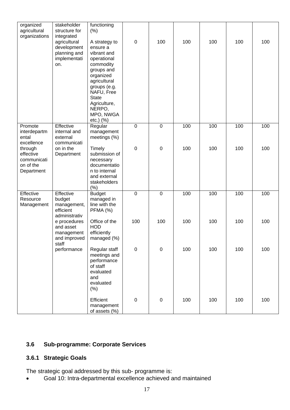| organized<br>agricultural                                                    | stakeholder<br>structure for                                                      | functioning<br>(% )                                                                                                                                                                     |             |             |     |     |     |     |
|------------------------------------------------------------------------------|-----------------------------------------------------------------------------------|-----------------------------------------------------------------------------------------------------------------------------------------------------------------------------------------|-------------|-------------|-----|-----|-----|-----|
| organizations                                                                | integrated                                                                        |                                                                                                                                                                                         |             |             |     |     |     |     |
|                                                                              | agricultural<br>development<br>planning and<br>implementati<br>on.                | A strategy to<br>ensure a<br>vibrant and<br>operational<br>commodity<br>groups and<br>organized<br>agricultural<br>groups (e.g.<br>NAFU, Free<br><b>State</b><br>Agriculture,<br>NERPO, | $\pmb{0}$   | 100         | 100 | 100 | 100 | 100 |
|                                                                              |                                                                                   | MPO, NWGA<br>etc.) (%)                                                                                                                                                                  |             |             |     |     |     |     |
| Promote<br>interdepartm<br>ental                                             | Effective<br>internal and<br>external                                             | Regular<br>management<br>meetings (%)                                                                                                                                                   | $\mathbf 0$ | $\mathbf 0$ | 100 | 100 | 100 | 100 |
| excellence<br>through<br>effective<br>communicati<br>on of the<br>Department | communicati<br>on in the<br>Department                                            | Timely<br>submission of<br>necessary<br>documentatio<br>n to internal<br>and external<br>stakeholders<br>(%)                                                                            | $\pmb{0}$   | $\mathbf 0$ | 100 | 100 | 100 | 100 |
| Effective<br>Resource<br>Management                                          | Effective<br>budget<br>management,<br>efficient                                   | <b>Budget</b><br>managed in<br>line with the<br>PFMA (%)                                                                                                                                | $\pmb{0}$   | $\mathbf 0$ | 100 | 100 | 100 | 100 |
|                                                                              | administrativ<br>e procedures<br>and asset<br>management<br>and improved<br>staff | Office of the<br><b>HOD</b><br>efficiently<br>managed (%)                                                                                                                               | 100         | 100         | 100 | 100 | 100 | 100 |
|                                                                              | performance                                                                       | Regular staff<br>meetings and<br>performance<br>of staff<br>evaluated<br>and<br>evaluated<br>(% )                                                                                       | $\pmb{0}$   | $\pmb{0}$   | 100 | 100 | 100 | 100 |
|                                                                              |                                                                                   | Efficient<br>management<br>of assets (%)                                                                                                                                                | 0           | $\mathbf 0$ | 100 | 100 | 100 | 100 |

#### **3.6 Sub-programme: Corporate Services**

#### **3.6.1 Strategic Goals**

The strategic goal addressed by this sub- programme is:

• Goal 10: Intra-departmental excellence achieved and maintained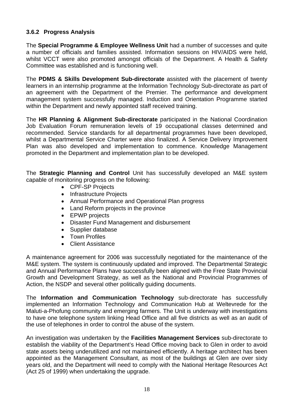#### **3.6.2 Progress Analysis**

The **Special Programme & Employee Wellness Unit** had a number of successes and quite a number of officials and families assisted. Information sessions on HIV/AIDS were held, whilst VCCT were also promoted amongst officials of the Department. A Health & Safety Committee was established and is functioning well.

The **PDMS & Skills Development Sub-directorate** assisted with the placement of twenty learners in an internship programme at the Information Technology Sub-directorate as part of an agreement with the Department of the Premier. The performance and development management system successfully managed. Induction and Orientation Programme started within the Department and newly appointed staff received training.

The **HR Planning & Alignment Sub-directorate** participated in the National Coordination Job Evaluation Forum remuneration levels of 19 occupational classes determined and recommended. Service standards for all departmental programmes have been developed, whilst a Departmental Service Charter were also finalized. A Service Delivery Improvement Plan was also developed and implementation to commence. Knowledge Management promoted in the Department and implementation plan to be developed.

The **Strategic Planning and Control** Unit has successfully developed an M&E system capable of monitoring progress on the following:

- CPF-SP Projects
- Infrastructure Projects
- Annual Performance and Operational Plan progress
- Land Reform projects in the province
- EPWP projects
- Disaster Fund Management and disbursement
- Supplier database
- Town Profiles
- Client Assistance

A maintenance agreement for 2006 was successfully negotiated for the maintenance of the M&E system. The system is continuously updated and improved. The Departmental Strategic and Annual Performance Plans have successfully been aligned with the Free State Provincial Growth and Development Strategy, as well as the National and Provincial Programmes of Action, the NSDP and several other politically guiding documents.

The **Information and Communication Technology** sub-directorate has successfully implemented an Information Technology and Communication Hub at Weltevrede for the Maluti-a-Phofung community and emerging farmers. The Unit is underway with investigations to have one telephone system linking Head Office and all five districts as well as an audit of the use of telephones in order to control the abuse of the system.

An investigation was undertaken by the **Facilities Management Services** sub-directorate to establish the viability of the Department's Head Office moving back to Glen in order to avoid state assets being underutilized and not maintained efficiently. A heritage architect has been appointed as the Management Consultant, as most of the buildings at Glen are over sixty years old, and the Department will need to comply with the National Heritage Resources Act (Act 25 of 1999) when undertaking the upgrade.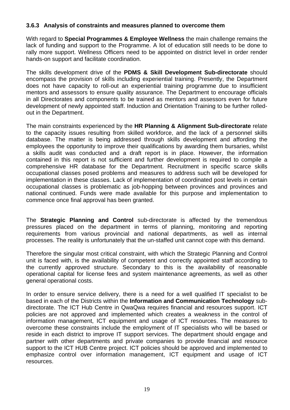#### **3.6.3 Analysis of constraints and measures planned to overcome them**

With regard to **Special Programmes & Employee Wellness** the main challenge remains the lack of funding and support to the Programme. A lot of education still needs to be done to rally more support. Wellness Officers need to be appointed on district level in order render hands-on support and facilitate coordination.

The skills development drive of the **PDMS & Skill Development Sub-directorate** should encompass the provision of skills including experiential training. Presently, the Department does not have capacity to roll-out an experiential training programme due to insufficient mentors and assessors to ensure quality assurance. The Department to encourage officials in all Directorates and components to be trained as mentors and assessors even for future development of newly appointed staff. Induction and Orientation Training to be further rolledout in the Department.

The main constraints experienced by the **HR Planning & Alignment Sub-directorate** relate to the capacity issues resulting from skilled workforce, and the lack of a personnel skills database. The matter is being addressed through skills development and affording the employees the opportunity to improve their qualifications by awarding them bursaries, whilst a skills audit was conducted and a draft report is in place. However, the information contained in this report is not sufficient and further development is required to compile a comprehensive HR database for the Department. Recruitment in specific scarce skills occupational classes posed problems and measures to address such will be developed for implementation in these classes. Lack of implementation of coordinated post levels in certain occupational classes is problematic as job-hopping between provinces and provinces and national continued. Funds were made available for this purpose and implementation to commence once final approval has been granted.

The **Strategic Planning and Control** sub-directorate is affected by the tremendous pressures placed on the department in terms of planning, monitoring and reporting requirements from various provincial and national departments, as well as internal processes. The reality is unfortunately that the un-staffed unit cannot cope with this demand.

Therefore the singular most critical constraint, with which the Strategic Planning and Control unit is faced with, is the availability of competent and correctly appointed staff according to the currently approved structure. Secondary to this is the availability of reasonable operational capital for license fees and system maintenance agreements, as well as other general operational costs.

In order to ensure service delivery, there is a need for a well qualified IT specialist to be based in each of the Districts within the **Information and Communication Technology** subdirectorate. The ICT Hub Centre in QwaQwa requires financial and resources support. ICT policies are not approved and implemented which creates a weakness in the control of information management, ICT equipment and usage of ICT resources. The measures to overcome these constraints include the employment of IT specialists who will be based or reside in each district to improve IT support services. The department should engage and partner with other departments and private companies to provide financial and resource support to the ICT HUB Centre project. ICT policies should be approved and implemented to emphasize control over information management, ICT equipment and usage of ICT resources.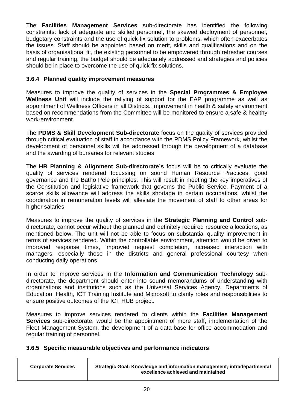The **Facilities Management Services** sub-directorate has identified the following constraints: lack of adequate and skilled personnel, the skewed deployment of personnel, budgetary constraints and the use of quick-fix solution to problems, which often exacerbates the issues. Staff should be appointed based on merit, skills and qualifications and on the basis of organisational fit, the existing personnel to be empowered through refresher courses and regular training, the budget should be adequately addressed and strategies and policies should be in place to overcome the use of quick fix solutions.

#### **3.6.4 Planned quality improvement measures**

Measures to improve the quality of services in the **Special Programmes & Employee Wellness Unit** will include the rallying of support for the EAP programme as well as appointment of Wellness Officers in all Districts. Improvement in health & safety environment based on recommendations from the Committee will be monitored to ensure a safe & healthy work-environment.

The **PDMS & Skill Development Sub-directorate** focus on the quality of services provided through critical evaluation of staff in accordance with the PDMS Policy Framework, whilst the development of personnel skills will be addressed through the development of a database and the awarding of bursaries for relevant studies.

The **HR Planning & Alignment Sub-directorate's** focus will be to critically evaluate the quality of services rendered focussing on sound Human Resource Practices, good governance and the Batho Pele principles. This will result in meeting the key imperatives of the Constitution and legislative framework that governs the Public Service. Payment of a scarce skills allowance will address the skills shortage in certain occupations, whilst the coordination in remuneration levels will alleviate the movement of staff to other areas for higher salaries.

Measures to improve the quality of services in the **Strategic Planning and Control** subdirectorate, cannot occur without the planned and definitely required resource allocations, as mentioned below. The unit will not be able to focus on substantial quality improvement in terms of services rendered. Within the controllable environment, attention would be given to improved response times, improved request completion, increased interaction with managers, especially those in the districts and general professional courtesy when conducting daily operations.

In order to improve services in the **Information and Communication Technology** subdirectorate, the department should enter into sound memorandums of understanding with organizations and institutions such as the Universal Services Agency, Departments of Education, Health, ICT Training Institute and Microsoft to clarify roles and responsibilities to ensure positive outcomes of the ICT HUB project.

Measures to improve services rendered to clients within the **Facilities Management Services** sub-directorate, would be the appointment of more staff, implementation of the Fleet Management System, the development of a data-base for office accommodation and regular training of personnel.

#### **3.6.5 Specific measurable objectives and performance indicators**

| <b>Corporate Services</b> | Strategic Goal: Knowledge and information management; intradepartmental<br>excellence achieved and maintained |
|---------------------------|---------------------------------------------------------------------------------------------------------------|
|                           |                                                                                                               |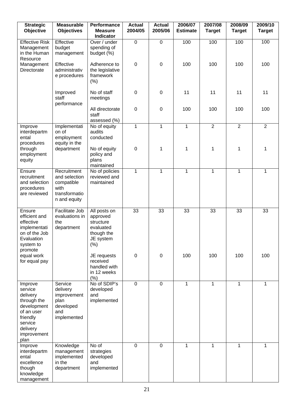| <b>Strategic</b><br>Objective                                                                                                        | <b>Measurable</b><br><b>Objectives</b>                                              | Performance<br><b>Measure</b><br><b>Indicator</b>                                     | <b>Actual</b><br>2004/05 | <b>Actual</b><br>2005/06 | 2006/07<br><b>Estimate</b> | 2007/08<br><b>Target</b> | 2008/09<br><b>Target</b> | 2009/10<br><b>Target</b> |
|--------------------------------------------------------------------------------------------------------------------------------------|-------------------------------------------------------------------------------------|---------------------------------------------------------------------------------------|--------------------------|--------------------------|----------------------------|--------------------------|--------------------------|--------------------------|
| <b>Effective Risk</b><br>Management<br>in the Human                                                                                  | Effective<br>budget<br>management                                                   | Over / under<br>spending of<br>budget (%)                                             | $\mathbf 0$              | $\mathbf 0$              | 100                        | 100                      | 100                      | 100                      |
| Resource<br>Management<br>Directorate                                                                                                | Effective<br>administrativ<br>e procedures                                          | Adherence to<br>the legislative<br>framework<br>(%)                                   | $\mathbf 0$              | $\mathbf 0$              | 100                        | 100                      | 100                      | 100                      |
|                                                                                                                                      | Improved<br>staff<br>performance                                                    | No of staff<br>meetings                                                               | 0                        | $\mathbf 0$              | 11                         | 11                       | 11                       | 11                       |
|                                                                                                                                      |                                                                                     | All directorate<br>staff<br>assessed (%)                                              | $\boldsymbol{0}$         | $\mathbf 0$              | 100                        | 100                      | 100                      | 100                      |
| Improve<br>interdepartm<br>ental<br>procedures                                                                                       | Implementati<br>on of<br>employment<br>equity in the                                | $\overline{No}$ of equity<br>audits<br>conducted                                      | $\mathbf{1}$             | $\mathbf{1}$             | $\mathbf{1}$               | $\overline{2}$           | $\overline{2}$           | $\overline{2}$           |
| through<br>employment<br>equity                                                                                                      | department                                                                          | No of equity<br>policy and<br>plans<br>maintained                                     | $\pmb{0}$                | 1                        | 1                          | 1                        | 1                        | 1                        |
| Ensure<br>recruitment<br>and selection<br>procedures<br>are reviewed                                                                 | Recruitment<br>and selection<br>compatible<br>with<br>transformatio<br>n and equity | No of policies<br>reviewed and<br>maintained                                          | $\mathbf{1}$             | 1                        | 1                          | $\mathbf{1}$             | 1                        | 1                        |
| Ensure<br>efficient and<br>effective<br>implementati<br>on of the Job<br>Evaluation<br>system to<br>promote                          | Facilitate Job<br>evaluations in<br>the<br>department                               | All posts on<br>approved<br>structure<br>evaluated<br>though the<br>JE system<br>(% ) | 33                       | 33                       | 33                         | 33                       | 33                       | 33                       |
| equal work<br>for equal pay                                                                                                          |                                                                                     | JE requests<br>received<br>handled with<br>in 12 weeks<br>(% )                        | $\boldsymbol{0}$         | $\pmb{0}$                | 100                        | 100                      | 100                      | 100                      |
| Improve<br>service<br>delivery<br>through the<br>development<br>of an user<br>friendly<br>service<br>delivery<br>improvement<br>plan | Service<br>delivery<br>improvement<br>plan<br>developed<br>and<br>implemented       | No of SDIP's<br>developed<br>and<br>implemented                                       | $\mathbf 0$              | $\mathbf 0$              | $\mathbf{1}$               | $\mathbf{1}$             | $\mathbf{1}$             | $\mathbf 1$              |
| Improve<br>interdepartm<br>ental<br>excellence<br>though<br>knowledge<br>management                                                  | Knowledge<br>management<br>implemented<br>in the<br>department                      | No of<br>strategies<br>developed<br>and<br>implemented                                | $\mathbf 0$              | $\mathbf 0$              | 1                          | 1                        | 1                        | 1                        |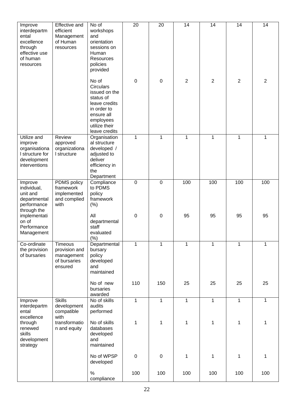| Improve<br>interdepartm<br>ental<br>excellence<br>through<br>effective use<br>of human<br>resources | Effective and<br>efficient<br>Management<br>of Human<br>resources | No of<br>workshops<br>and<br>orientation<br>sessions on<br>Human<br>Resources<br>policies                                                                        | 20               | $\overline{20}$ | 14             | 14           | 14             | 14             |
|-----------------------------------------------------------------------------------------------------|-------------------------------------------------------------------|------------------------------------------------------------------------------------------------------------------------------------------------------------------|------------------|-----------------|----------------|--------------|----------------|----------------|
|                                                                                                     |                                                                   | provided<br>No of<br><b>Circulars</b><br>issued on the<br>status of<br>leave credits<br>in order to<br>ensure all<br>employees<br>utilize their<br>leave credits | $\mathbf 0$      | $\mathsf 0$     | $\overline{2}$ | 2            | $\overline{2}$ | $\overline{2}$ |
| Utilize and<br>improve<br>organisationa<br>I structure for<br>development<br>interventions          | Review<br>approved<br>organizationa<br>I structure                | Organisation<br>al structure<br>developed /<br>adjusted to<br>deliver<br>efficiency in<br>the<br>Department                                                      | 1                | 1               | 1              | 1            | 1              | 1              |
| Improve<br>individual,<br>unit and<br>departmental<br>performance<br>through the                    | PDMS policy<br>framework<br>implemented<br>and complied<br>with   | Compliance<br>to PDMS<br>policy<br>framework<br>(% )                                                                                                             | $\pmb{0}$        | 0               | 100            | 100          | 100            | 100            |
| implementati<br>on of<br>Performance<br>Management                                                  |                                                                   | All<br>departmental<br>staff<br>evaluated<br>$(\%)$                                                                                                              | $\boldsymbol{0}$ | $\mathsf 0$     | 95             | 95           | 95             | 95             |
| Co-ordinate<br>the provision<br>of bursaries                                                        | Timeous<br>provision and<br>management<br>of bursaries<br>ensured | Departmental<br>bursary<br>policy<br>developed<br>and<br>maintained                                                                                              | $\mathbf{1}$     | 1               | $\mathbf{1}$   | 1            | 1              | 1              |
|                                                                                                     |                                                                   | No of new<br>bursaries<br>awarded                                                                                                                                | 110              | 150             | 25             | 25           | 25             | 25             |
| Improve<br>interdepartm<br>ental<br>excellence                                                      | <b>Skills</b><br>development<br>compatible<br>with                | No of skills<br>audits<br>performed                                                                                                                              | $\mathbf{1}$     | $\mathbf{1}$    | $\mathbf{1}$   | $\mathbf{1}$ | $\mathbf{1}$   | 1              |
| through<br>renewed<br>skills<br>development<br>strategy                                             | transformatio<br>n and equity                                     | No of skills<br>databases<br>developed<br>and<br>maintained                                                                                                      | 1                | 1               | 1              | 1            | 1              | 1              |
|                                                                                                     |                                                                   | No of WPSP<br>developed                                                                                                                                          | $\pmb{0}$        | 0               | 1              | 1            | 1              | 1              |
|                                                                                                     |                                                                   | $\%$<br>compliance                                                                                                                                               | 100              | 100             | 100            | 100          | 100            | 100            |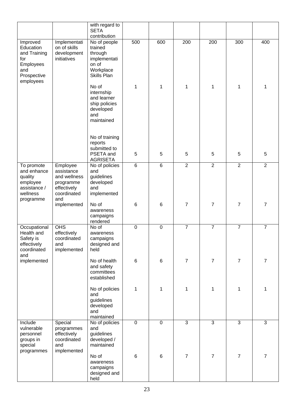|                                                                                 |                                                                           | with regard to<br><b>SETA</b><br>contribution                                           |             |                |                |                |                |                |
|---------------------------------------------------------------------------------|---------------------------------------------------------------------------|-----------------------------------------------------------------------------------------|-------------|----------------|----------------|----------------|----------------|----------------|
| Improved<br>Education<br>and Training<br>for<br>Employees<br>and<br>Prospective | Implementati<br>on of skills<br>development<br>initiatives                | No of people<br>trained<br>through<br>implementati<br>on of<br>Workplace<br>Skills Plan | 500         | 600            | 200            | 200            | 300            | 400            |
| employees                                                                       |                                                                           | No of<br>internship<br>and learner<br>ship policies<br>developed<br>and<br>maintained   | 1           | 1              | 1              | 1              | 1              | 1              |
|                                                                                 |                                                                           | No of training<br>reports<br>submitted to<br>PSETA and                                  | 5           | 5              | 5              | 5              | 5              | 5              |
| To promote                                                                      | Employee                                                                  | <b>AGRISETA</b><br>No of policies                                                       | $\,6\,$     | 6              | $\overline{2}$ | $\overline{2}$ | $\overline{2}$ | 2              |
| and enhance<br>quality<br>employee<br>assistance /<br>wellness                  | assistance<br>and wellness<br>programme<br>effectively<br>coordinated     | and<br>guidelines<br>developed<br>and<br>implemented                                    |             |                |                |                |                |                |
| programme                                                                       | and<br>implemented                                                        | No of<br>awareness<br>campaigns<br>rendered                                             | 6           | $6\phantom{1}$ | $\overline{7}$ | $\overline{7}$ | $\overline{7}$ | 7              |
| Occupational<br>Health and<br>Safety is<br>effectively<br>coordinated<br>and    | OHS<br>effectively<br>coordinated<br>and<br>implemented                   | No of<br>awareness<br>campaigns<br>designed and<br>held                                 | $\mathbf 0$ | $\mathbf 0$    | $\overline{7}$ | $\overline{7}$ | $\overline{7}$ | $\overline{7}$ |
| implemented                                                                     |                                                                           | No of health<br>and safety<br>committees<br>established                                 | $\,6\,$     | $6\phantom{1}$ | $\overline{7}$ | $\overline{7}$ | $\overline{7}$ | $\overline{7}$ |
|                                                                                 |                                                                           | No of policies<br>and<br>guidelines<br>developed<br>and<br>maintained                   | 1           | 1              | 1              | 1              | 1              | 1              |
| Include<br>vulnerable<br>personnel<br>groups in<br>special<br>programmes        | Special<br>programmes<br>effectively<br>coordinated<br>and<br>implemented | No of policies<br>and<br>guidelines<br>developed /<br>maintained                        | $\pmb{0}$   | $\overline{0}$ | $\overline{3}$ | $\overline{3}$ | $\overline{3}$ | $\overline{3}$ |
|                                                                                 |                                                                           | No of<br>awareness<br>campaigns<br>designed and<br>held                                 | 6           | $\,6$          | $\overline{7}$ | $\overline{7}$ | $\overline{7}$ | $\overline{7}$ |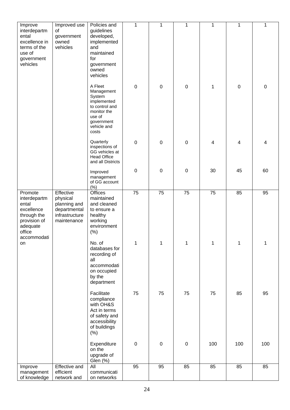| Improve                                                                                                            | Improved use                                                                           | Policies and                                                                                                                    | 1         | 1         | 1         | 1   | 1         | 1         |
|--------------------------------------------------------------------------------------------------------------------|----------------------------------------------------------------------------------------|---------------------------------------------------------------------------------------------------------------------------------|-----------|-----------|-----------|-----|-----------|-----------|
| interdepartm<br>ental<br>excellence in<br>terms of the<br>use of<br>government<br>vehicles                         | 0f<br>government<br>owned<br>vehicles                                                  | guidelines<br>developed,<br>implemented<br>and<br>maintained<br>for<br>government<br>owned<br>vehicles                          |           |           |           |     |           |           |
|                                                                                                                    |                                                                                        | A Fleet<br>Management<br>System<br>implemented<br>to control and<br>monitor the<br>use of<br>government<br>vehicle and<br>costs | $\pmb{0}$ | $\pmb{0}$ | 0         | 1   | $\pmb{0}$ | $\pmb{0}$ |
|                                                                                                                    |                                                                                        | Quarterly<br>inspections of<br>GG vehicles at<br><b>Head Office</b><br>and all Districts                                        | $\pmb{0}$ | $\pmb{0}$ | 0         | 4   | 4         | 4         |
|                                                                                                                    |                                                                                        | Improved<br>management<br>of GG account<br>(%)                                                                                  | $\pmb{0}$ | $\pmb{0}$ | 0         | 30  | 45        | 60        |
| Promote<br>interdepartm<br>ental<br>excellence<br>through the<br>provision of<br>adequate<br>office<br>accommodati | Effective<br>physical<br>planning and<br>departmental<br>infrastructure<br>maintenance | Offices<br>maintained<br>and cleaned<br>to ensure a<br>healthy<br>working<br>environment<br>(% )                                | 75        | 75        | 75        | 75  | 85        | 95        |
| on                                                                                                                 |                                                                                        | No. of<br>databases for<br>recording of<br>all<br>accommodati<br>on occupied<br>by the<br>department                            | 1         | 1         | 1         | 1   | 1         | 1         |
|                                                                                                                    |                                                                                        | Facilitate<br>compliance<br>with OH&S<br>Act in terms<br>of safety and<br>accessibility<br>of buildings<br>(%)                  | 75        | 75        | 75        | 75  | 85        | 95        |
|                                                                                                                    |                                                                                        | Expenditure<br>on the<br>upgrade of<br>Glen (%)                                                                                 | $\pmb{0}$ | $\pmb{0}$ | $\pmb{0}$ | 100 | 100       | 100       |
| Improve                                                                                                            | <b>Effective and</b>                                                                   | All                                                                                                                             | 95        | 95        | 85        | 85  | 85        | 85        |
| management<br>of knowledge                                                                                         | efficient<br>network and                                                               | communicati<br>on networks                                                                                                      |           |           |           |     |           |           |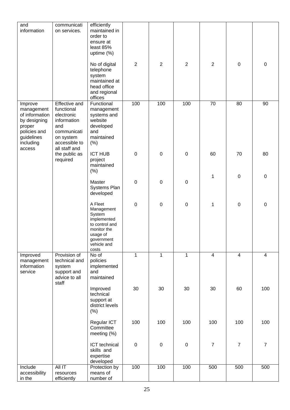| and<br>information                                                                                                     | communicati<br>on services.                                                                                                          | efficiently<br>maintained in<br>order to<br>ensure at<br>least 85%<br>uptime (%)                                                  |                  |                |                |                 |                |                |
|------------------------------------------------------------------------------------------------------------------------|--------------------------------------------------------------------------------------------------------------------------------------|-----------------------------------------------------------------------------------------------------------------------------------|------------------|----------------|----------------|-----------------|----------------|----------------|
|                                                                                                                        |                                                                                                                                      | No of digital<br>telephone<br>system<br>maintained at<br>head office<br>and regional<br>offices                                   | $\overline{2}$   | $\overline{2}$ | $\overline{2}$ | $\overline{2}$  | $\pmb{0}$      | $\pmb{0}$      |
| Improve<br>management<br>of information<br>by designing<br>proper<br>policies and<br>guidelines<br>including<br>access | <b>Effective and</b><br>functional<br>electronic<br>information<br>and<br>communicati<br>on system<br>accessible to<br>all staff and | Functional<br>management<br>systems and<br>website<br>developed<br>and<br>maintained<br>(%)                                       | 100              | 100            | 100            | $\overline{70}$ | 80             | 90             |
|                                                                                                                        | the public as<br>required                                                                                                            | <b>ICT HUB</b><br>project<br>maintained<br>(%)                                                                                    | $\boldsymbol{0}$ | $\mathbf 0$    | $\pmb{0}$      | 60              | 70             | 80             |
|                                                                                                                        |                                                                                                                                      | Master<br>Systems Plan<br>developed                                                                                               | $\mathbf 0$      | $\mathbf 0$    | $\pmb{0}$      | 1               | $\pmb{0}$      | $\mathbf 0$    |
|                                                                                                                        |                                                                                                                                      | A Fleet<br>Management<br>System<br>implemented<br>to control and<br>monitor the<br>usage of<br>government<br>vehicle and<br>costs | $\boldsymbol{0}$ | $\pmb{0}$      | $\pmb{0}$      | 1               | $\pmb{0}$      | $\pmb{0}$      |
| Improved<br>management<br>information<br>service                                                                       | Provision of<br>technical and<br>system<br>support and<br>advice to all<br>staff                                                     | No of<br>policies<br>implemented<br>and<br>maintained                                                                             | $\mathbf{1}$     | $\mathbf{1}$   | $\mathbf{1}$   | $\overline{4}$  | $\overline{4}$ | $\overline{4}$ |
|                                                                                                                        |                                                                                                                                      | Improved<br>technical<br>support at<br>district levels<br>(%)                                                                     | 30               | 30             | 30             | 30              | 60             | 100            |
|                                                                                                                        |                                                                                                                                      | Regular ICT<br>Committee<br>meeting (%)                                                                                           | 100              | 100            | 100            | 100             | 100            | 100            |
|                                                                                                                        |                                                                                                                                      | ICT technical<br>skills and<br>expertise<br>developed                                                                             | $\pmb{0}$        | $\pmb{0}$      | $\mathbf 0$    | $\overline{7}$  | $\overline{7}$ | $\overline{7}$ |
| Include<br>accessibility<br>in the                                                                                     | All IT<br>resources<br>efficiently                                                                                                   | Protection by<br>means of<br>number of                                                                                            | 100              | 100            | 100            | 500             | 500            | 500            |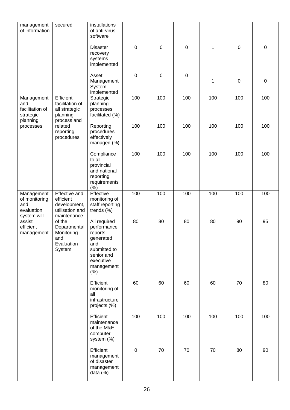| management<br>of information                                    | secured                                                                             | installations<br>of anti-virus<br>software                                                                                    |                  |             |                  |              |           |             |
|-----------------------------------------------------------------|-------------------------------------------------------------------------------------|-------------------------------------------------------------------------------------------------------------------------------|------------------|-------------|------------------|--------------|-----------|-------------|
|                                                                 |                                                                                     | <b>Disaster</b><br>recovery<br>systems<br>implemented                                                                         | $\mathbf 0$      | $\mathbf 0$ | $\boldsymbol{0}$ | $\mathbf{1}$ | $\pmb{0}$ | $\mathbf 0$ |
|                                                                 |                                                                                     | Asset<br>Management<br>System<br>implemented                                                                                  | $\boldsymbol{0}$ | $\pmb{0}$   | $\boldsymbol{0}$ | 1            | $\pmb{0}$ | $\mathbf 0$ |
| Management<br>and<br>facilitation of<br>strategic<br>planning   | Efficient<br>facilitation of<br>all strategic<br>planning<br>process and            | Strategic<br>planning<br>processes<br>facilitated (%)                                                                         | 100              | 100         | 100              | 100          | 100       | 100         |
| processes                                                       | related<br>reporting<br>procedures                                                  | Reporting<br>procedures<br>effectively<br>managed (%)                                                                         | 100              | 100         | 100              | 100          | 100       | 100         |
|                                                                 |                                                                                     | Compliance<br>to all<br>provincial<br>and national<br>reporting<br>requirements<br>(% )                                       | 100              | 100         | 100              | 100          | 100       | 100         |
| Management<br>of monitoring<br>and<br>evaluation<br>system will | <b>Effective and</b><br>efficient<br>development,<br>utilisation and<br>maintenance | Effective<br>monitoring of<br>staff reporting<br>trends (%)                                                                   | 100              | 100         | 100              | 100          | 100       | 100         |
| assist<br>efficient<br>management                               | of the<br>Departmental<br>Monitoring<br>and<br>Evaluation<br>System                 | All required<br>performance<br>reports<br>generated<br>and<br>submitted to<br>senior and<br>executive<br>management<br>$(\%)$ | 80               | 80          | 80               | 80           | 90        | 95          |
|                                                                 |                                                                                     | Efficient<br>monitoring of<br>all<br>infrastructure<br>projects (%)                                                           | 60               | 60          | 60               | 60           | 70        | 80          |
|                                                                 |                                                                                     | Efficient<br>maintenance<br>of the M&E<br>computer<br>system (%)                                                              | 100              | 100         | 100              | 100          | 100       | 100         |
|                                                                 |                                                                                     | Efficient<br>management<br>of disaster<br>management<br>data $(%)$                                                            | $\pmb{0}$        | 70          | 70               | 70           | 80        | 90          |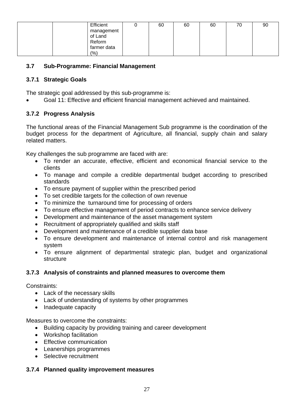| Efficient             | 60 | 60 | 60 | 70 | 90 |
|-----------------------|----|----|----|----|----|
|                       |    |    |    |    |    |
| management<br>of Land |    |    |    |    |    |
| Reform                |    |    |    |    |    |
| farmer data           |    |    |    |    |    |
| (% )                  |    |    |    |    |    |

#### **3.7 Sub-Programme: Financial Management**

#### **3.7.1 Strategic Goals**

The strategic goal addressed by this sub-programme is:

• Goal 11: Effective and efficient financial management achieved and maintained.

#### **3.7.2 Progress Analysis**

The functional areas of the Financial Management Sub programme is the coordination of the budget process for the department of Agriculture, all financial, supply chain and salary related matters.

Key challenges the sub programme are faced with are:

- To render an accurate, effective, efficient and economical financial service to the clients
- To manage and compile a credible departmental budget according to prescribed standards
- To ensure payment of supplier within the prescribed period
- To set credible targets for the collection of own revenue
- To minimize the turnaround time for processing of orders
- To ensure effective management of period contracts to enhance service delivery
- Development and maintenance of the asset management system
- Recruitment of appropriately qualified and skills staff
- Development and maintenance of a credible supplier data base
- To ensure development and maintenance of internal control and risk management system
- To ensure alignment of departmental strategic plan, budget and organizational **structure**

#### **3.7.3 Analysis of constraints and planned measures to overcome them**

Constraints:

- Lack of the necessary skills
- Lack of understanding of systems by other programmes
- Inadequate capacity

Measures to overcome the constraints:

- Building capacity by providing training and career development
- Workshop facilitation
- Effective communication
- Leanerships programmes
- Selective recruitment

#### **3.7.4 Planned quality improvement measures**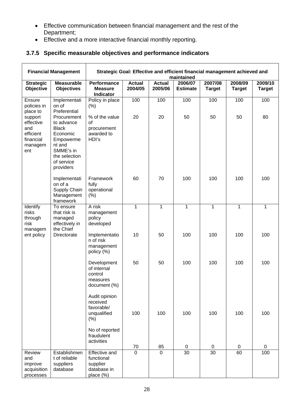- Effective communication between financial management and the rest of the Department;
- Effective and a more interactive financial monthly reporting.

#### **3.7.5 Specific measurable objectives and performance indicators**

|                                                                                                              | <b>Financial Management</b>                                                                                                                                                    |                                                                                       |                          |                          | Strategic Goal: Effective and efficient financial management achieved and<br>maintained |                          |                          |                          |
|--------------------------------------------------------------------------------------------------------------|--------------------------------------------------------------------------------------------------------------------------------------------------------------------------------|---------------------------------------------------------------------------------------|--------------------------|--------------------------|-----------------------------------------------------------------------------------------|--------------------------|--------------------------|--------------------------|
| <b>Strategic</b><br>Objective                                                                                | <b>Measurable</b><br><b>Objectives</b>                                                                                                                                         | <b>Performance</b><br><b>Measure</b><br>Indicator                                     | <b>Actual</b><br>2004/05 | <b>Actual</b><br>2005/06 | 2006/07<br><b>Estimate</b>                                                              | 2007/08<br><b>Target</b> | 2008/09<br><b>Target</b> | 2009/10<br><b>Target</b> |
| Ensure<br>policies in<br>place to<br>support<br>effective<br>and<br>efficient<br>financial<br>managem<br>ent | Implementati<br>on of<br>Preferential<br>Procurement<br>to advance<br><b>Black</b><br>Economic<br>Empowerme<br>nt and<br>SMME's in<br>the selection<br>of service<br>providers | Policy in place<br>(% )<br>% of the value<br>of<br>procurement<br>awarded to<br>HDI's | 100<br>20                | 100<br>20                | 100<br>50                                                                               | 100<br>50                | 100<br>50                | 100<br>80                |
|                                                                                                              | Implementati<br>on of a<br>Supply Chain<br>Management<br>framework                                                                                                             | Framework<br>fully<br>operational<br>(% )                                             | 60                       | 70                       | 100                                                                                     | 100                      | 100                      | 100                      |
| Identify<br>risks<br>through<br>risk<br>managem                                                              | To ensure<br>that risk is<br>managed<br>effectively in<br>the Chief                                                                                                            | A risk<br>management<br>policy<br>developed                                           | $\mathbf{1}$             | $\mathbf{1}$             | $\mathbf{1}$                                                                            | 1                        | $\mathbf{1}$             | $\mathbf{1}$             |
| ent policy                                                                                                   | Directorate                                                                                                                                                                    | Implementatio<br>n of risk<br>management<br>policy (%)                                | 10                       | 50                       | 100                                                                                     | 100                      | 100                      | 100                      |
|                                                                                                              |                                                                                                                                                                                | Development<br>of internal<br>control<br>measures<br>document (%)<br>Audit opinion    | 50                       | 50                       | 100                                                                                     | 100                      | 100                      | 100                      |
|                                                                                                              |                                                                                                                                                                                | received<br>favorable/<br>unqualified<br>(%)                                          | 100                      | 100                      | 100                                                                                     | 100                      | 100                      | 100                      |
|                                                                                                              |                                                                                                                                                                                | No of reported<br>fraudulent<br>activities                                            | $\frac{70}{0}$           | 85                       | 0                                                                                       | 0                        | 0                        | 0                        |
| Review<br>and<br>improve<br>acquisition<br>processes                                                         | Establishmen<br>t of reliable<br>suppliers<br>database                                                                                                                         | <b>Effective and</b><br>functional<br>supplier<br>database in<br>place (%)            |                          | $\Omega$                 | $\overline{30}$                                                                         | $\overline{30}$          | 60                       | 100                      |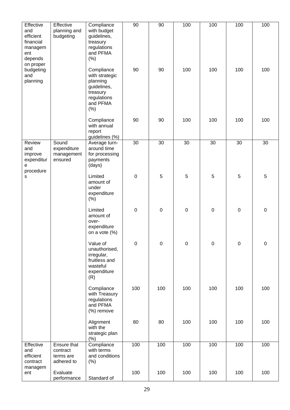| Effective<br>and<br>efficient<br>financial<br>managem<br>ent<br>depends | Effective<br>planning and<br>budgeting             | Compliance<br>with budget<br>guidelines,<br>treasury<br>regulations<br>and PFMA<br>(% )                | 90               | 90          | 100              | 100            | 100       | 100              |
|-------------------------------------------------------------------------|----------------------------------------------------|--------------------------------------------------------------------------------------------------------|------------------|-------------|------------------|----------------|-----------|------------------|
| on proper<br>budgeting<br>and<br>planning                               |                                                    | Compliance<br>with strategic<br>planning<br>guidelines,<br>treasury<br>regulations<br>and PFMA<br>(% ) | 90               | 90          | 100              | 100            | 100       | 100              |
|                                                                         |                                                    | Compliance<br>with annual<br>report<br>guidelines (%)                                                  | 90               | 90          | 100              | 100            | 100       | 100              |
| Review<br>and<br>improve<br>expenditur<br>e<br>procedure                | Sound<br>expenditure<br>management<br>ensured      | Average turn-<br>around time<br>for processing<br>payments<br>(days)                                   | 30               | 30          | 30               | 30             | 30        | 30               |
| S                                                                       |                                                    | Limited<br>amount of<br>under<br>expenditure<br>$(\% )$                                                | $\boldsymbol{0}$ | 5           | 5                | $\overline{5}$ | 5         | 5                |
|                                                                         |                                                    | Limited<br>amount of<br>over-<br>expenditure<br>on a vote (%)                                          | $\mathbf 0$      | $\mathbf 0$ | $\pmb{0}$        | $\pmb{0}$      | $\pmb{0}$ | $\mathbf 0$      |
|                                                                         |                                                    | Value of<br>unauthorised,<br>irregular,<br>fruitless and<br>wasteful<br>expenditure<br>(R)             | $\boldsymbol{0}$ | $\mathbf 0$ | $\boldsymbol{0}$ | $\pmb{0}$      | $\pmb{0}$ | $\boldsymbol{0}$ |
|                                                                         |                                                    | Compliance<br>with Treasury<br>regulations<br>and PFMA<br>(%) remove                                   | 100              | 100         | 100              | 100            | 100       | 100              |
|                                                                         |                                                    | Alignment<br>with the<br>strategic plan<br>(% )                                                        | 80               | 80          | 100              | 100            | 100       | 100              |
| Effective<br>and<br>efficient<br>contract                               | Ensure that<br>contract<br>terms are<br>adhered to | Compliance<br>with terms<br>and conditions<br>$(\% )$                                                  | 100              | 100         | 100              | 100            | 100       | 100              |
| managem<br>ent                                                          | Evaluate<br>performance                            | Standard of                                                                                            | 100              | 100         | 100              | 100            | 100       | 100              |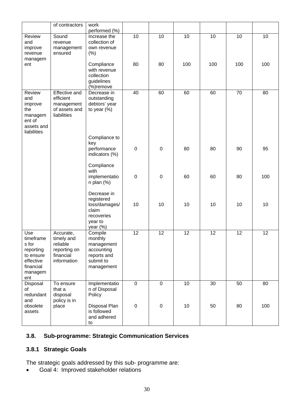|                    | of contractors           | work                          |             |                 |     |     |                 |     |
|--------------------|--------------------------|-------------------------------|-------------|-----------------|-----|-----|-----------------|-----|
| Review             | Sound                    | performed (%)<br>Increase the | 10          | 10              | 10  | 10  | 10              | 10  |
| and                | revenue                  | collection of                 |             |                 |     |     |                 |     |
| improve            | management               | own revenue                   |             |                 |     |     |                 |     |
| revenue            | ensured                  | (% )                          |             |                 |     |     |                 |     |
| managem<br>ent     |                          | Compliance                    | 80          | 80              | 100 | 100 | 100             | 100 |
|                    |                          | with revenue                  |             |                 |     |     |                 |     |
|                    |                          | collection                    |             |                 |     |     |                 |     |
|                    |                          | guidelines                    |             |                 |     |     |                 |     |
| Review             | <b>Effective and</b>     | (%)remove<br>Decrease in      | 40          | 60              | 60  | 60  | $\overline{70}$ | 80  |
| and                | efficient                | outstanding                   |             |                 |     |     |                 |     |
| improve            | management               | debtors' year                 |             |                 |     |     |                 |     |
| the                | of assets and            | to year $(\%)$                |             |                 |     |     |                 |     |
| managem<br>ent of  | liabilities              |                               |             |                 |     |     |                 |     |
| assets and         |                          |                               |             |                 |     |     |                 |     |
| liabilities        |                          |                               |             |                 |     |     |                 |     |
|                    |                          | Compliance to                 |             |                 |     |     |                 |     |
|                    |                          | key<br>performance            | $\mathsf 0$ | $\mathbf 0$     | 80  | 80  | 90              | 95  |
|                    |                          | indicators (%)                |             |                 |     |     |                 |     |
|                    |                          |                               |             |                 |     |     |                 |     |
|                    |                          | Compliance<br>with            |             |                 |     |     |                 |     |
|                    |                          | implementatio                 | $\pmb{0}$   | $\mathbf 0$     | 60  | 60  | 80              | 100 |
|                    |                          | $n$ plan $(\%)$               |             |                 |     |     |                 |     |
|                    |                          |                               |             |                 |     |     |                 |     |
|                    |                          | Decrease in<br>registered     |             |                 |     |     |                 |     |
|                    |                          | loss/damages/                 | 10          | 10              | 10  | 10  | 10              | 10  |
|                    |                          | claim                         |             |                 |     |     |                 |     |
|                    |                          | recoveries                    |             |                 |     |     |                 |     |
|                    |                          | year to<br>year $(\%)$        |             |                 |     |     |                 |     |
| Use                | Accurate,                | Compile                       | 12          | $\overline{12}$ | 12  | 12  | 12              | 12  |
| timeframe          | timely and               | monthly                       |             |                 |     |     |                 |     |
| s for<br>reporting | reliable<br>reporting on | management<br>accounting      |             |                 |     |     |                 |     |
| to ensure          | financial                | reports and                   |             |                 |     |     |                 |     |
| effective          | information              | submit to                     |             |                 |     |     |                 |     |
| financial          |                          | management                    |             |                 |     |     |                 |     |
| managem<br>ent     |                          |                               |             |                 |     |     |                 |     |
| Disposal           | To ensure                | Implementatio                 | $\mathbf 0$ | $\mathbf 0$     | 10  | 30  | 50              | 80  |
| of                 | that a                   | n of Disposal                 |             |                 |     |     |                 |     |
| redundant          | disposal                 | Policy                        |             |                 |     |     |                 |     |
| and<br>obsolete    | policy is in<br>place    | Disposal Plan                 | $\pmb{0}$   | $\mathbf 0$     | 10  | 50  | 80              | 100 |
| assets             |                          | is followed                   |             |                 |     |     |                 |     |
|                    |                          | and adhered                   |             |                 |     |     |                 |     |
|                    |                          | to                            |             |                 |     |     |                 |     |

#### **3.8. Sub-programme: Strategic Communication Services**

#### **3.8.1 Strategic Goals**

The strategic goals addressed by this sub- programme are:

• Goal 4: Improved stakeholder relations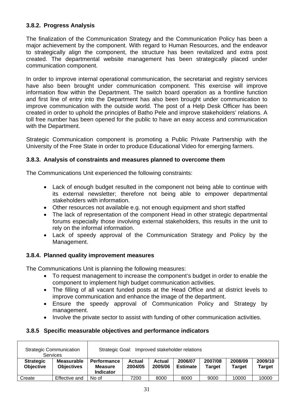#### **3.8.2. Progress Analysis**

The finalization of the Communication Strategy and the Communication Policy has been a major achievement by the component. With regard to Human Resources, and the endeavor to strategically align the component, the structure has been revitalized and extra post created. The departmental website management has been strategically placed under communication component.

In order to improve internal operational communication, the secretariat and registry services have also been brought under communication component. This exercise will improve information flow within the Department. The switch board operation as a frontline function and first line of entry into the Department has also been brought under communication to improve communication with the outside world. The post of a Help Desk Officer has been created in order to uphold the principles of Batho Pele and improve stakeholders' relations. A toll free number has been opened for the public to have an easy access and communication with the Department.

Strategic Communication component is promoting a Public Private Partnership with the University of the Free State in order to produce Educational Video for emerging farmers.

#### **3.8.3. Analysis of constraints and measures planned to overcome them**

The Communications Unit experienced the following constraints:

- Lack of enough budget resulted in the component not being able to continue with its external newsletter; therefore not being able to empower departmental stakeholders with information.
- Other resources not available e.g. not enough equipment and short staffed
- The lack of representation of the component Head in other strategic departmental forums especially those involving external stakeholders, this results in the unit to rely on the informal information.
- Lack of speedy approval of the Communication Strategy and Policy by the Management.

#### **3.8.4. Planned quality improvement measures**

The Communications Unit is planning the following measures:

- To request management to increase the component's budget in order to enable the component to implement high budget communication activities.
- The filling of all vacant funded posts at the Head Office and at district levels to improve communication and enhance the image of the department.
- Ensure the speedy approval of Communication Policy and Strategy by management.
- Involve the private sector to assist with funding of other communication activities.

#### **3.8.5 Specific measurable objectives and performance indicators**

|                                      | <b>Strategic Communication</b><br><b>Services</b> | Improved stakeholder relations<br>Strategic Goal:        |                   |                   |                            |                          |                   |                          |
|--------------------------------------|---------------------------------------------------|----------------------------------------------------------|-------------------|-------------------|----------------------------|--------------------------|-------------------|--------------------------|
| <b>Strategic</b><br><b>Objective</b> | <b>Measurable</b><br><b>Objectives</b>            | <b>Performance</b><br><b>Measure</b><br><b>Indicator</b> | Actual<br>2004/05 | Actual<br>2005/06 | 2006/07<br><b>Estimate</b> | 2007/08<br><b>Target</b> | 2008/09<br>Target | 2009/10<br><b>Target</b> |
| Create                               | Effective and                                     | No of                                                    | 7200              | 8000              | 8000                       | 9000                     | 10000             | 10000                    |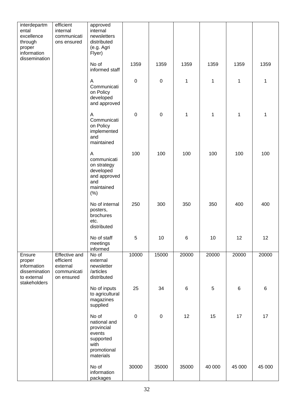| interdepartm<br>ental<br>excellence<br>through<br>proper<br>information         | efficient<br>internal<br>communicati<br>ons ensured                        | approved<br>internal<br>newsletters<br>distributed<br>(e.g. Agri<br>Flyer)                     |                  |             |             |                 |         |         |
|---------------------------------------------------------------------------------|----------------------------------------------------------------------------|------------------------------------------------------------------------------------------------|------------------|-------------|-------------|-----------------|---------|---------|
| dissemination                                                                   |                                                                            | No of<br>informed staff                                                                        | 1359             | 1359        | 1359        | 1359            | 1359    | 1359    |
|                                                                                 |                                                                            | A<br>Communicati<br>on Policy<br>developed<br>and approved                                     | $\pmb{0}$        | $\mathsf 0$ | $\mathbf 1$ | 1               | 1       | 1       |
|                                                                                 |                                                                            | Α<br>Communicati<br>on Policy<br>implemented<br>and<br>maintained                              | $\boldsymbol{0}$ | $\mathsf 0$ | $\mathbf 1$ | 1               | 1       | 1       |
|                                                                                 |                                                                            | A<br>communicati<br>on strategy<br>developed<br>and approved<br>and<br>maintained<br>(% )      | 100              | 100         | 100         | 100             | 100     | 100     |
|                                                                                 |                                                                            | No of internal<br>posters,<br>brochures<br>etc.<br>distributed                                 | 250              | 300         | 350         | 350             | 400     | 400     |
|                                                                                 |                                                                            | No of staff<br>meetings<br>informed                                                            | 5                | 10          | 6           | 10 <sub>1</sub> | 12      | 12      |
| Ensure<br>proper<br>information<br>dissemination<br>to external<br>stakeholders | <b>Effective and</b><br>efficient<br>external<br>communicati<br>on ensured | No of<br>external<br>newsletter<br>/articles<br>distributed                                    | 10000            | 15000       | 20000       | 20000           | 20000   | 20000   |
|                                                                                 |                                                                            | No of inputs<br>to agricultural<br>magazines<br>supplied                                       | 25               | 34          | 6           | 5               | $\,6\,$ | $\,6\,$ |
|                                                                                 |                                                                            | No of<br>national and<br>provincial<br>events<br>supported<br>with<br>promotional<br>materials | $\pmb{0}$        | $\pmb{0}$   | 12          | 15              | 17      | 17      |
|                                                                                 |                                                                            | No of<br>information<br>packages                                                               | 30000            | 35000       | 35000       | 40 000          | 45 000  | 45 000  |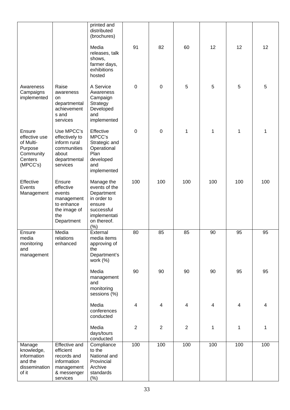|                                                                                     |                                                                                                          | printed and<br>distributed<br>(brochures)                                                                               |                |                         |                |     |                         |     |
|-------------------------------------------------------------------------------------|----------------------------------------------------------------------------------------------------------|-------------------------------------------------------------------------------------------------------------------------|----------------|-------------------------|----------------|-----|-------------------------|-----|
|                                                                                     |                                                                                                          | Media<br>releases, talk<br>shows,<br>farmer days,<br>exhibitions<br>hosted                                              | 91             | 82                      | 60             | 12  | 12                      | 12  |
| Awareness<br>Campaigns<br>implemented                                               | Raise<br>awareness<br>on<br>departmental<br>achievement<br>s and<br>services                             | A Service<br>Awareness<br>Campaign<br>Strategy<br>Developed<br>and<br>implemented                                       | $\mathbf 0$    | $\pmb{0}$               | 5              | 5   | 5                       | 5   |
| Ensure<br>effective use<br>of Multi-<br>Purpose<br>Community<br>Centers<br>(MPCC's) | Use MPCC's<br>effectively to<br>inform rural<br>communities<br>about<br>departmental<br>services         | Effective<br>MPCC's<br>Strategic and<br>Operational<br>Plan<br>developed<br>and<br>implemented                          | $\mathbf 0$    | $\pmb{0}$               | 1              | 1   | 1                       | 1   |
| Effective<br>Events<br>Management                                                   | Ensure<br>effective<br>events<br>management<br>to enhance<br>the image of<br>the<br>Department           | Manage the<br>events of the<br>Department<br>in order to<br>ensure<br>successful<br>implementati<br>on thereof.<br>(% ) | 100            | 100                     | 100            | 100 | 100                     | 100 |
| Ensure<br>media<br>monitoring<br>and<br>management                                  | Media<br>relations<br>enhanced                                                                           | External<br>media items<br>approving of<br>the<br>Department's<br>work (%)                                              | 80             | 85                      | 85             | 90  | 95                      | 95  |
|                                                                                     |                                                                                                          | Media<br>management<br>and<br>monitoring<br>sessions (%)                                                                | 90             | 90                      | 90             | 90  | 95                      | 95  |
|                                                                                     |                                                                                                          | Media<br>conferences<br>conducted                                                                                       | 4              | $\overline{\mathbf{4}}$ | $\overline{4}$ | 4   | $\overline{\mathbf{4}}$ | 4   |
|                                                                                     |                                                                                                          | Media<br>days/tours<br>conducted                                                                                        | $\overline{2}$ | $\overline{2}$          | $\overline{2}$ | 1   | 1                       | 1   |
| Manage<br>knowledge,<br>information<br>and the<br>dissemination<br>of it            | <b>Effective and</b><br>efficient<br>records and<br>information<br>management<br>& messenger<br>services | Compliance<br>to the<br>National and<br>Provincial<br>Archive<br>standards<br>$(\%)$                                    | 100            | 100                     | 100            | 100 | 100                     | 100 |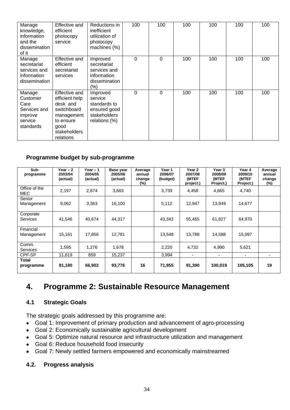| Manage<br>knowledge,<br>information<br>and the<br>dissemination<br>of it      | <b>Effective and</b><br>efficient<br>photocopy<br>service                                                                         | Reductions in<br>inefficient<br>utilization of<br>photocopy<br>machines (%)          | 100         | 100 | 100 | 100 | 100 | 100 |
|-------------------------------------------------------------------------------|-----------------------------------------------------------------------------------------------------------------------------------|--------------------------------------------------------------------------------------|-------------|-----|-----|-----|-----|-----|
| Manage<br>secretariat<br>services and<br>information<br>dissemination         | Effective and<br>efficient<br>secretariat<br>services                                                                             | Improved<br>secretariat<br>services and<br>information<br>dissemination<br>$(\% )$   | $\mathbf 0$ | 0   | 100 | 100 | 100 | 100 |
| Manage<br>Customer<br>Care<br>Services and<br>improve<br>service<br>standards | <b>Effective and</b><br>efficient help<br>desk and<br>switchboard<br>management<br>to ensure<br>good<br>stakeholders<br>relations | Improved<br>service<br>standards to<br>ensured good<br>stakeholders<br>relations (%) | $\Omega$    | 0   | 100 | 100 | 100 | 100 |

#### **Programme budget by sub-programme**

| Sub-<br>programme            | Year – 2<br>2003/04<br>(actual) | Year $-1$<br>2004/05<br>(actual) | Base year<br>2005/06<br>(actual) | Average<br>annual<br>change<br>$(\%)$ | Year 1<br>2006/07<br>(budget) | Year 2<br>2007/08<br>(MTEF<br>project.) | Year 3<br>2008/09<br>(MTEF<br>Project.) | Year 4<br>2009/10<br>(MTEF<br>Project.) | Average<br>annual<br>change<br>$(\%)$ |
|------------------------------|---------------------------------|----------------------------------|----------------------------------|---------------------------------------|-------------------------------|-----------------------------------------|-----------------------------------------|-----------------------------------------|---------------------------------------|
| Office of the<br><b>MEC</b>  | 2,197                           | 2,874                            | 3,663                            |                                       | 3,739                         | 4,458                                   | 4,665                                   | 4,740                                   |                                       |
| Senior<br>Management         | 9,062                           | 3,363                            | 16,100                           |                                       | 5,112                         | 12,947                                  | 13.949                                  | 14,677                                  |                                       |
| Corporate<br><b>Services</b> | 41,546                          | 40,674                           | 44,317                           |                                       | 43,342                        | 55,465                                  | 61,827                                  | 64,970                                  |                                       |
| Financial<br>Management      | 15,161                          | 17,856                           | 12,781                           |                                       | 13,548                        | 13.788                                  | 14,588                                  | 15,097                                  |                                       |
| Comm.<br>Services            | 1,595                           | 1,276                            | 1,678                            |                                       | 2,220                         | 4,732                                   | 4,990                                   | 5,621                                   |                                       |
| CPF-SP                       | 11,619                          | 859                              | 15,237                           |                                       | 3,994                         | ۰.                                      | ٠                                       |                                         |                                       |
| Total<br>programme           | 81,180                          | 66,902                           | 93,776                           | 16                                    | 71,955                        | 91,390                                  | 100,019                                 | 105,105                                 | 19                                    |

### **4. Programme 2: Sustainable Resource Management**

#### **4.1 Strategic Goals**

The strategic goals addressed by this programme are:

- Goal 1: Improvement of primary production and advancement of agro-processing
- Goal 2: Economically sustainable agricultural development
- Goal 5: Optimize natural resource and infrastructure utilization and management
- Goal 6: Reduce household food insecurity
- Goal 7: Newly settled farmers empowered and economically mainstreamed

#### **4.2. Progress analysis**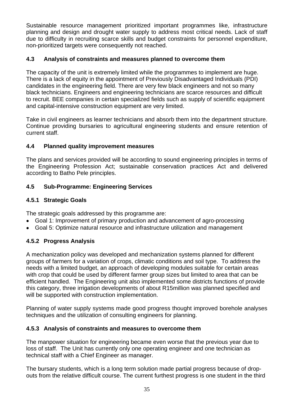Sustainable resource management prioritized important programmes like, infrastructure planning and design and drought water supply to address most critical needs. Lack of staff due to difficulty in recruiting scarce skills and budget constraints for personnel expenditure, non-prioritized targets were consequently not reached.

#### **4.3 Analysis of constraints and measures planned to overcome them**

The capacity of the unit is extremely limited while the programmes to implement are huge. There is a lack of equity in the appointment of Previously Disadvantaged Individuals (PDI) candidates in the engineering field. There are very few black engineers and not so many black technicians. Engineers and engineering technicians are scarce resources and difficult to recruit. BEE companies in certain specialized fields such as supply of scientific equipment and capital-intensive construction equipment are very limited.

Take in civil engineers as learner technicians and absorb them into the department structure. Continue providing bursaries to agricultural engineering students and ensure retention of current staff.

#### **4.4 Planned quality improvement measures**

The plans and services provided will be according to sound engineering principles in terms of the Engineering Profession Act; sustainable conservation practices Act and delivered according to Batho Pele principles.

#### **4.5 Sub-Programme: Engineering Services**

#### **4.5.1 Strategic Goals**

The strategic goals addressed by this programme are:

- Goal 1: Improvement of primary production and advancement of agro-processing
- Goal 5: Optimize natural resource and infrastructure utilization and management

#### **4.5.2 Progress Analysis**

A mechanization policy was developed and mechanization systems planned for different groups of farmers for a variation of crops, climatic conditions and soil type. To address the needs with a limited budget, an approach of developing modules suitable for certain areas with crop that could be used by different farmer group sizes but limited to area that can be efficient handled. The Engineering unit also implemented some districts functions of provide this category, three irrigation developments of about R15million was planned specified and will be supported with construction implementation.

Planning of water supply systems made good progress thought improved borehole analyses techniques and the utilization of consulting engineers for planning.

#### **4.5.3 Analysis of constraints and measures to overcome them**

The manpower situation for engineering became even worse that the previous year due to loss of staff. The Unit has currently only one operating engineer and one technician as technical staff with a Chief Engineer as manager.

The bursary students, which is a long term solution made partial progress because of dropouts from the relative difficult course. The current furthest progress is one student in the third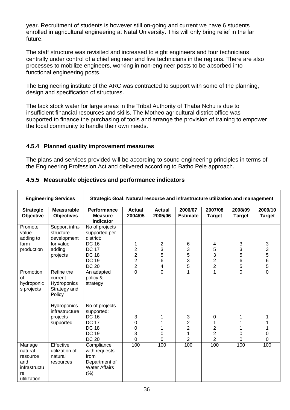year. Recruitment of students is however still on-going and current we have 6 students enrolled in agricultural engineering at Natal University. This will only bring relief in the far future.

The staff structure was revisited and increased to eight engineers and four technicians centrally under control of a chief engineer and five technicians in the regions. There are also processes to mobilize engineers, working in non-engineer posts to be absorbed into functional engineering posts.

The Engineering institute of the ARC was contracted to support with some of the planning, design and specification of structures.

The lack stock water for large areas in the Tribal Authority of Thaba Nchu is due to insufficient financial resources and skills. The Motheo agricultural district office was supported to finance the purchasing of tools and arrange the provision of training to empower the local community to handle their own needs.

#### **4.5.4 Planned quality improvement measures**

The plans and services provided will be according to sound engineering principles in terms of the Engineering Profession Act and delivered according to Batho Pele approach.

| <b>Engineering Services</b>                                               |                                                                | Strategic Goal: Natural resource and infrastructure utilization and management                               |                                                |                                 |                                                                   |                                                                       |                          |                          |  |  |
|---------------------------------------------------------------------------|----------------------------------------------------------------|--------------------------------------------------------------------------------------------------------------|------------------------------------------------|---------------------------------|-------------------------------------------------------------------|-----------------------------------------------------------------------|--------------------------|--------------------------|--|--|
| <b>Strategic</b><br>Objective                                             | <b>Measurable</b><br><b>Objectives</b>                         | <b>Performance</b><br><b>Measure</b><br><b>Indicator</b>                                                     | <b>Actual</b><br>2004/05                       | <b>Actual</b><br>2005/06        | 2006/07<br><b>Estimate</b>                                        | 2007/08<br><b>Target</b>                                              | 2008/09<br><b>Target</b> | 2009/10<br><b>Target</b> |  |  |
| Promote<br>value<br>adding to                                             | Support infra-<br>structure<br>development                     | No of projects<br>supported per<br>district:                                                                 |                                                |                                 |                                                                   |                                                                       |                          |                          |  |  |
| farm<br>production                                                        | for value<br>adding<br>projects                                | <b>DC 16</b><br><b>DC 17</b><br><b>DC 18</b><br><b>DC 19</b>                                                 | 1<br>$\frac{2}{2}$<br>$\overline{2}$           | 2<br>3<br>5<br>6                | 6<br>3<br>5<br>$\mathsf 3$                                        | 4<br>5<br>3<br>$\overline{c}$                                         | 3<br>3<br>5<br>6         | 3<br>3<br>5<br>6         |  |  |
|                                                                           |                                                                | <b>DC 20</b>                                                                                                 | $\overline{2}$                                 | 4                               | 5                                                                 | $\overline{c}$                                                        | 5                        | 5                        |  |  |
| Promotion<br><b>of</b><br>hydroponic<br>s projects                        | Refine the<br>current<br>Hydroponics<br>Strategy and<br>Policy | An adapted<br>policy &<br>strategy                                                                           | $\overline{0}$                                 | 0                               | 1                                                                 | $\overline{1}$                                                        | $\overline{0}$           | $\overline{0}$           |  |  |
|                                                                           | Hydroponics<br>infrastructure<br>projects<br>supported         | No of projects<br>supported:<br><b>DC 16</b><br><b>DC 17</b><br><b>DC 18</b><br><b>DC 19</b><br><b>DC 20</b> | 3<br>$\mathbf 0$<br>$\boldsymbol{0}$<br>3<br>0 | 1<br>1<br>1<br>0<br>$\mathbf 0$ | $\sqrt{3}$<br>$\overline{\mathbf{c}}$<br>$\overline{2}$<br>1<br>2 | 0<br>1<br>$\overline{\mathbf{c}}$<br>$\overline{2}$<br>$\overline{2}$ | $\mathbf 0$<br>0         | 1<br>1<br>1<br>0<br>0    |  |  |
| Manage<br>natural<br>resource<br>and<br>infrastructu<br>re<br>utilization | Effective<br>utilization of<br>natural<br>resources            | Compliance<br>with requests<br>from<br>Department of<br><b>Water Affairs</b><br>(% )                         | 100                                            | 100                             | 100                                                               | 100                                                                   | 100                      | 100                      |  |  |

#### **4.5.5 Measurable objectives and performance indicators**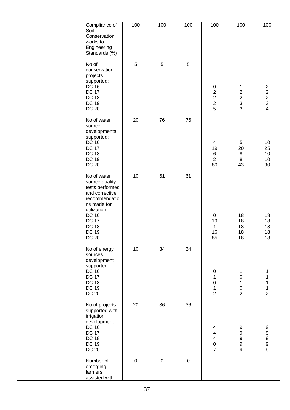| Compliance of                                                                                                      | 100       | 100        | 100            | 100                                                                                 | 100                                                           | 100                                               |
|--------------------------------------------------------------------------------------------------------------------|-----------|------------|----------------|-------------------------------------------------------------------------------------|---------------------------------------------------------------|---------------------------------------------------|
| Soil<br>Conservation<br>works to<br>Engineering<br>Standards (%)                                                   |           |            |                |                                                                                     |                                                               |                                                   |
| No of<br>conservation<br>projects<br>supported:<br><b>DC 16</b><br><b>DC 17</b>                                    | 5         | $\sqrt{5}$ | $\overline{5}$ |                                                                                     | 1                                                             |                                                   |
| <b>DC 18</b><br><b>DC 19</b><br><b>DC 20</b>                                                                       |           |            |                | $0$<br>2<br>2<br>2<br>5                                                             | $\begin{array}{c}\n2 \\ 2 \\ 3 \\ 3\n\end{array}$             | $\begin{array}{c}\n2 \\ 2 \\ 3 \\ 4\n\end{array}$ |
| No of water<br>source<br>developments<br>supported:<br>DC 16<br><b>DC 17</b>                                       | 20        | 76         | 76             | $\overline{\mathbf{4}}$                                                             | 5                                                             | $10$                                              |
| <b>DC 18</b><br><b>DC 19</b><br><b>DC 20</b>                                                                       |           |            |                | 19<br>$\,6$<br>$\overline{2}$<br>80                                                 | 20<br>$\begin{array}{c} 8 \\ 8 \end{array}$<br>43             | 25<br>$10$<br>$10$<br>30                          |
| No of water<br>source quality<br>tests performed<br>and corrective<br>recommendatio<br>ns made for<br>utilization: | 10        | 61         | 61             |                                                                                     |                                                               |                                                   |
| <b>DC 16</b><br><b>DC 17</b><br><b>DC 18</b><br><b>DC 19</b><br><b>DC 20</b>                                       |           |            |                | $\pmb{0}$<br>19<br>$\mathbf{1}$<br>16<br>85                                         | 18<br>18<br>18<br>18<br>18                                    | 18<br>18<br>18<br>18<br>18                        |
| No of energy<br>sources<br>development<br>supported:<br><b>DC 16</b><br><b>DC 17</b>                               | 10        | 34         | 34             | $\pmb{0}$<br>$\mathbf 1$                                                            | 1<br>$\boldsymbol{0}$                                         | 1<br>1                                            |
| <b>DC 18</b><br><b>DC 19</b><br><b>DC 20</b>                                                                       |           |            |                | $\pmb{0}$<br>$\mathbf{1}$<br>$\overline{2}$                                         | 1<br>$\pmb{0}$<br>$\overline{2}$                              | 1<br>$\frac{1}{2}$                                |
| No of projects<br>supported with<br>irrigation<br>development:<br><b>DC 16</b>                                     | 20        | 36         | 36             | $\overline{\mathbf{4}}$                                                             | $\boldsymbol{9}$                                              | $\boldsymbol{9}$                                  |
| <b>DC 17</b><br><b>DC 18</b><br><b>DC 19</b><br><b>DC 20</b>                                                       |           |            |                | $\overline{\mathbf{4}}$<br>$\overline{\mathbf{4}}$<br>$\mathbf 0$<br>$\overline{7}$ | $\boldsymbol{9}$<br>$\boldsymbol{9}$<br>$\boldsymbol{9}$<br>9 | 9<br>9<br>9<br>9                                  |
| Number of<br>emerging<br>farmers<br>assisted with                                                                  | $\pmb{0}$ | $\pmb{0}$  | $\pmb{0}$      |                                                                                     |                                                               |                                                   |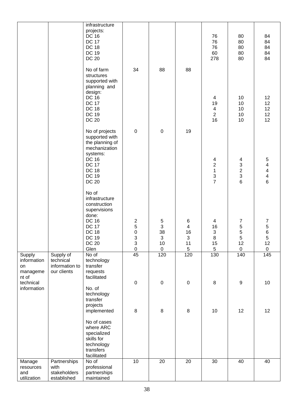|                                                  |                                                         | infrastructure<br>projects:<br><b>DC 16</b><br><b>DC 17</b><br><b>DC 18</b><br><b>DC 19</b><br><b>DC 20</b>                                                              |                                                                               |                                                                                    |                                                    | 76<br>76<br>76<br>60<br>278                        | 80<br>80<br>80<br>80<br>80                                     | 84<br>84<br>84<br>84<br>84                                                       |
|--------------------------------------------------|---------------------------------------------------------|--------------------------------------------------------------------------------------------------------------------------------------------------------------------------|-------------------------------------------------------------------------------|------------------------------------------------------------------------------------|----------------------------------------------------|----------------------------------------------------|----------------------------------------------------------------|----------------------------------------------------------------------------------|
|                                                  |                                                         | No of farm<br>structures<br>supported with<br>planning and<br>design:<br><b>DC 16</b><br><b>DC 17</b><br><b>DC 18</b><br><b>DC 19</b><br><b>DC 20</b>                    | 34                                                                            | 88                                                                                 | 88                                                 | 4<br>19<br>$\overline{4}$<br>$\overline{2}$<br>16  | 10<br>10<br>10<br>10<br>10                                     | 12<br>12<br>12<br>12<br>12                                                       |
|                                                  |                                                         | No of projects<br>supported with<br>the planning of<br>mechanization<br>systems:<br><b>DC 16</b><br><b>DC 17</b><br><b>DC 18</b><br><b>DC 19</b>                         | $\pmb{0}$                                                                     | $\pmb{0}$                                                                          | 19                                                 | 4<br>$\overline{c}$<br>$\mathbf{1}$<br>$rac{3}{7}$ | 4<br>$\begin{array}{c}\n3 \\ 2 \\ 3 \\ 6\n\end{array}$         | 5<br>4<br>$\overline{\mathcal{A}}$<br>$\overline{\mathbf{4}}$<br>$6\overline{6}$ |
|                                                  |                                                         | <b>DC 20</b><br>No of<br>infrastructure<br>construction<br>supervisions<br>done:<br><b>DC 16</b><br><b>DC 17</b><br><b>DC 18</b><br><b>DC 19</b><br><b>DC 20</b><br>Glen | $\begin{array}{c} 2 \\ 5 \\ 0 \end{array}$<br>3<br>$\mathsf 3$<br>$\mathsf 0$ | $\,$ 5 $\,$<br>$\ensuremath{\mathsf{3}}$<br>38<br>3<br>$10$<br>$\mathsf{O}\xspace$ | 6<br>$\overline{\mathbf{4}}$<br>16<br>3<br>11<br>5 | 4<br>16<br>3<br>8<br>15<br>$\,$ 5 $\,$             | $\overline{7}$<br>$\frac{5}{5}$<br>5<br>12<br>$\boldsymbol{0}$ | 7<br>5<br>6<br>5<br>12<br>$\mathbf 0$                                            |
| Supply<br>information<br>on<br>manageme<br>nt of | Supply of<br>technical<br>information to<br>our clients | No of<br>technology<br>transfer<br>requests<br>facilitated                                                                                                               | 45                                                                            | 120                                                                                | 120                                                | 130                                                | 140                                                            | 145                                                                              |
| technical<br>information                         |                                                         | No. of<br>technology<br>transfer<br>projects                                                                                                                             | $\pmb{0}$                                                                     | $\mathsf 0$                                                                        | $\pmb{0}$                                          | $\bf 8$                                            | $\boldsymbol{9}$                                               | $10$                                                                             |
|                                                  |                                                         | implemented<br>No of cases<br>where ARC<br>specialized<br>skills for<br>technology<br>transfers<br>facilitated                                                           | 8                                                                             | 8                                                                                  | 8                                                  | 10                                                 | 12                                                             | 12                                                                               |
| Manage<br>resources<br>and<br>utilization        | Partnerships<br>with<br>stakeholders<br>established     | No of<br>professional<br>partnerships<br>maintained                                                                                                                      | 10                                                                            | $\overline{20}$                                                                    | $\overline{20}$                                    | 30                                                 | 40                                                             | 40                                                                               |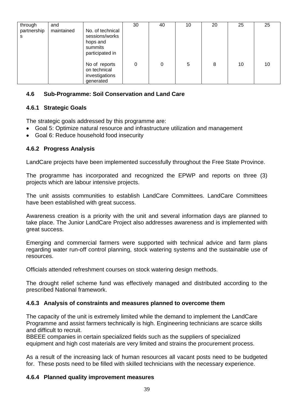| through          | and        |                                                                              | 30 | 40 | 10 | 20 | 25 | 25 |
|------------------|------------|------------------------------------------------------------------------------|----|----|----|----|----|----|
| partnership<br>s | maintained | No. of technical<br>sessions/works<br>hops and<br>summits<br>participated in |    |    |    |    |    |    |
|                  |            | No of reports<br>on technical<br>investigations<br>generated                 | 0  | 0  | 5  | 8  | 10 | 10 |

#### **4.6 Sub-Programme: Soil Conservation and Land Care**

## **4.6.1 Strategic Goals**

The strategic goals addressed by this programme are:

- Goal 5: Optimize natural resource and infrastructure utilization and management
- Goal 6: Reduce household food insecurity

#### **4.6.2 Progress Analysis**

LandCare projects have been implemented successfully throughout the Free State Province.

The programme has incorporated and recognized the EPWP and reports on three (3) projects which are labour intensive projects.

The unit assists communities to establish LandCare Committees. LandCare Committees have been established with great success.

Awareness creation is a priority with the unit and several information days are planned to take place. The Junior LandCare Project also addresses awareness and is implemented with great success.

Emerging and commercial farmers were supported with technical advice and farm plans regarding water run-off control planning, stock watering systems and the sustainable use of resources.

Officials attended refreshment courses on stock watering design methods.

The drought relief scheme fund was effectively managed and distributed according to the prescribed National framework.

#### **4.6.3 Analysis of constraints and measures planned to overcome them**

The capacity of the unit is extremely limited while the demand to implement the LandCare Programme and assist farmers technically is high. Engineering technicians are scarce skills and difficult to recruit.

BBEEE companies in certain specialized fields such as the suppliers of specialized equipment and high cost materials are very limited and strains the procurement process.

As a result of the increasing lack of human resources all vacant posts need to be budgeted for. These posts need to be filled with skilled technicians with the necessary experience.

#### **4.6.4 Planned quality improvement measures**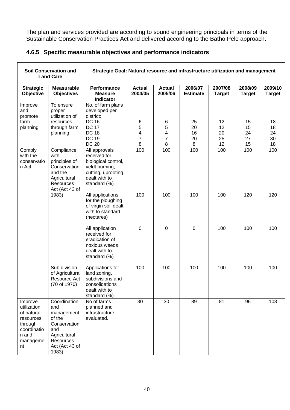The plan and services provided are according to sound engineering principals in terms of the Sustainable Conservation Practices Act and delivered according to the Batho Pele approach.

|  | 4.6.5 Specific measurable objectives and performance indicators |  |  |  |
|--|-----------------------------------------------------------------|--|--|--|
|--|-----------------------------------------------------------------|--|--|--|

|                                                                                                        | <b>Soil Conservation and</b><br><b>Land Care</b>                                                                           | Strategic Goal: Natural resource and infrastructure utilization and management                                                                |                          |                          |                            |                          |                          |                          |
|--------------------------------------------------------------------------------------------------------|----------------------------------------------------------------------------------------------------------------------------|-----------------------------------------------------------------------------------------------------------------------------------------------|--------------------------|--------------------------|----------------------------|--------------------------|--------------------------|--------------------------|
| <b>Strategic</b><br>Objective                                                                          | <b>Measurable</b><br><b>Objectives</b>                                                                                     | Performance<br><b>Measure</b><br><b>Indicator</b>                                                                                             | <b>Actual</b><br>2004/05 | <b>Actual</b><br>2005/06 | 2006/07<br><b>Estimate</b> | 2007/08<br><b>Target</b> | 2008/09<br><b>Target</b> | 2009/10<br><b>Target</b> |
| Improve<br>and<br>promote<br>farm<br>planning                                                          | To ensure<br>proper<br>utilization of<br>resources<br>through farm<br>planning                                             | No. of farm plans<br>developed per<br>district:<br><b>DC 16</b><br><b>DC 17</b><br><b>DC 18</b><br><b>DC 19</b>                               | 6<br>5<br>4<br>7         | 6<br>5<br>4<br>7         | 25<br>20<br>16<br>20       | 12<br>12<br>20<br>25     | 15<br>15<br>24<br>27     | 18<br>18<br>24<br>30     |
| Comply<br>with the<br>conservatio<br>n Act                                                             | Compliance<br>with<br>principles of<br>Conservation<br>and the<br>Agricultural<br><b>Resources</b><br>Act (Act 43 of       | <b>DC 20</b><br>All approvals<br>received for<br>biological control,<br>veldt burning,<br>cutting, uprooting<br>dealt with to<br>standard (%) | 8<br>100                 | 8<br>100                 | $\, 8$<br>100              | 12<br>100                | 15<br>100                | 18<br>100                |
|                                                                                                        | 1983)                                                                                                                      | All applications<br>for the ploughing<br>of virgin soil dealt<br>with to standard<br>(hectares)                                               | 100                      | 100                      | 100                        | 100                      | 120                      | 120                      |
|                                                                                                        |                                                                                                                            | All application<br>received for<br>eradication of<br>noxious weeds<br>dealt with to<br>standard (%)                                           | 0                        | $\mathbf 0$              | $\mathbf 0$                | 100                      | 100                      | 100                      |
|                                                                                                        | Sub division<br>of Agricultural<br>Resource Act<br>(70 of 1970)                                                            | Applications for<br>land zoning,<br>subdivisions and<br>consolidations<br>dealt with to<br>standard (%)                                       | 100                      | 100                      | 100                        | 100                      | 100                      | 100                      |
| Improve<br>utilization<br>of natural<br>resources<br>through<br>coordinatio<br>n and<br>manageme<br>nt | Coordination<br>and<br>management<br>of the<br>Conservation<br>and<br>Agricultural<br>Resources<br>Act (Act 43 of<br>1983) | No of farms<br>planned and<br>infrastructure<br>evaluated.                                                                                    | 30                       | 30                       | 89                         | 81                       | 96                       | 108                      |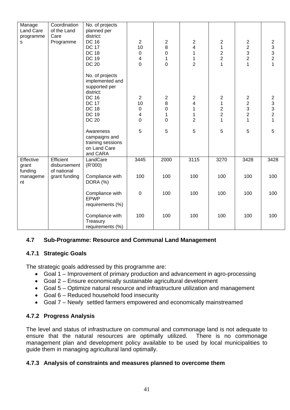| Manage<br>Land Care<br>programme<br>s | Coordination<br>of the Land<br>Care<br>Programme | No. of projects<br>planned per<br>district:<br><b>DC 16</b><br><b>DC 17</b><br><b>DC 18</b><br><b>DC 19</b><br><b>DC 20</b>                      | $\overline{2}$<br>10<br>$\pmb{0}$<br>4<br>$\mathbf 0$      | $\boldsymbol{2}$<br>8<br>0<br>1<br>$\overline{0}$ | $\boldsymbol{2}$<br>4<br>1<br>$\mathbf 1$<br>$\overline{2}$ | 2<br>$\mathbf 1$<br>$\overline{\mathbf{c}}$<br>$\overline{2}$<br>1 | $\begin{array}{c} 2 \\ 2 \\ 3 \end{array}$<br>$\overline{c}$<br>$\mathbf{1}$ | $\begin{array}{c} 2 \\ 3 \\ 2 \end{array}$<br>$\overline{1}$      |
|---------------------------------------|--------------------------------------------------|--------------------------------------------------------------------------------------------------------------------------------------------------|------------------------------------------------------------|---------------------------------------------------|-------------------------------------------------------------|--------------------------------------------------------------------|------------------------------------------------------------------------------|-------------------------------------------------------------------|
|                                       |                                                  | No. of projects<br>implemented and<br>supported per<br>district:<br><b>DC 16</b><br><b>DC 17</b><br><b>DC 18</b><br><b>DC 19</b><br><b>DC 20</b> | $\overline{2}$<br>10<br>$\pmb{0}$<br>4<br>$\boldsymbol{0}$ | $\overline{c}$<br>8<br>0<br>$\mathbf 1$<br>0      | $\overline{2}$<br>4<br>1<br>$\mathbf 1$<br>$\overline{2}$   | $\overline{2}$<br>$\mathbf 1$<br>$\frac{2}{2}$<br>1                | $\begin{array}{c} 2 \\ 2 \\ 3 \\ 2 \end{array}$<br>$\mathbf 1$               | $\begin{array}{c} 2 \\ 3 \\ 3 \\ 2 \end{array}$<br>$\overline{1}$ |
|                                       |                                                  | Awareness<br>campaigns and<br>training sessions<br>on Land Care<br>and CARA                                                                      | 5                                                          | 5                                                 | $\overline{5}$                                              | 5                                                                  | 5                                                                            | $\overline{5}$                                                    |
| Effective<br>grant<br>funding         | Efficient<br>disbursement<br>of national         | LandCare<br>(R'000)                                                                                                                              | 3445                                                       | 2000                                              | 3115                                                        | 3270                                                               | 3428                                                                         | 3428                                                              |
| manageme<br>nt                        | grant funding                                    | Compliance with<br>DORA (%)                                                                                                                      | 100                                                        | 100                                               | 100                                                         | 100                                                                | 100                                                                          | 100                                                               |
|                                       |                                                  | Compliance with<br>EPWP<br>requirements (%)                                                                                                      | $\boldsymbol{0}$                                           | 100                                               | 100                                                         | 100                                                                | 100                                                                          | 100                                                               |
|                                       |                                                  | Compliance with<br>Treasury<br>requirements (%)                                                                                                  | 100                                                        | 100                                               | 100                                                         | 100                                                                | 100                                                                          | 100                                                               |

#### **4.7 Sub-Programme: Resource and Communal Land Management**

#### **4.7.1 Strategic Goals**

The strategic goals addressed by this programme are:

- Goal 1 Improvement of primary production and advancement in agro-processing
- Goal 2 Ensure economically sustainable agricultural development
- Goal 5 Optimize natural resource and infrastructure utilization and management
- Goal 6 Reduced household food insecurity
- Goal 7 Newly settled farmers empowered and economically mainstreamed

#### **4.7.2 Progress Analysis**

The level and status of infrastructure on communal and commonage land is not adequate to ensure that the natural resources are optimally utilized. There is no commonage management plan and development policy available to be used by local municipalities to guide them in managing agricultural land optimally.

#### **4.7.3 Analysis of constraints and measures planned to overcome them**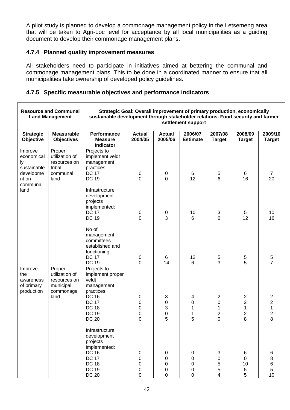A pilot study is planned to develop a commonage management policy in the Letsemeng area that will be taken to Agri-Loc level for acceptance by all local municipalities as a guiding document to develop their commonage management plans.

#### **4.7.4 Planned quality improvement measures**

All stakeholders need to participate in initiatives aimed at bettering the communal and commonage management plans. This to be done in a coordinated manner to ensure that all municipalities take ownership of developed policy guidelines.

#### **4.7.5 Specific measurable objectives and performance indicators**

|                                                                              | <b>Resource and Communal</b><br><b>Land Management</b>                     | Strategic Goal: Overall improvement of primary production, economically<br>sustainable development through stakeholder relations. Food security and farmer |                                           |                                 | settlement support                              |                                             |                                                                                  |                                                                                    |
|------------------------------------------------------------------------------|----------------------------------------------------------------------------|------------------------------------------------------------------------------------------------------------------------------------------------------------|-------------------------------------------|---------------------------------|-------------------------------------------------|---------------------------------------------|----------------------------------------------------------------------------------|------------------------------------------------------------------------------------|
| <b>Strategic</b><br>Objective                                                | <b>Measurable</b><br><b>Objectives</b>                                     | <b>Performance</b><br><b>Measure</b><br>Indicator                                                                                                          | <b>Actual</b><br>2004/05                  | <b>Actual</b><br>2005/06        | 2006/07<br><b>Estimate</b>                      | 2007/08<br><b>Target</b>                    | 2008/09<br><b>Target</b>                                                         | 2009/10<br><b>Target</b>                                                           |
| Improve<br>economical<br>ly<br>sustainable<br>developme<br>nt on<br>communal | Proper<br>utilization of<br>resources on<br>tribal<br>communal<br>land     | Projects to<br>implement veldt<br>management<br>practices:<br><b>DC 17</b><br><b>DC 19</b>                                                                 | 0<br>0                                    | 0<br>0                          | 6<br>12                                         | 5<br>$6\phantom{1}$                         | 6<br>16                                                                          | $\overline{7}$<br>20                                                               |
| land                                                                         |                                                                            | Infrastructure<br>development<br>projects<br>implemented:<br><b>DC 17</b><br><b>DC 19</b>                                                                  | 0<br>$\mathbf 0$                          | $\mathbf 0$<br>3                | 10<br>6                                         | $\sqrt{3}$<br>6                             | 5<br>12                                                                          | 10<br>16                                                                           |
|                                                                              |                                                                            | No of<br>management<br>committees<br>established and<br>functioning:<br><b>DC 17</b><br><b>DC 19</b>                                                       | 0<br>0                                    | 6<br>14                         | 12<br>6                                         | 5<br>3                                      | 5<br>5                                                                           | $\frac{5}{7}$                                                                      |
| Improve<br>the<br>awareness<br>of primary<br>production                      | Proper<br>utilization of<br>resources on<br>municipal<br>commonage<br>land | Projects to<br>implement proper<br>veldt<br>management<br>practices:<br><b>DC 16</b><br><b>DC 17</b><br><b>DC 18</b><br><b>DC 19</b><br><b>DC 20</b>       | 0<br>0<br>0<br>0<br>0                     | 3<br>0<br>3<br>0<br>5           | 4<br>0<br>1<br>1<br>5                           | 2<br>0<br>1<br>$\overline{\mathbf{c}}$<br>0 | $\boldsymbol{2}$<br>$\overline{\mathbf{c}}$<br>1<br>$\overline{\mathbf{c}}$<br>8 | $\overline{\mathbf{c}}$<br>$\overline{\mathbf{c}}$<br>$\mathbf 1$<br>$\frac{2}{8}$ |
|                                                                              |                                                                            | Infrastructure<br>development<br>projects<br>implemented:<br><b>DC 16</b><br><b>DC 17</b><br><b>DC 18</b><br><b>DC 19</b><br><b>DC 20</b>                  | $\mathbf 0$<br>$\mathbf 0$<br>0<br>0<br>0 | 0<br>$\mathbf 0$<br>0<br>0<br>0 | 0<br>$\pmb{0}$<br>0<br>$\pmb{0}$<br>$\mathbf 0$ | 3<br>$\mathbf 0$<br>5<br>5<br>4             | 6<br>$\mathbf 0$<br>10<br>5<br>5                                                 | 6<br>$\bf 8$<br>$\,6$<br>$\mathbf 5$<br>10                                         |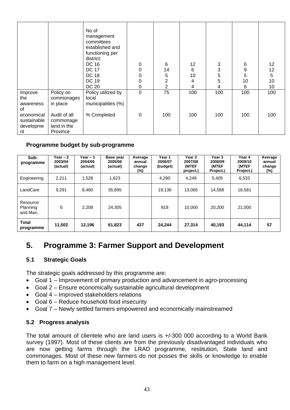|                                              |                                                      | No of<br>management<br>committees<br>established and<br>functioning per<br>district:<br>DC 16<br><b>DC 17</b><br><b>DC 18</b><br><b>DC 19</b><br><b>DC 20</b> | 0<br>0<br>0<br>0<br>0 | 6<br>14<br>5<br>2<br>$\overline{2}$ | 12<br>6<br>10<br>4<br>4 | 3<br>3<br>5<br>5<br>4 | 6<br>9<br>5<br>10<br>6 | 12<br>12<br>5<br>10<br>10 |
|----------------------------------------------|------------------------------------------------------|---------------------------------------------------------------------------------------------------------------------------------------------------------------|-----------------------|-------------------------------------|-------------------------|-----------------------|------------------------|---------------------------|
| Improve<br>the<br>awareness<br>of            | Policy on<br>commonages<br>in place                  | Policy utilized by<br>local<br>municipalities (%)                                                                                                             | $\boldsymbol{0}$      | 75                                  | 100                     | 100                   | 100                    | 100                       |
| economical<br>sustainable<br>developme<br>nt | Audit of all<br>commonage<br>land in the<br>Province | % Completed                                                                                                                                                   | 0                     | 100                                 | 100                     | 100                   | 100                    | 100                       |

## **Programme budget by sub-programme**

| Sub-<br>programme                | Year – 2<br>2003/04<br>(actual) | Year $-1$<br>2004/05<br>(actual) | Base year<br>2005/06<br>(actual) | Average<br>annual<br>change<br>(%) | Year 1<br>2006/07<br>(budget) | Year 2<br>2007/08<br>(MTEF<br>project.) | Year 3<br>2008/09<br>(MTEF<br>Project.) | Year 4<br>2009/10<br>(MTEF<br>Project.) | Average<br>annual<br>change<br>(%) |
|----------------------------------|---------------------------------|----------------------------------|----------------------------------|------------------------------------|-------------------------------|-----------------------------------------|-----------------------------------------|-----------------------------------------|------------------------------------|
| Engineering                      | 2.211                           | 1,528                            | 1,623                            |                                    | 4,290                         | 4.249                                   | 5,405                                   | 6,533                                   |                                    |
| LandCare                         | 9.291                           | 8,460                            | 35,895                           |                                    | 19.136                        | 13.065                                  | 14,588                                  | 16,581                                  |                                    |
| Resource<br>Planning<br>and Man. | 0                               | 2.208                            | 24.305                           |                                    | 818                           | 10.000                                  | 20,200                                  | 21,000                                  |                                    |
| <b>Total</b><br>programme        | 11,502                          | 12,196                           | 61,823                           | 437                                | 24.244                        | 27,314                                  | 40,193                                  | 44,114                                  | 57                                 |

# **5. Programme 3: Farmer Support and Development**

#### **5.1 Strategic Goals**

The strategic goals addressed by this programme are:

- Goal 1 Improvement of primary production and advancement in agro-processing
- Goal 2 Ensure economically sustainable agricultural development
- Goal 4 Improved stakeholders relations
- Goal 6 Reduce household food insecurity
- Goal 7 Newly settled farmers empowered and economically mainstreamed

#### **5.2 Progress analysis**

The total amount of clientele who are land users is +/-300 000 according to a World Bank survey (1997). Most of these clients are from the previously disadvantaged individuals who are now getting farms through the LRAD programme, restitution, State land and commonages. Most of these new farmers do not posses the skills or knowledge to enable them to farm on a high management level.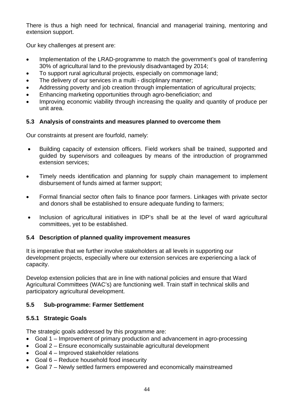There is thus a high need for technical, financial and managerial training, mentoring and extension support.

Our key challenges at present are:

- Implementation of the LRAD-programme to match the government's goal of transferring 30% of agricultural land to the previously disadvantaged by 2014;
- To support rural agricultural projects, especially on commonage land;
- The delivery of our services in a multi disciplinary manner:
- Addressing poverty and job creation through implementation of agricultural projects;
- Enhancing marketing opportunities through agro-beneficiation; and
- Improving economic viability through increasing the quality and quantity of produce per unit area.

#### **5.3 Analysis of constraints and measures planned to overcome them**

Our constraints at present are fourfold, namely:

- Building capacity of extension officers. Field workers shall be trained, supported and guided by supervisors and colleagues by means of the introduction of programmed extension services;
- Timely needs identification and planning for supply chain management to implement disbursement of funds aimed at farmer support;
- Formal financial sector often fails to finance poor farmers. Linkages with private sector and donors shall be established to ensure adequate funding to farmers;
- Inclusion of agricultural initiatives in IDP's shall be at the level of ward agricultural committees, yet to be established.

#### **5.4 Description of planned quality improvement measures**

It is imperative that we further involve stakeholders at all levels in supporting our development projects, especially where our extension services are experiencing a lack of capacity.

Develop extension policies that are in line with national policies and ensure that Ward Agricultural Committees (WAC's) are functioning well. Train staff in technical skills and participatory agricultural development.

#### **5.5 Sub-programme: Farmer Settlement**

#### **5.5.1 Strategic Goals**

The strategic goals addressed by this programme are:

- Goal 1 Improvement of primary production and advancement in agro-processing
- Goal 2 Ensure economically sustainable agricultural development
- Goal 4 Improved stakeholder relations
- Goal 6 Reduce household food insecurity
- Goal 7 Newly settled farmers empowered and economically mainstreamed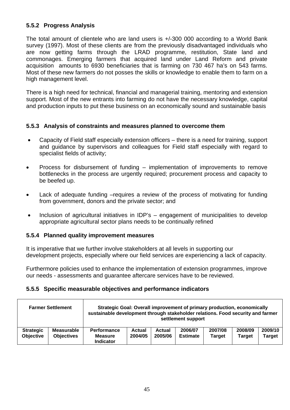#### **5.5.2 Progress Analysis**

The total amount of clientele who are land users is +/-300 000 according to a World Bank survey (1997). Most of these clients are from the previously disadvantaged individuals who are now getting farms through the LRAD programme, restitution, State land and commonages. Emerging farmers that acquired land under Land Reform and private acquisition amounts to 6930 beneficiaries that is farming on 730 467 ha's on 543 farms. Most of these new farmers do not posses the skills or knowledge to enable them to farm on a high management level.

There is a high need for technical, financial and managerial training, mentoring and extension support. Most of the new entrants into farming do not have the necessary knowledge, capital and production inputs to put these business on an economically sound and sustainable basis

#### **5.5.3 Analysis of constraints and measures planned to overcome them**

- Capacity of Field staff especially extension officers there is a need for training, support and guidance by supervisors and colleagues for Field staff especially with regard to specialist fields of activity;
- Process for disbursement of funding implementation of improvements to remove bottlenecks in the process are urgently required; procurement process and capacity to be beefed up.
- Lack of adequate funding –requires a review of the process of motivating for funding from government, donors and the private sector; and
- Inclusion of agricultural initiatives in IDP's engagement of municipalities to develop appropriate agricultural sector plans needs to be continually refined

#### **5.5.4 Planned quality improvement measures**

It is imperative that we further involve stakeholders at all levels in supporting our development projects, especially where our field services are experiencing a lack of capacity.

Furthermore policies used to enhance the implementation of extension programmes, improve our needs - assessments and guarantee aftercare services have to be reviewed.

#### **5.5.5 Specific measurable objectives and performance indicators**

|                                      | <b>Farmer Settlement</b>        | Strategic Goal: Overall improvement of primary production, economically<br>sustainable development through stakeholder relations. Food security and farmer<br>settlement support |                          |                   |                            |                          |                          |                          |
|--------------------------------------|---------------------------------|----------------------------------------------------------------------------------------------------------------------------------------------------------------------------------|--------------------------|-------------------|----------------------------|--------------------------|--------------------------|--------------------------|
| <b>Strategic</b><br><b>Objective</b> | Measurable<br><b>Objectives</b> | Performance<br><b>Measure</b><br><b>Indicator</b>                                                                                                                                | <b>Actual</b><br>2004/05 | Actual<br>2005/06 | 2006/07<br><b>Estimate</b> | 2007/08<br><b>Target</b> | 2008/09<br><b>Target</b> | 2009/10<br><b>Target</b> |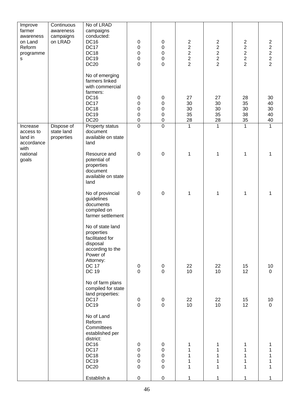| Improve<br>farmer<br>awareness<br>on Land<br>Reform<br>programme<br>S | Continuous<br>awareness<br>campaigns<br>on LRAD | No of LRAD<br>campaigns<br>conducted:<br><b>DC16</b><br><b>DC17</b><br><b>DC18</b><br><b>DC19</b><br><b>DC20</b>                    | 0<br>$\mathbf 0$<br>$\boldsymbol{0}$<br>$\pmb{0}$<br>$\mathbf 0$                     | 0<br>$\boldsymbol{0}$<br>$\mathbf 0$<br>$\mathbf 0$<br>$\overline{0}$ | $\overline{c}$<br>$\begin{array}{c}\n2 \\ 2 \\ 2\n\end{array}$ | $\overline{c}$<br>$\begin{array}{c}\n2 \\ 2 \\ 2\n\end{array}$ | $\overline{c}$<br>$\begin{array}{c} 2 \\ 2 \\ 2 \end{array}$<br>$\overline{2}$ | $2222$<br>$222$            |
|-----------------------------------------------------------------------|-------------------------------------------------|-------------------------------------------------------------------------------------------------------------------------------------|--------------------------------------------------------------------------------------|-----------------------------------------------------------------------|----------------------------------------------------------------|----------------------------------------------------------------|--------------------------------------------------------------------------------|----------------------------|
|                                                                       |                                                 | No of emerging<br>farmers linked<br>with commercial<br>farmers:<br><b>DC16</b><br><b>DC17</b><br>DC18<br><b>DC19</b><br><b>DC20</b> | 0<br>0<br>$\mathbf 0$<br>$\boldsymbol{0}$<br>$\pmb{0}$                               | $\pmb{0}$<br>$\mathbf 0$<br>0<br>$\boldsymbol{0}$<br>$\mathbf 0$      | 27<br>30<br>30<br>35<br>28                                     | 27<br>30<br>30<br>35<br>28                                     | 28<br>35<br>30<br>38<br>35                                                     | 30<br>40<br>30<br>40<br>40 |
| Increase<br>access to<br>land in<br>accordance<br>with                | Dispose of<br>state land<br>properties          | Property status<br>document<br>available on state<br>land                                                                           | $\overline{0}$                                                                       | $\overline{0}$                                                        | 1                                                              | 1                                                              | $\mathbf{1}$                                                                   | $\mathbf{1}$               |
| national<br>goals                                                     |                                                 | Resource and<br>potential of<br>properties<br>document<br>available on state<br>land                                                | $\boldsymbol{0}$                                                                     | $\mathbf 0$                                                           | 1                                                              | 1                                                              | 1                                                                              | 1                          |
|                                                                       |                                                 | No of provincial<br>guidelines<br>documents<br>compiled on<br>farmer settlement                                                     | $\mathbf 0$                                                                          | $\mathbf 0$                                                           | 1                                                              | 1                                                              | 1                                                                              | 1                          |
|                                                                       |                                                 | No of state land<br>properties<br>facilitated for<br>disposal<br>according to the<br>Power of<br>Attorney:<br><b>DC 17</b>          | $\pmb{0}$                                                                            | $\pmb{0}$                                                             | 22                                                             | 22                                                             | 15                                                                             | $10$                       |
|                                                                       |                                                 | <b>DC 19</b>                                                                                                                        | $\mathbf 0$                                                                          | $\overline{0}$                                                        | 10                                                             | 10                                                             | 12                                                                             | $\mathbf 0$                |
|                                                                       |                                                 | No of farm plans<br>compiled for state<br>land properties:<br>DC17<br>DC19                                                          | $\boldsymbol{0}$<br>$\mathsf 0$                                                      | $\boldsymbol{0}$<br>$\overline{0}$                                    | 22<br>10                                                       | 22<br>10                                                       | 15<br>12                                                                       | 10<br>$\overline{0}$       |
|                                                                       |                                                 | No of Land<br>Reform<br>Committees<br>established per<br>district:<br><b>DC16</b><br>DC17<br>DC18<br><b>DC19</b><br><b>DC20</b>     | $\pmb{0}$<br>$\boldsymbol{0}$<br>$\boldsymbol{0}$<br>$\boldsymbol{0}$<br>$\mathbf 0$ | $\pmb{0}$<br>$\mathbf 0$<br>$\mathbf 0$<br>$\mathbf 0$<br>$\mathbf 0$ | 1<br>1<br>1<br>$\mathbf 1$<br>$\mathbf 1$                      | 1<br>$\mathbf 1$<br>1<br>$\mathbf 1$<br>$\mathbf 1$            | 1<br>$\mathbf 1$<br>1<br>1<br>$\mathbf 1$                                      | 1<br>1<br>1                |
|                                                                       |                                                 | Establish a                                                                                                                         | $\pmb{0}$                                                                            | $\pmb{0}$                                                             | 1                                                              | 1                                                              | 1                                                                              | 1                          |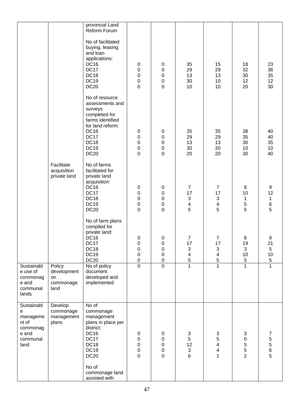|                                                                               |                                                  | provincial Land<br>Reform Forum                                                                                                                                                     |                                                                   |                                                                          |                                                         |                                                                                   |                                                                                |                                                      |
|-------------------------------------------------------------------------------|--------------------------------------------------|-------------------------------------------------------------------------------------------------------------------------------------------------------------------------------------|-------------------------------------------------------------------|--------------------------------------------------------------------------|---------------------------------------------------------|-----------------------------------------------------------------------------------|--------------------------------------------------------------------------------|------------------------------------------------------|
|                                                                               |                                                  | No of facilitated<br>buying, leasing<br>and loan<br>applications:<br><b>DC16</b><br><b>DC17</b><br>DC18<br><b>DC19</b><br><b>DC20</b>                                               | $\pmb{0}$<br>$\mathbf 0$<br>$\mathbf 0$<br>0<br>$\mathbf 0$       | $\pmb{0}$<br>0<br>0<br>0<br>0                                            | 35<br>29<br>13<br>30<br>10                              | 15<br>29<br>13<br>10<br>10                                                        | 18<br>32<br>30<br>12<br>20                                                     | 23<br>36<br>35<br>12<br>30                           |
|                                                                               |                                                  | No of resource<br>assessments and<br>surveys<br>completed for<br>farms identified<br>for land reform:<br><b>DC16</b><br>DC17<br>DC18<br><b>DC19</b><br><b>DC20</b>                  | $\pmb{0}$<br>0<br>0<br>0<br>$\mathbf 0$                           | $\pmb{0}$<br>$\pmb{0}$<br>0<br>0<br>0                                    | 35<br>29<br>13<br>30<br>20                              | 35<br>29<br>13<br>20<br>20                                                        | 38<br>35<br>30<br>10<br>30                                                     | 40<br>40<br>35<br>10<br>40                           |
|                                                                               | Facilitate<br>acquisition<br>private land        | No of farms<br>facilitated for<br>private land<br>acquisition:<br><b>DC16</b><br>DC17<br><b>DC18</b><br><b>DC19</b><br><b>DC20</b>                                                  | $\pmb{0}$<br>$\mathbf 0$<br>$\mathbf 0$<br>$\pmb{0}$<br>0         | $\pmb{0}$<br>$\mathsf 0$<br>$\mathbf 0$<br>$\mathbf 0$<br>$\overline{0}$ | $\overline{7}$<br>17<br>$\sqrt{3}$<br>4<br>5            | $\overline{7}$<br>17<br>$\sqrt{3}$<br>4<br>5                                      | 8<br>10<br>$\mathbf{1}$<br>5<br>5                                              | $\boldsymbol{9}$<br>12<br>$\mathbf 1$<br>$\, 6$<br>5 |
|                                                                               |                                                  | No of farm plans<br>compiled for<br>private land:<br><b>DC16</b><br>DC17<br><b>DC18</b><br><b>DC19</b><br><b>DC20</b>                                                               | 0<br>0<br>0<br>$\mathbf 0$<br>$\mathbf 0$                         | $\mathbf 0$<br>$\mathbf 0$<br>0<br>$\mathbf 0$<br>$\pmb{0}$              | $\overline{7}$<br>17<br>3<br>4<br>5                     | $\overline{7}$<br>17<br>$\ensuremath{\mathsf{3}}$<br>$\overline{\mathbf{4}}$<br>5 | 8<br>19<br>3<br>10<br>5                                                        | 9<br>21<br>5<br>10<br>$\sqrt{5}$                     |
| Sustainabl<br>e use of<br>commonag<br>e and<br>communal<br>lands              | Policy<br>development<br>on<br>commonage<br>land | No of policy<br>document<br>developed and<br>implemented                                                                                                                            | $\overline{0}$                                                    | $\overline{0}$                                                           | $\mathbf{1}$                                            | $\mathbf{1}$                                                                      | $\mathbf{1}$                                                                   | $\overline{1}$                                       |
| Sustainabl<br>е<br>manageme<br>nt of<br>commonag<br>e and<br>communal<br>land | Develop<br>commonage<br>management<br>plans      | No of<br>commonage<br>management<br>plans in place per<br>district:<br><b>DC16</b><br>DC17<br><b>DC18</b><br><b>DC19</b><br><b>DC20</b><br>No of<br>commonage land<br>assisted with | $\pmb{0}$<br>$\pmb{0}$<br>$\mathbf 0$<br>$\pmb{0}$<br>$\mathbf 0$ | $\pmb{0}$<br>$\mathbf 0$<br>$\mathbf 0$<br>$\mathbf 0$<br>0              | $\sqrt{3}$<br>5<br>12<br>$\ensuremath{\mathsf{3}}$<br>6 | $\sqrt{3}$<br>5<br>4<br>4<br>1                                                    | $\ensuremath{\mathsf{3}}$<br>$\mathbf 0$<br>$\mathbf 5$<br>5<br>$\overline{2}$ | 7<br>5<br>5<br>6<br>5                                |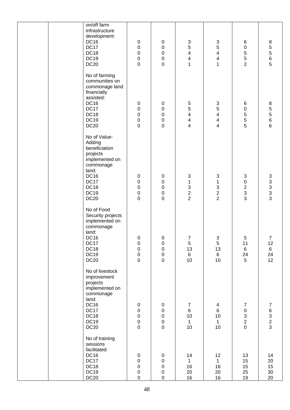| on/off farm<br>infrastructure<br>development:<br>DC16<br>DC17<br>DC18<br><b>DC19</b><br><b>DC20</b>                                                             | $\pmb{0}$<br>$\pmb{0}$<br>$\pmb{0}$<br>$\pmb{0}$<br>$\mathbf 0$       | $\pmb{0}$<br>$\mathbf 0$<br>$\mathbf 0$<br>$\mathbf 0$<br>$\mathbf 0$ | $\sqrt{3}$<br>5<br>$\overline{\mathbf{4}}$<br>4<br>1                                                           | $\ensuremath{\mathsf{3}}$<br>5<br>$\overline{\mathbf{4}}$<br>4<br>1                                          | 6<br>0<br>5<br>5<br>$\overline{2}$                                   | $\bf 8$<br>5<br>5<br>5<br>5<br>5                |
|-----------------------------------------------------------------------------------------------------------------------------------------------------------------|-----------------------------------------------------------------------|-----------------------------------------------------------------------|----------------------------------------------------------------------------------------------------------------|--------------------------------------------------------------------------------------------------------------|----------------------------------------------------------------------|-------------------------------------------------|
| No of farming<br>communities on<br>commonage land<br>financially<br>assisted:<br><b>DC16</b><br>DC17<br>DC18<br>DC19<br><b>DC20</b>                             | $\pmb{0}$<br>$\pmb{0}$<br>$\pmb{0}$<br>$\pmb{0}$<br>$\mathbf 0$       | $\pmb{0}$<br>$\mathbf 0$<br>$\mathbf 0$<br>$\mathbf 0$<br>$\mathbf 0$ | $\mathbf 5$<br>$\overline{5}$<br>$\overline{\mathbf{4}}$<br>$\overline{\mathbf{4}}$<br>$\overline{\mathbf{4}}$ | $\ensuremath{\mathsf{3}}$<br>5<br>$\overline{\mathbf{4}}$<br>$\overline{\mathbf{4}}$<br>4                    | 6<br>0<br>5<br>5<br>5                                                | $\, 8$<br>5<br>5<br>6<br>6<br>6                 |
| No of Value-<br>Adding<br>beneficiation<br>projects<br>implemented on<br>commonage<br>land:<br><b>DC16</b><br><b>DC17</b><br>DC18<br><b>DC19</b><br><b>DC20</b> | $\pmb{0}$<br>$\pmb{0}$<br>$\pmb{0}$<br>$\pmb{0}$<br>$\mathbf 0$       | $\pmb{0}$<br>$\mathbf 0$<br>$\mathbf 0$<br>$\mathbf 0$<br>$\mathbf 0$ | $\ensuremath{\mathsf{3}}$<br>$\mathbf{1}$<br>$\ensuremath{\mathsf{3}}$<br>$\sqrt{2}$<br>$\overline{2}$         | $\ensuremath{\mathsf{3}}$<br>$\mathbf{1}$<br>$\ensuremath{\mathsf{3}}$<br>$\boldsymbol{2}$<br>$\overline{2}$ | $\sqrt{3}$<br>$\mathbf 0$<br>$\overline{c}$<br>3<br>3                | $\begin{array}{c} 3 \\ 3 \\ 3 \\ 3 \end{array}$ |
| No of Food<br>Security projects<br>implemented on<br>commonage<br>land:<br><b>DC16</b><br>DC17<br>DC18<br>DC19<br><b>DC20</b>                                   | $\pmb{0}$<br>$\pmb{0}$<br>$\mathbf 0$<br>$\mathbf 0$<br>$\pmb{0}$     | $\mathbf 0$<br>$\pmb{0}$<br>$\mathbf 0$<br>$\pmb{0}$<br>$\mathbf 0$   | $\boldsymbol{7}$<br>$\sqrt{5}$<br>13<br>6<br>10                                                                | $\ensuremath{\mathsf{3}}$<br>$\sqrt{5}$<br>13<br>$6\phantom{1}$<br>10                                        | 5<br>11<br>6<br>24<br>5                                              | $\boldsymbol{7}$<br>12<br>6<br>24<br>12         |
| No of livestock<br>improvement<br>projects<br>implemented on<br>commonage<br>land:<br><b>DC16</b><br>DC17<br>DC18<br><b>DC19</b><br>DC20                        | $\pmb{0}$<br>$\mathbf 0$<br>$\mathbf 0$<br>$\mathbf 0$<br>$\mathbf 0$ | $\pmb{0}$<br>$\mathbf 0$<br>$\mathbf 0$<br>$\mathbf 0$<br>$\mathbf 0$ | $\overline{7}$<br>$\,6\,$<br>10<br>$\mathbf 1$<br>10                                                           | $\overline{4}$<br>$\,6\,$<br>10<br>$\mathbf{1}$<br>10                                                        | $\overline{7}$<br>$\pmb{0}$<br>3<br>$\overline{2}$<br>$\overline{0}$ | $\boldsymbol{7}$<br>6<br>3<br>2<br>3            |
| No of training<br>sessions<br>facilitated:<br><b>DC16</b><br>DC17<br>DC18<br><b>DC19</b><br><b>DC20</b>                                                         | $\pmb{0}$<br>$\mathbf 0$<br>$\mathbf 0$<br>$\mathbf 0$<br>$\mathbf 0$ | $\pmb{0}$<br>$\mathbf 0$<br>$\pmb{0}$<br>$\mathbf 0$<br>$\pmb{0}$     | 14<br>$\mathbf 1$<br>16<br>20<br>16                                                                            | 12<br>$\mathbf{1}$<br>16<br>20<br>16                                                                         | 13<br>15<br>15<br>25<br>19                                           | 14<br>20<br>15<br>30<br>20                      |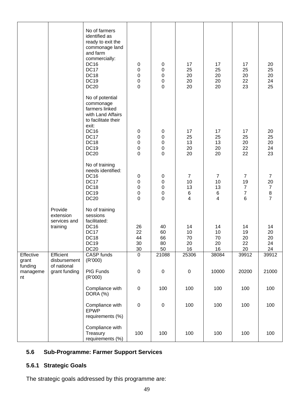|                                                 |                                                           | No of farmers<br>identified as<br>ready to exit the<br>commonage land<br>and farm<br>commercially:<br><b>DC16</b><br><b>DC17</b><br><b>DC18</b><br><b>DC19</b><br><b>DC20</b> | $\pmb{0}$<br>$\pmb{0}$<br>$\pmb{0}$<br>0<br>$\mathbf 0$                        | 0<br>0<br>0<br>0<br>0                           | 17<br>25<br>20<br>20<br>20                 | 17<br>25<br>20<br>20<br>20                       | 17<br>25<br>20<br>22<br>23                               | 20<br>25<br>20<br>24<br>25                                               |
|-------------------------------------------------|-----------------------------------------------------------|-------------------------------------------------------------------------------------------------------------------------------------------------------------------------------|--------------------------------------------------------------------------------|-------------------------------------------------|--------------------------------------------|--------------------------------------------------|----------------------------------------------------------|--------------------------------------------------------------------------|
|                                                 |                                                           | No of potential<br>commonage<br>farmers linked<br>with Land Affairs<br>to facilitate their<br>exit:<br><b>DC16</b><br><b>DC17</b><br><b>DC18</b><br><b>DC19</b>               | 0<br>$\pmb{0}$<br>$\pmb{0}$<br>$\pmb{0}$                                       | 0<br>0<br>0<br>0                                | 17<br>25<br>13<br>20                       | 17<br>25<br>13<br>20                             | 17<br>25<br>20<br>22                                     | 20<br>25<br>20<br>24                                                     |
|                                                 |                                                           | <b>DC20</b><br>No of training<br>needs identified:<br><b>DC16</b><br><b>DC17</b><br>DC18<br><b>DC19</b><br><b>DC20</b>                                                        | $\mathbf 0$<br>$\pmb{0}$<br>$\pmb{0}$<br>$\pmb{0}$<br>$\pmb{0}$<br>$\mathbf 0$ | 0<br>$\pmb{0}$<br>0<br>0<br>0<br>$\overline{0}$ | 20<br>$\overline{7}$<br>10<br>13<br>6<br>4 | 20<br>$\overline{7}$<br>10<br>13<br>$\,6\,$<br>4 | 22<br>$\overline{7}$<br>19<br>7<br>$\boldsymbol{7}$<br>6 | 23<br>$\overline{7}$<br>20<br>$\begin{array}{c} 7 \\ 8 \\ 7 \end{array}$ |
|                                                 | Provide<br>extension<br>services and<br>training          | No of training<br>sessions<br>facilitated:<br><b>DC16</b><br><b>DC17</b><br>DC18<br><b>DC19</b><br><b>DC20</b>                                                                | 26<br>22<br>44<br>30<br>$30\,$                                                 | 40<br>60<br>66<br>80<br>50                      | 14<br>10<br>70<br>20<br>16                 | 14<br>10<br>70<br>20<br>16                       | 14<br>19<br>20<br>22<br>20                               | 14<br>20<br>20<br>24<br>24                                               |
| Effective<br>grant<br>funding<br>manageme<br>nt | Efficient<br>disbursement<br>of national<br>grant funding | CASP funds<br>(R'000)<br>PIG Funds<br>(R'000)                                                                                                                                 | $\overline{0}$<br>$\pmb{0}$                                                    | 21088<br>$\pmb{0}$                              | 25306<br>$\boldsymbol{0}$                  | 38084<br>10000                                   | 39912<br>20200                                           | 39912<br>21000                                                           |
|                                                 |                                                           | Compliance with<br>DORA (%)                                                                                                                                                   | $\pmb{0}$                                                                      | 100                                             | 100                                        | 100                                              | 100                                                      | 100                                                                      |
|                                                 |                                                           | Compliance with<br><b>EPWP</b><br>requirements (%)                                                                                                                            | $\pmb{0}$                                                                      | $\pmb{0}$                                       | 100                                        | 100                                              | 100                                                      | 100                                                                      |
|                                                 |                                                           | Compliance with<br>Treasury<br>requirements (%)                                                                                                                               | 100                                                                            | 100                                             | 100                                        | 100                                              | 100                                                      | 100                                                                      |

# **5.6 Sub-Programme: Farmer Support Services**

# **5.6.1 Strategic Goals**

The strategic goals addressed by this programme are: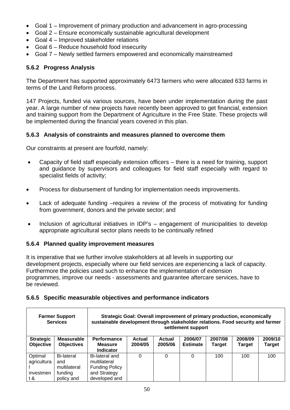- Goal 1 Improvement of primary production and advancement in agro-processing
- Goal 2 Ensure economically sustainable agricultural development
- Goal 4 Improved stakeholder relations
- Goal 6 Reduce household food insecurity
- Goal 7 Newly settled farmers empowered and economically mainstreamed

# **5.6.2 Progress Analysis**

The Department has supported approximately 6473 farmers who were allocated 633 farms in terms of the Land Reform process.

147 Projects, funded via various sources, have been under implementation during the past year. A large number of new projects have recently been approved to get financial, extension and training support from the Department of Agriculture in the Free State. These projects will be implemented during the financial years covered in this plan.

## **5.6.3 Analysis of constraints and measures planned to overcome them**

Our constraints at present are fourfold, namely:

- Capacity of field staff especially extension officers there is a need for training, support and guidance by supervisors and colleagues for field staff especially with regard to specialist fields of activity;
- Process for disbursement of funding for implementation needs improvements.
- Lack of adequate funding –requires a review of the process of motivating for funding from government, donors and the private sector; and
- Inclusion of agricultural initiatives in IDP's engagement of municipalities to develop appropriate agricultural sector plans needs to be continually refined

# **5.6.4 Planned quality improvement measures**

It is imperative that we further involve stakeholders at all levels in supporting our development projects, especially where our field services are experiencing a lack of capacity. Furthermore the policies used such to enhance the implementation of extension programmes, improve our needs - assessments and guarantee aftercare services, have to be reviewed.

#### **5.6.5 Specific measurable objectives and performance indicators**

|                                            | <b>Farmer Support</b><br>Strategic Goal: Overall improvement of primary production, economically<br>sustainable development through stakeholder relations. Food security and farmer<br><b>Services</b><br>settlement support |                                                                                          |                   |                   |                            |                          |                          |                          |
|--------------------------------------------|------------------------------------------------------------------------------------------------------------------------------------------------------------------------------------------------------------------------------|------------------------------------------------------------------------------------------|-------------------|-------------------|----------------------------|--------------------------|--------------------------|--------------------------|
| <b>Strategic</b><br><b>Objective</b>       | <b>Measurable</b><br><b>Objectives</b>                                                                                                                                                                                       | <b>Performance</b><br><b>Measure</b><br><b>Indicator</b>                                 | Actual<br>2004/05 | Actual<br>2005/06 | 2006/07<br><b>Estimate</b> | 2007/08<br><b>Target</b> | 2008/09<br><b>Target</b> | 2009/10<br><b>Target</b> |
| Optimal<br>agricultura<br>investmen<br>t & | <b>Bi-lateral</b><br>and<br>multilateral<br>funding<br>policy and                                                                                                                                                            | Bi-lateral and<br>multilateral<br><b>Funding Policy</b><br>and Strategy<br>developed and | 0                 | 0                 | 0                          | 100                      | 100                      | 100                      |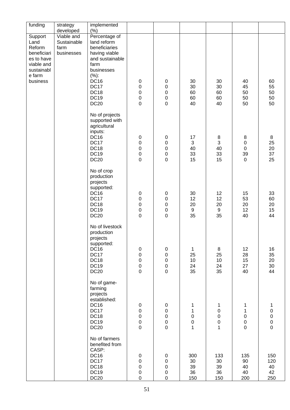| funding                       | strategy                          | implemented                                                 |                                 |                            |                          |                                 |                            |                                  |
|-------------------------------|-----------------------------------|-------------------------------------------------------------|---------------------------------|----------------------------|--------------------------|---------------------------------|----------------------------|----------------------------------|
| Support                       | developed<br>Viable and           | $(\% )$<br>Percentage of                                    |                                 |                            |                          |                                 |                            |                                  |
| Land<br>Reform<br>beneficiari | Sustainable<br>farm<br>businesses | land reform<br>beneficiaries<br>having viable               |                                 |                            |                          |                                 |                            |                                  |
| es to have<br>viable and      |                                   | and sustainable<br>farm                                     |                                 |                            |                          |                                 |                            |                                  |
| sustainabl                    |                                   | businesses                                                  |                                 |                            |                          |                                 |                            |                                  |
| e farm<br>business            |                                   | (%):<br><b>DC16</b>                                         | $\pmb{0}$                       | 0                          | 30                       | 30                              | 40                         | 60                               |
|                               |                                   | <b>DC17</b>                                                 | $\mathbf 0$                     | $\pmb{0}$                  | 30                       | 30                              | 45                         | 55                               |
|                               |                                   | <b>DC18</b><br><b>DC19</b>                                  | $\mathbf 0$<br>$\mathbf 0$      | $\mathbf 0$<br>$\pmb{0}$   | 60<br>60                 | 60<br>60                        | 50<br>50                   | 50<br>50                         |
|                               |                                   | <b>DC20</b>                                                 | $\mathbf 0$                     | $\overline{0}$             | 40                       | 40                              | 50                         | 50                               |
|                               |                                   | No of projects<br>supported with<br>agricultural<br>inputs: |                                 |                            |                          |                                 |                            |                                  |
|                               |                                   | <b>DC16</b><br><b>DC17</b>                                  | $\pmb{0}$                       | $\pmb{0}$                  | 17<br>3                  | 8                               | 8                          | 8                                |
|                               |                                   | <b>DC18</b>                                                 | $\mathbf 0$<br>$\mathbf 0$      | $\pmb{0}$<br>$\mathbf 0$   | 40                       | $\ensuremath{\mathsf{3}}$<br>40 | $\pmb{0}$<br>$\pmb{0}$     | 25<br>20                         |
|                               |                                   | <b>DC19</b>                                                 | 0                               | ${\bf 0}$                  | 33                       | 33                              | 39                         | 37                               |
|                               |                                   | <b>DC20</b>                                                 | $\mathsf 0$                     | $\overline{0}$             | 15                       | 15                              | $\mathbf 0$                | 25                               |
|                               |                                   | No of crop<br>production<br>projects<br>supported:          |                                 |                            |                          |                                 |                            |                                  |
|                               |                                   | <b>DC16</b><br>DC17                                         | $\pmb{0}$<br>$\mathbf 0$        | $\pmb{0}$<br>$\pmb{0}$     | 30<br>12                 | 12<br>12                        | 15<br>53                   | 33<br>60                         |
|                               |                                   | DC18                                                        | $\mathbf 0$                     | $\pmb{0}$                  | 20                       | 20                              | 20                         | 20                               |
|                               |                                   | <b>DC19</b><br><b>DC20</b>                                  | $\boldsymbol{0}$<br>$\mathbf 0$ | $\pmb{0}$<br>$\mathbf 0$   | $\boldsymbol{9}$<br>35   | $\boldsymbol{9}$<br>35          | 12<br>40                   | 15<br>44                         |
|                               |                                   | No of livestock<br>production<br>projects<br>supported:     |                                 |                            |                          |                                 |                            |                                  |
|                               |                                   | <b>DC16</b><br>DC17                                         | $\pmb{0}$<br>$\pmb{0}$          | $\pmb{0}$<br>$\pmb{0}$     | $\mathbf 1$<br>25        | 8<br>25                         | 12<br>28                   | 16<br>35                         |
|                               |                                   | DC18                                                        | $\mathbf 0$                     | $\pmb{0}$                  | 10                       | 10                              | 15                         | 20                               |
|                               |                                   | DC19<br><b>DC20</b>                                         | $\pmb{0}$<br>$\mathbf 0$        | $\mathbf 0$<br>$\mathbf 0$ | 24<br>35                 | 24<br>35                        | 27<br>40                   | 30<br>44                         |
|                               |                                   | No of game-<br>farming<br>projects<br>established:          |                                 |                            |                          |                                 |                            |                                  |
|                               |                                   | <b>DC16</b>                                                 | $\pmb{0}$                       | 0                          | 1                        | 1                               | 1                          | 1                                |
|                               |                                   | DC17<br>DC18                                                | $\pmb{0}$<br>$\mathbf 0$        | $\mathbf 0$<br>$\mathbf 0$ | 1                        | $\pmb{0}$<br>$\mathbf 0$        | $\mathbf{1}$               | $\mathbf 0$                      |
|                               |                                   | <b>DC19</b>                                                 | $\mathbf 0$                     | $\mathbf 0$                | $\pmb{0}$<br>$\mathsf 0$ | $\mathbf 0$                     | $\mathbf 0$<br>$\mathbf 0$ | $\pmb{0}$<br>$\mathsf{O}\xspace$ |
|                               |                                   | <b>DC20</b>                                                 | $\pmb{0}$                       | $\mathsf{O}\xspace$        | $\mathbf 1$              | $\mathbf 1$                     | $\mathsf 0$                | $\mathsf{O}\xspace$              |
|                               |                                   | No of farmers<br>benefited from<br>CASP:                    |                                 |                            |                          |                                 |                            |                                  |
|                               |                                   | <b>DC16</b><br><b>DC17</b>                                  | $\pmb{0}$<br>$\mathbf 0$        | 0<br>$\pmb{0}$             | 300<br>30                | 133<br>30                       | 135<br>90                  | 150<br>120                       |
|                               |                                   | <b>DC18</b>                                                 | $\mathbf 0$                     | $\mathbf 0$                | 39                       | 39                              | 40                         | 40                               |
|                               |                                   | <b>DC19</b><br>DC20                                         | $\pmb{0}$<br>$\mathbf 0$        | $\pmb{0}$<br>$\mathbf 0$   | 36<br>150                | 36<br>150                       | 40<br>200                  | 42<br>250                        |
|                               |                                   |                                                             |                                 |                            |                          |                                 |                            |                                  |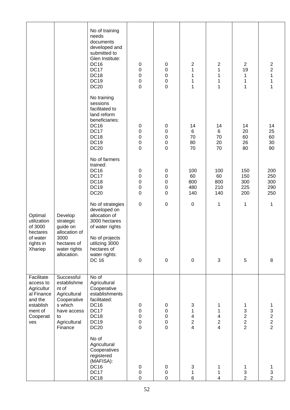|                                                                                                            |                                                                                                                              | No of training<br>needs<br>documents<br>developed and<br>submitted to<br>Glen Institute:<br><b>DC16</b><br><b>DC17</b><br><b>DC18</b><br><b>DC19</b><br><b>DC20</b> | $\pmb{0}$<br>0<br>$\boldsymbol{0}$<br>$\pmb{0}$<br>$\mathbf 0$      | $\pmb{0}$<br>$\pmb{0}$<br>0<br>$\boldsymbol{0}$<br>0                  | $\mathbf 2$<br>$\mathbf 1$<br>1<br>1<br>1                                                 | 2<br>1<br>1<br>1<br>1                                                                              | $\overline{2}$<br>19<br>1<br>$\mathbf{1}$<br>$\mathbf{1}$ | $\overline{\mathbf{c}}$<br>$\overline{2}$<br>1<br>1<br>1                     |
|------------------------------------------------------------------------------------------------------------|------------------------------------------------------------------------------------------------------------------------------|---------------------------------------------------------------------------------------------------------------------------------------------------------------------|---------------------------------------------------------------------|-----------------------------------------------------------------------|-------------------------------------------------------------------------------------------|----------------------------------------------------------------------------------------------------|-----------------------------------------------------------|------------------------------------------------------------------------------|
|                                                                                                            |                                                                                                                              | No training<br>sessions<br>facilitated to<br>land reform<br>beneficiaries:<br><b>DC16</b><br>DC17<br><b>DC18</b><br><b>DC19</b><br><b>DC20</b>                      | $\boldsymbol{0}$<br>0<br>0<br>$\pmb{0}$<br>0                        | $\pmb{0}$<br>0<br>0<br>0<br>0                                         | 14<br>$\,6$<br>70<br>80<br>70                                                             | 14<br>6<br>70<br>20<br>70                                                                          | 14<br>20<br>60<br>26<br>80                                | 14<br>25<br>60<br>30<br>90                                                   |
|                                                                                                            |                                                                                                                              | No of farmers<br>trained:<br><b>DC16</b><br>DC17<br><b>DC18</b><br><b>DC19</b><br><b>DC20</b>                                                                       | $\pmb{0}$<br>$\mathbf 0$<br>0<br>0<br>0                             | $\pmb{0}$<br>$\pmb{0}$<br>$\boldsymbol{0}$<br>0<br>0                  | 100<br>60<br>800<br>480<br>140                                                            | 100<br>60<br>800<br>210<br>140                                                                     | 150<br>150<br>300<br>225<br>200                           | 200<br>250<br>300<br>290<br>250                                              |
| Optimal<br>utilization<br>of 3000<br>hectares<br>of water                                                  | Develop<br>strategic<br>guide on<br>allocation of<br>3000                                                                    | No of strategies<br>developed on<br>allocation of<br>3000 hectares<br>of water rights<br>No of projects                                                             | $\pmb{0}$                                                           | $\pmb{0}$                                                             | $\pmb{0}$                                                                                 | 1                                                                                                  | 1                                                         | 1                                                                            |
| rights in<br>Xhariep                                                                                       | hectares of<br>water rights<br>allocation.                                                                                   | utilizing 3000<br>hectares of<br>water rights:<br><b>DC 16</b>                                                                                                      | $\pmb{0}$                                                           | $\pmb{0}$                                                             | $\pmb{0}$                                                                                 | 3                                                                                                  | 5                                                         | 8                                                                            |
| Facilitate<br>access to<br>Agricultur<br>al Finance<br>and the<br>establish<br>ment of<br>Cooperati<br>ves | Successful<br>establishme<br>nt of<br>Agricultural<br>Cooperative<br>s which<br>have access<br>to<br>Agricultural<br>Finance | No of<br>Agricultural<br>Cooperative<br>establishments<br>facilitated:<br><b>DC16</b><br>DC17<br><b>DC18</b><br><b>DC19</b><br><b>DC20</b>                          | $\pmb{0}$<br>$\mathbf 0$<br>$\mathbf 0$<br>$\mathbf 0$<br>$\pmb{0}$ | $\pmb{0}$<br>$\mathbf 0$<br>$\mathbf 0$<br>$\mathbf 0$<br>$\mathsf 0$ | 3<br>$\mathbf{1}$<br>$\overline{\mathbf{4}}$<br>$\overline{c}$<br>$\overline{\mathbf{4}}$ | 1<br>$\mathbf{1}$<br>$\overline{\mathbf{4}}$<br>$\overline{\mathbf{c}}$<br>$\overline{\mathbf{4}}$ | 1<br>$\begin{array}{c} 3 \\ 2 \\ 2 \end{array}$           | 1<br>$\ensuremath{\mathsf{3}}$<br>$\begin{array}{c} 2 \\ 2 \\ 2 \end{array}$ |
|                                                                                                            |                                                                                                                              | No of<br>Agricultural<br>Cooperatives<br>registered<br>(MAFISA):<br><b>DC16</b><br>DC17<br>DC18                                                                     | $\pmb{0}$<br>$\mathbf 0$<br>$\mathbf 0$                             | $\pmb{0}$<br>$\pmb{0}$<br>$\pmb{0}$                                   | $\ensuremath{\mathsf{3}}$<br>$\mathbf{1}$<br>$\,6$                                        | 1<br>$\mathbf{1}$<br>$\overline{4}$                                                                | 1<br>$\frac{3}{2}$                                        | 1<br>$\ensuremath{\mathsf{3}}$<br>$\overline{2}$                             |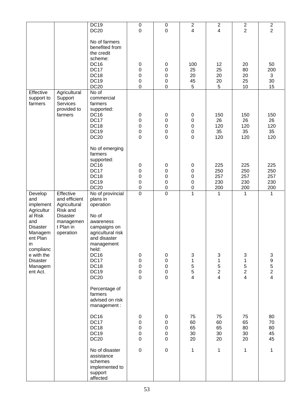|                                                                                                                                                                                  |                                                                                                                  | <b>DC19</b><br><b>DC20</b>                                                                                                                                                                                             | $\pmb{0}$<br>$\mathbf 0$                                                              | $\pmb{0}$<br>$\mathbf 0$                                                            | $\overline{\mathbf{c}}$<br>$\overline{4}$                       | $\overline{c}$<br>4                                                | $\sqrt{2}$<br>$\overline{2}$                                    | $\sqrt{2}$<br>$\overline{2}$                                                          |
|----------------------------------------------------------------------------------------------------------------------------------------------------------------------------------|------------------------------------------------------------------------------------------------------------------|------------------------------------------------------------------------------------------------------------------------------------------------------------------------------------------------------------------------|---------------------------------------------------------------------------------------|-------------------------------------------------------------------------------------|-----------------------------------------------------------------|--------------------------------------------------------------------|-----------------------------------------------------------------|---------------------------------------------------------------------------------------|
|                                                                                                                                                                                  |                                                                                                                  | No of farmers<br>benefited from<br>the credit<br>scheme:<br><b>DC16</b><br>DC17<br><b>DC18</b><br><b>DC19</b><br><b>DC20</b>                                                                                           | $\pmb{0}$<br>$\pmb{0}$<br>$\pmb{0}$<br>$\pmb{0}$<br>$\mathbf 0$                       | $\pmb{0}$<br>$\boldsymbol{0}$<br>$\boldsymbol{0}$<br>$\boldsymbol{0}$<br>$\pmb{0}$  | 100<br>25<br>20<br>45<br>5                                      | 12<br>25<br>20<br>20<br>5                                          | 20<br>80<br>20<br>25<br>10                                      | 50<br>200<br>3<br>30<br>15                                                            |
| Effective<br>support to<br>farmers                                                                                                                                               | Agricultural<br>Support<br><b>Services</b><br>provided to<br>farmers                                             | No of<br>commercial<br>farmers<br>supported:<br><b>DC16</b><br><b>DC17</b><br><b>DC18</b><br><b>DC19</b><br><b>DC20</b>                                                                                                | $\pmb{0}$<br>$\boldsymbol{0}$<br>$\pmb{0}$<br>$\pmb{0}$<br>$\mathbf 0$                | $\mathbf 0$<br>$\mathbf 0$<br>$\boldsymbol{0}$<br>$\pmb{0}$<br>$\mathbf 0$          | 0<br>$\boldsymbol{0}$<br>$\pmb{0}$<br>0<br>0                    | 150<br>26<br>120<br>35<br>120                                      | 150<br>26<br>120<br>35<br>120                                   | 150<br>26<br>120<br>35<br>120                                                         |
|                                                                                                                                                                                  |                                                                                                                  | No of emerging<br>farmers<br>supported:<br><b>DC16</b><br><b>DC17</b><br><b>DC18</b><br><b>DC19</b><br><b>DC20</b>                                                                                                     | $\pmb{0}$<br>$\boldsymbol{0}$<br>$\boldsymbol{0}$<br>$\mathbf 0$<br>$\pmb{0}$         | $\pmb{0}$<br>$\boldsymbol{0}$<br>0<br>$\boldsymbol{0}$<br>$\boldsymbol{0}$          | 0<br>$\pmb{0}$<br>$\pmb{0}$<br>$\mathbf 0$<br>0                 | 225<br>250<br>257<br>230<br>200                                    | 225<br>250<br>257<br>230<br>200                                 | 225<br>250<br>257<br>230<br>200                                                       |
| Develop<br>and<br>implement<br>Agricultur<br>al Risk<br>and<br><b>Disaster</b><br>Managem<br>ent Plan<br>in<br>complianc<br>e with the<br><b>Disaster</b><br>Managem<br>ent Act. | Effective<br>and efficient<br>Agricultural<br>Risk and<br><b>Disaster</b><br>managemen<br>t Plan in<br>operation | No of provincial<br>plans in<br>operation<br>No of<br>awareness<br>campaigns on<br>agricultural risk<br>and disaster<br>management<br>held:<br><b>DC16</b><br><b>DC17</b><br><b>DC18</b><br><b>DC19</b><br><b>DC20</b> | $\overline{0}$<br>$\pmb{0}$<br>$\pmb{0}$<br>$\mathbf 0$<br>$\mathbf 0$<br>$\mathbf 0$ | $\overline{0}$<br>$\pmb{0}$<br>$\pmb{0}$<br>$\pmb{0}$<br>$\mathbf 0$<br>$\mathbf 0$ | $\overline{1}$<br>3<br>$\mathbf{1}$<br>5<br>5<br>$\overline{4}$ | 1<br>3<br>$\mathbf{1}$<br>$\frac{5}{2}$<br>$\overline{\mathbf{4}}$ | 1<br>3<br>$\mathbf{1}$<br>5<br>$\overline{2}$<br>$\overline{4}$ | 1<br>$\ensuremath{\mathsf{3}}$<br>$\boldsymbol{9}$<br>$\frac{5}{2}$<br>$\overline{4}$ |
|                                                                                                                                                                                  |                                                                                                                  | Percentage of<br>farmers<br>advised on risk<br>management:                                                                                                                                                             |                                                                                       |                                                                                     |                                                                 |                                                                    |                                                                 |                                                                                       |
|                                                                                                                                                                                  |                                                                                                                  | <b>DC16</b><br><b>DC17</b><br><b>DC18</b><br><b>DC19</b><br><b>DC20</b>                                                                                                                                                | $\pmb{0}$<br>$\pmb{0}$<br>$\pmb{0}$<br>$\pmb{0}$<br>$\mathbf 0$                       | $\pmb{0}$<br>$\boldsymbol{0}$<br>$\pmb{0}$<br>$\pmb{0}$<br>$\pmb{0}$                | 75<br>60<br>65<br>30<br>20                                      | 75<br>60<br>65<br>30<br>20                                         | 75<br>65<br>80<br>30<br>20                                      | 80<br>70<br>80<br>45<br>45                                                            |
|                                                                                                                                                                                  |                                                                                                                  | No of disaster<br>assistance<br>schemes<br>implemented to<br>support<br>affected                                                                                                                                       | $\pmb{0}$                                                                             | $\mathbf 0$                                                                         | $\mathbf 1$                                                     | $\mathbf 1$                                                        | $\mathbf{1}$                                                    | 1                                                                                     |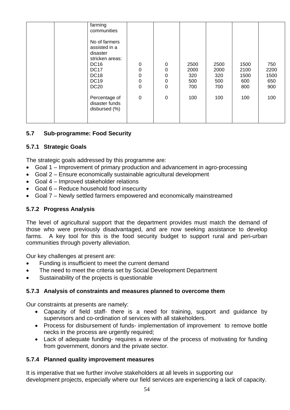| farming<br>communities                                                                                                                   |                               |                                                                              |                                   |                                   |                                    |                                   |
|------------------------------------------------------------------------------------------------------------------------------------------|-------------------------------|------------------------------------------------------------------------------|-----------------------------------|-----------------------------------|------------------------------------|-----------------------------------|
| No of farmers<br>assisted in a<br>disaster<br>stricken areas:<br><b>DC16</b><br><b>DC17</b><br><b>DC18</b><br><b>DC19</b><br><b>DC20</b> | $\pmb{0}$<br>0<br>0<br>0<br>0 | $\mathbf 0$<br>$\mathbf 0$<br>$\mathbf 0$<br>$\mathbf 0$<br>$\boldsymbol{0}$ | 2500<br>2000<br>320<br>500<br>700 | 2500<br>2000<br>320<br>500<br>700 | 1500<br>2100<br>1500<br>600<br>800 | 750<br>2200<br>1500<br>650<br>900 |
| Percentage of<br>disaster funds<br>disbursed (%)                                                                                         | 0                             | $\boldsymbol{0}$                                                             | 100                               | 100                               | 100                                | 100                               |

## **5.7 Sub-programme: Food Security**

## **5.7.1 Strategic Goals**

The strategic goals addressed by this programme are:

- Goal 1 Improvement of primary production and advancement in agro-processing
- Goal 2 Ensure economically sustainable agricultural development
- Goal 4 Improved stakeholder relations
- Goal 6 Reduce household food insecurity
- Goal 7 Newly settled farmers empowered and economically mainstreamed

#### **5.7.2 Progress Analysis**

The level of agricultural support that the department provides must match the demand of those who were previously disadvantaged, and are now seeking assistance to develop farms. A key tool for this is the food security budget to support rural and peri-urban communities through poverty alleviation.

Our key challenges at present are:

- Funding is insufficient to meet the current demand
- The need to meet the criteria set by Social Development Department
- Sustainability of the projects is questionable

#### **5.7.3 Analysis of constraints and measures planned to overcome them**

Our constraints at presents are namely:

- Capacity of field staff- there is a need for training, support and guidance by supervisors and co-ordination of services with all stakeholders.
- Process for disbursement of funds- implementation of improvement to remove bottle necks in the process are urgently required;
- Lack of adequate funding- requires a review of the process of motivating for funding from government, donors and the private sector.

#### **5.7.4 Planned quality improvement measures**

It is imperative that we further involve stakeholders at all levels in supporting our development projects, especially where our field services are experiencing a lack of capacity.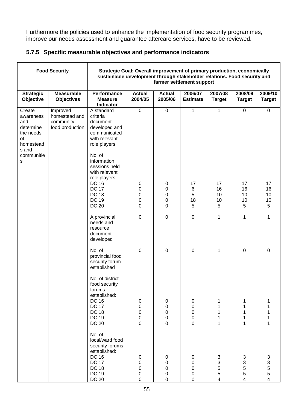Furthermore the policies used to enhance the implementation of food security programmes, improve our needs assessment and guarantee aftercare services, have to be reviewed.

|  | 5.7.5 Specific measurable objectives and performance indicators |  |  |  |
|--|-----------------------------------------------------------------|--|--|--|
|--|-----------------------------------------------------------------|--|--|--|

|                                                                                  | <b>Food Security</b>                                      | Strategic Goal: Overall improvement of primary production, economically<br>sustainable development through stakeholder relations. Food security and<br>farmer settlement support |                                                                       |                                                                     |                            |                                                 |                                             |                                           |  |
|----------------------------------------------------------------------------------|-----------------------------------------------------------|----------------------------------------------------------------------------------------------------------------------------------------------------------------------------------|-----------------------------------------------------------------------|---------------------------------------------------------------------|----------------------------|-------------------------------------------------|---------------------------------------------|-------------------------------------------|--|
| <b>Strategic</b><br>Objective                                                    | <b>Measurable</b><br><b>Objectives</b>                    | <b>Performance</b><br><b>Measure</b><br><b>Indicator</b>                                                                                                                         | <b>Actual</b><br>2004/05                                              | <b>Actual</b><br>2005/06                                            | 2006/07<br><b>Estimate</b> | 2007/08<br><b>Target</b>                        | 2008/09<br><b>Target</b>                    | 2009/10<br><b>Target</b>                  |  |
| Create<br>awareness<br>and<br>determine<br>the needs<br>of<br>homestead<br>s and | Improved<br>homestead and<br>community<br>food production | A standard<br>criteria<br>document<br>developed and<br>communicated<br>with relevant<br>role players                                                                             | $\overline{0}$                                                        | $\overline{0}$                                                      | $\mathbf 1$                | 1                                               | $\overline{0}$                              | $\overline{0}$                            |  |
| communitie<br>s                                                                  |                                                           | No. of<br>information<br>sessions held<br>with relevant<br>role players:<br><b>DC 16</b><br><b>DC 17</b><br><b>DC 18</b><br><b>DC 19</b><br><b>DC 20</b>                         | $\pmb{0}$<br>0<br>0<br>0<br>0                                         | $\pmb{0}$<br>0<br>0<br>0<br>0                                       | 17<br>6<br>5<br>18<br>5    | 17<br>16<br>10<br>10<br>5                       | 17<br>16<br>10<br>10<br>5                   | 17<br>16<br>10<br>10<br>5                 |  |
|                                                                                  |                                                           | A provincial<br>needs and<br>resource<br>document<br>developed                                                                                                                   | $\mathbf 0$                                                           | $\boldsymbol{0}$                                                    | $\mathbf 0$                | 1                                               | 1                                           | 1                                         |  |
|                                                                                  |                                                           | No. of<br>provincial food<br>security forum<br>established                                                                                                                       | $\mathbf 0$                                                           | $\boldsymbol{0}$                                                    | 0                          | 1                                               | 0                                           | $\mathbf 0$                               |  |
|                                                                                  |                                                           | No. of district<br>food security<br>forums<br>established:<br><b>DC 16</b><br><b>DC 17</b><br><b>DC 18</b><br><b>DC 19</b><br><b>DC 20</b>                                       | $\mathbf 0$<br>$\pmb{0}$<br>$\mathbf 0$<br>$\mathbf 0$<br>$\mathbf 0$ | $\mathbf 0$<br>$\pmb{0}$<br>$\mathbf 0$<br>$\mathbf 0$<br>$\pmb{0}$ | 0<br>0<br>0<br>0<br>0      | 1<br>1<br>1<br>1                                | 1<br>1<br>1<br>$\mathbf 1$<br>1             | 1<br>1<br>1<br>1<br>1                     |  |
|                                                                                  |                                                           | No. of<br>local/ward food<br>security forums<br>established:<br><b>DC 16</b><br><b>DC 17</b><br><b>DC 18</b><br><b>DC 19</b><br><b>DC 20</b>                                     | 0<br>0<br>$\mathbf 0$<br>$\pmb{0}$<br>$\pmb{0}$                       | 0<br>0<br>$\boldsymbol{0}$<br>$\mathbf 0$<br>$\mathbf 0$            | 0<br>0<br>0<br>0<br>0      | 3<br>3<br>$\overline{5}$<br>5<br>$\overline{4}$ | 3<br>3<br>5<br>5<br>$\overline{\mathbf{4}}$ | 3<br>$\frac{3}{5}$<br>5<br>$\overline{4}$ |  |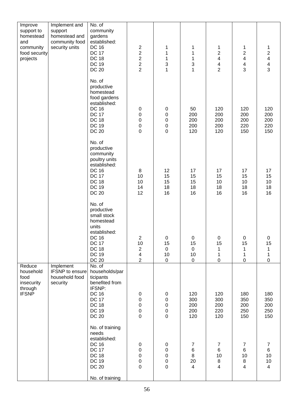| Improve<br>support to<br>homestead<br>and<br>community<br>food security<br>projects | Implement and<br>support<br>homestead and<br>community food<br>security units | No. of<br>community<br>gardens<br>established:<br><b>DC 16</b><br><b>DC 17</b><br><b>DC 18</b><br><b>DC 19</b><br><b>DC 20</b>                            | $\begin{array}{c} 2 \\ 2 \\ 2 \end{array}$<br>$\overline{c}$<br>$\overline{2}$   | 1<br>1<br>$\mathbf 1$<br>3<br>1                                   | 1<br>$\mathbf{1}$<br>$\mathbf{1}$<br>3<br>$\mathbf{1}$              | 1<br>$\overline{\mathbf{c}}$<br>$\overline{\mathbf{4}}$<br>$\overline{\mathbf{4}}$<br>$\overline{2}$ | 1<br>$\boldsymbol{2}$<br>$\overline{\mathbf{4}}$<br>$\overline{\mathbf{4}}$<br>3 | $\mathbf{1}$<br>$\frac{2}{4}$<br>4<br>3             |
|-------------------------------------------------------------------------------------|-------------------------------------------------------------------------------|-----------------------------------------------------------------------------------------------------------------------------------------------------------|----------------------------------------------------------------------------------|-------------------------------------------------------------------|---------------------------------------------------------------------|------------------------------------------------------------------------------------------------------|----------------------------------------------------------------------------------|-----------------------------------------------------|
|                                                                                     |                                                                               | No. of<br>productive<br>homestead<br>food gardens<br>established:<br><b>DC 16</b><br><b>DC 17</b><br><b>DC 18</b><br><b>DC 19</b><br><b>DC 20</b>         | $\boldsymbol{0}$<br>$\mathbf 0$<br>$\mathbf 0$<br>$\mathbf 0$<br>$\mathbf 0$     | $\pmb{0}$<br>$\pmb{0}$<br>$\mathbf 0$<br>$\pmb{0}$<br>$\mathbf 0$ | 50<br>200<br>200<br>200<br>120                                      | 120<br>200<br>200<br>200<br>120                                                                      | 120<br>200<br>200<br>220<br>150                                                  | 120<br>200<br>200<br>220<br>150                     |
|                                                                                     |                                                                               | No. of<br>productive<br>community<br>poultry units<br>established:<br><b>DC 16</b><br><b>DC 17</b><br><b>DC 18</b><br><b>DC 19</b><br><b>DC 20</b>        | 8<br>10<br>10<br>14<br>12                                                        | 12<br>15<br>15<br>18<br>16                                        | 17<br>15<br>15<br>18<br>16                                          | 17<br>15<br>10<br>18<br>16                                                                           | 17<br>15<br>10<br>18<br>16                                                       | 17<br>15<br>10<br>18<br>16                          |
|                                                                                     |                                                                               | No. of<br>productive<br>small stock<br>homestead<br>units<br>established:<br><b>DC 16</b><br><b>DC 17</b><br><b>DC 18</b><br><b>DC 19</b><br><b>DC 20</b> | 2<br>10<br>$\overline{c}$<br>$\overline{\mathbf{4}}$<br>$\overline{2}$           | 0<br>15<br>$\mathbf 0$<br>10<br>$\mathbf 0$                       | 0<br>15<br>$\mathbf 0$<br>10<br>$\pmb{0}$                           | 0<br>15<br>1<br>$\mathbf{1}$<br>$\pmb{0}$                                                            | 0<br>15<br>1<br>$\mathbf{1}$<br>$\mathbf 0$                                      | 0<br>15<br>1<br>$\mathbf{1}$<br>$\mathsf 0$         |
| Reduce<br>household<br>food<br>insecurity<br>through<br><b>IFSNP</b>                | Implement<br><b>IFSNP</b> to ensure<br>household food<br>security             | No. of<br>households/par<br>ticipants<br>benefited from<br>IFSNP:<br><b>DC 16</b><br><b>DC 17</b><br><b>DC 18</b><br><b>DC 19</b><br><b>DC 20</b>         | $\pmb{0}$<br>$\boldsymbol{0}$<br>$\boldsymbol{0}$<br>$\pmb{0}$<br>$\overline{0}$ | 0<br>$\pmb{0}$<br>$\boldsymbol{0}$<br>$\pmb{0}$<br>$\mathbf 0$    | 120<br>300<br>200<br>200<br>120                                     | 120<br>300<br>200<br>220<br>120                                                                      | 180<br>350<br>200<br>250<br>150                                                  | 180<br>350<br>200<br>250<br>150                     |
|                                                                                     |                                                                               | No. of training<br>needs<br>established:<br><b>DC 16</b><br><b>DC 17</b><br><b>DC 18</b><br><b>DC 19</b><br><b>DC 20</b><br>No. of training               | $\pmb{0}$<br>$\boldsymbol{0}$<br>0<br>0<br>0                                     | $\pmb{0}$<br>$\pmb{0}$<br>0<br>0<br>$\mathbf 0$                   | $\overline{7}$<br>$\,6$<br>$\bf 8$<br>20<br>$\overline{\mathbf{4}}$ | $\boldsymbol{7}$<br>$\,6$<br>10<br>$\bf 8$<br>$\overline{\mathbf{4}}$                                | $\overline{7}$<br>6<br>10<br>8<br>4                                              | $\overline{7}$<br>6<br>10<br>$10$<br>$\overline{4}$ |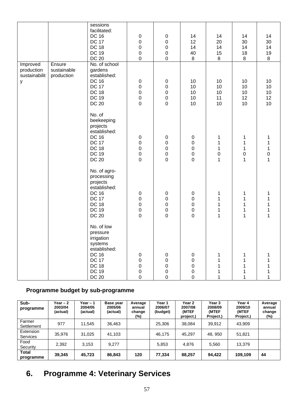|                                              |                                     | sessions<br>facilitated:<br><b>DC 16</b><br><b>DC 17</b><br><b>DC 18</b><br><b>DC 19</b><br><b>DC 20</b>                                        | $\pmb{0}$<br>$\mathbf 0$<br>$\mathbf 0$<br>$\mathbf 0$<br>$\mathbf 0$         | $\pmb{0}$<br>$\pmb{0}$<br>$\mathbf 0$<br>$\mathbf 0$<br>$\mathbf 0$   | 14<br>12<br>14<br>40<br>8                                           | 14<br>20<br>14<br>15<br>8  | 14<br>30<br>14<br>18<br>$\, 8$                                       | 14<br>30<br>14<br>19<br>8       |
|----------------------------------------------|-------------------------------------|-------------------------------------------------------------------------------------------------------------------------------------------------|-------------------------------------------------------------------------------|-----------------------------------------------------------------------|---------------------------------------------------------------------|----------------------------|----------------------------------------------------------------------|---------------------------------|
| Improved<br>production<br>sustainabilit<br>У | Ensure<br>sustainable<br>production | No. of school<br>gardens<br>established:<br><b>DC 16</b><br><b>DC 17</b><br><b>DC 18</b><br><b>DC 19</b><br><b>DC 20</b>                        | $\pmb{0}$<br>$\boldsymbol{0}$<br>$\mathbf 0$<br>$\mathbf 0$<br>$\mathbf 0$    | $\pmb{0}$<br>$\mathbf 0$<br>$\mathbf 0$<br>$\mathbf 0$<br>$\mathsf 0$ | 10<br>10<br>10<br>10<br>10                                          | 10<br>10<br>10<br>11<br>10 | 10<br>10<br>10<br>12<br>10                                           | 10<br>10<br>10<br>12<br>10      |
|                                              |                                     | No. of<br>beekeeping<br>projects<br>established:<br><b>DC 16</b><br><b>DC 17</b><br><b>DC 18</b><br><b>DC 19</b><br><b>DC 20</b>                | $\pmb{0}$<br>$\boldsymbol{0}$<br>$\boldsymbol{0}$<br>$\pmb{0}$<br>$\mathbf 0$ | $\pmb{0}$<br>$\mathbf 0$<br>$\mathbf 0$<br>$\pmb{0}$<br>$\mathbf 0$   | $\pmb{0}$<br>0<br>0<br>$\pmb{0}$<br>$\mathsf 0$                     | 1<br>1<br>1<br>0<br>1      | 1<br>$\mathbf 1$<br>$\mathbf{1}$<br>$\boldsymbol{0}$<br>$\mathbf{1}$ | 1<br>1<br>1<br>$\mathbf 0$<br>1 |
|                                              |                                     | No. of agro-<br>processing<br>projects<br>established:<br><b>DC 16</b><br><b>DC 17</b><br><b>DC 18</b><br><b>DC 19</b><br><b>DC 20</b>          | $\pmb{0}$<br>$\mathbf 0$<br>$\mathbf 0$<br>$\pmb{0}$<br>$\mathbf 0$           | $\pmb{0}$<br>$\mathbf 0$<br>$\mathbf 0$<br>$\mathbf 0$<br>$\mathsf 0$ | $\pmb{0}$<br>$\pmb{0}$<br>$\mathbf 0$<br>$\mathbf 0$<br>$\mathbf 0$ | 1<br>1<br>1<br>1<br>1      | 1<br>1<br>$\mathbf 1$<br>1<br>1                                      | 1<br>1<br>1<br>1<br>1           |
|                                              |                                     | No. of low<br>pressure<br>irrigation<br>systems<br>established:<br><b>DC 16</b><br><b>DC 17</b><br><b>DC 18</b><br><b>DC 19</b><br><b>DC 20</b> | $\mathbf 0$<br>$\pmb{0}$<br>$\pmb{0}$<br>$\pmb{0}$<br>$\mathbf 0$             | $\mathbf 0$<br>$\pmb{0}$<br>$\pmb{0}$<br>$\pmb{0}$<br>$\pmb{0}$       | 0<br>$\mathbf 0$<br>$\pmb{0}$<br>0<br>$\pmb{0}$                     |                            | 1<br>1                                                               |                                 |

# **Programme budget by sub-programme**

| Sub-<br>programme            | Year $-2$<br>2003/04<br>(actual) | Year – 1<br>2004/05<br>(actual) | Base year<br>2005/06<br>(actual) | Average<br>annual<br>change<br>(%) | Year 1<br>2006/07<br>(budget) | Year 2<br>2007/08<br>(MTEF<br>project.) | Year 3<br>2008/09<br>(MTEF<br>Project.) | Year 4<br>2009/10<br>(MTEF<br>Project.) | Average<br>annual<br>change<br>(%) |
|------------------------------|----------------------------------|---------------------------------|----------------------------------|------------------------------------|-------------------------------|-----------------------------------------|-----------------------------------------|-----------------------------------------|------------------------------------|
| Farmer<br>Settlement         | 977                              | 11.545                          | 36,463                           |                                    | 25.306                        | 38.084                                  | 39,912                                  | 43.909                                  |                                    |
| Extension<br><b>Services</b> | 35,976                           | 31.025                          | 41.103                           |                                    | 46.175                        | 45.297                                  | 48.950                                  | 51,821                                  |                                    |
| Food<br>Security             | 2,392                            | 3,153                           | 9.277                            |                                    | 5,853                         | 4.876                                   | 5,560                                   | 13.379                                  |                                    |
| <b>Total</b><br>programme    | 39,345                           | 45,723                          | 86,843                           | 120                                | 77,334                        | 88,257                                  | 94.422                                  | 109,109                                 | 44                                 |

# **6. Programme 4: Veterinary Services**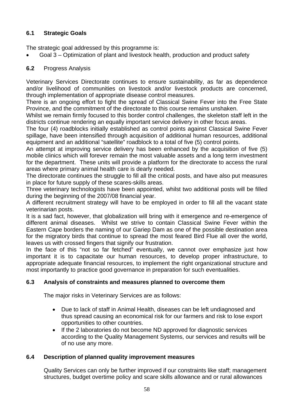# **6.1 Strategic Goals**

The strategic goal addressed by this programme is:

• Goal 3 – Optimization of plant and livestock health, production and product safety

## **6.2** Progress Analysis

Veterinary Services Directorate continues to ensure sustainability, as far as dependence and/or livelihood of communities on livestock and/or livestock products are concerned, through implementation of appropriate disease control measures.

There is an ongoing effort to fight the spread of Classical Swine Fever into the Free State Province, and the commitment of the directorate to this course remains unshaken.

Whilst we remain firmly focused to this border control challenges, the skeleton staff left in the districts continue rendering an equally important service delivery in other focus areas.

The four (4) roadblocks initially established as control points against Classical Swine Fever spillage, have been intensified through acquisition of additional human resources, additional equipment and an additional "satellite" roadblock to a total of five (5) control points.

An attempt at improving service delivery has been enhanced by the acquisition of five (5) mobile clinics which will forever remain the most valuable assets and a long term investment for the department. These units will provide a platform for the directorate to access the rural areas where primary animal health care is dearly needed.

The directorate continues the struggle to fill all the critical posts, and have also put measures in place for future supply of these scares-skills areas.

Three veterinary technologists have been appointed, whilst two additional posts will be filled during the beginning of the 2007/08 financial year.

A different recruitment strategy will have to be employed in order to fill all the vacant state veterinarian posts.

It is a sad fact, however, that globalization will bring with it emergence and re-emergence of different animal diseases. Whilst we strive to contain Classical Swine Fever within the Eastern Cape borders the naming of our Gariep Dam as one of the possible destination area for the migratory birds that continue to spread the most feared Bird Flue all over the world, leaves us with crossed fingers that signify our frustration.

In the face of this "not so far fetched" eventually, we cannot over emphasize just how important it is to capacitate our human resources, to develop proper infrastructure, to appropriate adequate financial resources, to implement the right organizational structure and most importantly to practice good governance in preparation for such eventualities.

# **6.3 Analysis of constraints and measures planned to overcome them**

The major risks in Veterinary Services are as follows:

- Due to lack of staff in Animal Health, diseases can be left undiagnosed and thus spread causing an economical risk for our farmers and risk to lose export opportunities to other countries.
- If the 2 laboratories do not become ND approved for diagnostic services according to the Quality Management Systems, our services and results will be of no use any more.

#### **6.4 Description of planned quality improvement measures**

Quality Services can only be further improved if our constraints like staff; management structures, budget overtime policy and scare skills allowance and or rural allowances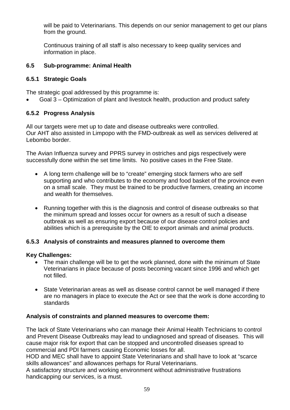will be paid to Veterinarians. This depends on our senior management to get our plans from the ground.

Continuous training of all staff is also necessary to keep quality services and information in place.

#### **6.5 Sub-programme: Animal Health**

# **6.5.1 Strategic Goals**

The strategic goal addressed by this programme is:

• Goal 3 – Optimization of plant and livestock health, production and product safety

## **6.5.2 Progress Analysis**

All our targets were met up to date and disease outbreaks were controlled. Our AHT also assisted in Limpopo with the FMD-outbreak as well as services delivered at Lebombo border.

The Avian Influenza survey and PPRS survey in ostriches and pigs respectively were successfully done within the set time limits. No positive cases in the Free State.

- A long term challenge will be to "create" emerging stock farmers who are self supporting and who contributes to the economy and food basket of the province even on a small scale. They must be trained to be productive farmers, creating an income and wealth for themselves.
- Running together with this is the diagnosis and control of disease outbreaks so that the minimum spread and losses occur for owners as a result of such a disease outbreak as well as ensuring export because of our disease control policies and abilities which is a prerequisite by the OIE to export animals and animal products.

#### **6.5.3 Analysis of constraints and measures planned to overcome them**

#### **Key Challenges:**

- The main challenge will be to get the work planned, done with the minimum of State Veterinarians in place because of posts becoming vacant since 1996 and which get not filled.
- State Veterinarian areas as well as disease control cannot be well managed if there are no managers in place to execute the Act or see that the work is done according to standards

#### **Analysis of constraints and planned measures to overcome them:**

The lack of State Veterinarians who can manage their Animal Health Technicians to control and Prevent Disease Outbreaks may lead to undiagnosed and spread of diseases. This will cause major risk for export that can be stopped and uncontrolled diseases spread to commercial and PDI farmers causing Economic losses for all.

HOD and MEC shall have to appoint State Veterinarians and shall have to look at "scarce skills allowances" and allowances perhaps for Rural Veterinarians.

A satisfactory structure and working environment without administrative frustrations handicapping our services, is a must.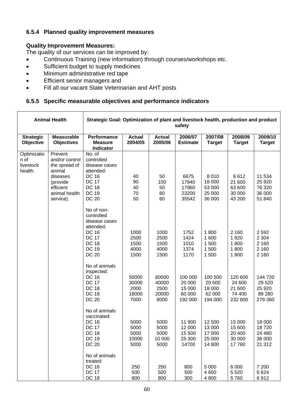## **6.5.4 Planned quality improvement measures**

#### **Quality Improvement Measures:**

The quality of our services can be improved by:

- Continuous Training (new information) through courses/workshops etc.
- Sufficient budget to supply medicines
- Minimum administrative red tape
- Efficient senior managers and
- Fill all our vacant State Veterinarian and AHT posts

#### **6.5.5 Specific measurable objectives and performance indicators**

|                                             | <b>Animal Health</b>                                                                                                    | Strategic Goal: Optimization of plant and livestock health, production and product<br>safety                                           |                                         |                                         |                                                  |                                                  |                                                  |                                                    |
|---------------------------------------------|-------------------------------------------------------------------------------------------------------------------------|----------------------------------------------------------------------------------------------------------------------------------------|-----------------------------------------|-----------------------------------------|--------------------------------------------------|--------------------------------------------------|--------------------------------------------------|----------------------------------------------------|
| <b>Strategic</b><br>Objective               | <b>Measurable</b><br><b>Objectives</b>                                                                                  | Performance<br><b>Measure</b><br><b>Indicator</b>                                                                                      | <b>Actual</b><br>2004/05                | <b>Actual</b><br>2005/06                | 2006/07<br><b>Estimate</b>                       | 2007/08<br><b>Target</b>                         | 2008/09<br><b>Target</b>                         | 2009/10<br><b>Target</b>                           |
| Optimizatio<br>n of<br>livestock<br>health. | Prevent<br>and/or control<br>the spread of<br>animal<br>diseases<br>(provide<br>efficient<br>animal health<br>service). | No. of<br>controlled<br>disease cases<br>attended:<br><b>DC 16</b><br><b>DC 17</b><br><b>DC 18</b><br><b>DC 19</b><br><b>DC 20</b>     | 40<br>90<br>40<br>70<br>50              | 50<br>100<br>50<br>80<br>60             | 6675<br>17940<br>17960<br>23200<br>35542         | 8010<br>18 000<br>53 000<br>25 000<br>36 000     | 9612<br>21 600<br>63 600<br>30 000<br>43 200     | 11 534<br>25 9 20<br>76 320<br>36 000<br>51 840    |
|                                             |                                                                                                                         | No of non-<br>controlled<br>disease cases<br>attended:<br><b>DC 16</b><br><b>DC 17</b><br><b>DC 18</b><br><b>DC 19</b><br><b>DC 20</b> | 1000<br>2500<br>1500<br>4000<br>1500    | 1000<br>2500<br>1500<br>4000<br>1500    | 1752<br>1424<br>1010<br>1374<br>1170             | 1800<br>1 600<br>1 500<br>1 500<br>1 500         | 2 1 6 0<br>1920<br>1800<br>1800<br>1800          | 2592<br>2 3 0 4<br>2 1 6 0<br>2 1 6 0<br>2 1 6 0   |
|                                             |                                                                                                                         | No of animals<br>inspected:<br><b>DC 16</b><br><b>DC 17</b><br><b>DC 18</b><br><b>DC 19</b><br><b>DC 20</b>                            | 50000<br>30000<br>2000<br>18000<br>7000 | 60000<br>40000<br>2500<br>20000<br>8000 | 100 000<br>20 000<br>15 000<br>60 000<br>192 000 | 100 500<br>20 500<br>18 000<br>62 000<br>194 000 | 120 600<br>24 600<br>21 600<br>74 400<br>232 800 | 144 720<br>29 5 20<br>25 9 20<br>89 280<br>279 360 |
|                                             |                                                                                                                         | No of animals<br>vaccinated:<br><b>DC 16</b><br><b>DC 17</b><br>DC 18<br><b>DC 19</b><br><b>DC 20</b>                                  | 5000<br>5000<br>5000<br>10000<br>5000   | 5000<br>5000<br>5000<br>10 000<br>5000  | 11 900<br>12 000<br>15 500<br>25 300<br>14700    | 12 500<br>13 000<br>17 000<br>25 000<br>14 800   | 15 000<br>15 600<br>20 400<br>30 000<br>17760    | 18 000<br>18720<br>24 480<br>36 000<br>21 312      |
|                                             |                                                                                                                         | No of animals<br>treated:<br><b>DC 16</b><br><b>DC 17</b><br><b>DC 18</b>                                                              | 250<br>500<br>800                       | 250<br>500<br>800                       | 800<br>500<br>300                                | 5 0 0 0<br>4 600<br>4 800                        | 6 0 0 0<br>5 5 20<br>5760                        | 7 200<br>6624<br>6912                              |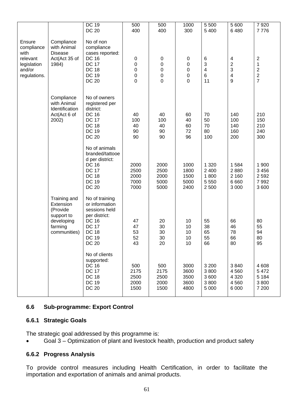| <b>DC 19</b><br>500<br>5 500<br>5 600<br>500<br>1000<br><b>DC 20</b><br>400<br>400<br>300<br>5 4 0 0<br>6480<br>Ensure<br>Compliance<br>No of non<br>with Animal<br>compliance<br>compliance<br>with<br><b>Disease</b><br>cases reported:<br>relevant<br>Act(Act 35 of<br>$\,6$<br>$\overline{\mathcal{A}}$<br>$\boldsymbol{2}$<br><b>DC 16</b><br>$\pmb{0}$<br>$\pmb{0}$<br>$\pmb{0}$ | 7920<br>7776     |
|----------------------------------------------------------------------------------------------------------------------------------------------------------------------------------------------------------------------------------------------------------------------------------------------------------------------------------------------------------------------------------------|------------------|
|                                                                                                                                                                                                                                                                                                                                                                                        |                  |
|                                                                                                                                                                                                                                                                                                                                                                                        |                  |
|                                                                                                                                                                                                                                                                                                                                                                                        |                  |
|                                                                                                                                                                                                                                                                                                                                                                                        |                  |
|                                                                                                                                                                                                                                                                                                                                                                                        |                  |
|                                                                                                                                                                                                                                                                                                                                                                                        |                  |
| $\overline{c}$<br>$\pmb{0}$<br>3<br>$\mathbf 1$<br><b>DC 17</b><br>$\pmb{0}$<br>$\pmb{0}$<br>1984)<br>legislation<br>3<br>$\mathbf 2$<br>$\boldsymbol{0}$<br>$\pmb{0}$<br>$\overline{\mathbf{4}}$<br><b>DC 18</b><br>$\pmb{0}$<br>and/or                                                                                                                                               |                  |
| 6<br>$\boldsymbol{2}$<br>$\boldsymbol{0}$<br>$\boldsymbol{0}$<br><b>DC 19</b><br>$\pmb{0}$<br>4<br>regulations.                                                                                                                                                                                                                                                                        |                  |
| $\overline{7}$<br>$\mathbf 0$<br>9<br><b>DC 20</b><br>$\mathbf 0$<br>$\mathbf 0$<br>11                                                                                                                                                                                                                                                                                                 |                  |
|                                                                                                                                                                                                                                                                                                                                                                                        |                  |
| Compliance<br>No of owners                                                                                                                                                                                                                                                                                                                                                             |                  |
| with Animal<br>registered per                                                                                                                                                                                                                                                                                                                                                          |                  |
| district:<br>Identification                                                                                                                                                                                                                                                                                                                                                            |                  |
| <b>DC 16</b><br>40<br>40<br>60<br>140<br>Act(Act 6 of<br>70                                                                                                                                                                                                                                                                                                                            | 210              |
| <b>DC 17</b><br>100<br>100<br>50<br>100<br>40<br>2002)                                                                                                                                                                                                                                                                                                                                 | 150              |
| <b>DC 18</b><br>40<br>60<br>70<br>140<br>40                                                                                                                                                                                                                                                                                                                                            | 210              |
| <b>DC 19</b><br>90<br>90<br>72<br>80<br>160<br>96                                                                                                                                                                                                                                                                                                                                      | 240              |
| <b>DC 20</b><br>90<br>90<br>200<br>100                                                                                                                                                                                                                                                                                                                                                 | 300              |
| No of animals                                                                                                                                                                                                                                                                                                                                                                          |                  |
| branded/tattooe                                                                                                                                                                                                                                                                                                                                                                        |                  |
| d per district:                                                                                                                                                                                                                                                                                                                                                                        |                  |
| <b>DC 16</b><br>2000<br>2000<br>1000<br>1 3 2 0<br>1584<br><b>DC 17</b><br>2500<br>2 4 0 0                                                                                                                                                                                                                                                                                             | 1 900<br>3 4 5 6 |
| 2880<br>2500<br>1800<br><b>DC 18</b><br>2000<br>2000<br>1500<br>1800<br>2 1 6 0                                                                                                                                                                                                                                                                                                        | 2592             |
| <b>DC 19</b><br>7000<br>5000<br>5 5 5 0<br>6 6 6 0<br>5000                                                                                                                                                                                                                                                                                                                             | 7992             |
| <b>DC 20</b><br>7000<br>5000<br>2400<br>2 500<br>3 0 0 0                                                                                                                                                                                                                                                                                                                               | 3600             |
|                                                                                                                                                                                                                                                                                                                                                                                        |                  |
| Training and<br>No of training                                                                                                                                                                                                                                                                                                                                                         |                  |
| or information<br>Extension<br>(Provide<br>sessions held                                                                                                                                                                                                                                                                                                                               |                  |
| per district:<br>support to                                                                                                                                                                                                                                                                                                                                                            |                  |
| <b>DC 16</b><br>66<br>47<br>20<br>10<br>55<br>80<br>developing                                                                                                                                                                                                                                                                                                                         |                  |
| <b>DC 17</b><br>30<br>38<br>46<br>55<br>47<br>10<br>farming                                                                                                                                                                                                                                                                                                                            |                  |
| 30<br><b>DC 18</b><br>53<br>78<br>94<br>10<br>65<br>communities)                                                                                                                                                                                                                                                                                                                       |                  |
| 55<br>80<br><b>DC 19</b><br>52<br>$30\,$<br>10<br>66                                                                                                                                                                                                                                                                                                                                   |                  |
| <b>DC 20</b><br>20<br>10<br>66<br>80<br>95<br>43                                                                                                                                                                                                                                                                                                                                       |                  |
| No of clients                                                                                                                                                                                                                                                                                                                                                                          |                  |
| supported:                                                                                                                                                                                                                                                                                                                                                                             |                  |
| <b>DC 16</b><br>3 2 0 0<br>500<br>500<br>3000<br>3840                                                                                                                                                                                                                                                                                                                                  | 4608             |
| <b>DC 17</b><br>2175<br>2175<br>3600<br>3800<br>4560                                                                                                                                                                                                                                                                                                                                   | 5472             |
| <b>DC 18</b><br>2500<br>2500<br>3500<br>3 600<br>4 3 2 0                                                                                                                                                                                                                                                                                                                               | 5 1 8 4          |
| <b>DC 19</b><br>2000<br>2000<br>3800<br>4560<br>3600<br><b>DC 20</b><br>1500<br>1500<br>4800<br>5 0 0 0<br>6 0 0 0                                                                                                                                                                                                                                                                     | 3800<br>7 200    |
|                                                                                                                                                                                                                                                                                                                                                                                        |                  |

# **6.6 Sub-programme: Export Control**

#### **6.6.1 Strategic Goals**

The strategic goal addressed by this programme is:

• Goal 3 – Optimization of plant and livestock health, production and product safety

#### **6.6.2 Progress Analysis**

To provide control measures including Health Certification, in order to facilitate the importation and exportation of animals and animal products.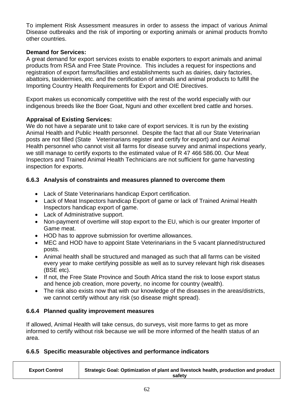To implement Risk Assessment measures in order to assess the impact of various Animal Disease outbreaks and the risk of importing or exporting animals or animal products from/to other countries.

#### **Demand for Services:**

A great demand for export services exists to enable exporters to export animals and animal products from RSA and Free State Province. This includes a request for inspections and registration of export farms/facilities and establishments such as dairies, dairy factories, abattoirs, taxidermies, etc. and the certification of animals and animal products to fulfill the Importing Country Health Requirements for Export and OIE Directives.

Export makes us economically competitive with the rest of the world especially with our indigenous breeds like the Boer Goat, Nguni and other excellent bred cattle and horses.

## **Appraisal of Existing Services:**

We do not have a separate unit to take care of export services. It is run by the existing Animal Health and Public Health personnel. Despite the fact that all our State Veterinarian posts are not filled (State Veterinarians register and certify for export) and our Animal Health personnel who cannot visit all farms for disease survey and animal inspections yearly, we still manage to certify exports to the estimated value of R 47 466 586.00. Our Meat Inspectors and Trained Animal Health Technicians are not sufficient for game harvesting inspection for exports.

# **6.6.3 Analysis of constraints and measures planned to overcome them**

- Lack of State Veterinarians handicap Export certification.
- Lack of Meat Inspectors handicap Export of game or lack of Trained Animal Health Inspectors handicap export of game.
- Lack of Administrative support.
- Non-payment of overtime will stop export to the EU, which is our greater Importer of Game meat.
- HOD has to approve submission for overtime allowances.
- MEC and HOD have to appoint State Veterinarians in the 5 vacant planned/structured posts.
- Animal health shall be structured and managed as such that all farms can be visited every year to make certifying possible as well as to survey relevant high risk diseases (BSE etc).
- If not, the Free State Province and South Africa stand the risk to loose export status and hence job creation, more poverty, no income for country (wealth).
- The risk also exists now that with our knowledge of the diseases in the areas/districts, we cannot certify without any risk (so disease might spread).

# **6.6.4 Planned quality improvement measures**

If allowed, Animal Health will take census, do surveys, visit more farms to get as more informed to certify without risk because we will be more informed of the health status of an area.

# **6.6.5 Specific measurable objectives and performance indicators**

| <b>Export Control</b> | Strategic Goal: Optimization of plant and livestock health, production and product |
|-----------------------|------------------------------------------------------------------------------------|
|                       | safety                                                                             |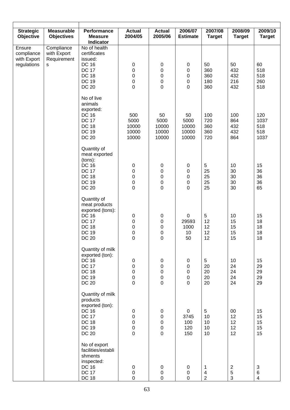| <b>Strategic</b>                                   | <b>Measurable</b>                             | Performance                                                                                                                      | <b>Actual</b>                                               | <b>Actual</b>                                                                      | 2006/07                                                         | 2007/08                                 | 2008/09                         | 2009/10                                           |
|----------------------------------------------------|-----------------------------------------------|----------------------------------------------------------------------------------------------------------------------------------|-------------------------------------------------------------|------------------------------------------------------------------------------------|-----------------------------------------------------------------|-----------------------------------------|---------------------------------|---------------------------------------------------|
| Objective                                          | <b>Objectives</b>                             | <b>Measure</b><br><b>Indicator</b>                                                                                               | 2004/05                                                     | 2005/06                                                                            | <b>Estimate</b>                                                 | <b>Target</b>                           | <b>Target</b>                   | <b>Target</b>                                     |
| Ensure<br>compliance<br>with Export<br>regulations | Compliance<br>with Export<br>Requirement<br>s | No of health<br>certificates<br>issued:<br><b>DC 16</b><br><b>DC 17</b><br><b>DC 18</b><br><b>DC 19</b><br><b>DC 20</b>          | $\pmb{0}$<br>0<br>$\mathbf 0$<br>$\mathbf 0$<br>$\mathbf 0$ | $\boldsymbol{0}$<br>$\boldsymbol{0}$<br>$\mathbf 0$<br>$\pmb{0}$<br>$\overline{0}$ | $\pmb{0}$<br>$\pmb{0}$<br>$\pmb{0}$<br>$\pmb{0}$<br>$\mathbf 0$ | 50<br>360<br>360<br>180<br>360          | 50<br>432<br>432<br>216<br>432  | 60<br>518<br>518<br>260<br>518                    |
|                                                    |                                               | No of live<br>animals<br>exported:<br><b>DC 16</b><br><b>DC 17</b><br><b>DC 18</b><br><b>DC 19</b><br><b>DC 20</b>               | 500<br>5000<br>10000<br>10000<br>10000                      | 50<br>5000<br>10000<br>10000<br>10000                                              | 50<br>5000<br>10000<br>10000<br>10000                           | 100<br>720<br>360<br>360<br>720         | 100<br>864<br>432<br>432<br>864 | 120<br>1037<br>518<br>518<br>1037                 |
|                                                    |                                               | Quantity of<br>meat exported<br>(tons):<br><b>DC 16</b><br><b>DC 17</b><br><b>DC 18</b><br><b>DC 19</b><br><b>DC 20</b>          | $\pmb{0}$<br>$\pmb{0}$<br>0<br>$\pmb{0}$<br>0               | $\pmb{0}$<br>0<br>$\pmb{0}$<br>$\begin{matrix} 0 \\ 0 \end{matrix}$                | $\pmb{0}$<br>$\pmb{0}$<br>0<br>0<br>0                           | 5<br>25<br>25<br>25<br>25               | 10<br>30<br>30<br>30<br>30      | 15<br>36<br>36<br>36<br>65                        |
|                                                    |                                               | Quantity of<br>meat products<br>exported (tons):<br><b>DC 16</b><br><b>DC 17</b><br><b>DC 18</b><br><b>DC 19</b><br><b>DC 20</b> | $\pmb{0}$<br>0<br>0<br>$\mathbf 0$<br>0                     | $\pmb{0}$<br>$\pmb{0}$<br>$\pmb{0}$<br>$\pmb{0}$<br>0                              | 0<br>29593<br>1000<br>10<br>50                                  | 5<br>12<br>12<br>12<br>12               | 10<br>15<br>15<br>15<br>15      | 15<br>18<br>18<br>18<br>18                        |
|                                                    |                                               | Quantity of milk<br>exported (ton):<br><b>DC 16</b><br><b>DC 17</b><br><b>DC 18</b><br><b>DC 19</b><br><b>DC 20</b>              | 0<br>0<br>0<br>$\mathbf 0$<br>$\mathbf 0$                   | 0<br>$\pmb{0}$<br>$\pmb{0}$<br>$\mathbf 0$<br>$\overline{0}$                       | $\mathbf 0$<br>0<br>0<br>$\mathbf 0$<br>$\mathbf 0$             | 5<br>20<br>20<br>20<br>20               | 10<br>24<br>24<br>24<br>24      | 15<br>29<br>29<br>29<br>29                        |
|                                                    |                                               | Quantity of milk<br>products<br>exported (ton):<br><b>DC 16</b><br><b>DC 17</b><br><b>DC 18</b><br><b>DC 19</b><br><b>DC 20</b>  | 0<br>0<br>0<br>$\mathbf 0$<br>$\mathbf 0$                   | 0<br>0<br>0<br>$\mathbf 0$<br>$\overline{0}$                                       | $\mathbf 0$<br>3745<br>100<br>120<br>150                        | $5\phantom{.0}$<br>10<br>10<br>10<br>10 | 00<br>12<br>12<br>12<br>12      | 15<br>15<br>15<br>15<br>15                        |
|                                                    |                                               | No of export<br>facilities/establi<br>shments<br>inspected:<br><b>DC 16</b><br><b>DC 17</b><br><b>DC 18</b>                      | $\pmb{0}$<br>0<br>0                                         | $\pmb{0}$<br>$\pmb{0}$<br>0                                                        | $\mathbf 0$<br>$\pmb{0}$<br>$\Omega$                            | $\mathbf 1$<br>4<br>$\overline{2}$      | $\sqrt{2}$<br>$\mathbf 5$<br>3  | $\mathbf{3}$<br>$\,6$<br>$\overline{\mathcal{A}}$ |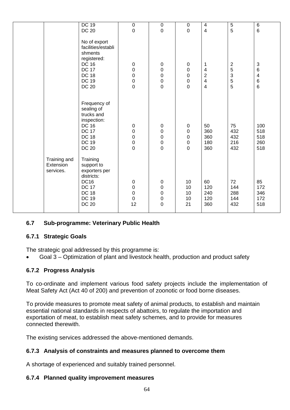|              | <b>DC 19</b>       | $\boldsymbol{0}$ | $\mathbf 0$      | $\mathbf 0$      | $\overline{\mathbf{4}}$ | 5           | $\,6$          |
|--------------|--------------------|------------------|------------------|------------------|-------------------------|-------------|----------------|
|              | <b>DC 20</b>       | $\pmb{0}$        | $\mathbf 0$      | $\mathbf 0$      | $\overline{\mathbf{4}}$ | 5           | $6\phantom{1}$ |
|              |                    |                  |                  |                  |                         |             |                |
|              |                    |                  |                  |                  |                         |             |                |
|              | No of export       |                  |                  |                  |                         |             |                |
|              | facilities/establi |                  |                  |                  |                         |             |                |
|              | shments            |                  |                  |                  |                         |             |                |
|              | registered:        |                  |                  |                  |                         |             |                |
|              | DC 16              | $\mathbf 0$      | 0                | $\pmb{0}$        | 1                       | $\sqrt{2}$  | 3              |
|              | <b>DC 17</b>       | 0                | $\boldsymbol{0}$ | $\mathbf 0$      | 4                       | 5           | 6              |
|              |                    |                  |                  |                  |                         |             |                |
|              | <b>DC 18</b>       | $\mathbf 0$      | $\pmb{0}$        | $\pmb{0}$        | $\mathbf 2$             | $\mathsf 3$ | 4              |
|              | <b>DC 19</b>       | $\pmb{0}$        | $\pmb{0}$        | $\boldsymbol{0}$ | $\overline{\mathbf{4}}$ | 5           | 6              |
|              | <b>DC 20</b>       | $\mathbf 0$      | $\mathbf 0$      | $\pmb{0}$        | $\overline{\mathbf{4}}$ | 5           | 6              |
|              |                    |                  |                  |                  |                         |             |                |
|              |                    |                  |                  |                  |                         |             |                |
|              | Frequency of       |                  |                  |                  |                         |             |                |
|              | sealing of         |                  |                  |                  |                         |             |                |
|              |                    |                  |                  |                  |                         |             |                |
|              | trucks and         |                  |                  |                  |                         |             |                |
|              | inspection:        |                  |                  |                  |                         |             |                |
|              | DC 16              | $\pmb{0}$        | 0                | $\pmb{0}$        | 50                      | 75          | 100            |
|              | <b>DC 17</b>       | 0                | $\boldsymbol{0}$ | $\pmb{0}$        | 360                     | 432         | 518            |
|              | <b>DC 18</b>       | $\mathbf 0$      | $\pmb{0}$        | $\pmb{0}$        | 360                     | 432         | 518            |
|              | <b>DC 19</b>       | $\mathbf 0$      | $\pmb{0}$        | $\pmb{0}$        | 180                     | 216         | 260            |
|              | <b>DC 20</b>       | $\mathsf 0$      | $\mathbf 0$      | $\mathbf 0$      | 360                     | 432         | 518            |
|              |                    |                  |                  |                  |                         |             |                |
|              |                    |                  |                  |                  |                         |             |                |
| Training and | Training           |                  |                  |                  |                         |             |                |
| Extension    | support to         |                  |                  |                  |                         |             |                |
| services.    | exporters per      |                  |                  |                  |                         |             |                |
|              | districts:         |                  |                  |                  |                         |             |                |
|              | DC <sub>16</sub>   | 0                | $\mathbf 0$      | 10               | 60                      | 72          | 85             |
|              | <b>DC 17</b>       | $\pmb{0}$        | $\pmb{0}$        | 10               | 120                     | 144         | 172            |
|              | <b>DC 18</b>       | $\mathsf 0$      | $\boldsymbol{0}$ | 10               | 240                     | 288         | 346            |
|              |                    |                  |                  |                  |                         |             |                |
|              | <b>DC 19</b>       | $\mathbf 0$      | $\pmb{0}$        | 10               | 120                     | 144         | 172            |
|              | <b>DC 20</b>       | 12               | $\boldsymbol{0}$ | 21               | 360                     | 432         | 518            |
|              |                    |                  |                  |                  |                         |             |                |

#### **6.7 Sub-programme: Veterinary Public Health**

#### **6.7.1 Strategic Goals**

The strategic goal addressed by this programme is:

• Goal 3 – Optimization of plant and livestock health, production and product safety

#### **6.7.2 Progress Analysis**

To co-ordinate and implement various food safety projects include the implementation of Meat Safety Act (Act 40 of 200) and prevention of zoonotic or food borne diseases.

To provide measures to promote meat safety of animal products, to establish and maintain essential national standards in respects of abattoirs, to regulate the importation and exportation of meat, to establish meat safety schemes, and to provide for measures connected therewith.

The existing services addressed the above-mentioned demands.

#### **6.7.3 Analysis of constraints and measures planned to overcome them**

A shortage of experienced and suitably trained personnel.

#### **6.7.4 Planned quality improvement measures**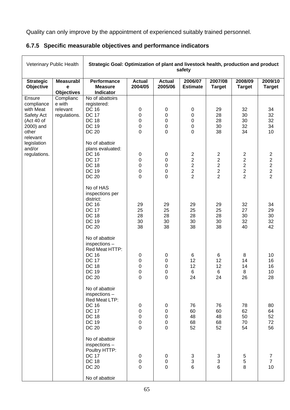Quality can only improve by the appointment of experienced suitably trained personnel.

|  |  | 6.7.5 Specific measurable objectives and performance indicators |  |  |  |  |
|--|--|-----------------------------------------------------------------|--|--|--|--|
|--|--|-----------------------------------------------------------------|--|--|--|--|

| Veterinary Public Health                                                                                                                                                       |                                                                              | Strategic Goal: Optimization of plant and livestock health, production and product                                               |                                                              |                                                                                                 | safety                                                                                          |                                                                                        |                                                                     |                                                     |
|--------------------------------------------------------------------------------------------------------------------------------------------------------------------------------|------------------------------------------------------------------------------|----------------------------------------------------------------------------------------------------------------------------------|--------------------------------------------------------------|-------------------------------------------------------------------------------------------------|-------------------------------------------------------------------------------------------------|----------------------------------------------------------------------------------------|---------------------------------------------------------------------|-----------------------------------------------------|
| <b>Strategic</b><br>Objective                                                                                                                                                  | <b>Measurabl</b><br>е<br><b>Objectives</b>                                   | <b>Performance</b><br><b>Measure</b><br>Indicator                                                                                | <b>Actual</b><br>2004/05                                     | <b>Actual</b><br>2005/06                                                                        | 2006/07<br><b>Estimate</b>                                                                      | 2007/08<br><b>Target</b>                                                               | 2008/09<br><b>Target</b>                                            | 2009/10<br><b>Target</b>                            |
| Ensure<br>compliance<br>e with<br>with Meat<br>relevant<br>regulations.<br>Safety Act<br>(Act 40 of<br>2000) and<br>other<br>relevant<br>legislation<br>and/or<br>regulations. | Complianc                                                                    | No of abattoirs<br>registered:<br><b>DC 16</b><br><b>DC 17</b><br><b>DC 18</b>                                                   | $\pmb{0}$<br>0<br>0                                          | $\pmb{0}$<br>$\pmb{0}$<br>0                                                                     | $\pmb{0}$<br>0<br>0                                                                             | 29<br>28<br>28                                                                         | 32<br>30<br>30                                                      | 34<br>32<br>32                                      |
|                                                                                                                                                                                |                                                                              | <b>DC 19</b><br><b>DC 20</b><br>No of abattoir<br>plans evaluated:                                                               | 0<br>0                                                       | 0<br>0                                                                                          | 0<br>0                                                                                          | 30<br>38                                                                               | 32<br>34                                                            | 34<br>10                                            |
|                                                                                                                                                                                | <b>DC 16</b><br><b>DC 17</b><br><b>DC 18</b><br><b>DC 19</b><br><b>DC 20</b> | 0<br>$\pmb{0}$<br>0<br>$\pmb{0}$<br>0                                                                                            | $\pmb{0}$<br>$\pmb{0}$<br>$\pmb{0}$<br>$\pmb{0}$<br>0        | $\overline{\mathbf{c}}$<br>$\overline{2}$<br>$\overline{2}$<br>$\overline{c}$<br>$\overline{2}$ | $\overline{\mathbf{c}}$<br>$\overline{2}$<br>$\overline{2}$<br>$\overline{c}$<br>$\overline{2}$ | $\overline{c}$<br>$\overline{2}$<br>$\overline{2}$<br>$\overline{c}$<br>$\overline{2}$ | $\frac{2}{2}$<br>$\overline{2}$<br>$\overline{2}$<br>$\overline{2}$ |                                                     |
|                                                                                                                                                                                |                                                                              | No of HAS<br>inspections per<br>district:<br><b>DC 16</b><br><b>DC 17</b><br><b>DC 18</b><br><b>DC 19</b><br><b>DC 20</b>        | 29<br>25<br>28<br>30<br>38                                   | 29<br>25<br>28<br>30<br>38                                                                      | 29<br>25<br>28<br>30<br>38                                                                      | 29<br>25<br>28<br>30<br>38                                                             | 32<br>27<br>30<br>32<br>40                                          | 34<br>29<br>30<br>32<br>42                          |
|                                                                                                                                                                                |                                                                              | No of abattoir<br>inspections-<br>Red Meat HTTP:<br><b>DC 16</b><br><b>DC 17</b><br><b>DC 18</b><br><b>DC 19</b><br>DC 20        | 0<br>0<br>0<br>0<br>0                                        | 0<br>$\pmb{0}$<br>0<br>0<br>0                                                                   | 6<br>12<br>12<br>$6\phantom{1}$<br>24                                                           | 6<br>12<br>12<br>$6\phantom{1}$<br>24                                                  | 8<br>14<br>14<br>8<br>26                                            | 10<br>16<br>16<br>10<br>28                          |
|                                                                                                                                                                                |                                                                              | No of abattoir<br>inspections -<br>Red Meat LTP:<br><b>DC 16</b><br><b>DC 17</b><br><b>DC 18</b><br><b>DC 19</b><br><b>DC 20</b> | $\pmb{0}$<br>$\pmb{0}$<br>0<br>$\mathbf 0$<br>$\overline{0}$ | $\pmb{0}$<br>$\pmb{0}$<br>$\pmb{0}$<br>$\mathbf 0$<br>$\mathbf 0$                               | 76<br>60<br>48<br>68<br>52                                                                      | 76<br>60<br>48<br>68<br>52                                                             | 78<br>62<br>50<br>70<br>54                                          | 80<br>64<br>52<br>72<br>56                          |
|                                                                                                                                                                                |                                                                              | No of abattoir<br>inspections -<br>Poultry HTTP:<br><b>DC 17</b><br><b>DC 18</b><br><b>DC 20</b><br>No of abattoir               | 0<br>$\pmb{0}$<br>$\overline{0}$                             | $\pmb{0}$<br>$\mathbf 0$<br>$\overline{0}$                                                      | $\frac{3}{3}$<br>6                                                                              | $\frac{3}{3}$<br>$6\phantom{a}$                                                        | 5<br>5<br>8                                                         | $\overline{7}$<br>$\overline{7}$<br>10 <sub>1</sub> |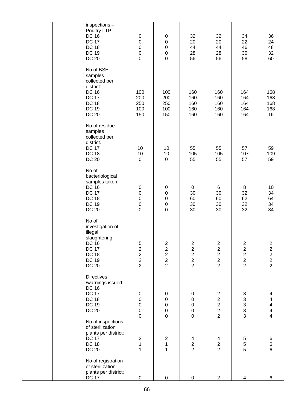|  | inspections -<br>Poultry LTP:<br><b>DC 16</b><br><b>DC 17</b><br><b>DC 18</b><br><b>DC 19</b><br><b>DC 20</b>                         | $\pmb{0}$<br>$\pmb{0}$<br>$\mathbf 0$<br>$\mathbf 0$<br>$\mathbf 0$   | 0<br>$\pmb{0}$<br>$\mathsf{O}\xspace$<br>$\begin{matrix}0\\0\\0\end{matrix}$ | 32<br>20<br>44<br>28<br>56                                                             | 32<br>20<br>44<br>28<br>56                                     | 34<br>22<br>46<br>30<br>58                                                 | 36<br>24<br>48<br>32<br>60                           |
|--|---------------------------------------------------------------------------------------------------------------------------------------|-----------------------------------------------------------------------|------------------------------------------------------------------------------|----------------------------------------------------------------------------------------|----------------------------------------------------------------|----------------------------------------------------------------------------|------------------------------------------------------|
|  | No of BSE<br>samples<br>collected per<br>district:<br><b>DC 16</b><br><b>DC 17</b><br><b>DC 18</b><br><b>DC 19</b><br><b>DC 20</b>    | 100<br>200<br>250<br>100<br>150                                       | 100<br>200<br>250<br>100<br>150                                              | 160<br>160<br>160<br>160<br>160                                                        | 160<br>160<br>160<br>160<br>160                                | 164<br>164<br>164<br>164<br>164                                            | 168<br>168<br>168<br>168<br>16                       |
|  | No of residue<br>samples<br>collected per<br>district.<br><b>DC 17</b><br><b>DC 18</b><br><b>DC 20</b>                                | 10<br>10<br>$\pmb{0}$                                                 | 10<br>10<br>$\pmb{0}$                                                        | 55<br>105<br>55                                                                        | 55<br>105<br>55                                                | 57<br>107<br>57                                                            | 59<br>109<br>59                                      |
|  | No of<br>bacteriological<br>samples taken:<br><b>DC 16</b><br><b>DC 17</b><br><b>DC 18</b><br><b>DC 19</b><br><b>DC 20</b>            | $\pmb{0}$<br>$\pmb{0}$<br>$\pmb{0}$<br>$\pmb{0}$<br>$\boldsymbol{0}$  | $\pmb{0}$<br>$\pmb{0}$<br>$\mathbf 0$<br>${\bf 0}$<br>$\mathbf 0$            | 0<br>30<br>60<br>30<br>30                                                              | 6<br>30<br>60<br>30<br>30                                      | 8<br>32<br>62<br>32<br>32                                                  | 10<br>34<br>64<br>34<br>34                           |
|  | No of<br>investigation of<br>illegal<br>slaughtering:<br><b>DC 16</b><br><b>DC 17</b><br><b>DC 18</b><br><b>DC 19</b><br><b>DC 20</b> | 52222                                                                 | $\boldsymbol{2}$<br>$\begin{array}{c} 2 \\ 2 \\ 2 \end{array}$               | $\overline{c}$<br>$\overline{c}$<br>$\overline{2}$<br>$\overline{2}$<br>$\overline{2}$ | $\overline{c}$<br>$\begin{array}{c}\n2 \\ 2 \\ 2\n\end{array}$ | $\sqrt{2}$<br>$\begin{array}{c} 2 \\ 2 \\ 2 \end{array}$<br>$\overline{2}$ | $2222$<br>$222$                                      |
|  | <b>Directives</b><br>/warnings issued:<br><b>DC 16</b><br><b>DC 17</b><br><b>DC 18</b><br><b>DC 19</b><br><b>DC 20</b>                | $\pmb{0}$<br>$\mathbf 0$<br>$\mathbf 0$<br>$\mathbf 0$<br>$\mathbf 0$ | 0<br>$\pmb{0}$<br>$\mathbf 0$<br>$\begin{matrix}0\\0\end{matrix}$            | 0<br>$\pmb{0}$<br>$\pmb{0}$<br>$\pmb{0}$<br>$\overline{0}$                             | $\overline{c}$<br>$\begin{array}{c}\n2 \\ 2 \\ 2\n\end{array}$ | $\begin{array}{c} 3 \\ 3 \\ 3 \\ 3 \end{array}$                            | 4<br>4<br>$\begin{array}{c} 4 \\ 4 \\ 4 \end{array}$ |
|  | No of inspections<br>of sterilization<br>plants per district:<br><b>DC 17</b><br><b>DC 18</b><br><b>DC 20</b>                         | $\overline{c}$<br>$\mathbf 1$<br>1                                    | $\overline{c}$<br>$\mathbf 1$<br>$\mathbf{1}$                                | $\overline{\mathbf{4}}$<br>$\frac{2}{2}$                                               | 4<br>$\frac{2}{2}$                                             | $\,$ 5 $\,$<br>5<br>5                                                      | $\,6$<br>$\frac{6}{6}$                               |
|  | No of registration<br>of sterilization<br>plants per district:<br><b>DC 17</b>                                                        | 0                                                                     | $\pmb{0}$                                                                    | 0                                                                                      | $\mathbf{2}$                                                   | 4                                                                          | 6                                                    |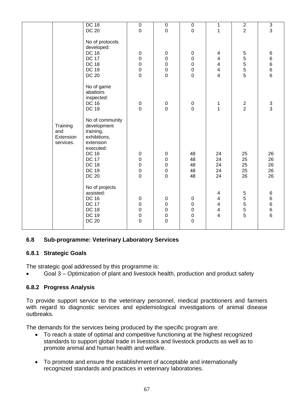|                                           | <b>DC 18</b>                                                                                                                                                          | $\pmb{0}$                                                                        | $\boldsymbol{0}$                                                         | $\pmb{0}$                                                                  | 1                                                                                       | $\overline{2}$             | $\overline{3}$                      |
|-------------------------------------------|-----------------------------------------------------------------------------------------------------------------------------------------------------------------------|----------------------------------------------------------------------------------|--------------------------------------------------------------------------|----------------------------------------------------------------------------|-----------------------------------------------------------------------------------------|----------------------------|-------------------------------------|
|                                           | <b>DC 20</b>                                                                                                                                                          | $\boldsymbol{0}$                                                                 | $\mathbf 0$                                                              | $\mathbf 0$                                                                | $\mathbf 1$                                                                             | $\overline{2}$             | 3                                   |
|                                           | No of protocols<br>developed:<br><b>DC 16</b><br><b>DC 17</b><br><b>DC 18</b><br><b>DC 19</b><br><b>DC 20</b>                                                         | $\pmb{0}$<br>$\pmb{0}$<br>$\mathbf 0$<br>$\begin{array}{c} 0 \\ 0 \end{array}$   | $\pmb{0}$<br>$\pmb{0}$<br>$\pmb{0}$<br>$\pmb{0}$<br>$\mathbf 0$          | $\pmb{0}$<br>$\pmb{0}$<br>$\pmb{0}$<br>$\pmb{0}$<br>$\mathbf 0$            | 4<br>$\overline{\mathbf{4}}$<br>4<br>$\overline{\mathbf{4}}$<br>$\overline{\mathbf{4}}$ | 555555                     | $\,6$<br>6<br>6<br>$\,$ 6 $\,$<br>6 |
|                                           | No of game<br>abattoirs<br>inspected:<br><b>DC 16</b><br><b>DC 19</b>                                                                                                 | $\begin{array}{c} 0 \\ 0 \end{array}$                                            | $\begin{array}{c} 0 \\ 0 \end{array}$                                    | $\begin{smallmatrix} 0\\0 \end{smallmatrix}$                               | 1<br>$\overline{1}$                                                                     | $\frac{2}{2}$              | $\frac{3}{3}$                       |
| Training<br>and<br>Extension<br>services. | No of community<br>development<br>training,<br>exhibitions,<br>extension<br>executed:<br><b>DC 16</b><br><b>DC 17</b><br><b>DC 18</b><br><b>DC 19</b><br><b>DC 20</b> | $\pmb{0}$<br>$\mathbf 0$<br>$\mathbf 0$<br>$\begin{array}{c} 0 \\ 0 \end{array}$ | $\pmb{0}$<br>$\pmb{0}$<br>$\mathbf 0$<br>$\pmb{0}$<br>$\overline{0}$     | 48<br>48<br>48<br>48<br>48                                                 | 24<br>24<br>24<br>24<br>24                                                              | 25<br>25<br>25<br>25<br>26 | 26<br>26<br>26<br>26<br>26          |
|                                           | No of projects<br>assisted:<br><b>DC 16</b><br><b>DC 17</b><br><b>DC 18</b><br><b>DC 19</b><br><b>DC 20</b>                                                           | $\pmb{0}$<br>$\mathbf 0$<br>$\mathbf 0$<br>$\mathbf 0$<br>$\overline{0}$         | $\pmb{0}$<br>$\pmb{0}$<br>$\mathbf 0$<br>$\boldsymbol{0}$<br>$\mathbf 0$ | $\pmb{0}$<br>$\mathbf 0$<br>$\mathbf 0$<br>$\boldsymbol{0}$<br>$\mathbf 0$ | 4<br>$\overline{\mathbf{4}}$<br>$\frac{4}{4}$<br>$\overline{4}$                         | 555555                     | 6<br>6<br>6<br>6<br>6               |

#### **6.8 Sub-programme: Veterinary Laboratory Services**

#### **6.8.1 Strategic Goals**

The strategic goal addressed by this programme is:

• Goal 3 – Optimization of plant and livestock health, production and product safety

#### **6.8.2 Progress Analysis**

To provide support service to the veterinary personnel, medical practitioners and farmers with regard to diagnostic services and epidemiological investigations of animal disease outbreaks.

The demands for the services being produced by the specific program are:

- To reach a state of optimal and competitive functioning at the highest recognized standards to support global trade in livestock and livestock products as well as to promote animal and human health and welfare.
- To promote and ensure the establishment of acceptable and internationally recognized standards and practices in veterinary laboratories.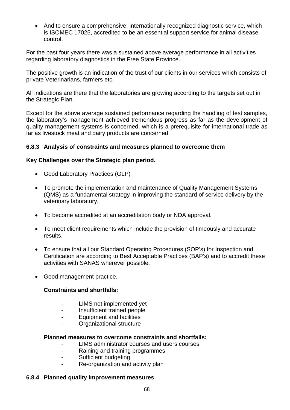• And to ensure a comprehensive, internationally recognized diagnostic service, which is ISOMEC 17025, accredited to be an essential support service for animal disease control.

For the past four years there was a sustained above average performance in all activities regarding laboratory diagnostics in the Free State Province.

The positive growth is an indication of the trust of our clients in our services which consists of private Veterinarians, farmers etc.

All indications are there that the laboratories are growing according to the targets set out in the Strategic Plan.

Except for the above average sustained performance regarding the handling of test samples, the laboratory's management achieved tremendous progress as far as the development of quality management systems is concerned, which is a prerequisite for international trade as far as livestock meat and dairy products are concerned.

#### **6.8.3 Analysis of constraints and measures planned to overcome them**

#### **Key Challenges over the Strategic plan period.**

- Good Laboratory Practices (GLP)
- To promote the implementation and maintenance of Quality Management Systems (QMS) as a fundamental strategy in improving the standard of service delivery by the veterinary laboratory.
- To become accredited at an accreditation body or NDA approval.
- To meet client requirements which include the provision of timeously and accurate results.
- To ensure that all our Standard Operating Procedures (SOP's) for Inspection and Certification are according to Best Acceptable Practices (BAP's) and to accredit these activities with SANAS wherever possible.
- Good management practice.

#### **Constraints and shortfalls:**

- LIMS not implemented yet
- Insufficient trained people
- Equipment and facilities
- Organizational structure

#### **Planned measures to overcome constraints and shortfalls:**

- LIMS administrator courses and users courses
- Raining and training programmes
- Sufficient budgeting
- Re-organization and activity plan

#### **6.8.4 Planned quality improvement measures**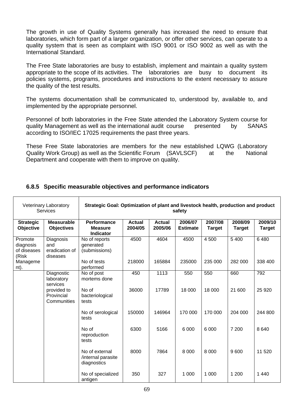The growth in use of Quality Systems generally has increased the need to ensure that laboratories, which form part of a larger organization, or offer other services, can operate to a quality system that is seen as complaint with ISO 9001 or ISO 9002 as well as with the International Standard.

The Free State laboratories are busy to establish, implement and maintain a quality system appropriate to the scope of its activities. The laboratories are busy to document its policies systems, programs, procedures and instructions to the extent necessary to assure the quality of the test results.

The systems documentation shall be communicated to, understood by, available to, and implemented by the appropriate personnel.

Personnel of both laboratories in the Free State attended the Laboratory System course for quality Management as well as the international audit course presented by SANAS according to ISO/IEC 17025 requirements the past three years.

These Free State laboratories are members for the new established LQWG (Laboratory Quality Work Group) as well as the Scientific Forum (SAVLSCF) at the National Department and cooperate with them to improve on quality.

|                                              | Veterinary Laboratory<br>Services              | Strategic Goal: Optimization of plant and livestock health, production and product<br>safety |                          |                          |                            |                          |                          |                          |  |  |
|----------------------------------------------|------------------------------------------------|----------------------------------------------------------------------------------------------|--------------------------|--------------------------|----------------------------|--------------------------|--------------------------|--------------------------|--|--|
| <b>Strategic</b><br><b>Objective</b>         | <b>Measurable</b><br><b>Objectives</b>         | <b>Performance</b><br><b>Measure</b><br><b>Indicator</b>                                     | <b>Actual</b><br>2004/05 | <b>Actual</b><br>2005/06 | 2006/07<br><b>Estimate</b> | 2007/08<br><b>Target</b> | 2008/09<br><b>Target</b> | 2009/10<br><b>Target</b> |  |  |
| Promote<br>diagnosis<br>of diseases<br>(Risk | Diagnosis<br>and<br>eradication of<br>diseases | No of reports<br>generated<br>(submissions)                                                  | 4500                     | 4604                     | 4500                       | 4 500                    | 5 4 0 0                  | 6480                     |  |  |
| Manageme<br>nt).                             |                                                | No of tests<br>performed                                                                     | 218000                   | 165884                   | 235000                     | 235 000                  | 282 000                  | 338 400                  |  |  |
|                                              | Diagnostic<br>laboratory<br>services           | No of post<br>mortems done                                                                   | 450                      | 1113                     | 550                        | 550                      | 660                      | 792                      |  |  |
|                                              | provided to<br>Provincial<br>Communities       | No of<br>bacteriological<br>tests                                                            | 36000                    | 17789                    | 18 000                     | 18 000                   | 21 600                   | 25 9 20                  |  |  |
|                                              |                                                | No of serological<br>tests                                                                   | 150000                   | 146964                   | 170 000                    | 170 000                  | 204 000                  | 244 800                  |  |  |
|                                              |                                                | No of<br>reproduction<br>tests                                                               | 6300                     | 5166                     | 6 0 0 0                    | 6 0 0 0                  | 7 200                    | 8640                     |  |  |
|                                              |                                                | No of external<br>/internal parasite<br>diagnostics                                          | 8000                     | 7864                     | 8 0 0 0                    | 8 0 0 0                  | 9600                     | 11 520                   |  |  |
|                                              |                                                | No of specialized<br>antigen                                                                 | 350                      | 327                      | 1 0 0 0                    | 1 0 0 0                  | 1 200                    | 1 4 4 0                  |  |  |

#### **6.8.5 Specific measurable objectives and performance indicators**

 $\mathsf{r}$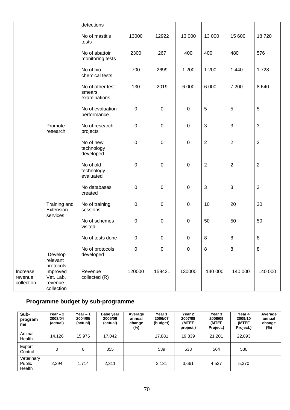|                                   |                                                | detections                                 |             |             |             |                |                  |                |
|-----------------------------------|------------------------------------------------|--------------------------------------------|-------------|-------------|-------------|----------------|------------------|----------------|
|                                   |                                                | No of mastitis<br>tests                    | 13000       | 12922       | 13 000      | 13 000         | 15 600           | 18720          |
|                                   |                                                | No of abattoir<br>monitoring tests         | 2300        | 267         | 400         | 400            | 480              | 576            |
|                                   |                                                | No of bio-<br>chemical tests               | 700         | 2699        | 1 200       | 1 200          | 1 4 4 0          | 1728           |
|                                   |                                                | No of other test<br>smears<br>examinations | 130         | 2019        | 6 0 0 0     | 6 0 0 0        | 7 200            | 8640           |
|                                   |                                                | No of evaluation<br>performance            | $\pmb{0}$   | $\pmb{0}$   | $\mathbf 0$ | $\sqrt{5}$     | $\sqrt{5}$       | 5              |
|                                   | Promote<br>research                            | No of research<br>projects                 | $\pmb{0}$   | $\mathbf 0$ | $\mathbf 0$ | $\sqrt{3}$     | $\mathbf{3}$     | $\mathfrak{S}$ |
|                                   |                                                | No of new<br>technology<br>developed       | $\mathbf 0$ | $\pmb{0}$   | $\mathbf 0$ | $\overline{2}$ | $\boldsymbol{2}$ | $\overline{2}$ |
|                                   |                                                | No of old<br>technology<br>evaluated       | $\pmb{0}$   | $\pmb{0}$   | $\pmb{0}$   | $\overline{2}$ | $\overline{2}$   | $\overline{2}$ |
|                                   |                                                | No databases<br>created                    | $\pmb{0}$   | $\mathbf 0$ | $\pmb{0}$   | $\sqrt{3}$     | $\sqrt{3}$       | $\mathfrak{S}$ |
|                                   | Training and<br>Extension<br>services          | No of training<br>sessions                 | $\pmb{0}$   | $\pmb{0}$   | $\pmb{0}$   | 10             | 20               | 30             |
|                                   |                                                | No of schemes<br>visited                   | $\mathbf 0$ | $\pmb{0}$   | $\pmb{0}$   | 50             | 50               | 50             |
|                                   |                                                | No of tests done                           | $\Omega$    | $\Omega$    | 0           | 8              | $\,8\,$          | 8              |
|                                   | Develop<br>relevant<br>protocols               | No of protocols<br>developed               | $\mathbf 0$ | $\pmb{0}$   | $\pmb{0}$   | 8              | $\bf 8$          | $\, 8$         |
| Increase<br>revenue<br>collection | Improved<br>Vet. Lab.<br>revenue<br>collection | Revenue<br>collected (R)                   | 120000      | 159421      | 130000      | 140 000        | 140 000          | 140 000        |
|                                   |                                                |                                            |             |             |             |                |                  |                |

# **Programme budget by sub-programme**

| Sub-<br>program<br>me          | Year $-2$<br>2003/04<br>(actual) | Year $-1$<br>2004/05<br>(actual) | Base year<br>2005/06<br>(actual) | Average<br>annual<br>change<br>$(\%)$ | Year 1<br>2006/07<br>(budget) | Year 2<br>2007/08<br>(MTEF<br>project.) | Year 3<br>2008/09<br>(MTEF<br>Project.) | Year 4<br>2009/10<br>(MTEF<br>Project.) | Average<br>annual<br>change<br>$(\%)$ |
|--------------------------------|----------------------------------|----------------------------------|----------------------------------|---------------------------------------|-------------------------------|-----------------------------------------|-----------------------------------------|-----------------------------------------|---------------------------------------|
| Animal<br>Health               | 14.126                           | 15.976                           | 17.042                           |                                       | 17,881                        | 19.339                                  | 21.201                                  | 22,893                                  |                                       |
| Export<br>Control              | 0                                | 0                                | 355                              |                                       | 539                           | 533                                     | 564                                     | 580                                     |                                       |
| Veterinary<br>Public<br>Health | 2,294                            | 1.714                            | 2,311                            |                                       | 2,131                         | 3,661                                   | 4.527                                   | 5,370                                   |                                       |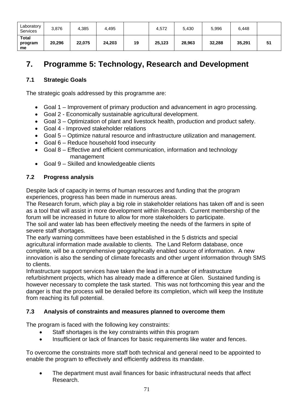| Laboratory<br>Services        | 3,876  | 4,385  | 4.495  |    | 4,572  | 5,430  | 5,996  | 6,448  |    |
|-------------------------------|--------|--------|--------|----|--------|--------|--------|--------|----|
| <b>Total</b><br>program<br>me | 20,296 | 22,075 | 24,203 | 19 | 25.123 | 28,963 | 32,288 | 35,291 | 51 |

# **7. Programme 5: Technology, Research and Development**

# **7.1 Strategic Goals**

The strategic goals addressed by this programme are:

- Goal 1 Improvement of primary production and advancement in agro processing.
- Goal 2 Economically sustainable agricultural development.
- Goal 3 Optimization of plant and livestock health, production and product safety.
- Goal 4 Improved stakeholder relations
- Goal 5 Optimize natural resource and infrastructure utilization and management.
- Goal 6 Reduce household food insecurity
- Goal 8 Effective and efficient communication, information and technology management
- Goal 9 Skilled and knowledgeable clients

# **7.2 Progress analysis**

Despite lack of capacity in terms of human resources and funding that the program experiences, progress has been made in numerous areas.

The Research forum, which play a big role in stakeholder relations has taken off and is seen as a tool that will assist in more development within Research. Current membership of the forum will be increased in future to allow for more stakeholders to participate.

The soil and water lab has been effectively meeting the needs of the farmers in spite of severe staff shortages.

The early warning committees have been established in the 5 districts and special agricultural information made available to clients. The Land Reform database, once complete, will be a comprehensive geographically enabled source of information. A new innovation is also the sending of climate forecasts and other urgent information through SMS to clients.

Infrastructure support services have taken the lead in a number of infrastructure refurbishment projects, which has already made a difference at Glen. Sustained funding is however necessary to complete the task started. This was not forthcoming this year and the danger is that the process will be derailed before its completion, which will keep the Institute from reaching its full potential.

# **7.3 Analysis of constraints and measures planned to overcome them**

The program is faced with the following key constraints:

- Staff shortages is the key constraints within this program
- Insufficient or lack of finances for basic requirements like water and fences.

To overcome the constraints more staff both technical and general need to be appointed to enable the program to effectively and efficiently address its mandate.

• The department must avail finances for basic infrastructural needs that affect Research.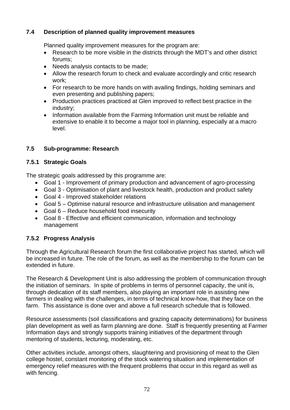# **7.4 Description of planned quality improvement measures**

Planned quality improvement measures for the program are:

- Research to be more visible in the districts through the MDT's and other district forums;
- Needs analysis contacts to be made;
- Allow the research forum to check and evaluate accordingly and critic research work;
- For research to be more hands on with availing findings, holding seminars and even presenting and publishing papers;
- Production practices practiced at Glen improved to reflect best practice in the industry;
- Information available from the Farming Information unit must be reliable and extensive to enable it to become a major tool in planning, especially at a macro level.

## **7.5 Sub-programme: Research**

#### **7.5.1 Strategic Goals**

The strategic goals addressed by this programme are:

- Goal 1 Improvement of primary production and advancement of agro-processing
- Goal 3 Optimisation of plant and livestock health, production and product safety
- Goal 4 Improved stakeholder relations
- Goal 5 Optimise natural resource and infrastructure utilisation and management
- Goal 6 Reduce household food insecurity
- Goal 8 Effective and efficient communication, information and technology management

# **7.5.2 Progress Analysis**

Through the Agricultural Research forum the first collaborative project has started, which will be increased in future. The role of the forum, as well as the membership to the forum can be extended in future.

The Research & Development Unit is also addressing the problem of communication through the initiation of seminars. In spite of problems in terms of personnel capacity, the unit is, through dedication of its staff members, also playing an important role in assisting new farmers in dealing with the challenges, in terms of technical know-how, that they face on the farm. This assistance is done over and above a full research schedule that is followed.

Resource assessments (soil classifications and grazing capacity determinations) for business plan development as well as farm planning are done. Staff is frequently presenting at Farmer Information days and strongly supports training initiatives of the department through mentoring of students, lecturing, moderating, etc.

Other activities include, amongst others, slaughtering and provisioning of meat to the Glen college hostel, constant monitoring of the stock watering situation and implementation of emergency relief measures with the frequent problems that occur in this regard as well as with fencing.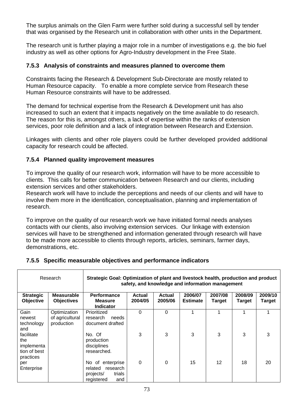The surplus animals on the Glen Farm were further sold during a successful sell by tender that was organised by the Research unit in collaboration with other units in the Department.

The research unit is further playing a major role in a number of investigations e.g. the bio fuel industry as well as other options for Agro-Industry development in the Free State.

#### **7.5.3 Analysis of constraints and measures planned to overcome them**

Constraints facing the Research & Development Sub-Directorate are mostly related to Human Resource capacity. To enable a more complete service from Research these Human Resource constraints will have to be addressed.

The demand for technical expertise from the Research & Development unit has also increased to such an extent that it impacts negatively on the time available to do research. The reason for this is, amongst others, a lack of expertise within the ranks of extension services, poor role definition and a lack of integration between Research and Extension.

Linkages with clients and other role players could be further developed provided additional capacity for research could be affected.

#### **7.5.4 Planned quality improvement measures**

To improve the quality of our research work, information will have to be more accessible to clients. This calls for better communication between Research and our clients, including extension services and other stakeholders.

Research work will have to include the perceptions and needs of our clients and will have to involve them more in the identification, conceptualisation, planning and implementation of research.

To improve on the quality of our research work we have initiated formal needs analyses contacts with our clients, also involving extension services. Our linkage with extension services will have to be strengthened and information generated through research will have to be made more accessible to clients through reports, articles, seminars, farmer days, demonstrations, etc.

# **7.5.5 Specific measurable objectives and performance indicators**

| Research                                                     |                                               | Strategic Goal: Optimization of plant and livestock health, production and product<br>safety, and knowledge and information management |                          |                   |                            |                   |                   |                          |  |
|--------------------------------------------------------------|-----------------------------------------------|----------------------------------------------------------------------------------------------------------------------------------------|--------------------------|-------------------|----------------------------|-------------------|-------------------|--------------------------|--|
| <b>Strategic</b><br>Objective                                | <b>Measurable</b><br><b>Objectives</b>        | <b>Performance</b><br><b>Measure</b><br><b>Indicator</b>                                                                               | <b>Actual</b><br>2004/05 | Actual<br>2005/06 | 2006/07<br><b>Estimate</b> | 2007/08<br>Target | 2008/09<br>Target | 2009/10<br><b>Target</b> |  |
| Gain<br>newest<br>technology<br>and                          | Optimization<br>of agricultural<br>production | Prioritized<br>research<br>needs<br>document drafted                                                                                   | $\Omega$                 | 0                 | 4                          |                   |                   |                          |  |
| facilitate<br>the<br>implementa<br>tion of best<br>practices |                                               | No. Of<br>production<br>disciplines<br>researched.                                                                                     | 3                        | 3                 | 3                          | 3                 | 3                 | 3                        |  |
| per<br>Enterprise                                            |                                               | No of enterprise<br>research<br>related<br>trials<br>projects/<br>registered<br>and                                                    | 0                        | 0                 | 15                         | 12 <sup>2</sup>   | 18                | 20                       |  |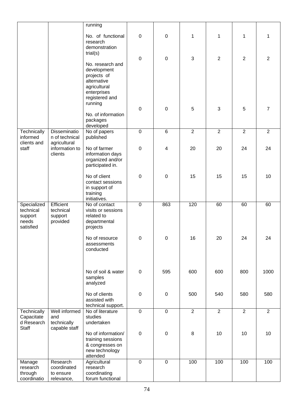|                            |                                       | running                                |                |                  |                |                |                |                |
|----------------------------|---------------------------------------|----------------------------------------|----------------|------------------|----------------|----------------|----------------|----------------|
|                            |                                       | No. of functional<br>research          | 0              | $\boldsymbol{0}$ | $\mathbf{1}$   | 1              | 1              | 1              |
|                            |                                       | demonstration<br>trial(s)              |                |                  |                |                |                |                |
|                            |                                       |                                        | $\mathbf 0$    | $\boldsymbol{0}$ | 3              | $\overline{2}$ | $\sqrt{2}$     | $\overline{2}$ |
|                            |                                       | No. research and                       |                |                  |                |                |                |                |
|                            |                                       | development<br>projects of             |                |                  |                |                |                |                |
|                            |                                       | alternative                            |                |                  |                |                |                |                |
|                            |                                       | agricultural                           |                |                  |                |                |                |                |
|                            |                                       | enterprises<br>registered and          |                |                  |                |                |                |                |
|                            |                                       | running                                |                |                  |                |                |                |                |
|                            |                                       | No. of information                     | $\mathbf 0$    | $\boldsymbol{0}$ | 5              | $\mathbf{3}$   | 5              | 7              |
|                            |                                       | packages                               |                |                  |                |                |                |                |
|                            |                                       | developed                              |                |                  |                |                |                |                |
| Technically<br>informed    | <b>Disseminatio</b><br>n of technical | No of papers<br>published              | $\pmb{0}$      | 6                | $\overline{2}$ | $\overline{2}$ | $\overline{2}$ | $\overline{2}$ |
| clients and                | agricultural                          |                                        |                |                  |                |                |                |                |
| staff                      | information to                        | No of farmer                           | $\pmb{0}$      | 4                | 20             | 20             | 24             | 24             |
|                            | clients                               | information days<br>organized and/or   |                |                  |                |                |                |                |
|                            |                                       | participated in.                       |                |                  |                |                |                |                |
|                            |                                       | No of client                           | 0              | $\boldsymbol{0}$ | 15             | 15             | 15             | 10             |
|                            |                                       | contact sessions                       |                |                  |                |                |                |                |
|                            |                                       | in support of                          |                |                  |                |                |                |                |
|                            |                                       | training<br>initiatives.               |                |                  |                |                |                |                |
| Specialized                | Efficient                             | No of contact                          | $\overline{0}$ | 863              | 120            | 60             | 60             | 60             |
| technical<br>support       | technical<br>support                  | visits or sessions<br>related to       |                |                  |                |                |                |                |
| needs                      | provided                              | departmental                           |                |                  |                |                |                |                |
| satisfied                  |                                       | projects                               |                |                  |                |                |                |                |
|                            |                                       | No of resource                         | 0              | 0                | 16             | 20             | 24             | 24             |
|                            |                                       | assessments                            |                |                  |                |                |                |                |
|                            |                                       | conducted                              |                |                  |                |                |                |                |
|                            |                                       |                                        |                |                  |                |                |                |                |
|                            |                                       | No of soil & water                     | $\mathbf 0$    | 595              | 600            | 600            | 800            | 1000           |
|                            |                                       | samples                                |                |                  |                |                |                |                |
|                            |                                       | analyzed                               |                |                  |                |                |                |                |
|                            |                                       | No of clients                          | $\mathbf 0$    | $\boldsymbol{0}$ | 500            | 540            | 580            | 580            |
|                            |                                       | assisted with                          |                |                  |                |                |                |                |
| Technically                | Well informed                         | technical support.<br>No of literature | $\mathbf 0$    | $\mathbf 0$      | $\overline{2}$ | $\overline{2}$ | $\overline{2}$ | $\overline{2}$ |
| Capacitate                 | and                                   | studies                                |                |                  |                |                |                |                |
| d Research<br><b>Staff</b> | technically<br>capable staff          | undertaken                             |                |                  |                |                |                |                |
|                            |                                       | No of information/                     | $\mathbf 0$    | $\boldsymbol{0}$ | 8              | 10             | 10             | 10             |
|                            |                                       | training sessions<br>& congresses on   |                |                  |                |                |                |                |
|                            |                                       | new technology                         |                |                  |                |                |                |                |
|                            |                                       | attended                               |                |                  |                |                |                |                |
| Manage<br>research         | Research<br>coordinated               | Agricultural<br>research               | $\overline{0}$ | $\mathbf 0$      | 100            | 100            | 100            | 100            |
| through                    | to ensure                             | coordinating                           |                |                  |                |                |                |                |
| coordinatio                | relevance,                            | forum functional                       |                |                  |                |                |                |                |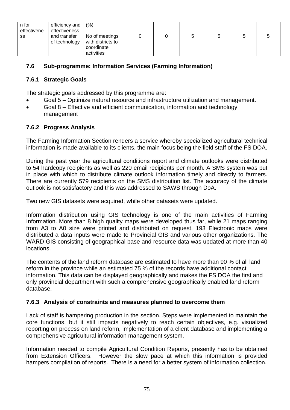| n for<br>effectivene<br>SS | efficiency and<br>effectiveness<br>and transfer<br>of technology | (% )<br>No of meetings<br>with districts to |  | 5 |  |
|----------------------------|------------------------------------------------------------------|---------------------------------------------|--|---|--|
|                            |                                                                  | coordinate<br>activities                    |  |   |  |

## **7.6 Sub-programme: Information Services (Farming Information)**

#### **7.6.1 Strategic Goals**

The strategic goals addressed by this programme are:

- Goal 5 Optimize natural resource and infrastructure utilization and management.
- Goal 8 Effective and efficient communication, information and technology management

#### **7.6.2 Progress Analysis**

The Farming Information Section renders a service whereby specialized agricultural technical information is made available to its clients, the main focus being the field staff of the FS DOA.

During the past year the agricultural conditions report and climate outlooks were distributed to 54 hardcopy recipients as well as 220 email recipients per month. A SMS system was put in place with which to distribute climate outlook information timely and directly to farmers. There are currently 579 recipients on the SMS distribution list. The accuracy of the climate outlook is not satisfactory and this was addressed to SAWS through DoA.

Two new GIS datasets were acquired, while other datasets were updated.

Information distribution using GIS technology is one of the main activities of Farming Information. More than 8 high quality maps were developed thus far, while 21 maps ranging from A3 to A0 size were printed and distributed on request. 193 Electronic maps were distributed a data inputs were made to Provincial GIS and various other organizations. The WARD GIS consisting of geographical base and resource data was updated at more than 40 locations.

The contents of the land reform database are estimated to have more than 90 % of all land reform in the province while an estimated 75 % of the records have additional contact information. This data can be displayed geographically and makes the FS DOA the first and only provincial department with such a comprehensive geographically enabled land reform database.

#### **7.6.3 Analysis of constraints and measures planned to overcome them**

Lack of staff is hampering production in the section. Steps were implemented to maintain the core functions, but it still impacts negatively to reach certain objectives, e.g. visualized reporting on process on land reform, implementation of a client database and implementing a comprehensive agricultural information management system.

Information needed to compile Agricultural Condition Reports, presently has to be obtained from Extension Officers. However the slow pace at which this information is provided hampers compilation of reports. There is a need for a better system of information collection.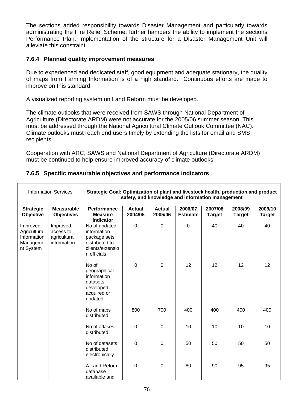The sections added responsibility towards Disaster Management and particularly towards administrating the Fire Relief Scheme, further hampers the ability to implement the sections Performance Plan. Implementation of the structure for a Disaster Management Unit will alleviate this constraint.

#### **7.6.4 Planned quality improvement measures**

Due to experienced and dedicated staff, good equipment and adequate stationary, the quality of maps from Farming Information is of a high standard. Continuous efforts are made to improve on this standard.

A visualized reporting system on Land Reform must be developed.

The climate outlooks that were received from SAWS through National Department of Agriculture (Directorate ARDM) were not accurate for the 2005/06 summer season. This must be addressed through the National Agricultural Climate Outlook Committee (NAC). Climate outlooks must reach end users timely by extending the lists for email and SMS recipients.

Cooperation with ARC, SAWS and National Department of Agriculture (Directorate ARDM) must be continued to help ensure improved accuracy of climate outlooks.

|  | 7.6.5 Specific measurable objectives and performance indicators |
|--|-----------------------------------------------------------------|
|  |                                                                 |

| <b>Information Services</b>                                      |                                                      | Strategic Goal: Optimization of plant and livestock health, production and product<br>safety, and knowledge and information management |                          |                          |                            |                          |                          |                          |  |  |
|------------------------------------------------------------------|------------------------------------------------------|----------------------------------------------------------------------------------------------------------------------------------------|--------------------------|--------------------------|----------------------------|--------------------------|--------------------------|--------------------------|--|--|
| <b>Strategic</b><br>Objective                                    | <b>Measurable</b><br><b>Objectives</b>               | Performance<br><b>Measure</b><br><b>Indicator</b>                                                                                      | <b>Actual</b><br>2004/05 | <b>Actual</b><br>2005/06 | 2006/07<br><b>Estimate</b> | 2007/08<br><b>Target</b> | 2008/09<br><b>Target</b> | 2009/10<br><b>Target</b> |  |  |
| Improved<br>Agricultural<br>Information<br>Manageme<br>nt System | Improved<br>access to<br>agricultural<br>information | No of updated<br>information<br>package sets<br>distributed to<br>clients/extensio<br>n officials                                      | $\overline{0}$           | $\mathbf 0$              | $\mathbf 0$                | 40                       | 40                       | 40                       |  |  |
|                                                                  |                                                      | No of<br>geographical<br>information<br>datasets<br>developed,<br>acquired or<br>updated                                               | $\mathbf 0$              | $\mathbf 0$              | 12                         | 12                       | 12                       | 12                       |  |  |
|                                                                  |                                                      | No of maps<br>distributed                                                                                                              | 800                      | 700                      | 400                        | 400                      | 400                      | 400                      |  |  |
|                                                                  |                                                      | No of atlases<br>distributed                                                                                                           | $\mathbf 0$              | $\mathbf 0$              | 10                         | 10                       | 10                       | 10                       |  |  |
|                                                                  |                                                      | No of datasets<br>distributed<br>electronically                                                                                        | $\overline{0}$           | 0                        | 50                         | 50                       | 50                       | 50                       |  |  |
|                                                                  |                                                      | A Land Reform<br>database<br>available and                                                                                             | $\mathbf 0$              | $\overline{0}$           | 80                         | 90                       | 95                       | 95                       |  |  |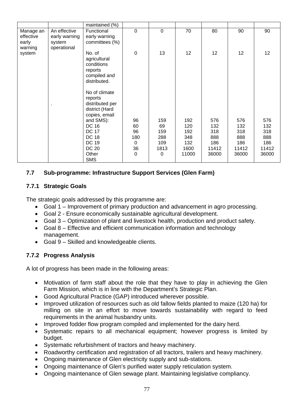|           |               | maintained (%)               |                |             |                 |       |       |                 |
|-----------|---------------|------------------------------|----------------|-------------|-----------------|-------|-------|-----------------|
| Manage an | An effective  | Functional                   | $\overline{0}$ | $\mathbf 0$ | 70              | 80    | 90    | 90              |
| effective | early warning | early warning                |                |             |                 |       |       |                 |
| early     | system        | committees (%)               |                |             |                 |       |       |                 |
| warning   | operational   |                              |                |             |                 |       |       |                 |
| system    |               | No. of                       | $\mathbf 0$    | 13          | 12 <sup>2</sup> | 12    | 12    | 12 <sub>2</sub> |
|           |               | agricultural                 |                |             |                 |       |       |                 |
|           |               | conditions                   |                |             |                 |       |       |                 |
|           |               | reports                      |                |             |                 |       |       |                 |
|           |               | compiled and<br>distributed. |                |             |                 |       |       |                 |
|           |               |                              |                |             |                 |       |       |                 |
|           |               | No of climate                |                |             |                 |       |       |                 |
|           |               | reports                      |                |             |                 |       |       |                 |
|           |               | distributed per              |                |             |                 |       |       |                 |
|           |               | district (Hard               |                |             |                 |       |       |                 |
|           |               | copies, email                |                |             |                 |       |       |                 |
|           |               | and SMS):                    | 96             | 159         | 192             | 576   | 576   | 576             |
|           |               | DC 16                        | 60             | 69          | 120             | 132   | 132   | 132             |
|           |               | <b>DC 17</b>                 | 96             | 159         | 192             | 318   | 318   | 318             |
|           |               | <b>DC 18</b>                 | 180            | 288         | 348             | 888   | 888   | 888             |
|           |               | <b>DC 19</b>                 | 0              | 109         | 132             | 186   | 186   | 186             |
|           |               | DC 20                        | 36             | 1813        | 1600            | 11412 | 11412 | 11412           |
|           |               | Other                        | 0              | 0           | 11000           | 36000 | 36000 | 36000           |
|           |               | <b>SMS</b>                   |                |             |                 |       |       |                 |

#### **7.7 Sub-programme: Infrastructure Support Services (Glen Farm)**

#### **7.7.1 Strategic Goals**

The strategic goals addressed by this programme are:

- Goal 1 Improvement of primary production and advancement in agro processing.
- Goal 2 Ensure economically sustainable agricultural development.
- Goal 3 Optimization of plant and livestock health, production and product safety.
- Goal 8 Effective and efficient communication information and technology management.
- Goal 9 Skilled and knowledgeable clients.

#### **7.7.2 Progress Analysis**

A lot of progress has been made in the following areas:

- Motivation of farm staff about the role that they have to play in achieving the Glen Farm Mission, which is in line with the Department's Strategic Plan.
- Good Agricultural Practice (GAP) introduced wherever possible.
- Improved utilization of resources such as old fallow fields planted to maize (120 ha) for milling on site in an effort to move towards sustainability with regard to feed requirements in the animal husbandry units.
- Improved fodder flow program compiled and implemented for the dairy herd.
- Systematic repairs to all mechanical equipment; however progress is limited by budget.
- Systematic refurbishment of tractors and heavy machinery.
- Roadworthy certification and registration of all tractors, trailers and heavy machinery.
- Ongoing maintenance of Glen electricity supply and sub-stations.
- Ongoing maintenance of Glen's purified water supply reticulation system.
- Ongoing maintenance of Glen sewage plant. Maintaining legislative compliancy.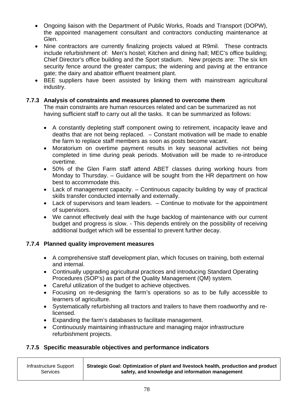- Ongoing liaison with the Department of Public Works, Roads and Transport (DOPW), the appointed management consultant and contractors conducting maintenance at Glen.
- Nine contractors are currently finalizing projects valued at R9mil. These contracts include refurbishment of: Men's hostel; Kitchen and dining hall; MEC's office building; Chief Director's office building and the Sport stadium. New projects are: The six km security fence around the greater campus; the widening and paving at the entrance gate; the dairy and abattoir effluent treatment plant.
- BEE suppliers have been assisted by linking them with mainstream agricultural industry.

#### **7.7.3 Analysis of constraints and measures planned to overcome them**

The main constraints are human resources related and can be summarized as not having sufficient staff to carry out all the tasks. It can be summarized as follows:

- A constantly depleting staff component owing to retirement, incapacity leave and deaths that are not being replaced. – Constant motivation will be made to enable the farm to replace staff members as soon as posts become vacant.
- Moratorium on overtime payment results in key seasonal activities not being completed in time during peak periods. Motivation will be made to re-introduce overtime.
- 50% of the Glen Farm staff attend ABET classes during working hours from Monday to Thursday. – Guidance will be sought from the HR department on how best to accommodate this.
- Lack of management capacity. Continuous capacity building by way of practical skills transfer conducted internally and externally.
- Lack of supervisors and team leaders. Continue to motivate for the appointment of supervisors.
- We cannot effectively deal with the huge backlog of maintenance with our current budget and progress is slow. - This depends entirely on the possibility of receiving additional budget which will be essential to prevent further decay.

#### **7.7.4 Planned quality improvement measures**

- A comprehensive staff development plan, which focuses on training, both external and internal.
- Continually upgrading agricultural practices and introducing Standard Operating Procedures (SOP's) as part of the Quality Management (QM) system.
- Careful utilization of the budget to achieve objectives.
- Focusing on re-designing the farm's operations so as to be fully accessible to learners of agriculture.
- Systematically refurbishing all tractors and trailers to have them roadworthy and relicensed.
- Expanding the farm's databases to facilitate management.
- Continuously maintaining infrastructure and managing major infrastructure refurbishment projects.

# **7.7.5 Specific measurable objectives and performance indicators**

| Infrastructure Support | Strategic Goal: Optimization of plant and livestock health, production and product |
|------------------------|------------------------------------------------------------------------------------|
| <b>Services</b>        | safety, and knowledge and information management                                   |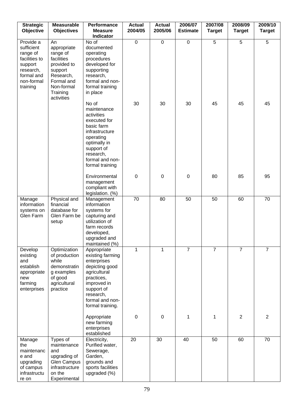| <b>Strategic</b><br>Objective                                                                                        | <b>Measurable</b><br><b>Objectives</b>                                                                                                   | Performance<br><b>Measure</b><br><b>Indicator</b>                                                                                                                                | <b>Actual</b><br>2004/05 | <b>Actual</b><br>2005/06 | 2006/07<br><b>Estimate</b> | 2007/08<br><b>Target</b> | 2008/09<br><b>Target</b> | 2009/10<br><b>Target</b> |
|----------------------------------------------------------------------------------------------------------------------|------------------------------------------------------------------------------------------------------------------------------------------|----------------------------------------------------------------------------------------------------------------------------------------------------------------------------------|--------------------------|--------------------------|----------------------------|--------------------------|--------------------------|--------------------------|
| Provide a<br>sufficient<br>range of<br>facilities to<br>support<br>research,<br>formal and<br>non-formal<br>training | An<br>appropriate<br>range of<br>facilities<br>provided to<br>support<br>Research,<br>Formal and<br>Non-formal<br>Training<br>activities | No of<br>documented<br>operating<br>procedures<br>developed for<br>supporting<br>research,<br>formal and non-<br>formal training<br>in place                                     | $\mathbf 0$              | $\mathbf 0$              | $\mathbf 0$                | 5                        | 5                        | 5                        |
|                                                                                                                      |                                                                                                                                          | No of<br>maintenance<br>activities<br>executed for<br>basic farm<br>infrastructure<br>operating<br>optimally in<br>support of<br>research,<br>formal and non-<br>formal training | 30                       | 30                       | 30                         | 45                       | 45                       | 45                       |
|                                                                                                                      |                                                                                                                                          | Environmental<br>management<br>compliant with<br>legislation. (%)                                                                                                                | $\pmb{0}$                | $\boldsymbol{0}$         | $\mathbf 0$                | 80                       | 85                       | 95                       |
| Manage<br>information<br>systems on<br>Glen Farm                                                                     | Physical and<br>financial<br>database for<br>Glen Farm be<br>setup                                                                       | Management<br>information<br>systems for<br>capturing and<br>utilization of<br>farm records<br>developed,<br>upgraded and<br>maintained (%)                                      | 70                       | 80                       | 50                         | 50                       | 60                       | 70                       |
| Develop<br>existing<br>and<br>establish<br>appropriate<br>new<br>farming<br>enterprises                              | Optimization<br>of production<br>while<br>demonstratin<br>g examples<br>of good<br>agricultural<br>practice                              | Appropriate<br>existing farming<br>enterprises<br>depicting good<br>agricultural<br>practices,<br>improved in<br>support of<br>research,<br>formal and non-<br>formal training.  | 1                        | $\mathbf{1}$             | $\overline{7}$             | $\overline{7}$           | $\overline{7}$           | $\overline{7}$           |
|                                                                                                                      |                                                                                                                                          | Appropriate<br>new farming<br>enterprises<br>established                                                                                                                         | $\pmb{0}$                | $\pmb{0}$                | 1                          | 1                        | $\overline{2}$           | $\overline{2}$           |
| Manage<br>the<br>maintenanc<br>e and<br>upgrading<br>of campus<br>infrastructu<br>re on                              | Types of<br>maintenance<br>and<br>upgrading of<br><b>Glen Campus</b><br>infrastructure<br>on the<br>Experimental                         | Electricity,<br>Purified water,<br>Sewerage,<br>Garden,<br>grounds and<br>sports facilities<br>upgraded (%)                                                                      | 20                       | 30                       | 40                         | 50                       | 60                       | 70                       |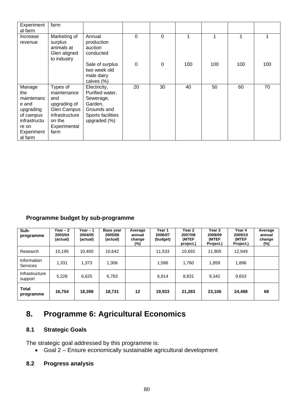| Experiment   | farm               |                            |              |             |     |     |     |     |
|--------------|--------------------|----------------------------|--------------|-------------|-----|-----|-----|-----|
| al farm      |                    |                            |              |             |     |     |     |     |
| Increase     | Marketing of       | Annual                     | $\mathbf{0}$ | 0           |     | 1   | 1   |     |
| revenue      | surplus            | production                 |              |             |     |     |     |     |
|              | animals at         | auction                    |              |             |     |     |     |     |
|              | Glen aligned       | conducted                  |              |             |     |     |     |     |
|              | to industry        |                            |              |             |     |     |     |     |
|              |                    | Sale of surplus            | $\Omega$     | $\mathbf 0$ | 100 | 100 | 100 | 100 |
|              |                    | two week old<br>male dairy |              |             |     |     |     |     |
|              |                    | calves (%)                 |              |             |     |     |     |     |
| Manage       | Types of           | Electricity,               | 20           | 30          | 40  | 50  | 60  | 70  |
| the          | maintenance        | Purified water,            |              |             |     |     |     |     |
| maintenanc   | and                | Sewerage,                  |              |             |     |     |     |     |
| e and        | upgrading of       | Garden,                    |              |             |     |     |     |     |
| upgrading    | <b>Glen Campus</b> | Grounds and                |              |             |     |     |     |     |
| of campus    | infrastructure     | Sports facilities          |              |             |     |     |     |     |
| infrastructu | on the             | upgraded (%)               |              |             |     |     |     |     |
| re on        | Experimental       |                            |              |             |     |     |     |     |
| Experiment   | farm               |                            |              |             |     |     |     |     |
| al farm      |                    |                            |              |             |     |     |     |     |

# **Programme budget by sub-programme**

| Sub-<br>programme              | Year $-2$<br>2003/04<br>(actual) | Year $-1$<br>2004/05<br>(actual) | Base year<br>2005/06<br>(actual) | Average<br>annual<br>change<br>$(\%)$ | Year 1<br>2006/07<br>(budget) | Year 2<br>2007/08<br>(MTEF<br>project.) | Year 3<br>2008/09<br>(MTEF<br>Project.) | Year 4<br>2009/10<br>(MTEF<br>Project.) | Average<br>annual<br>change<br>(%) |
|--------------------------------|----------------------------------|----------------------------------|----------------------------------|---------------------------------------|-------------------------------|-----------------------------------------|-----------------------------------------|-----------------------------------------|------------------------------------|
| Research                       | 10.195                           | 10.400                           | 10.642                           |                                       | 11,533                        | 10,692                                  | 11.905                                  | 12,949                                  |                                    |
| Information<br><b>Services</b> | 1,331                            | 1,373                            | 1,306                            |                                       | 1,586                         | 1,760                                   | 1,859                                   | 1,896                                   |                                    |
| Infrastructure<br>support      | 5,228                            | 6,625                            | 6,783                            |                                       | 6,814                         | 8.831                                   | 9,342                                   | 9,653                                   |                                    |
| <b>Total</b><br>programme      | 16,754                           | 18,398                           | 18,731                           | 12                                    | 19.933                        | 21,283                                  | 23,106                                  | 24,498                                  | 69                                 |

# **8. Programme 6: Agricultural Economics**

# **8.1 Strategic Goals**

The strategic goal addressed by this programme is:

• Goal 2 – Ensure economically sustainable agricultural development

# **8.2 Progress analysis**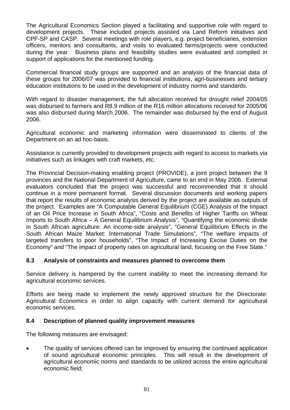The Agricultural Economics Section played a facilitating and supportive role with regard to development projects. These included projects assisted via Land Reform initiatives and CPF-SP and CASP. Several meetings with role players, e.g. project beneficiaries, extension officers, mentors and consultants, and visits to evaluated farms/projects were conducted during the year. Business plans and feasibility studies were evaluated and compiled in support of applications for the mentioned funding.

Commercial financial study groups are supported and an analysis of the financial data of these groups for 2006/07 was provided to financial institutions, agri-businesses and tertiary education institutions to be used in the development of industry norms and standards.

With regard to disaster management, the full allocation received for drought relief 2004/05 was disbursed to farmers and R8.9 million of the R16 million allocations received for 2005/06 was also disbursed during March 2006. The remainder was disbursed by the end of August 2006.

Agricultural economic and marketing information were disseminated to clients of the Department on an ad hoc-basis.

Assistance is currently provided to development projects with regard to access to markets via initiatives such as linkages with craft markets, etc.

The Provincial Decision-making enabling project (PROVIDE), a joint project between the 9 provinces and the National Department of Agriculture, came to an end in May 2006. External evaluators concluded that the project was successful and recommended that it should continue in a more permanent format. Several discussion documents and working papers that report the results of economic analysis derived by the project are available as outputs of the project. Examples are "A Computable General Equilibrium (CGE) Analysis of the Impact of an Oil Price Increase in South Africa", "Costs and Benefits of Higher Tariffs on Wheat Imports to South Africa – A General Equilibrium Analysis", "Quantifying the economic divide in South African agriculture: An income-side analysis", "General Equilibrium Effects in the South African Maize Market: International Trade Simulations", "The welfare impacts of targeted transfers to poor households", "The Impact of Increasing Excise Duties on the Economy" and "The impact of property rates on agricultural land, focusing on the Free State."

#### **8.3 Analysis of constraints and measures planned to overcome them**

Service delivery is hampered by the current inability to meet the increasing demand for agricultural economic services.

Efforts are being made to implement the newly approved structure for the Directorate: Agricultural Economics in order to align capacity with current demand for agricultural economic services.

#### **8.4 Description of planned quality improvement measures**

The following measures are envisaged:

The quality of services offered can be improved by ensuring the continued application of sound agricultural economic principles. This will result in the development of agricultural economic norms and standards to be utilized across the entire agricultural economic field;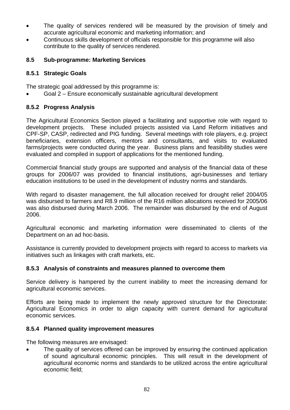- The quality of services rendered will be measured by the provision of timely and accurate agricultural economic and marketing information; and
- Continuous skills development of officials responsible for this programme will also contribute to the quality of services rendered.

#### **8.5 Sub-programme: Marketing Services**

#### **8.5.1 Strategic Goals**

The strategic goal addressed by this programme is:

• Goal 2 – Ensure economically sustainable agricultural development

# **8.5.2 Progress Analysis**

The Agricultural Economics Section played a facilitating and supportive role with regard to development projects. These included projects assisted via Land Reform initiatives and CPF-SP, CASP, redirected and PIG funding. Several meetings with role players, e.g. project beneficiaries, extension officers, mentors and consultants, and visits to evaluated farms/projects were conducted during the year. Business plans and feasibility studies were evaluated and compiled in support of applications for the mentioned funding.

Commercial financial study groups are supported and analysis of the financial data of these groups for 2006/07 was provided to financial institutions, agri-businesses and tertiary education institutions to be used in the development of industry norms and standards.

With regard to disaster management, the full allocation received for drought relief 2004/05 was disbursed to farmers and R8.9 million of the R16 million allocations received for 2005/06 was also disbursed during March 2006. The remainder was disbursed by the end of August 2006.

Agricultural economic and marketing information were disseminated to clients of the Department on an ad hoc-basis.

Assistance is currently provided to development projects with regard to access to markets via initiatives such as linkages with craft markets, etc.

#### **8.5.3 Analysis of constraints and measures planned to overcome them**

Service delivery is hampered by the current inability to meet the increasing demand for agricultural economic services.

Efforts are being made to implement the newly approved structure for the Directorate: Agricultural Economics in order to align capacity with current demand for agricultural economic services.

#### **8.5.4 Planned quality improvement measures**

The following measures are envisaged:

The quality of services offered can be improved by ensuring the continued application of sound agricultural economic principles. This will result in the development of agricultural economic norms and standards to be utilized across the entire agricultural economic field;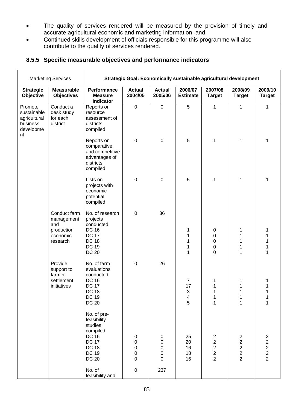- The quality of services rendered will be measured by the provision of timely and accurate agricultural economic and marketing information; and
- Continued skills development of officials responsible for this programme will also contribute to the quality of services rendered.

| <b>Marketing Services</b>                                             |                                                                         | Strategic Goal: Economically sustainable agricultural development                                                                  |                                                 |                                                                |                               |                                                                                         |                                                                                         |                                                                   |  |
|-----------------------------------------------------------------------|-------------------------------------------------------------------------|------------------------------------------------------------------------------------------------------------------------------------|-------------------------------------------------|----------------------------------------------------------------|-------------------------------|-----------------------------------------------------------------------------------------|-----------------------------------------------------------------------------------------|-------------------------------------------------------------------|--|
| <b>Strategic</b><br>Objective                                         | <b>Measurable</b><br><b>Objectives</b>                                  | Performance<br><b>Measure</b><br>Indicator                                                                                         | <b>Actual</b><br>2004/05                        | <b>Actual</b><br>2005/06                                       | 2006/07<br><b>Estimate</b>    | 2007/08<br><b>Target</b>                                                                | 2008/09<br><b>Target</b>                                                                | 2009/10<br><b>Target</b>                                          |  |
| Promote<br>sustainable<br>agricultural<br>business<br>developme<br>nt | Conduct a<br>desk study<br>for each<br>district                         | Reports on<br>resource<br>assessment of<br>districts<br>compiled                                                                   | $\mathbf 0$                                     | $\mathsf 0$                                                    | 5                             | 1                                                                                       | 1                                                                                       | 1                                                                 |  |
|                                                                       |                                                                         | Reports on<br>comparative<br>and competitive<br>advantages of<br>districts<br>compiled                                             | $\mathbf 0$                                     | $\mathbf 0$                                                    | 5                             | 1                                                                                       | 1                                                                                       | 1                                                                 |  |
|                                                                       |                                                                         | Lists on<br>projects with<br>economic<br>potential<br>compiled                                                                     | $\mathbf 0$                                     | $\overline{0}$                                                 | 5                             | 1                                                                                       | 1                                                                                       | 1                                                                 |  |
|                                                                       | Conduct farm<br>management<br>and<br>production<br>economic<br>research | No. of research<br>projects<br>conducted:<br><b>DC 16</b><br><b>DC 17</b><br><b>DC 18</b><br><b>DC 19</b><br><b>DC 20</b>          | $\mathbf 0$                                     | 36                                                             | 1<br>1<br>1<br>1<br>1         | $\boldsymbol{0}$<br>0<br>0<br>0<br>$\mathbf 0$                                          | 1<br>1<br>1<br>1                                                                        | 1<br>1<br>1<br>1                                                  |  |
|                                                                       | Provide<br>support to<br>farmer<br>settlement<br>initiatives            | No. of farm<br>evaluations<br>conducted:<br><b>DC 16</b><br><b>DC 17</b><br><b>DC 18</b><br><b>DC 19</b><br><b>DC 20</b>           | $\overline{0}$                                  | 26                                                             | 7<br>17<br>3<br>$\frac{4}{5}$ | 1<br>1<br>1<br>1<br>$\mathbf 1$                                                         | 1<br>1<br>1                                                                             | 1<br>1<br>1                                                       |  |
|                                                                       |                                                                         | No. of pre-<br>feasibility<br>studies<br>compiled:<br><b>DC 16</b><br><b>DC 17</b><br><b>DC 18</b><br><b>DC 19</b><br><b>DC 20</b> | 0<br>$\pmb{0}$<br>0<br>$\pmb{0}$<br>$\mathbf 0$ | 0<br>$\pmb{0}$<br>$\boldsymbol{0}$<br>$\pmb{0}$<br>$\mathbf 0$ | 25<br>20<br>16<br>18<br>16    | $\overline{c}$<br>$\overline{\mathbf{c}}$<br>$\begin{array}{c} 2 \\ 2 \\ 2 \end{array}$ | $\overline{c}$<br>$\overline{\mathbf{c}}$<br>$\begin{array}{c} 2 \\ 2 \\ 2 \end{array}$ | $\overline{c}$<br>$\begin{array}{c} 2 \\ 2 \\ 2 \\ 2 \end{array}$ |  |
|                                                                       |                                                                         | No. of<br>feasibility and                                                                                                          | $\mathbf 0$                                     | 237                                                            |                               |                                                                                         |                                                                                         |                                                                   |  |

#### **8.5.5 Specific measurable objectives and performance indicators**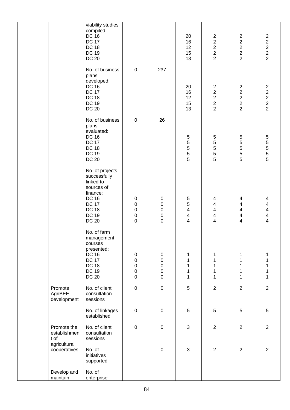|                                                     | viability studies<br>compiled:<br><b>DC 16</b><br><b>DC 17</b><br><b>DC 18</b><br><b>DC 19</b><br><b>DC 20</b>                                         |                                                                            |                                                                     | 20<br>16<br>12<br>15<br>13                                                                         | $\sqrt{2}$<br>$\begin{array}{c}\n2 \\ 2 \\ 2\n\end{array}$ | $\overline{c}$<br>$\begin{array}{c} 2 \\ 2 \\ 2 \\ 2 \end{array}$ | $\overline{c}$<br>$\begin{array}{c} 2 \\ 2 \\ 2 \\ 2 \end{array}$ |
|-----------------------------------------------------|--------------------------------------------------------------------------------------------------------------------------------------------------------|----------------------------------------------------------------------------|---------------------------------------------------------------------|----------------------------------------------------------------------------------------------------|------------------------------------------------------------|-------------------------------------------------------------------|-------------------------------------------------------------------|
|                                                     | No. of business<br>plans<br>developed:<br><b>DC 16</b><br><b>DC 17</b><br><b>DC 18</b><br><b>DC 19</b><br><b>DC 20</b>                                 | $\boldsymbol{0}$                                                           | 237                                                                 | 20<br>16<br>12<br>15<br>13                                                                         | $\begin{array}{c}\n 2 \\  2 \\  2 \\  2\n \end{array}$     | $2222$<br>$222$                                                   | $2222$<br>$222$                                                   |
|                                                     | No. of business<br>plans<br>evaluated:<br><b>DC 16</b><br><b>DC 17</b><br><b>DC 18</b><br><b>DC 19</b><br><b>DC 20</b>                                 | $\pmb{0}$                                                                  | 26                                                                  | $\mathbf 5$<br>5<br>5<br>$\frac{5}{5}$                                                             | $\frac{5}{5}$<br>5<br>$\frac{5}{5}$                        | 55555                                                             | 555555                                                            |
|                                                     | No. of projects<br>successfully<br>linked to<br>sources of<br>finance:<br><b>DC 16</b><br><b>DC 17</b><br><b>DC 18</b><br><b>DC 19</b><br><b>DC 20</b> | $\pmb{0}$<br>$\mathbf 0$<br>$\mathbf 0$<br>$\mathbf 0$<br>$\boldsymbol{0}$ | $\pmb{0}$<br>$\pmb{0}$<br>$\pmb{0}$<br>$\pmb{0}$<br>$\mathbf 0$     | $\,$ 5 $\,$<br>$\mathbf 5$<br>$\overline{\mathbf{4}}$<br>$\overline{\mathbf{4}}$<br>$\overline{4}$ | 4<br>4<br>4<br>4<br>4                                      | 4<br>4<br>4<br>4<br>4                                             | 4<br>4<br>$\overline{\mathbf{4}}$<br>$\overline{\mathbf{4}}$<br>4 |
|                                                     | No. of farm<br>management<br>courses<br>presented:<br><b>DC 16</b><br><b>DC 17</b><br><b>DC 18</b><br><b>DC 19</b><br><b>DC 20</b>                     | $\pmb{0}$<br>$\mathbf 0$<br>$\mathbf 0$<br>$\mathbf 0$<br>$\boldsymbol{0}$ | $\pmb{0}$<br>$\mathbf 0$<br>$\mathbf 0$<br>$\mathbf 0$<br>$\pmb{0}$ | 1<br>$\mathbf 1$<br>$\mathbf{1}$<br>$\mathbf 1$<br>$\mathbf{1}$                                    | 1<br>$\mathbf 1$<br>$\mathbf 1$<br>$\mathbf 1$<br>1        | 1<br>$\mathbf{1}$<br>$\mathbf 1$<br>1<br>1                        | 1<br>1<br>1<br>1<br>1                                             |
| Promote<br>AgriBEE<br>development                   | No. of client<br>consultation<br>sessions                                                                                                              | $\pmb{0}$                                                                  | $\mathbf 0$                                                         | $\sqrt{5}$                                                                                         | $\overline{c}$                                             | $\overline{2}$                                                    | $\overline{2}$                                                    |
|                                                     | No. of linkages<br>established                                                                                                                         | $\pmb{0}$                                                                  | $\pmb{0}$                                                           | $\sqrt{5}$                                                                                         | $\sqrt{5}$                                                 | 5                                                                 | 5                                                                 |
| Promote the<br>establishmen<br>t of<br>agricultural | No. of client<br>consultation<br>sessions                                                                                                              | $\pmb{0}$                                                                  | $\mathbf 0$                                                         | $\mathfrak{S}$                                                                                     | $\overline{2}$                                             | $\overline{2}$                                                    | $\overline{2}$                                                    |
| cooperatives                                        | No. of<br>initiatives<br>supported                                                                                                                     |                                                                            | $\pmb{0}$                                                           | $\mathfrak{S}$                                                                                     | $\mathbf 2$                                                | $\overline{2}$                                                    | $\overline{2}$                                                    |
| Develop and<br>maintain                             | No. of<br>enterprise                                                                                                                                   |                                                                            |                                                                     |                                                                                                    |                                                            |                                                                   |                                                                   |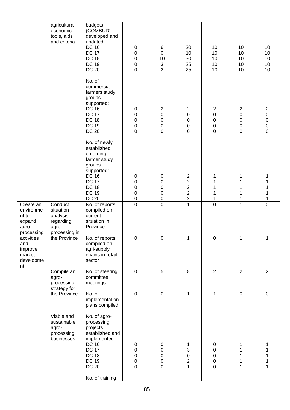|                                                                  | agricultural<br>economic<br>tools, aids<br>and criteria                 | budgets<br>(COMBUD)<br>developed and<br>updated:<br><b>DC 16</b><br><b>DC 17</b><br><b>DC 18</b><br><b>DC 19</b><br><b>DC 20</b>                                | 0<br>$\mathbf 0$<br>$\mathbf 0$<br>$\mathsf 0$<br>$\mathbf 0$  | 6<br>$\pmb{0}$<br>10<br>$\mathsf 3$<br>$\overline{2}$                    | 20<br>10<br>30<br>25<br>25                                               | 10<br>10<br>10<br>10<br>10                                                      | 10<br>10<br>10<br>10<br>10                                                 | 10<br>10<br>10<br>10<br>10                                                                |
|------------------------------------------------------------------|-------------------------------------------------------------------------|-----------------------------------------------------------------------------------------------------------------------------------------------------------------|----------------------------------------------------------------|--------------------------------------------------------------------------|--------------------------------------------------------------------------|---------------------------------------------------------------------------------|----------------------------------------------------------------------------|-------------------------------------------------------------------------------------------|
|                                                                  |                                                                         | No. of<br>commercial<br>farmers study<br>groups<br>supported:<br><b>DC 16</b><br><b>DC 17</b><br><b>DC 18</b><br><b>DC 19</b><br><b>DC 20</b>                   | 0<br>$\mathbf 0$<br>$\mathbf 0$<br>$\mathsf 0$<br>$\mathbf 0$  | $\overline{c}$<br>$\mathbf 0$<br>$\pmb{0}$<br>$\mathbf 0$<br>$\mathsf 0$ | $\overline{c}$<br>$\mathbf 0$<br>$\mathbf 0$<br>0<br>$\mathbf 0$         | $\overline{\mathbf{c}}$<br>$\mathbf 0$<br>$\pmb{0}$<br>$\pmb{0}$<br>$\mathbf 0$ | $\overline{c}$<br>$\mathbf 0$<br>$\mathbf 0$<br>$\mathbf 0$<br>$\mathbf 0$ | $\overline{\mathbf{c}}$<br>$\pmb{0}$<br>$\mathbf 0$<br>$\mathsf{O}\xspace$<br>$\mathsf 0$ |
|                                                                  |                                                                         | No. of newly<br>established<br>emerging<br>farmer study<br>groups<br>supported:<br><b>DC 16</b><br><b>DC 17</b><br><b>DC 18</b><br><b>DC 19</b><br><b>DC 20</b> | 0<br>$\mathbf 0$<br>$\mathbf 0$<br>$\mathbf 0$<br>$\mathbf 0$  | 0<br>0<br>$\mathbf 0$<br>$\pmb{0}$<br>$\mathsf 0$                        | $\overline{c}$<br>$\frac{2}{2}$<br>$\overline{2}$<br>$\overline{c}$      | 1<br>1<br>1<br>1<br>1                                                           | 1<br>1<br>1<br>1<br>1                                                      | 1<br>1<br>1<br>1                                                                          |
| Create an<br>environme<br>nt to<br>expand<br>agro-<br>processing | Conduct<br>situation<br>analysis<br>regarding<br>agro-<br>processing in | No. of reports<br>compiled on<br>current<br>situation in<br>Province                                                                                            | $\overline{0}$                                                 | $\overline{0}$                                                           | $\overline{1}$                                                           | $\overline{0}$                                                                  | $\overline{1}$                                                             | $\overline{0}$                                                                            |
| activities<br>and<br>improve<br>market<br>developme              | the Province                                                            | No. of reports<br>compiled on<br>agri-supply<br>chains in retail<br>sector                                                                                      | $\mathbf 0$                                                    | $\mathbf 0$                                                              | 1                                                                        | $\mathbf 0$                                                                     | 1                                                                          | 1                                                                                         |
| nt                                                               | Compile an<br>agro-<br>processing<br>strategy for                       | No. of steering<br>committee<br>meetings                                                                                                                        | $\pmb{0}$                                                      | 5                                                                        | 8                                                                        | $\overline{2}$                                                                  | $\overline{2}$                                                             | $\overline{2}$                                                                            |
|                                                                  | the Province                                                            | No. of<br>implementation<br>plans compiled                                                                                                                      | $\pmb{0}$                                                      | $\mathsf 0$                                                              | 1                                                                        | $\mathbf{1}$                                                                    | $\mathbf 0$                                                                | $\mathsf 0$                                                                               |
|                                                                  | Viable and<br>sustainable<br>agro-<br>processing<br>businesses          | No. of agro-<br>processing<br>projects<br>established and<br>implemented:<br><b>DC 16</b><br><b>DC 17</b><br><b>DC 18</b><br><b>DC 19</b><br><b>DC 20</b>       | 0<br>$\pmb{0}$<br>$\mathbf 0$<br>$\mathbf 0$<br>$\overline{0}$ | $\pmb{0}$<br>$\mathsf 0$<br>0<br>0<br>$\mathbf 0$                        | 1<br>$\mathsf 3$<br>$\mathbf 0$<br>$\begin{array}{c} 2 \\ 1 \end{array}$ | 0<br>$\pmb{0}$<br>$\mathbf 0$<br>$\pmb{0}$<br>$\mathbf 0$                       | 1<br>1<br>1<br>1<br>1                                                      | 1<br>1<br>1<br>1                                                                          |
|                                                                  |                                                                         | No. of training                                                                                                                                                 |                                                                |                                                                          |                                                                          |                                                                                 |                                                                            |                                                                                           |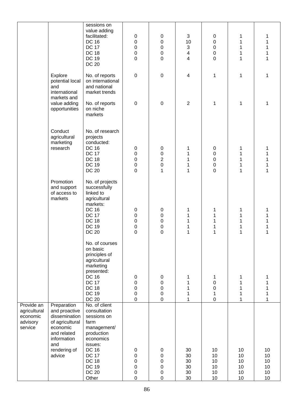|                                                               |                                                                                                                                             | sessions on                                                                                                                                                                                        |                                                        |                                                                                           |                                                           |                                                             |                                  |                                                      |
|---------------------------------------------------------------|---------------------------------------------------------------------------------------------------------------------------------------------|----------------------------------------------------------------------------------------------------------------------------------------------------------------------------------------------------|--------------------------------------------------------|-------------------------------------------------------------------------------------------|-----------------------------------------------------------|-------------------------------------------------------------|----------------------------------|------------------------------------------------------|
|                                                               |                                                                                                                                             | value adding<br>facilitated:<br><b>DC 16</b><br><b>DC 17</b><br><b>DC 18</b><br><b>DC 19</b><br><b>DC 20</b>                                                                                       | 0<br>$\mathbf 0$<br>$\mathbf 0$<br>0<br>$\overline{0}$ | $\pmb{0}$<br>$\mathsf 0$<br>$\mathsf 0$<br>$\mathbf 0$<br>$\overline{0}$                  | 3<br>10<br>3<br>$\overline{\mathbf{4}}$<br>$\overline{4}$ | 0<br>$\mathbf 0$<br>$\pmb{0}$<br>$\mathbf 0$<br>$\mathbf 0$ | 1<br>1<br>1<br>1<br>1            | 1<br>$\mathbf 1$<br>$\mathbf{1}$<br>$\mathbf 1$<br>1 |
|                                                               | Explore<br>potential local<br>and<br>international                                                                                          | No. of reports<br>on international<br>and national<br>market trends                                                                                                                                | $\boldsymbol{0}$                                       | $\pmb{0}$                                                                                 | $\overline{\mathcal{A}}$                                  | 1                                                           | $\mathbf{1}$                     | 1                                                    |
|                                                               | markets and<br>value adding<br>opportunities                                                                                                | No. of reports<br>on niche<br>markets                                                                                                                                                              | $\boldsymbol{0}$                                       | $\pmb{0}$                                                                                 | $\overline{2}$                                            | 1                                                           | 1                                | 1                                                    |
|                                                               | Conduct<br>agricultural<br>marketing<br>research                                                                                            | No. of research<br>projects<br>conducted:<br><b>DC 16</b><br><b>DC 17</b><br><b>DC 18</b><br><b>DC 19</b><br><b>DC 20</b>                                                                          | $\pmb{0}$<br>0<br>0<br>0<br>$\overline{0}$             | $\pmb{0}$<br>$\mathbf 0$<br>$\overline{c}$<br>$\mathbf 0$<br>$\mathbf{1}$                 | 1<br>1<br>1<br>1<br>1                                     | 0<br>0<br>0<br>0<br>0                                       | 1<br>1<br>1<br>1<br>1            | 1<br>1<br>1<br>1<br>1                                |
|                                                               | Promotion<br>and support<br>of access to<br>markets                                                                                         | No. of projects<br>successfully<br>linked to<br>agricultural<br>markets:<br><b>DC 16</b><br><b>DC 17</b><br><b>DC 18</b><br><b>DC 19</b><br><b>DC 20</b>                                           | $\pmb{0}$<br>0<br>0<br>0<br>$\overline{0}$             | $\pmb{0}$<br>$\boldsymbol{0}$<br>$\pmb{0}$<br>0<br>$\overline{0}$                         | 1<br>1<br>1<br>1<br>1                                     | 1<br>1<br>1<br>1<br>1                                       | 1<br>1<br>1<br>1                 | 1<br>1<br>1<br>1                                     |
|                                                               |                                                                                                                                             | No. of courses<br>on basic<br>principles of<br>agricultural<br>marketing<br>presented:<br><b>DC 16</b><br><b>DC 17</b><br><b>DC 18</b><br><b>DC 19</b><br><b>DC 20</b>                             | 0<br>0<br>0<br>0<br>0                                  | $\pmb{0}$<br>0<br>0<br>$\boldsymbol{0}$<br>$\mathbf 0$                                    | 1<br>1<br>1<br>1<br>1                                     | 1<br>0<br>0<br>1<br>$\pmb{0}$                               | 1<br>1<br>1<br>1<br>1            | 1<br>1<br>1<br>1<br>1                                |
| Provide an<br>agricultural<br>economic<br>advisory<br>service | Preparation<br>and proactive<br>dissemination<br>of agricultural<br>economic<br>and related<br>information<br>and<br>rendering of<br>advice | No. of client<br>consultation<br>sessions on<br>farm<br>management/<br>production<br>economics<br>issues:<br><b>DC 16</b><br><b>DC 17</b><br><b>DC 18</b><br><b>DC 19</b><br><b>DC 20</b><br>Other | 0<br>0<br>0<br>0<br>0<br>0                             | $\pmb{0}$<br>$\boldsymbol{0}$<br>$\boldsymbol{0}$<br>$\boldsymbol{0}$<br>0<br>$\mathbf 0$ | 30<br>30<br>30<br>30<br>30<br>30                          | 10<br>10<br>10<br>10<br>10<br>10                            | 10<br>10<br>10<br>10<br>10<br>10 | 10<br>10<br>10<br>10<br>10<br>10                     |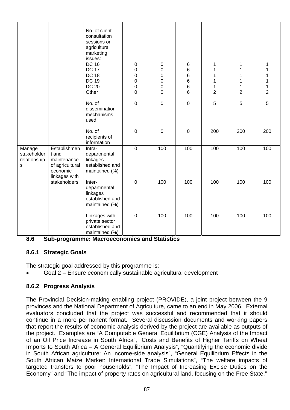|                                            |                                                                                      | No. of client<br>consultation<br>sessions on<br>agricultural<br>marketing<br>issues:<br><b>DC 16</b><br><b>DC 17</b><br><b>DC 18</b><br><b>DC 19</b><br><b>DC 20</b><br>Other | 0<br>0<br>0<br>0<br>0<br>0 | $\pmb{0}$<br>$\mathbf 0$<br>$\mathbf 0$<br>$\mathbf 0$<br>$\mathbf 0$<br>0 | $\,6$<br>$\,6$<br>6<br>$\,6$<br>$\,6$<br>6 | 1<br>1<br>1<br>1<br>$\mathbf 1$<br>$\overline{2}$ | 1<br>1<br>1<br>1<br>1<br>$\overline{2}$ | $\mathbf 1$<br>1<br>$\mathbf 1$<br>$\mathbf 1$<br>$\mathbf 1$<br>$\overline{2}$ |
|--------------------------------------------|--------------------------------------------------------------------------------------|-------------------------------------------------------------------------------------------------------------------------------------------------------------------------------|----------------------------|----------------------------------------------------------------------------|--------------------------------------------|---------------------------------------------------|-----------------------------------------|---------------------------------------------------------------------------------|
|                                            |                                                                                      | No. of<br>dissemination<br>mechanisms<br>used                                                                                                                                 | 0                          | $\pmb{0}$                                                                  | 0                                          | 5                                                 | 5                                       | 5                                                                               |
|                                            |                                                                                      | No. of<br>recipients of<br>information                                                                                                                                        | $\pmb{0}$                  | $\pmb{0}$                                                                  | $\boldsymbol{0}$                           | 200                                               | 200                                     | 200                                                                             |
| Manage<br>stakeholder<br>relationship<br>s | Establishmen<br>t and<br>maintenance<br>of agricultural<br>economic<br>linkages with | Intra-<br>departmental<br>linkages<br>established and<br>maintained (%)                                                                                                       | $\overline{0}$             | 100                                                                        | 100                                        | 100                                               | 100                                     | 100                                                                             |
|                                            | stakeholders                                                                         | Inter-<br>departmental<br>linkages<br>established and<br>maintained (%)                                                                                                       | $\mathsf 0$                | 100                                                                        | 100                                        | 100                                               | 100                                     | 100                                                                             |
|                                            |                                                                                      | Linkages with<br>private sector<br>established and<br>maintained (%)                                                                                                          | 0                          | 100                                                                        | 100                                        | 100                                               | 100                                     | 100                                                                             |

**8.6 Sub-programme: Macroeconomics and Statistics** 

# **8.6.1 Strategic Goals**

The strategic goal addressed by this programme is:

• Goal 2 – Ensure economically sustainable agricultural development

# **8.6.2 Progress Analysis**

The Provincial Decision-making enabling project (PROVIDE), a joint project between the 9 provinces and the National Department of Agriculture, came to an end in May 2006. External evaluators concluded that the project was successful and recommended that it should continue in a more permanent format. Several discussion documents and working papers that report the results of economic analysis derived by the project are available as outputs of the project. Examples are "A Computable General Equilibrium (CGE) Analysis of the Impact of an Oil Price Increase in South Africa", "Costs and Benefits of Higher Tariffs on Wheat Imports to South Africa – A General Equilibrium Analysis", "Quantifying the economic divide in South African agriculture: An income-side analysis", "General Equilibrium Effects in the South African Maize Market: International Trade Simulations", "The welfare impacts of targeted transfers to poor households", "The Impact of Increasing Excise Duties on the Economy" and "The impact of property rates on agricultural land, focusing on the Free State."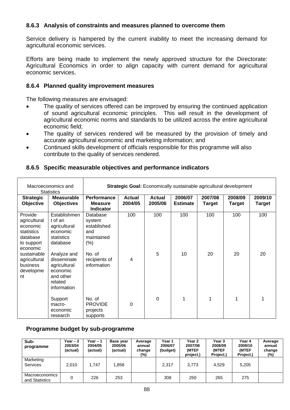#### **8.6.3 Analysis of constraints and measures planned to overcome them**

Service delivery is hampered by the current inability to meet the increasing demand for agricultural economic services.

Efforts are being made to implement the newly approved structure for the Directorate: Agricultural Economics in order to align capacity with current demand for agricultural economic services.

#### **8.6.4 Planned quality improvement measures**

The following measures are envisaged:

- The quality of services offered can be improved by ensuring the continued application of sound agricultural economic principles. This will result in the development of agricultural economic norms and standards to be utilized across the entire agricultural economic field;
- The quality of services rendered will be measured by the provision of timely and accurate agricultural economic and marketing information; and
- Continued skills development of officials responsible for this programme will also contribute to the quality of services rendered.

| Macroeconomics and<br><b>Statistics</b>                                                 |                                                                                               | Strategic Goal: Economically sustainable agricultural development |                          |                          |                            |                   |                   |                   |  |  |
|-----------------------------------------------------------------------------------------|-----------------------------------------------------------------------------------------------|-------------------------------------------------------------------|--------------------------|--------------------------|----------------------------|-------------------|-------------------|-------------------|--|--|
| <b>Strategic</b><br>Objective                                                           | <b>Measurable</b><br><b>Objectives</b>                                                        | Performance<br><b>Measure</b><br><b>Indicator</b>                 | <b>Actual</b><br>2004/05 | <b>Actual</b><br>2005/06 | 2006/07<br><b>Estimate</b> | 2007/08<br>Target | 2008/09<br>Target | 2009/10<br>Target |  |  |
| Provide<br>agricultural<br>economic<br>statistics<br>database<br>to support<br>economic | Establishmen<br>t of an<br>agricultural<br>economic<br>statistics<br>database                 | Database<br>system<br>established<br>and<br>maintained<br>(% )    | 100                      | 100                      | 100                        | 100               | 100               | 100               |  |  |
| sustainable<br>agricultural<br>business<br>developme<br>nt                              | Analyze and<br>disseminate<br>agricultural<br>economic<br>and other<br>related<br>information | No. of<br>recipients of<br>information                            | $\overline{4}$           | 5                        | 10                         | 20                | 20                | 20                |  |  |
|                                                                                         | Support<br>macro-<br>economic<br>research                                                     | No. of<br><b>PROVIDE</b><br>projects<br>supports                  | $\Omega$                 | 0                        |                            | 1                 | $\mathbf{1}$      |                   |  |  |

#### **8.6.5 Specific measurable objectives and performance indicators**

#### **Programme budget by sub-programme**

| Sub-<br>programme                | Year $-2$<br>2003/04<br>(actual) | Year $-1$<br>2004/05<br>(actual) | Base year<br>2005/06<br>(actual) | Average<br>annual<br>change<br>(%) | Year 1<br>2006/07<br>(budget) | Year 2<br>2007/08<br>(MTEF<br>project.) | Year 3<br>2008/09<br>(MTEF<br>Project.) | Year 4<br>2009/10<br>(MTEF<br>Project.) | Average<br>annual<br>change<br>$(\%)$ |
|----------------------------------|----------------------------------|----------------------------------|----------------------------------|------------------------------------|-------------------------------|-----------------------------------------|-----------------------------------------|-----------------------------------------|---------------------------------------|
| Marketing<br>Services            | 2.010                            | 1.747                            | 1,858                            |                                    | 2.317                         | 3.773                                   | 4.529                                   | 5,205                                   |                                       |
| Macroeconomics<br>and Statistics | 0                                | 226                              | 253                              |                                    | 308                           | 250                                     | 265                                     | 275                                     |                                       |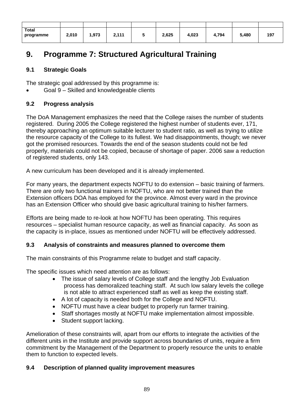| <b>Total</b><br>programme | 2,010 | 973, ا | 2,111 | 2,625 | 4,023 | 4,794 | 5,480 | 197 |
|---------------------------|-------|--------|-------|-------|-------|-------|-------|-----|

# **9. Programme 7: Structured Agricultural Training**

# **9.1 Strategic Goals**

The strategic goal addressed by this programme is:

• Goal 9 – Skilled and knowledgeable clients

# **9.2 Progress analysis**

The DoA Management emphasizes the need that the College raises the number of students registered. During 2005 the College registered the highest number of students ever, 171, thereby approaching an optimum suitable lecturer to student ratio, as well as trying to utilize the resource capacity of the College to its fullest. We had disappointments, though; we never got the promised resources. Towards the end of the season students could not be fed properly, materials could not be copied, because of shortage of paper. 2006 saw a reduction of registered students, only 143.

A new curriculum has been developed and it is already implemented.

For many years, the department expects NOFTU to do extension – basic training of farmers. There are only two functional trainers in NOFTU, who are not better trained than the Extension officers DOA has employed for the province. Almost every ward in the province has an Extension Officer who should give basic agricultural training to his/her farmers.

Efforts are being made to re-look at how NOFTU has been operating. This requires resources – specialist human resource capacity, as well as financial capacity. As soon as the capacity is in-place, issues as mentioned under NOFTU will be effectively addressed.

# **9.3 Analysis of constraints and measures planned to overcome them**

The main constraints of this Programme relate to budget and staff capacity.

The specific issues which need attention are as follows:

- The issue of salary levels of College staff and the lengthy Job Evaluation process has demoralized teaching staff. At such low salary levels the college is not able to attract experienced staff as well as keep the existing staff.
- A lot of capacity is needed both for the College and NOFTU.
- NOFTU must have a clear budget to properly run farmer training.
- Staff shortages mostly at NOFTU make implementation almost impossible.
- Student support lacking.

Amelioration of these constraints will, apart from our efforts to integrate the activities of the different units in the Institute and provide support across boundaries of units, require a firm commitment by the Management of the Department to properly resource the units to enable them to function to expected levels.

# **9.4 Description of planned quality improvement measures**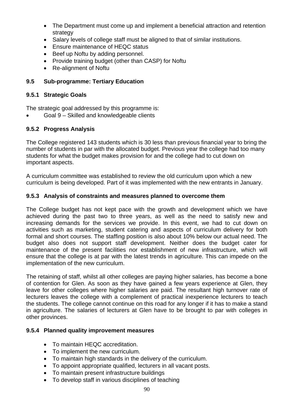- The Department must come up and implement a beneficial attraction and retention strategy
- Salary levels of college staff must be aligned to that of similar institutions.
- Ensure maintenance of HEQC status
- Beef up Noftu by adding personnel.
- Provide training budget (other than CASP) for Noftu
- Re-alignment of Noftu

# **9.5 Sub-programme: Tertiary Education**

#### **9.5.1 Strategic Goals**

The strategic goal addressed by this programme is:

• Goal 9 – Skilled and knowledgeable clients

# **9.5.2 Progress Analysis**

The College registered 143 students which is 30 less than previous financial year to bring the number of students in par with the allocated budget. Previous year the college had too many students for what the budget makes provision for and the college had to cut down on important aspects.

A curriculum committee was established to review the old curriculum upon which a new curriculum is being developed. Part of it was implemented with the new entrants in January.

#### **9.5.3 Analysis of constraints and measures planned to overcome them**

The College budget has not kept pace with the growth and development which we have achieved during the past two to three years, as well as the need to satisfy new and increasing demands for the services we provide. In this event, we had to cut down on activities such as marketing, student catering and aspects of curriculum delivery for both formal and short courses. The staffing position is also about 10% below our actual need. The budget also does not support staff development. Neither does the budget cater for maintenance of the present facilities nor establishment of new infrastructure, which will ensure that the college is at par with the latest trends in agriculture. This can impede on the implementation of the new curriculum.

The retaining of staff, whilst all other colleges are paying higher salaries, has become a bone of contention for Glen. As soon as they have gained a few years experience at Glen, they leave for other colleges where higher salaries are paid. The resultant high turnover rate of lecturers leaves the college with a complement of practical inexperience lecturers to teach the students. The college cannot continue on this road for any longer if it has to make a stand in agriculture. The salaries of lecturers at Glen have to be brought to par with colleges in other provinces.

#### **9.5.4 Planned quality improvement measures**

- To maintain HEQC accreditation.
- To implement the new curriculum.
- To maintain high standards in the delivery of the curriculum.
- To appoint appropriate qualified, lecturers in all vacant posts.
- To maintain present infrastructure buildings
- To develop staff in various disciplines of teaching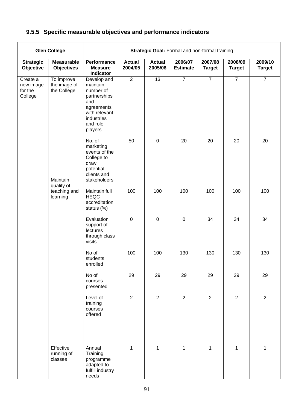# **9.5.5 Specific measurable objectives and performance indicators**

| <b>Glen College</b>                         |                                           |                                                                                                                                 |                          |                          | Strategic Goal: Formal and non-formal training |                          |                          |                          |
|---------------------------------------------|-------------------------------------------|---------------------------------------------------------------------------------------------------------------------------------|--------------------------|--------------------------|------------------------------------------------|--------------------------|--------------------------|--------------------------|
| <b>Strategic</b><br>Objective               | <b>Measurable</b><br><b>Objectives</b>    | Performance<br><b>Measure</b><br>Indicator                                                                                      | <b>Actual</b><br>2004/05 | <b>Actual</b><br>2005/06 | 2006/07<br><b>Estimate</b>                     | 2007/08<br><b>Target</b> | 2008/09<br><b>Target</b> | 2009/10<br><b>Target</b> |
| Create a<br>new image<br>for the<br>College | To improve<br>the image of<br>the College | Develop and<br>maintain<br>number of<br>partnerships<br>and<br>agreements<br>with relevant<br>industries<br>and role<br>players | $\overline{2}$           | $\overline{13}$          | $\overline{7}$                                 | $\overline{7}$           | $\overline{7}$           | $\overline{7}$           |
|                                             | Maintain                                  | No. of<br>marketing<br>events of the<br>College to<br>draw<br>potential<br>clients and<br>stakeholders                          | 50                       | $\mathbf 0$              | 20                                             | 20                       | 20                       | 20                       |
|                                             | quality of<br>teaching and<br>learning    | Maintain full<br><b>HEQC</b><br>accreditation<br>status (%)                                                                     | 100                      | 100                      | 100                                            | 100                      | 100                      | 100                      |
|                                             |                                           | Evaluation<br>support of<br>lectures<br>through class<br>visits                                                                 | $\mathbf 0$              | $\mathbf 0$              | $\pmb{0}$                                      | 34                       | 34                       | 34                       |
|                                             |                                           | No of<br>students<br>enrolled                                                                                                   | 100                      | 100                      | 130                                            | 130                      | 130                      | 130                      |
|                                             |                                           | No of<br>courses<br>presented                                                                                                   | 29                       | 29                       | 29                                             | 29                       | 29                       | 29                       |
|                                             |                                           | Level of<br>training<br>courses<br>offered                                                                                      | $\overline{2}$           | $\overline{2}$           | $\overline{2}$                                 | $\mathbf{2}$             | $\overline{2}$           | $\overline{2}$           |
|                                             | Effective<br>running of<br>classes        | Annual<br>Training<br>programme<br>adapted to<br>fulfill industry<br>needs                                                      | $\mathbf{1}$             | $\mathbf{1}$             | $\mathbf{1}$                                   | $\mathbf{1}$             | $\mathbf{1}$             | 1                        |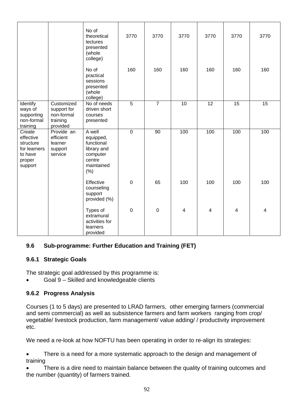|                                                                                  |                                                                 | No of<br>theoretical<br>lectures<br>presented<br>(whole<br>college)                          | 3770             | 3770           | 3770           | 3770           | 3770            | 3770            |
|----------------------------------------------------------------------------------|-----------------------------------------------------------------|----------------------------------------------------------------------------------------------|------------------|----------------|----------------|----------------|-----------------|-----------------|
|                                                                                  |                                                                 | No of<br>practical<br>sessions<br>presented<br>(whole<br>college)                            | 160              | 160            | 160            | 160            | 160             | 160             |
| Identify<br>ways of<br>supporting<br>non-formal<br>training                      | Customized<br>support for<br>non-formal<br>training<br>provided | No of needs<br>driven short<br>courses<br>presented                                          | $\overline{5}$   | $\overline{7}$ | 10             | 12             | $\overline{15}$ | $\overline{15}$ |
| Create<br>effective<br>structure<br>for learners<br>to have<br>proper<br>support | Provide an<br>efficient<br>learner<br>support<br>service        | A well<br>equipped,<br>functional<br>library and<br>computer<br>centre<br>maintained<br>(% ) | $\mathbf 0$      | 90             | 100            | 100            | 100             | 100             |
|                                                                                  |                                                                 | Effective<br>counseling<br>support<br>provided (%)                                           | $\mathbf 0$      | 65             | 100            | 100            | 100             | 100             |
|                                                                                  |                                                                 | Types of<br>extramural<br>activities for<br>learners<br>provided                             | $\boldsymbol{0}$ | $\pmb{0}$      | $\overline{4}$ | $\overline{4}$ | 4               | 4               |

# **9.6 Sub-programme: Further Education and Training (FET)**

#### **9.6.1 Strategic Goals**

The strategic goal addressed by this programme is:

• Goal 9 – Skilled and knowledgeable clients

#### **9.6.2 Progress Analysis**

Courses (1 to 5 days) are presented to LRAD farmers, other emerging farmers (commercial and semi commercial) as well as subsistence farmers and farm workers ranging from crop/ vegetable/ livestock production, farm management/ value adding/ / productivity improvement etc.

We need a re-look at how NOFTU has been operating in order to re-align its strategies:

• There is a need for a more systematic approach to the design and management of training

There is a dire need to maintain balance between the quality of training outcomes and the number (quantity) of farmers trained.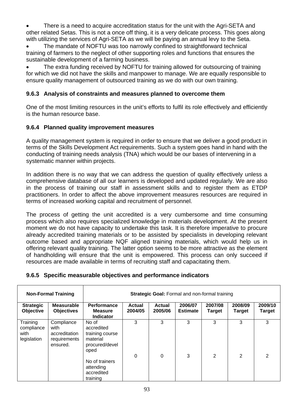There is a need to acquire accreditation status for the unit with the Agri-SETA and other related Setas. This is not a once off thing, it is a very delicate process. This goes along with utilizing the services of Agri-SETA as we will be paying an annual levy to the Seta.

• The mandate of NOFTU was too narrowly confined to straightforward technical training of farmers to the neglect of other supporting roles and functions that ensures the sustainable development of a farming business.

The extra funding received by NOFTU for training allowed for outsourcing of training for which we did not have the skills and manpower to manage. We are equally responsible to ensure quality management of outsourced training as we do with our own training.

#### **9.6.3 Analysis of constraints and measures planned to overcome them**

One of the most limiting resources in the unit's efforts to fulfil its role effectively and efficiently is the human resource base.

#### **9.6.4 Planned quality improvement measures**

A quality management system is required in order to ensure that we deliver a good product in terms of the Skills Development Act requirements. Such a system goes hand in hand with the conducting of training needs analysis (TNA) which would be our bases of intervening in a systematic manner within projects.

In addition there is no way that we can address the question of quality effectively unless a comprehensive database of all our learners is developed and updated regularly. We are also in the process of training our staff in assessment skills and to register them as ETDP practitioners. In order to affect the above improvement measures resources are required in terms of increased working capital and recruitment of personnel.

The process of getting the unit accredited is a very cumbersome and time consuming process which also requires specialized knowledge in materials development. At the present moment we do not have capacity to undertake this task. It is therefore imperative to procure already accredited training materials or to be assisted by specialists in developing relevant outcome based and appropriate NQF aligned training materials, which would help us in offering relevant quality training. The latter option seems to be more attractive as the element of handholding will ensure that the unit is empowered. This process can only succeed if resources are made available in terms of recruiting staff and capacitating them.

#### **9.6.5 Specific measurable objectives and performance indicators**

|                                               | <b>Non-Formal Training</b>                                      | <b>Strategic Goal: Formal and non-formal training</b>                        |                          |                   |                            |                   |                   |                          |  |  |
|-----------------------------------------------|-----------------------------------------------------------------|------------------------------------------------------------------------------|--------------------------|-------------------|----------------------------|-------------------|-------------------|--------------------------|--|--|
| <b>Strategic</b><br>Objective                 | <b>Measurable</b><br><b>Objectives</b>                          | Performance<br><b>Measure</b><br><b>Indicator</b>                            | <b>Actual</b><br>2004/05 | Actual<br>2005/06 | 2006/07<br><b>Estimate</b> | 2007/08<br>Target | 2008/09<br>Target | 2009/10<br><b>Target</b> |  |  |
| Training<br>compliance<br>with<br>legislation | Compliance<br>with<br>accreditation<br>requirements<br>ensured. | No of<br>accredited<br>training course<br>material<br>procured/devel<br>oped | 3                        | 3                 | 3                          | 3                 | 3                 | 3                        |  |  |
|                                               |                                                                 | No of trainers<br>attending<br>accredited<br>training                        | 0                        | $\Omega$          | 3                          | 2                 | 2                 | $\mathcal{P}$            |  |  |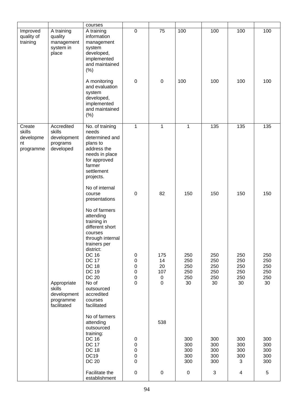|                                                  |                                                                  | courses                                                                                                                                                                                                                                                                 |                                                                          |                                                    |                                       |                                       |                                       |                                       |
|--------------------------------------------------|------------------------------------------------------------------|-------------------------------------------------------------------------------------------------------------------------------------------------------------------------------------------------------------------------------------------------------------------------|--------------------------------------------------------------------------|----------------------------------------------------|---------------------------------------|---------------------------------------|---------------------------------------|---------------------------------------|
| Improved<br>quality of<br>training               | A training<br>quality<br>management<br>system in<br>place        | A training<br>information<br>management<br>system<br>developed,<br>implemented<br>and maintained<br>(% )                                                                                                                                                                | $\mathbf 0$                                                              | $\overline{75}$                                    | $\overline{100}$                      | 100                                   | 100                                   | 100                                   |
|                                                  |                                                                  | A monitoring<br>and evaluation<br>system<br>developed,<br>implemented<br>and maintained<br>(% )                                                                                                                                                                         | 0                                                                        | $\mathbf 0$                                        | 100                                   | 100                                   | 100                                   | 100                                   |
| Create<br>skills<br>developme<br>nt<br>programme | Accredited<br>skills<br>development<br>programs<br>developed     | No. of training<br>needs<br>determined and<br>plans to<br>address the<br>needs in place<br>for approved<br>farmer<br>settlement<br>projects.                                                                                                                            | 1                                                                        | 1                                                  | 1                                     | 135                                   | 135                                   | 135                                   |
|                                                  |                                                                  | No of internal<br>course<br>presentations                                                                                                                                                                                                                               | $\pmb{0}$                                                                | 82                                                 | 150                                   | 150                                   | 150                                   | 150                                   |
|                                                  | Appropriate<br>skills<br>development<br>programme<br>facilitated | No of farmers<br>attending<br>training in<br>different short<br>courses<br>through internal<br>trainers per<br>district:<br><b>DC 16</b><br><b>DC 17</b><br><b>DC 18</b><br><b>DC 19</b><br><b>DC 20</b><br>No of<br>outsourced<br>accredited<br>courses<br>facilitated | 0<br>$\pmb{0}$<br>$\pmb{0}$<br>$\mathbf 0$<br>$\mathbf 0$<br>$\mathsf 0$ | 175<br>14<br>20<br>107<br>$\pmb{0}$<br>$\mathbf 0$ | 250<br>250<br>250<br>250<br>250<br>30 | 250<br>250<br>250<br>250<br>250<br>30 | 250<br>250<br>250<br>250<br>250<br>30 | 250<br>250<br>250<br>250<br>250<br>30 |
|                                                  |                                                                  | No of farmers<br>attending<br>outsourced<br>training:<br><b>DC 16</b><br><b>DC 17</b><br><b>DC 18</b><br><b>DC19</b><br><b>DC 20</b>                                                                                                                                    | 0<br>0<br>0<br>0<br>0                                                    | 538                                                | 300<br>300<br>300<br>300<br>300       | 300<br>300<br>300<br>300<br>300       | 300<br>300<br>300<br>300<br>3         | 300<br>300<br>300<br>300<br>300       |
|                                                  |                                                                  | Facilitate the<br>establishment                                                                                                                                                                                                                                         | $\pmb{0}$                                                                | $\pmb{0}$                                          | $\pmb{0}$                             | $\ensuremath{\mathsf{3}}$             | 4                                     | 5                                     |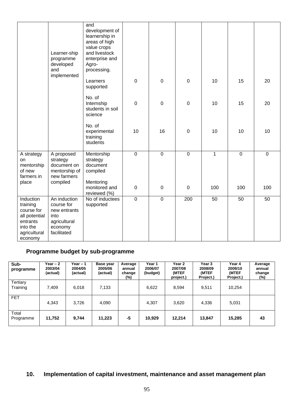|                                                                                                         | Learner-ship<br>programme<br>developed<br>and<br>implemented                                 | and<br>development of<br>learnership in<br>areas of high<br>value crops<br>and livestock<br>enterprise and<br>Agro-<br>processing. |                |                  |                |                |                |                |
|---------------------------------------------------------------------------------------------------------|----------------------------------------------------------------------------------------------|------------------------------------------------------------------------------------------------------------------------------------|----------------|------------------|----------------|----------------|----------------|----------------|
|                                                                                                         |                                                                                              | Learners<br>supported                                                                                                              | $\mathbf 0$    | $\overline{0}$   | 0              | 10             | 15             | 20             |
|                                                                                                         |                                                                                              | No. of<br>Internship<br>students in soil<br>science                                                                                | $\mathbf 0$    | $\overline{0}$   | $\mathsf 0$    | 10             | 15             | 20             |
|                                                                                                         |                                                                                              | No. of<br>experimental<br>training<br>students                                                                                     | 10             | 16               | $\mathbf 0$    | 10             | 10             | 10             |
| A strategy<br>on<br>mentorship<br>of new<br>farmers in                                                  | A proposed<br>strategy<br>document on<br>mentorship of<br>new farmers<br>compiled            | Mentorship<br>strategy<br>document<br>compiled<br>Mentoring                                                                        | $\overline{0}$ | $\overline{0}$   | $\overline{0}$ | $\overline{1}$ | $\overline{0}$ | $\overline{0}$ |
| place                                                                                                   |                                                                                              | monitored and<br>reviewed (%)                                                                                                      | 0              | $\boldsymbol{0}$ | $\mathbf 0$    | 100            | 100            | 100            |
| Induction<br>training<br>course for<br>all potential<br>entrants<br>into the<br>agricultural<br>economy | An induction<br>course for<br>new entrants<br>into<br>agricultural<br>economy<br>facilitated | No of inductees<br>supported                                                                                                       | $\mathbf 0$    | $\mathbf 0$      | 200            | 50             | 50             | 50             |

# **Programme budget by sub-programme**

| Sub-<br>programme    | Year $-2$<br>2003/04<br>(actual) | Year – 1<br>2004/05<br>(actual) | Base year<br>2005/06<br>(actual) | Average<br>annual<br>change<br>$(\%)$ | Year 1<br>2006/07<br>(budget) | Year 2<br>2007/08<br>(MTEF<br>project.) | Year 3<br>2008/09<br>(MTEF<br>Project.) | Year 4<br>2009/10<br>(MTEF<br>Project.) | Average<br>annual<br>change<br>$(\%)$ |
|----------------------|----------------------------------|---------------------------------|----------------------------------|---------------------------------------|-------------------------------|-----------------------------------------|-----------------------------------------|-----------------------------------------|---------------------------------------|
| Tertiary<br>Training | 7,409                            | 6,018                           | 7,133                            |                                       | 6,622                         | 8,594                                   | 9,511                                   | 10,254                                  |                                       |
| <b>FET</b>           | 4,343                            | 3,726                           | 4,090                            |                                       | 4,307                         | 3,620                                   | 4,336                                   | 5,031                                   |                                       |
| Total<br>Programme   | 11,752                           | 9,744                           | 11,223                           | -5                                    | 10,929                        | 12,214                                  | 13,847                                  | 15,285                                  | 43                                    |

# **10. Implementation of capital investment, maintenance and asset management plan**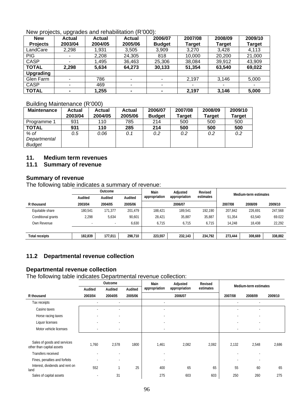#### New projects, upgrades and rehabilitation (R'000):

| <b>New</b>      | . .<br><b>Actual</b> | <b>Actual</b> | <b>Actual</b>            | 2006/07       | 2007/08       | 2008/09        | 2009/10 |
|-----------------|----------------------|---------------|--------------------------|---------------|---------------|----------------|---------|
| <b>Projects</b> | 2003/04              | 2004/05       | 2005/06                  | <b>Budget</b> | <b>Target</b> | Target         | Target  |
| LandCare        | 2,298                | 1,931         | 3.505                    | 3,909         | 3.270         | 3.428          | 4,113   |
| <b>PIG</b>      |                      | 2,208         | 24,305                   | 818           | 10,000        | 20,200         | 21,000  |
| <b>CASP</b>     |                      | 1,495         | 36,463                   | 25,306        | 38,084        | 39,912         | 43,909  |
| <b>TOTAL</b>    | 2,298                | 5,634         | 64,273                   | 30,133        | 51,354        | 63,540         | 69,022  |
| Upgrading       |                      |               |                          |               |               |                |         |
| Glen Farm       |                      | 786           |                          |               | 2,197         | 3,146          | 5,000   |
| <b>CASP</b>     |                      | 469           | $\overline{\phantom{0}}$ |               |               | $\blacksquare$ |         |
| <b>TOTAL</b>    | $\blacksquare$       | 1,255         | $\blacksquare$           |               | 2,197         | 3,146          | 5,000   |

#### Building Maintenance (R'000)

| <b>Maintenance</b> | <b>Actual</b><br>2003/04 | <b>Actual</b><br>2004/05 | <b>Actual</b><br>2005/06 | 2006/07<br><b>Budget</b> | 2007/08<br><b>Target</b> | 2008/09<br><b>Target</b> | 2009/10<br>Target |
|--------------------|--------------------------|--------------------------|--------------------------|--------------------------|--------------------------|--------------------------|-------------------|
| Programme 1        | 931                      | 110                      | 785                      | 214                      | 500                      | 500                      | 500               |
| <b>TOTAL</b>       | 931                      | 110                      | 285                      | 214                      | 500                      | 500                      | 500               |
| % of               | 0.5                      | 0.06                     | 0.1                      | 0.2                      | 0.2                      | 0.2                      | 0.2               |
| Departmental       |                          |                          |                          |                          |                          |                          |                   |
| <b>Budget</b>      |                          |                          |                          |                          |                          |                          |                   |

#### **11. Medium term revenues**

## **11.1 Summary of revenue**

#### **Summary of revenue**

The following table indicates a summary of revenue:

|                       |         | Outcome |         | Main          | Adjusted      | Revised   |         | Medium-term estimates |         |
|-----------------------|---------|---------|---------|---------------|---------------|-----------|---------|-----------------------|---------|
|                       | Audited | Audited | Audited | appropriation | appropriation | estimates |         |                       |         |
| R thousand            | 2003/04 | 2004/05 | 2005/06 |               | 2006/07       |           | 2007/08 | 2008/09               | 2009/10 |
| Equitable share       | 180.541 | 171,377 | 201,479 | 188.421       | 189.541       | 192.190   | 207,842 | 226,691               | 247,568 |
| Conditional grants    | 2,298   | 5,634   | 90.601  | 28.421        | 35.887        | 35,887    | 51.354  | 63.540                | 69.022  |
| Own Revenue           |         |         | 6.630   | 6.715         | 6.715         | 6.715     | 14.248  | 18.438                | 22,292  |
|                       |         |         |         |               |               |           |         |                       |         |
| <b>Total receipts</b> | 182,839 | 177,011 | 298,710 | 223,557       | 232,143       | 234,792   | 273,444 | 308,669               | 338,882 |

# **11.2 Departmental revenue collection**

#### **Departmental revenue collection**

The following table indicates Departmental revenue collection:

|                                                          |                          | Outcome |         | Main          | Adjusted      | Revised   |                          | Medium-term estimates |         |
|----------------------------------------------------------|--------------------------|---------|---------|---------------|---------------|-----------|--------------------------|-----------------------|---------|
|                                                          | Audited                  | Audited | Audited | appropriation | appropriation | estimates |                          |                       |         |
| R thousand                                               | 2003/04                  | 2004/05 | 2005/06 |               | 2006/07       |           | 2007/08                  | 2008/09               | 2009/10 |
| Tax receipts                                             |                          |         |         |               |               |           |                          |                       |         |
| Casino taxes                                             |                          |         |         |               |               |           |                          |                       |         |
| Horse racing taxes                                       |                          |         |         |               |               |           |                          | $\overline{a}$        |         |
| Liquor licenses                                          |                          |         |         |               |               |           |                          |                       |         |
| Motor vehicle licenses                                   | $\sim$                   | ٠       |         |               |               |           | $\overline{\phantom{a}}$ | $\overline{a}$        |         |
|                                                          |                          |         |         |               |               |           |                          |                       |         |
| Sales of goods and services<br>other than capital assets | 1,760                    | 2,578   | 1800    | 1,461         | 2,082         | 2,082     | 2,132                    | 2,548                 | 2,686   |
| Transfers received                                       | $\sim$                   |         |         |               |               |           |                          |                       |         |
| Fines, penalties and forfeits                            |                          | ٠       |         |               |               |           |                          |                       |         |
| Interest, dividends and rent on<br>land                  | 552                      |         | 25      | 400           | 65            | 65        | 55                       | 60                    | 65      |
| Sales of capital assets                                  | $\overline{\phantom{a}}$ | 31      |         | 275           | 603           | 603       | 250                      | 260                   | 275     |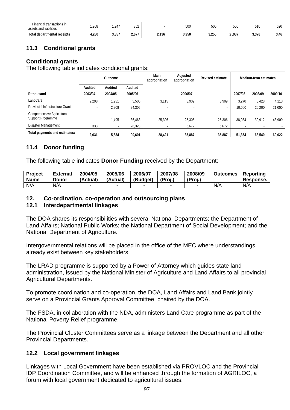| Financial transactions in<br>assets and liabilities | ,968 | ,247  | 852                                        |       | 500<br>$  -$ | 500<br>$  -$ | 500    | 510   | <b>500</b><br>ს∑c<br>$\sim$ |
|-----------------------------------------------------|------|-------|--------------------------------------------|-------|--------------|--------------|--------|-------|-----------------------------|
| Total departmental receipts                         | 280ء | 3,857 | $\overline{\phantom{a}}$<br>2,0 <i>1 I</i> | 2,136 | 3,250        | 3,250        | 2 ,937 | 3,378 | 3,46                        |

# **11.3 Conditional grants**

#### **Conditional grants**

The following table indicates conditional grants:

|                                 | Outcome                  |         |         | Main<br>appropriation | Adjusted<br>appropriation | <b>Revised estimate</b> |         | Medium-term estimates |         |
|---------------------------------|--------------------------|---------|---------|-----------------------|---------------------------|-------------------------|---------|-----------------------|---------|
|                                 | Audited                  | Audited | Audited |                       |                           |                         |         |                       |         |
| R thousand                      | 2003/04                  | 2004/05 | 2005/06 |                       | 2006/07                   |                         | 2007/08 | 2008/09               | 2009/10 |
| LandCare                        | 2,298                    | 1,931   | 3.505   | 3.115                 | 3,909                     | 3,909                   | 3.270   | 3.428                 | 4,113   |
| Provincial Infrastructure Grant |                          | 2,208   | 24.305  |                       |                           | ٠                       | 10,000  | 20,200                | 21,000  |
| Comprehensive Agricultural      |                          |         |         |                       |                           |                         |         |                       |         |
| Support Programme               | $\overline{\phantom{a}}$ | 1.495   | 36,463  | 25.306                | 25,306                    | 25,306                  | 38.084  | 39,912                | 43,909  |
| Disaster Management             | 333                      |         | 26.328  |                       | 6,672                     | 6,672                   |         |                       |         |
| Total payments and estimates:   | 2,631                    | 5,634   | 90,601  | 28.421                | 35,887                    | 35,887                  | 51.354  | 63,540                | 69,022  |

# **11.4 Donor funding**

The following table indicates **Donor Funding** received by the Department:

| <b>Project</b> | <b>External</b> | 2004/05  | 2005/06  | 2006/07  | 2007/08 | 2008/09 | <b>Outcomes</b> | Reporting |
|----------------|-----------------|----------|----------|----------|---------|---------|-----------------|-----------|
| <b>Name</b>    | Donor           | (Actual) | (Actual) | (Budget) | (Proi.) | (Proi.) |                 | Response. |
| N/A            | N/A             |          |          |          |         |         | N/A             | N/A       |

#### **12. Co-ordination, co-operation and outsourcing plans**

#### **12.1 Interdepartmental linkages**

The DOA shares its responsibilities with several National Departments: the Department of Land Affairs; National Public Works; the National Department of Social Development; and the National Department of Agriculture.

Intergovernmental relations will be placed in the office of the MEC where understandings already exist between key stakeholders.

The LRAD programme is supported by a Power of Attorney which guides state land administration, issued by the National Minister of Agriculture and Land Affairs to all provincial Agricultural Departments.

To promote coordination and co-operation, the DOA, Land Affairs and Land Bank jointly serve on a Provincial Grants Approval Committee, chaired by the DOA.

The FSDA, in collaboration with the NDA, administers Land Care programme as part of the National Poverty Relief programme.

The Provincial Cluster Committees serve as a linkage between the Department and all other Provincial Departments.

#### **12.2 Local government linkages**

Linkages with Local Government have been established via PROVLOC and the Provincial IDP Coordination Committee, and will be enhanced through the formation of AGRILOC, a forum with local government dedicated to agricultural issues.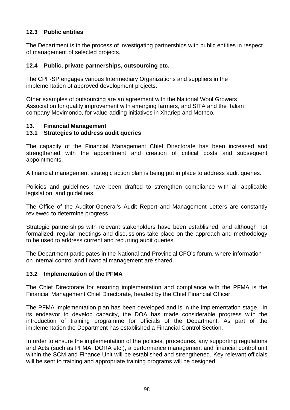# **12.3 Public entities**

The Department is in the process of investigating partnerships with public entities in respect of management of selected projects.

#### **12.4 Public, private partnerships, outsourcing etc.**

The CPF-SP engages various Intermediary Organizations and suppliers in the implementation of approved development projects.

Other examples of outsourcing are an agreement with the National Wool Growers Association for quality improvement with emerging farmers, and SITA and the Italian company Movimondo, for value-adding initiatives in Xhariep and Motheo.

#### **13. Financial Management**

#### **13.1 Strategies to address audit queries**

The capacity of the Financial Management Chief Directorate has been increased and strengthened with the appointment and creation of critical posts and subsequent appointments.

A financial management strategic action plan is being put in place to address audit queries.

Policies and guidelines have been drafted to strengthen compliance with all applicable legislation, and guidelines.

The Office of the Auditor-General's Audit Report and Management Letters are constantly reviewed to determine progress.

Strategic partnerships with relevant stakeholders have been established, and although not formalized, regular meetings and discussions take place on the approach and methodology to be used to address current and recurring audit queries.

The Department participates in the National and Provincial CFO's forum, where information on internal control and financial management are shared.

#### **13.2 Implementation of the PFMA**

The Chief Directorate for ensuring implementation and compliance with the PFMA is the Financial Management Chief Directorate, headed by the Chief Financial Officer.

The PFMA implementation plan has been developed and is in the implementation stage. In its endeavor to develop capacity, the DOA has made considerable progress with the introduction of training programme for officials of the Department. As part of the implementation the Department has established a Financial Control Section.

In order to ensure the implementation of the policies, procedures, any supporting regulations and Acts (such as PFMA, DORA etc.), a performance management and financial control unit within the SCM and Finance Unit will be established and strengthened. Key relevant officials will be sent to training and appropriate training programs will be designed.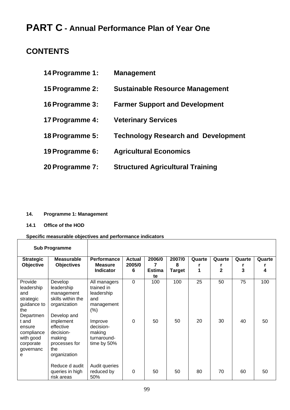# **PART C - Annual Performance Plan of Year One**

# **CONTENTS**

| 14 Programme 1: | <b>Management</b>                          |
|-----------------|--------------------------------------------|
| 15 Programme 2: | <b>Sustainable Resource Management</b>     |
| 16 Programme 3: | <b>Farmer Support and Development</b>      |
| 17 Programme 4: | <b>Veterinary Services</b>                 |
| 18 Programme 5: | <b>Technology Research and Development</b> |
| 19 Programme 6: | <b>Agricultural Economics</b>              |
| 20 Programme 7: | <b>Structured Agricultural Training</b>    |

#### **14. Programme 1: Management**

**14.1 Office of the HOD** 

 $\overline{\phantom{a}}$ 

#### **Specific measurable objectives and performance indicators**

|                                                                                                                                                           | <b>Sub Programme</b>                                                                                                                                                             |                                                                                                                                      |                              |                                    |                              |             |                          |             |             |
|-----------------------------------------------------------------------------------------------------------------------------------------------------------|----------------------------------------------------------------------------------------------------------------------------------------------------------------------------------|--------------------------------------------------------------------------------------------------------------------------------------|------------------------------|------------------------------------|------------------------------|-------------|--------------------------|-------------|-------------|
| <b>Strategic</b><br>Objective                                                                                                                             | <b>Measurable</b><br><b>Objectives</b>                                                                                                                                           | <b>Performance</b><br><b>Measure</b><br><b>Indicator</b>                                                                             | <b>Actual</b><br>2005/0<br>6 | 2006/0<br>7<br><b>Estima</b><br>te | 2007/0<br>8<br><b>Target</b> | Quarte<br>1 | Quarte<br>$\overline{2}$ | Quarte<br>3 | Quarte<br>4 |
| Provide<br>leadership<br>and<br>strategic<br>guidance to<br>the<br>Departmen<br>t and<br>ensure<br>compliance<br>with good<br>corporate<br>governanc<br>e | Develop<br>leadership<br>management<br>skills within the<br>organization<br>Develop and<br>implement<br>effective<br>decision-<br>making<br>processes for<br>the<br>organization | All managers<br>trained in<br>leadership<br>and<br>management<br>(%)<br>Improve<br>decision-<br>making<br>turnaround-<br>time by 50% | $\mathbf 0$<br>$\mathbf 0$   | 100<br>50                          | 100<br>50                    | 25<br>20    | 50<br>30                 | 75<br>40    | 100<br>50   |
|                                                                                                                                                           | Reduce d audit<br>queries in high<br>risk areas                                                                                                                                  | Audit queries<br>reduced by<br>50%                                                                                                   | $\mathbf 0$                  | 50                                 | 50                           | 80          | 70                       | 60          | 50          |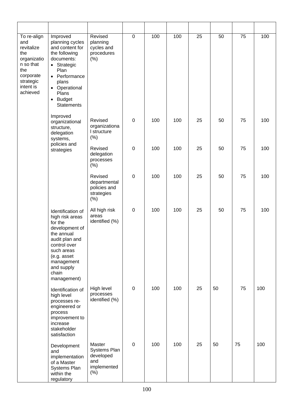| To re-align<br>and<br>revitalize<br>the<br>organizatio<br>n so that<br>the<br>corporate<br>strategic<br>intent is<br>achieved | Improved<br>planning cycles<br>and content for<br>the following<br>documents:<br>• Strategic<br>Plan<br>• Performance<br>plans<br>• Operational<br>Plans<br><b>Budget</b><br>$\bullet$<br><b>Statements</b> | Revised<br>planning<br>cycles and<br>procedures<br>(% )             | $\pmb{0}$   | 100 | 100 | $\overline{25}$ | 50 | 75 | 100 |
|-------------------------------------------------------------------------------------------------------------------------------|-------------------------------------------------------------------------------------------------------------------------------------------------------------------------------------------------------------|---------------------------------------------------------------------|-------------|-----|-----|-----------------|----|----|-----|
|                                                                                                                               | Improved<br>organizational<br>structure,<br>delegation<br>systems,                                                                                                                                          | Revised<br>organizationa<br>I structure<br>$(\% )$                  | $\pmb{0}$   | 100 | 100 | 25              | 50 | 75 | 100 |
|                                                                                                                               | policies and<br>strategies                                                                                                                                                                                  | Revised<br>delegation<br>processes<br>(% )                          | $\pmb{0}$   | 100 | 100 | 25              | 50 | 75 | 100 |
|                                                                                                                               |                                                                                                                                                                                                             | Revised<br>departmental<br>policies and<br>strategies<br>$(\%)$     | $\mathbf 0$ | 100 | 100 | 25              | 50 | 75 | 100 |
|                                                                                                                               | Identification of<br>high risk areas<br>for the<br>development of<br>the annual<br>audit plan and<br>control over<br>such areas<br>(e.g. asset<br>management<br>and supply<br>chain<br>management)          | All high risk<br>areas<br>identified (%)                            | 0           | 100 | 100 | 25              | 50 | 75 | 100 |
|                                                                                                                               | Identification of<br>high level<br>processes re-<br>engineered or<br>process<br>improvement to<br>increase<br>stakeholder<br>satisfaction                                                                   | High level<br>processes<br>identified (%)                           | $\pmb{0}$   | 100 | 100 | 25              | 50 | 75 | 100 |
|                                                                                                                               | Development<br>and<br>implementation<br>of a Master<br>Systems Plan<br>within the<br>regulatory                                                                                                             | Master<br>Systems Plan<br>developed<br>and<br>implemented<br>$(\%)$ | $\pmb{0}$   | 100 | 100 | 25              | 50 | 75 | 100 |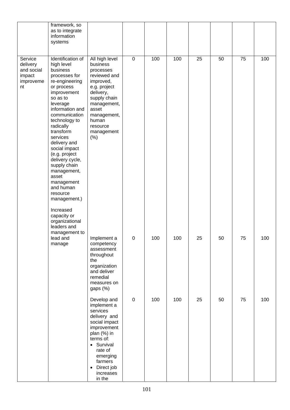|                                                                | framework, so<br>as to integrate<br>information<br>systems                                                                                                                                                                                                                                                                                                                                                                                                      |                                                                                                                                                                                                                      |             |     |     |    |    |    |     |
|----------------------------------------------------------------|-----------------------------------------------------------------------------------------------------------------------------------------------------------------------------------------------------------------------------------------------------------------------------------------------------------------------------------------------------------------------------------------------------------------------------------------------------------------|----------------------------------------------------------------------------------------------------------------------------------------------------------------------------------------------------------------------|-------------|-----|-----|----|----|----|-----|
| Service<br>delivery<br>and social<br>impact<br>improveme<br>nt | Identification of<br>high level<br>business<br>processes for<br>re-engineering<br>or process<br>improvement<br>so as to<br>leverage<br>information and<br>communication<br>technology to<br>radically<br>transform<br>services<br>delivery and<br>social impact<br>(e.g. project<br>delivery cycle,<br>supply chain<br>management,<br>asset<br>management<br>and human<br>resource<br>management.)<br>Increased<br>capacity or<br>organizational<br>leaders and | All high level<br>business<br>processes<br>reviewed and<br>improved,<br>e.g. project<br>delivery,<br>supply chain<br>management,<br>asset<br>management,<br>human<br>resource<br>management<br>(% )                  | $\mathbf 0$ | 100 | 100 | 25 | 50 | 75 | 100 |
|                                                                | management to<br>lead and<br>manage                                                                                                                                                                                                                                                                                                                                                                                                                             | Implement a<br>competency<br>assessment<br>throughout<br>the<br>organization<br>and deliver<br>remedial<br>measures on<br>gaps (%)                                                                                   | 0           | 100 | 100 | 25 | 50 | 75 | 100 |
|                                                                |                                                                                                                                                                                                                                                                                                                                                                                                                                                                 | Develop and<br>implement a<br>services<br>delivery and<br>social impact<br>improvement<br>plan (%) in<br>terms of:<br>• Survival<br>rate of<br>emerging<br>farmers<br>Direct job<br>$\bullet$<br>increases<br>in the | $\pmb{0}$   | 100 | 100 | 25 | 50 | 75 | 100 |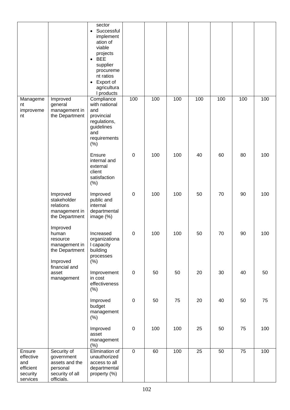|                                                                 | Improved                                                                                      | sector<br>Successful<br>$\bullet$<br>implement<br>ation of<br>viable<br>projects<br><b>BEE</b><br>$\bullet$<br>supplier<br>procureme<br>nt ratios<br>Export of<br>$\bullet$<br>agricultura<br>I products<br>Compliance | 100              | 100 | 100 | 100 | 100 | 100 | 100 |
|-----------------------------------------------------------------|-----------------------------------------------------------------------------------------------|------------------------------------------------------------------------------------------------------------------------------------------------------------------------------------------------------------------------|------------------|-----|-----|-----|-----|-----|-----|
| Manageme<br>nt<br>improveme<br>nt                               | general<br>management in<br>the Department                                                    | with national<br>and<br>provincial<br>regulations,<br>guidelines<br>and<br>requirements<br>(%)                                                                                                                         |                  |     |     |     |     |     |     |
|                                                                 |                                                                                               | Ensure<br>internal and<br>external<br>client<br>satisfaction<br>(%)                                                                                                                                                    | $\boldsymbol{0}$ | 100 | 100 | 40  | 60  | 80  | 100 |
|                                                                 | Improved<br>stakeholder<br>relations<br>management in<br>the Department                       | Improved<br>public and<br>internal<br>departmental<br>image $(\%)$                                                                                                                                                     | $\boldsymbol{0}$ | 100 | 100 | 50  | 70  | 90  | 100 |
|                                                                 | Improved<br>human<br>resource<br>management in<br>the Department<br>Improved<br>financial and | Increased<br>organizationa<br>I capacity<br>building<br>processes<br>$(\%)$                                                                                                                                            | $\pmb{0}$        | 100 | 100 | 50  | 70  | 90  | 100 |
|                                                                 | asset<br>management                                                                           | Improvement<br>in cost<br>effectiveness<br>(% )                                                                                                                                                                        | $\pmb{0}$        | 50  | 50  | 20  | 30  | 40  | 50  |
|                                                                 |                                                                                               | Improved<br>budget<br>management<br>(%)                                                                                                                                                                                | $\pmb{0}$        | 50  | 75  | 20  | 40  | 50  | 75  |
|                                                                 |                                                                                               | Improved<br>asset<br>management<br>(%)                                                                                                                                                                                 | $\pmb{0}$        | 100 | 100 | 25  | 50  | 75  | 100 |
| Ensure<br>effective<br>and<br>efficient<br>security<br>services | Security of<br>government<br>assets and the<br>personal<br>security of all<br>officials.      | Elimination of<br>unauthorized<br>access to all<br>departmental<br>property (%)                                                                                                                                        | $\overline{0}$   | 60  | 100 | 25  | 50  | 75  | 100 |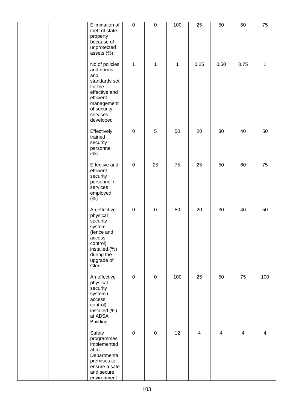|  | Elimination of                                                                                                                                     | $\overline{0}$   | $\overline{0}$ | 100          | $\overline{25}$ | 50             | 50             | $\overline{75}$ |
|--|----------------------------------------------------------------------------------------------------------------------------------------------------|------------------|----------------|--------------|-----------------|----------------|----------------|-----------------|
|  | theft of state<br>property<br>because of<br>unprotected<br>assets (%)                                                                              |                  |                |              |                 |                |                |                 |
|  | No of policies<br>and norms<br>and<br>standards set<br>for the<br>effective and<br>efficient<br>management<br>of security<br>services<br>developed | $\mathbf{1}$     | 1              | $\mathbf{1}$ | 0.25            | 0.50           | 0.75           | 1               |
|  | Effectively<br>trained<br>security<br>personnel<br>(% )                                                                                            | $\pmb{0}$        | $\sqrt{5}$     | 50           | 20              | 30             | 40             | 50              |
|  | Effective and<br>efficient<br>security<br>personnel /<br>services<br>employed<br>(% )                                                              | $\pmb{0}$        | 25             | 75           | 25              | 50             | 60             | 75              |
|  | An effective<br>physical<br>security<br>system<br>(fence and<br>access<br>control)<br>installed.(%)<br>during the<br>upgrade of<br>Glen            | $\boldsymbol{0}$ | $\pmb{0}$      | 50           | 20              | 30             | 40             | 50              |
|  | An effective<br>physical<br>security<br>system (<br>access<br>control)<br>installed.(%)<br>at ABSA<br><b>Building</b>                              | $\mathbf 0$      | $\pmb{0}$      | 100          | 25              | 50             | 75             | 100             |
|  | Safety<br>programmes<br>implemented<br>at all<br>Departmental<br>premises to<br>ensure a safe<br>and secure<br>environment                         | $\mathbf 0$      | $\mathbf 0$    | 12           | $\overline{4}$  | $\overline{4}$ | $\overline{4}$ | 4               |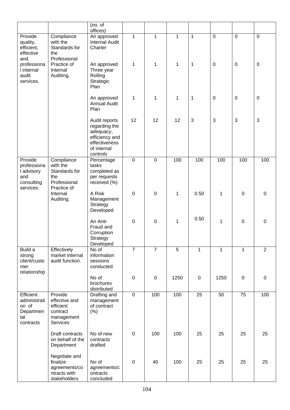|                                                                        |                                                                                    | (no. of<br>offices)                                                                                       |                  |                  |                |              |                  |                 |                |
|------------------------------------------------------------------------|------------------------------------------------------------------------------------|-----------------------------------------------------------------------------------------------------------|------------------|------------------|----------------|--------------|------------------|-----------------|----------------|
| Provide<br>quality,<br>efficient,<br>effective                         | Compliance<br>with the<br>Standards for<br>the                                     | An approved<br><b>Internal Audit</b><br>Charter                                                           | $\mathbf{1}$     | $\mathbf{1}$     | $\mathbf{1}$   | $\mathbf{1}$ | $\mathbf 0$      | $\overline{0}$  | $\mathbf 0$    |
| and<br>professiona<br>I internal<br>audit<br>services.                 | Professional<br>Practice of<br>Internal<br>Auditing.                               | An approved<br>Three year<br>Rolling<br>Strategic<br>Plan                                                 | $\mathbf{1}$     | $\mathbf 1$      | 1              | 1            | $\boldsymbol{0}$ | $\pmb{0}$       | $\mathsf 0$    |
|                                                                        |                                                                                    | An approved<br><b>Annual Audit</b><br>Plan                                                                | $\mathbf 1$      | $\mathbf{1}$     | 1              | $\mathbf 1$  | $\mathbf 0$      | $\mathbf 0$     | $\pmb{0}$      |
|                                                                        |                                                                                    | Audit reports<br>regarding the<br>adequacy,<br>efficiency and<br>effectiveness<br>of internal<br>controls | 12               | 12               | 12             | 3            | 3                | $\mathbf{3}$    | 3              |
| Provide<br>professiona<br>I advisory<br>and<br>consulting<br>services. | Compliance<br>with the<br>Standards for<br>the<br>Professional<br>Practice of      | Percentage<br>tasks<br>completed as<br>per requests<br>received (%)                                       | $\mathbf 0$      | $\mathbf 0$      | 100            | 100          | 100              | 100             | 100            |
|                                                                        | Internal<br>Auditing.                                                              | A Risk<br>Management<br>Strategy<br>Developed                                                             | $\mathbf 0$      | $\mathbf 0$      | 1              | 0.50         | 1                | $\mathbf 0$     | $\mathsf 0$    |
|                                                                        |                                                                                    | An Anti-<br>Fraud and<br>Corruption<br>Strategy<br>Developed                                              | $\boldsymbol{0}$ | 0                | 1              | 0.50         | 1                | $\mathbf 0$     | $\mathbf 0$    |
| Build a<br>strong<br>client/custo<br>mer<br>relationship               | Effectively<br>market internal<br>audit function.                                  | No of<br>information<br>sessions<br>conducted                                                             | $\overline{7}$   | $\overline{7}$   | $\overline{5}$ | 1            | 1                | 1               | $\overline{2}$ |
|                                                                        |                                                                                    | No of<br>brochures<br>distributed                                                                         | $\boldsymbol{0}$ | $\boldsymbol{0}$ | 1250           | $\mathbf 0$  | 1250             | $\pmb{0}$       | $\pmb{0}$      |
| Efficient<br>administrati<br>on of<br>Departmen<br>tal<br>contracts    | Provide<br>effective and<br>efficient<br>contract<br>management<br><b>Services</b> | Drafting and<br>management<br>of contract<br>(%)                                                          | $\overline{0}$   | 100              | 100            | 25           | 50               | $\overline{75}$ | 100            |
|                                                                        | Draft contracts<br>on behalf of the<br>Department                                  | No of new<br>contracts<br>drafted                                                                         | $\boldsymbol{0}$ | 100              | 100            | 25           | 25               | 25              | 25             |
|                                                                        | Negotiate and<br>finalize<br>agreements/co<br>ntracts with<br>stakeholders         | No of<br>agreements/c<br>ontracts<br>concluded                                                            | $\pmb{0}$        | 40               | 100            | 25           | 25               | 25              | 25             |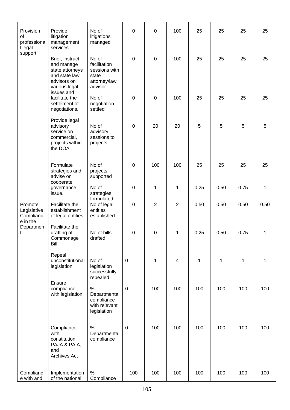| Provision<br><b>of</b><br>professiona<br>I legal<br>support | Provide<br>litigation<br>management<br>services                                                                 | No of<br>litigations<br>managed                                            | $\mathbf 0$      | $\mathbf 0$    | 100                     | 25          | 25           | 25   | 25   |
|-------------------------------------------------------------|-----------------------------------------------------------------------------------------------------------------|----------------------------------------------------------------------------|------------------|----------------|-------------------------|-------------|--------------|------|------|
|                                                             | Brief, instruct<br>and manage<br>state attorneys<br>and state law<br>advisors on<br>various legal<br>issues and | No of<br>facilitation<br>sessions with<br>state<br>attorney/law<br>advisor | $\mathbf 0$      | $\overline{0}$ | 100                     | 25          | 25           | 25   | 25   |
|                                                             | facilitate the<br>settlement of<br>negotiations.                                                                | No of<br>negotiation<br>settled                                            | $\mathbf 0$      | $\overline{0}$ | 100                     | 25          | 25           | 25   | 25   |
|                                                             | Provide legal<br>advisory<br>service on<br>commercial,<br>projects within<br>the DOA.                           | No of<br>advisory<br>sessions to<br>projects                               | $\mathbf 0$      | 20             | 20                      | 5           | 5            | 5    | 5    |
|                                                             | Formulate<br>strategies and<br>advise on<br>cooperate                                                           | No of<br>projects<br>supported                                             | $\mathbf 0$      | 100            | 100                     | 25          | 25           | 25   | 25   |
|                                                             | governance<br>issue.                                                                                            | No of<br>strategies<br>formulated                                          | $\mathbf 0$      | 1              | 1                       | 0.25        | 0.50         | 0.75 | 1    |
| Promote<br>Legislative<br>Complianc<br>e in the             | Facilitate the<br>establishment<br>of legal entities                                                            | No of legal<br>entities<br>established                                     | $\mathbf 0$      | $\overline{2}$ | $\overline{2}$          | 0.50        | 0.50         | 0.50 | 0.50 |
| Departmen<br>t                                              | Facilitate the<br>drafting of<br>Commonage<br>Bill                                                              | No of bills<br>drafted                                                     | $\mathbf 0$      | 0              | 1                       | 0.25        | 0.50         | 0.75 | 1    |
|                                                             | Repeal<br>unconstitutional<br>legislation                                                                       | No of<br>legislation<br>successfully<br>repealed                           | $\mathbf 0$      | 1              | $\overline{\mathbf{4}}$ | $\mathbf 1$ | $\mathbf{1}$ | 1    | 1    |
|                                                             | Ensure<br>compliance<br>with legislation.                                                                       | $\%$<br>Departmental<br>compliance<br>with relevant<br>legislation         | $\pmb{0}$        | 100            | 100                     | 100         | 100          | 100  | 100  |
|                                                             | Compliance<br>with:<br>constitution,<br>PAJA & PAIA,<br>and<br>Archives Act                                     | %<br>Departmental<br>compliance                                            | $\boldsymbol{0}$ | 100            | 100                     | 100         | 100          | 100  | 100  |
| Complianc                                                   | Implementation                                                                                                  | $\frac{1}{2}$                                                              | 100              | 100            | 100                     | 100         | 100          | 100  | 100  |
| e with and                                                  | of the national                                                                                                 | Compliance                                                                 |                  |                |                         |             |              |      |      |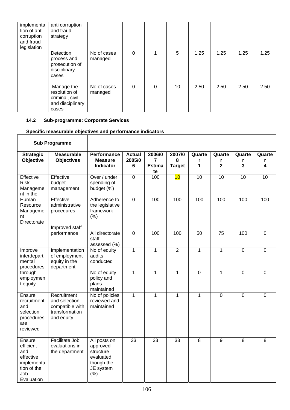| implementa<br>tion of anti<br>corruption<br>and fraud<br>legislation | anti corruption<br>and fraud<br>strategy                                    |                        |   |          |    |      |      |      |      |
|----------------------------------------------------------------------|-----------------------------------------------------------------------------|------------------------|---|----------|----|------|------|------|------|
|                                                                      | <b>Detection</b><br>process and<br>prosecution of<br>disciplinary<br>cases  | No of cases<br>managed | 0 | 1        | 5  | 1.25 | 1.25 | 1.25 | 1.25 |
|                                                                      | Manage the<br>resolution of<br>criminal, civil<br>and disciplinary<br>cases | No of cases<br>managed | 0 | $\Omega$ | 10 | 2.50 | 2.50 | 2.50 | 2.50 |

## **14.2 Sub-programme: Corporate Services**

## **Specific measurable objectives and performance indicators**

| <b>Sub Programme</b>                                                                      |                                                                                 |                                                                                       |                              |                                                 |                              |                  |                                        |                  |                  |
|-------------------------------------------------------------------------------------------|---------------------------------------------------------------------------------|---------------------------------------------------------------------------------------|------------------------------|-------------------------------------------------|------------------------------|------------------|----------------------------------------|------------------|------------------|
| <b>Strategic</b><br>Objective                                                             | <b>Measurable</b><br><b>Objectives</b>                                          | <b>Performance</b><br><b>Measure</b><br>Indicator                                     | <b>Actual</b><br>2005/0<br>6 | 2006/0<br>$\overline{7}$<br><b>Estima</b><br>te | 2007/0<br>8<br><b>Target</b> | Quarte<br>r<br>1 | Quarte<br>r<br>$\overline{\mathbf{2}}$ | Quarte<br>r<br>3 | Quarte<br>r<br>4 |
| Effective<br><b>Risk</b><br>Manageme<br>nt in the                                         | Effective<br>budget<br>management                                               | Over / under<br>spending of<br>budget (%)                                             | $\overline{0}$               | 100                                             | 10                           | $\overline{10}$  | 10                                     | $\overline{10}$  | $\overline{10}$  |
| Human<br>Resource<br>Manageme<br>nt<br>Directorate                                        | Effective<br>administrative<br>procedures                                       | Adherence to<br>the legislative<br>framework<br>(% )                                  | $\overline{0}$               | 100                                             | 100                          | 100              | 100                                    | 100              | 100              |
|                                                                                           | Improved staff<br>performance                                                   | All directorate<br>staff<br>assessed (%)                                              | $\mathbf 0$                  | 100                                             | 100                          | 50               | 75                                     | 100              | $\mathbf 0$      |
| Improve<br>interdepart<br>mental<br>procedures                                            | Implementation<br>of employment<br>equity in the<br>department                  | No of equity<br>audits<br>conducted                                                   | $\mathbf{1}$                 | $\mathbf{1}$                                    | $\overline{2}$               | $\mathbf{1}$     | $\mathbf{1}$                           | $\overline{0}$   | $\Omega$         |
| through<br>employmen<br>t equity                                                          |                                                                                 | No of equity<br>policy and<br>plans<br>maintained                                     | 1                            | 1                                               | 1                            | 0                | 1                                      | $\mathbf 0$      | $\mathbf 0$      |
| Ensure<br>recruitment<br>and<br>selection<br>procedures<br>are<br>reviewed                | Recruitment<br>and selection<br>compatible with<br>transformation<br>and equity | No of policies<br>reviewed and<br>maintained                                          | $\overline{1}$               | $\overline{1}$                                  | $\mathbf{1}$                 | $\mathbf{1}$     | $\overline{0}$                         | $\overline{0}$   | $\overline{0}$   |
| Ensure<br>efficient<br>and<br>effective<br>implementa<br>tion of the<br>Job<br>Evaluation | <b>Facilitate Job</b><br>evaluations in<br>the department                       | All posts on<br>approved<br>structure<br>evaluated<br>though the<br>JE system<br>(% ) | 33                           | 33                                              | 33                           | 8                | 9                                      | $\overline{8}$   | $\overline{8}$   |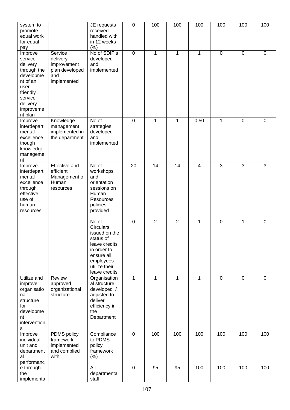| system to<br>promote<br>equal work<br>for equal<br>pay                                                                                    |                                                                            | JE requests<br>received<br>handled with<br>in 12 weeks<br>(%)                                                                                 | $\mathbf 0$      | 100             | 100             | 100            | 100            | 100         | 100            |
|-------------------------------------------------------------------------------------------------------------------------------------------|----------------------------------------------------------------------------|-----------------------------------------------------------------------------------------------------------------------------------------------|------------------|-----------------|-----------------|----------------|----------------|-------------|----------------|
| Improve<br>service<br>delivery<br>through the<br>developme<br>nt of an<br>user<br>friendly<br>service<br>delivery<br>improveme<br>nt plan | Service<br>delivery<br>improvement<br>plan developed<br>and<br>implemented | No of SDIP's<br>developed<br>and<br>implemented                                                                                               | $\mathbf 0$      | 1               | $\mathbf{1}$    | $\mathbf 1$    | $\mathbf 0$    | $\mathbf 0$ | 0              |
| Improve<br>interdepart<br>mental<br>excellence<br>though<br>knowledge<br>manageme<br>nt                                                   | Knowledge<br>management<br>implemented in<br>the department                | No of<br>strategies<br>developed<br>and<br>implemented                                                                                        | 0                | 1               | 1               | 0.50           | 1              | 0           | 0              |
| Improve<br>interdepart<br>mental<br>excellence<br>through<br>effective<br>use of<br>human<br>resources                                    | Effective and<br>efficient<br>Management of<br>Human<br>resources          | No of<br>workshops<br>and<br>orientation<br>sessions on<br>Human<br>Resources<br>policies<br>provided                                         | $\overline{20}$  | $\overline{14}$ | $\overline{14}$ | $\overline{4}$ | $\overline{3}$ | 3           | $\overline{3}$ |
|                                                                                                                                           |                                                                            | No of<br>Circulars<br>issued on the<br>status of<br>leave credits<br>in order to<br>ensure all<br>employees<br>utilize their<br>leave credits | $\mathbf 0$      | $\overline{2}$  | $\overline{2}$  | 1              | $\mathbf 0$    | 1           | 0              |
| Utilize and<br>improve<br>organisatio<br>nal<br>structure<br>for<br>developme<br>nt<br>intervention<br>s                                  | Review<br>approved<br>organizational<br>structure                          | Organisation<br>al structure<br>developed /<br>adjusted to<br>deliver<br>efficiency in<br>the<br>Department                                   | 1                | 1               | 1               | $\mathbf{1}$   | $\mathbf 0$    | 0           | 0              |
| Improve<br>individual,<br>unit and<br>department<br>al<br>performanc                                                                      | PDMS policy<br>framework<br>implemented<br>and complied<br>with            | Compliance<br>to PDMS<br>policy<br>framework<br>(% )                                                                                          | $\boldsymbol{0}$ | 100             | 100             | 100            | 100            | 100         | 100            |
| e through<br>the<br>implementa                                                                                                            |                                                                            | All<br>departmental<br>staff                                                                                                                  | $\mathbf 0$      | 95              | 95              | 100            | 100            | 100         | 100            |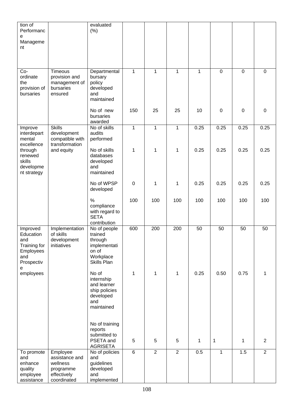| tion of<br>Performanc                                                               |                                                                                   | evaluated<br>(% )                                                                       |                |                |                |              |                |             |                |
|-------------------------------------------------------------------------------------|-----------------------------------------------------------------------------------|-----------------------------------------------------------------------------------------|----------------|----------------|----------------|--------------|----------------|-------------|----------------|
| е<br>Manageme<br>nt                                                                 |                                                                                   |                                                                                         |                |                |                |              |                |             |                |
| Co-<br>ordinate<br>the<br>provision of<br>bursaries                                 | Timeous<br>provision and<br>management of<br>bursaries<br>ensured                 | Departmental<br>bursary<br>policy<br>developed<br>and<br>maintained                     | $\mathbf{1}$   | $\mathbf{1}$   | $\mathbf{1}$   | $\mathbf{1}$ | $\overline{0}$ | $\mathbf 0$ | 0              |
|                                                                                     |                                                                                   | No of new<br>bursaries<br>awarded                                                       | 150            | 25             | 25             | 10           | $\mathbf 0$    | $\mathbf 0$ | $\mathbf 0$    |
| Improve<br>interdepart<br>mental                                                    | <b>Skills</b><br>development<br>compatible with                                   | No of skills<br>audits<br>performed                                                     | $\overline{1}$ | $\mathbf{1}$   | $\mathbf{1}$   | 0.25         | 0.25           | 0.25        | 0.25           |
| excellence<br>through<br>renewed<br>skills<br>developme<br>nt strategy              | transformation<br>and equity                                                      | No of skills<br>databases<br>developed<br>and<br>maintained                             | 1              | 1              | 1              | 0.25         | 0.25           | 0.25        | 0.25           |
|                                                                                     |                                                                                   | No of WPSP<br>developed                                                                 | $\pmb{0}$      | 1              | 1              | 0.25         | 0.25           | 0.25        | 0.25           |
|                                                                                     |                                                                                   | $\%$<br>compliance<br>with regard to<br><b>SETA</b><br>contribution                     | 100            | 100            | 100            | 100          | 100            | 100         | 100            |
| Improved<br>Education<br>and<br>Training for<br>Employees<br>and<br>Prospectiv<br>e | Implementation<br>of skills<br>development<br>initiatives                         | No of people<br>trained<br>through<br>implementati<br>on of<br>Workplace<br>Skills Plan | 600            | 200            | 200            | 50           | 50             | 50          | 50             |
| employees                                                                           |                                                                                   | No of<br>internship<br>and learner<br>ship policies<br>developed<br>and<br>maintained   | 1              | 1              | 1              | 0.25         | 0.50           | 0.75        | 1              |
|                                                                                     |                                                                                   | No of training<br>reports<br>submitted to<br>PSETA and<br><b>AGRISETA</b>               | $\sqrt{5}$     | 5              | 5              | $\mathbf 1$  | 1              | 1           | $\overline{2}$ |
| To promote<br>and<br>enhance<br>quality<br>employee<br>assistance                   | Employee<br>assistance and<br>wellness<br>programme<br>effectively<br>coordinated | No of policies<br>and<br>guidelines<br>developed<br>and<br>implemented                  | $\overline{6}$ | $\overline{2}$ | $\overline{2}$ | 0.5          | $\mathbf{1}$   | 1.5         | $\overline{2}$ |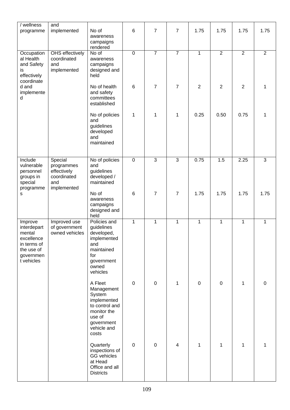| / wellness<br>programme                                                                                | and<br>implemented                                                        | No of<br>awareness<br>campaigns<br>rendered                                                                                     | $\,6$        | $\overline{7}$ | $\overline{7}$           | 1.75           | 1.75           | 1.75           | 1.75           |
|--------------------------------------------------------------------------------------------------------|---------------------------------------------------------------------------|---------------------------------------------------------------------------------------------------------------------------------|--------------|----------------|--------------------------|----------------|----------------|----------------|----------------|
| Occupation<br>al Health<br>and Safety<br>is<br>effectively<br>coordinate                               | OHS effectively<br>coordinated<br>and<br>implemented                      | No of<br>awareness<br>campaigns<br>designed and<br>held                                                                         | $\mathbf 0$  | $\overline{7}$ | $\overline{7}$           | 1              | $\overline{2}$ | $\overline{2}$ | $\overline{2}$ |
| d and<br>implemente<br>d                                                                               |                                                                           | No of health<br>and safety<br>committees<br>established                                                                         | $\,6$        | $\overline{7}$ | 7                        | $\overline{2}$ | $\overline{2}$ | $\overline{2}$ | 1              |
|                                                                                                        |                                                                           | No of policies<br>and<br>guidelines<br>developed<br>and<br>maintained                                                           | $\mathbf 1$  | 1              | 1                        | 0.25           | 0.50           | 0.75           | 1              |
| Include<br>vulnerable<br>personnel<br>groups in<br>special<br>programme                                | Special<br>programmes<br>effectively<br>coordinated<br>and<br>implemented | No of policies<br>and<br>guidelines<br>developed /<br>maintained                                                                | $\pmb{0}$    | $\overline{3}$ | $\overline{3}$           | 0.75           | 1.5            | 2.25           | $\overline{3}$ |
| s                                                                                                      |                                                                           | No of<br>awareness<br>campaigns<br>designed and<br>held                                                                         | $\,6$        | $\overline{7}$ | $\overline{7}$           | 1.75           | 1.75           | 1.75           | 1.75           |
| Improve<br>interdepart<br>mental<br>excellence<br>in terms of<br>the use of<br>governmen<br>t vehicles | Improved use<br>of government<br>owned vehicles                           | Policies and<br>guidelines<br>developed,<br>implemented<br>and<br>maintained<br>for<br>government<br>owned<br>vehicles          | $\mathbf{1}$ | $\mathbf{1}$   | $\mathbf{1}$             | 1              | $\mathbf{1}$   | $\mathbf{1}$   | $\mathbf{1}$   |
|                                                                                                        |                                                                           | A Fleet<br>Management<br>System<br>implemented<br>to control and<br>monitor the<br>use of<br>government<br>vehicle and<br>costs | $\pmb{0}$    | $\pmb{0}$      | 1                        | $\pmb{0}$      | $\mathbf 0$    | 1              | $\mathsf 0$    |
|                                                                                                        |                                                                           | Quarterly<br>inspections of<br><b>GG</b> vehicles<br>at Head<br>Office and all<br><b>Districts</b>                              | $\pmb{0}$    | $\mathbf 0$    | $\overline{\mathcal{A}}$ | 1              | 1              | $\mathbf{1}$   | 1              |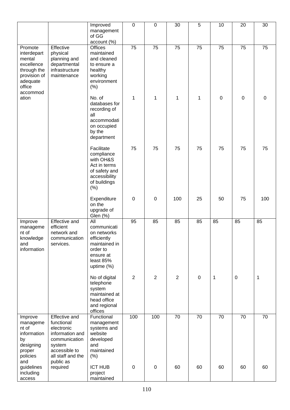|                                                                                                                 |                                                                                                                                                   | Improved<br>management<br>of GG<br>account (%)                                                                                     | $\mathbf 0$      | $\pmb{0}$        | 30             | $\overline{5}$   | 10          | 20          | 30          |
|-----------------------------------------------------------------------------------------------------------------|---------------------------------------------------------------------------------------------------------------------------------------------------|------------------------------------------------------------------------------------------------------------------------------------|------------------|------------------|----------------|------------------|-------------|-------------|-------------|
| Promote<br>interdepart<br>mental<br>excellence<br>through the<br>provision of<br>adequate<br>office<br>accommod | Effective<br>physical<br>planning and<br>departmental<br>infrastructure<br>maintenance                                                            | <b>Offices</b><br>maintained<br>and cleaned<br>to ensure a<br>healthy<br>working<br>environment<br>(% )                            | 75               | 75               | 75             | 75               | 75          | 75          | 75          |
| ation                                                                                                           |                                                                                                                                                   | No. of<br>databases for<br>recording of<br>all<br>accommodati<br>on occupied<br>by the<br>department                               | 1                | 1                | 1              | 1                | $\mathbf 0$ | $\mathbf 0$ | $\pmb{0}$   |
|                                                                                                                 |                                                                                                                                                   | Facilitate<br>compliance<br>with OH&S<br>Act in terms<br>of safety and<br>accessibility<br>of buildings<br>(% )                    | 75               | 75               | 75             | 75               | 75          | 75          | 75          |
|                                                                                                                 |                                                                                                                                                   | Expenditure<br>on the<br>upgrade of<br>Glen (%)                                                                                    | $\boldsymbol{0}$ | $\boldsymbol{0}$ | 100            | 25               | 50          | 75          | 100         |
| Improve<br>manageme<br>nt of<br>knowledge<br>and<br>information                                                 | <b>Effective and</b><br>efficient<br>network and<br>communication<br>services.                                                                    | $\overline{All}$<br>communicati<br>on networks<br>efficiently<br>maintained in<br>order to<br>ensure at<br>least 85%<br>uptime (%) | 95               | 85               | 85             | 85               | 85          | 85          | 85          |
|                                                                                                                 |                                                                                                                                                   | No of digital<br>telephone<br>system<br>maintained at<br>head office<br>and regional<br>offices                                    | $\overline{2}$   | $\overline{2}$   | $\overline{2}$ | $\boldsymbol{0}$ | 1           | $\mathbf 0$ | $\mathbf 1$ |
| Improve<br>manageme<br>nt of<br>information<br>by<br>designing<br>proper<br>policies<br>and                     | <b>Effective and</b><br>functional<br>electronic<br>information and<br>communication<br>system<br>accessible to<br>all staff and the<br>public as | Functional<br>management<br>systems and<br>website<br>developed<br>and<br>maintained<br>(% )                                       | 100              | 100              | 70             | 70               | 70          | 70          | 70          |
| guidelines<br>including<br>access                                                                               | required                                                                                                                                          | <b>ICT HUB</b><br>project<br>maintained                                                                                            | $\boldsymbol{0}$ | $\boldsymbol{0}$ | 60             | 60               | 60          | 60          | 60          |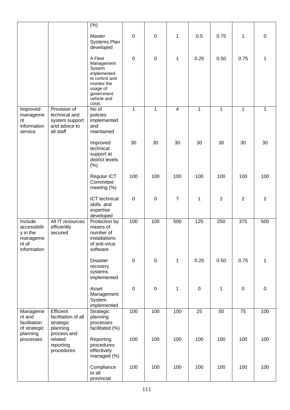|                                                                         |                                                                          | (% )<br>Master<br>Systems Plan<br>developed                                                                              | $\mathbf 0$      | $\boldsymbol{0}$ | 1              | 0.5         | 0.75           | 1              | $\pmb{0}$      |
|-------------------------------------------------------------------------|--------------------------------------------------------------------------|--------------------------------------------------------------------------------------------------------------------------|------------------|------------------|----------------|-------------|----------------|----------------|----------------|
|                                                                         |                                                                          | A Fleet<br>Management<br>System<br>implemented<br>to control and<br>monitor the<br>usage of<br>government<br>vehicle and | $\boldsymbol{0}$ | 0                | 1              | 0.25        | 0.50           | 0.75           | 1              |
|                                                                         | Provision of                                                             | costs<br>No of                                                                                                           | $\mathbf{1}$     |                  | $\overline{4}$ | $\mathbf 1$ | 1              | $\mathbf{1}$   |                |
| Improved<br>manageme<br>nt<br>information<br>service                    | technical and<br>system support<br>and advice to<br>all staff            | policies<br>implemented<br>and<br>maintained                                                                             |                  | 1                |                |             |                |                | 1              |
|                                                                         |                                                                          | Improved<br>technical<br>support at<br>district levels<br>(% )                                                           | 30               | 30               | 30             | 30          | 30             | 30             | 30             |
|                                                                         |                                                                          | Regular ICT<br>Committee<br>meeting (%)                                                                                  | 100              | 100              | 100            | 100         | 100            | 100            | 100            |
|                                                                         |                                                                          | ICT technical<br>skills and<br>expertise<br>developed                                                                    | $\pmb{0}$        | 0                | $\overline{7}$ | 1           | $\overline{2}$ | $\overline{2}$ | $\overline{2}$ |
| Include<br>accessibilit<br>y in the<br>manageme<br>nt of<br>information | All IT resources<br>efficiently<br>secured                               | Protection by<br>means of<br>number of<br>installations<br>of anti-virus<br>software                                     | 100              | 100              | 500            | 125         | 250            | 375            | 500            |
|                                                                         |                                                                          | <b>Disaster</b><br>recovery<br>systems<br>implemented                                                                    | $\mathbf 0$      | $\mathbf 0$      | 1              | 0.25        | 0.50           | 0.75           | 1              |
|                                                                         |                                                                          | Asset<br>Management<br>System<br>implemented                                                                             | $\pmb{0}$        | 0                | 1              | $\pmb{0}$   | $\mathbf{1}$   | $\pmb{0}$      | $\pmb{0}$      |
| Manageme<br>nt and<br>facilitation<br>of strategic<br>planning          | Efficient<br>facilitation of all<br>strategic<br>planning<br>process and | Strategic<br>planning<br>processes<br>facilitated (%)                                                                    | 100              | 100              | 100            | 25          | 50             | 75             | 100            |
| processes                                                               | related<br>reporting<br>procedures                                       | Reporting<br>procedures<br>effectively<br>managed (%)                                                                    | 100              | 100              | 100            | 100         | 100            | 100            | 100            |
|                                                                         |                                                                          | Compliance<br>to all<br>provincial                                                                                       | 100              | 100              | 100            | 100         | 100            | 100            | 100            |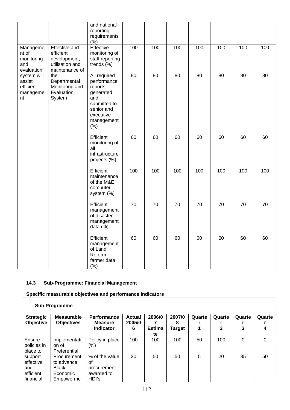|                                                      |                                                                                        | and national<br>reporting<br>requirements<br>(% )                                                                          |     |     |     |     |     |     |     |
|------------------------------------------------------|----------------------------------------------------------------------------------------|----------------------------------------------------------------------------------------------------------------------------|-----|-----|-----|-----|-----|-----|-----|
| Manageme<br>nt of<br>monitoring<br>and<br>evaluation | <b>Effective and</b><br>efficient<br>development,<br>utilisation and<br>maintenance of | Effective<br>monitoring of<br>staff reporting<br>trends (%)                                                                | 100 | 100 | 100 | 100 | 100 | 100 | 100 |
| system will<br>assist<br>efficient<br>manageme<br>nt | the<br>Departmental<br>Monitoring and<br>Evaluation<br>System                          | All required<br>performance<br>reports<br>generated<br>and<br>submitted to<br>senior and<br>executive<br>management<br>(%) | 80  | 80  | 80  | 80  | 80  | 80  | 80  |
|                                                      |                                                                                        | Efficient<br>monitoring of<br>all<br>infrastructure<br>projects (%)                                                        | 60  | 60  | 60  | 60  | 60  | 60  | 60  |
|                                                      |                                                                                        | Efficient<br>maintenance<br>of the M&E<br>computer<br>system (%)                                                           | 100 | 100 | 100 | 100 | 100 | 100 | 100 |
|                                                      |                                                                                        | Efficient<br>management<br>of disaster<br>management<br>data (%)                                                           | 70  | 70  | 70  | 70  | 70  | 70  | 70  |
|                                                      |                                                                                        | Efficient<br>management<br>of Land<br>Reform<br>farmer data<br>(% )                                                        | 60  | 60  | 60  | 60  | 60  | 60  | 60  |

#### **14.3 Sub-Programme: Financial Management**

 $\overline{1}$ 

|                                                       | <b>Sub Programme</b>                                               |                                                            |                         |                     |               |        |              |        |        |
|-------------------------------------------------------|--------------------------------------------------------------------|------------------------------------------------------------|-------------------------|---------------------|---------------|--------|--------------|--------|--------|
| <b>Strategic</b><br>Objective                         | <b>Measurable</b><br><b>Objectives</b>                             | <b>Performance</b><br><b>Measure</b>                       | <b>Actual</b><br>2005/0 | 2006/0              | 2007/0<br>8   | Quarte | Quarte       | Quarte | Quarte |
|                                                       |                                                                    | <b>Indicator</b>                                           | 6                       | <b>Estima</b><br>te | <b>Target</b> | 1      | $\mathbf{2}$ | 3      | 4      |
| Ensure<br>policies in<br>place to                     | Implementati<br>on of<br>Preferential                              | Policy in place<br>(%)                                     | 100                     | 100                 | 100           | 50     | 100          | 0      | 0      |
| support<br>effective<br>and<br>efficient<br>financial | Procurement<br>to advance<br><b>Black</b><br>Economic<br>Empowerme | % of the value<br>οf<br>procurement<br>awarded to<br>HDI's | 20                      | 50                  | 50            | 5      | 20           | 35     | 50     |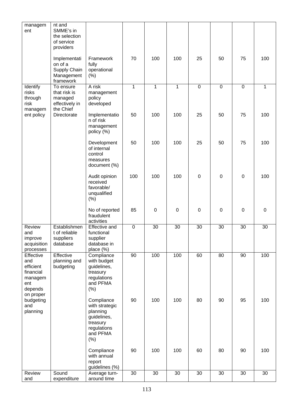| managem<br>ent                                                                       | nt and<br>SMME's in<br>the selection<br>of service<br>providers     |                                                                                                        |              |              |              |             |             |             |              |
|--------------------------------------------------------------------------------------|---------------------------------------------------------------------|--------------------------------------------------------------------------------------------------------|--------------|--------------|--------------|-------------|-------------|-------------|--------------|
|                                                                                      | Implementati<br>on of a<br>Supply Chain<br>Management<br>framework  | Framework<br>fully<br>operational<br>(% )                                                              | 70           | 100          | 100          | 25          | 50          | 75          | 100          |
| Identify<br>risks<br>through<br>risk<br>managem                                      | To ensure<br>that risk is<br>managed<br>effectively in<br>the Chief | A risk<br>management<br>policy<br>developed                                                            | $\mathbf{1}$ | $\mathbf{1}$ | $\mathbf{1}$ | $\mathbf 0$ | $\mathbf 0$ | $\mathbf 0$ | $\mathbf{1}$ |
| ent policy                                                                           | Directorate                                                         | Implementatio<br>n of risk<br>management<br>policy (%)                                                 | 50           | 100          | 100          | 25          | 50          | 75          | 100          |
|                                                                                      |                                                                     | Development<br>of internal<br>control<br>measures<br>document (%)                                      | 50           | 100          | 100          | 25          | 50          | 75          | 100          |
|                                                                                      |                                                                     | Audit opinion<br>received<br>favorable/<br>unqualified<br>(% )                                         | 100          | 100          | 100          | $\pmb{0}$   | $\mathbf 0$ | $\mathbf 0$ | 100          |
|                                                                                      |                                                                     | No of reported<br>fraudulent<br>activities                                                             | 85           | 0            | $\mathbf 0$  | 0           | $\mathbf 0$ | 0           | 0            |
| Review<br>and<br>improve<br>acquisition<br>processes                                 | Establishmen<br>t of reliable<br>suppliers<br>database              | Effective and<br>functional<br>supplier<br>database in<br>place (%)                                    | $\mathbf 0$  | 30           | 30           | 30          | 30          | 30          | 30           |
| Effective<br>and<br>efficient<br>financial<br>managem<br>ent<br>depends<br>on proper | Effective<br>planning and<br>budgeting                              | Compliance<br>with budget<br>guidelines,<br>treasury<br>regulations<br>and PFMA<br>(% )                | 90           | 100          | 100          | 60          | 80          | 90          | 100          |
| budgeting<br>and<br>planning                                                         |                                                                     | Compliance<br>with strategic<br>planning<br>guidelines,<br>treasury<br>regulations<br>and PFMA<br>(% ) | 90           | 100          | 100          | 80          | 90          | 95          | 100          |
|                                                                                      |                                                                     | Compliance<br>with annual<br>report<br>guidelines (%)                                                  | 90           | 100          | 100          | 60          | 80          | 90          | 100          |
| Review<br>and                                                                        | Sound<br>expenditure                                                | Average turn-<br>around time                                                                           | 30           | 30           | 30           | 30          | 30          | 30          | 30           |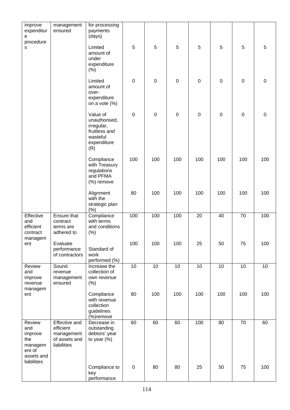| improve<br>expenditur<br>e                                                        | management<br>ensured                                                    | for processing<br>payments<br>(days)                                                       |                  |                 |                  |                  |             |             |                 |
|-----------------------------------------------------------------------------------|--------------------------------------------------------------------------|--------------------------------------------------------------------------------------------|------------------|-----------------|------------------|------------------|-------------|-------------|-----------------|
| procedure<br>s                                                                    |                                                                          | Limited<br>amount of<br>under<br>expenditure<br>(% )                                       | 5                | 5               | $\overline{5}$   | 5                | 5           | 5           | 5               |
|                                                                                   |                                                                          | Limited<br>amount of<br>over-<br>expenditure<br>on a vote $(\%)$                           | $\boldsymbol{0}$ | $\mathbf 0$     | $\boldsymbol{0}$ | $\pmb{0}$        | $\mathbf 0$ | $\mathbf 0$ | $\mathsf 0$     |
|                                                                                   |                                                                          | Value of<br>unauthorised,<br>irregular,<br>fruitless and<br>wasteful<br>expenditure<br>(R) | $\mathbf 0$      | $\mathbf 0$     | $\mathbf 0$      | $\boldsymbol{0}$ | $\mathbf 0$ | $\mathbf 0$ | $\mathsf 0$     |
|                                                                                   |                                                                          | Compliance<br>with Treasury<br>regulations<br>and PFMA<br>(%) remove                       | 100              | 100             | 100              | 100              | 100         | 100         | 100             |
|                                                                                   |                                                                          | Alignment<br>with the<br>strategic plan<br>(%)                                             | 80               | 100             | 100              | 100              | 100         | 100         | 100             |
| Effective<br>and<br>efficient<br>contract                                         | <b>Ensure that</b><br>contract<br>terms are<br>adhered to                | Compliance<br>with terms<br>and conditions<br>(% )                                         | 100              | 100             | 100              | 20               | 40          | 70          | 100             |
| managem<br>ent                                                                    | Evaluate<br>performance<br>of contractors                                | Standard of<br>work<br>performed (%)                                                       | 100              | 100             | 100              | 25               | 50          | 75          | 100             |
| Review<br>and<br>improve<br>revenue                                               | Sound<br>revenue<br>management<br>ensured                                | Increase the<br>collection of<br>own revenue<br>(% )                                       | $\overline{10}$  | $\overline{10}$ | 10               | 10               | 10          | 10          | $\overline{10}$ |
| managem<br>ent                                                                    |                                                                          | Compliance<br>with revenue<br>collection<br>guidelines<br>(%)remove                        | 80               | 100             | 100              | 100              | 100         | 100         | 100             |
| Review<br>and<br>improve<br>the<br>managem<br>ent of<br>assets and<br>liabilities | Effective and<br>efficient<br>management<br>of assets and<br>liabilities | Decrease in<br>outstanding<br>debtors' year<br>to year $(\%)$                              | 60               | 60              | 60               | 100              | 80          | 70          | 60              |
|                                                                                   |                                                                          | Compliance to<br>key<br>performance                                                        | $\boldsymbol{0}$ | 80              | 80               | 25               | 50          | 75          | 100             |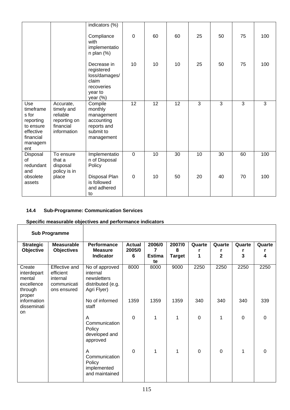|                                                                                                 |                                                                                 | indicators (%)                                                                           |                 |                 |                 |                |                |                |                |
|-------------------------------------------------------------------------------------------------|---------------------------------------------------------------------------------|------------------------------------------------------------------------------------------|-----------------|-----------------|-----------------|----------------|----------------|----------------|----------------|
|                                                                                                 |                                                                                 | Compliance<br>with<br>implementatio<br>$n$ plan $(\%)$                                   | $\mathbf 0$     | 60              | 60              | 25             | 50             | 75             | 100            |
|                                                                                                 |                                                                                 | Decrease in<br>registered<br>loss/damages/<br>claim<br>recoveries<br>year to<br>year (%) | 10              | 10              | 10              | 25             | 50             | 75             | 100            |
| Use<br>timeframe<br>s for<br>reporting<br>to ensure<br>effective<br>financial<br>managem<br>ent | Accurate,<br>timely and<br>reliable<br>reporting on<br>financial<br>information | Compile<br>monthly<br>management<br>accounting<br>reports and<br>submit to<br>management | $\overline{12}$ | $\overline{12}$ | $\overline{12}$ | $\overline{3}$ | $\overline{3}$ | $\overline{3}$ | $\overline{3}$ |
| Disposal<br>of<br>redundant<br>and                                                              | To ensure<br>that a<br>disposal<br>policy is in                                 | Implementatio<br>n of Disposal<br>Policy                                                 | $\overline{0}$  | 10              | 30              | 10             | 30             | 60             | 100            |
| obsolete<br>assets                                                                              | place                                                                           | Disposal Plan<br>is followed<br>and adhered<br>to                                        | $\overline{0}$  | 10              | 50              | 20             | 40             | 70             | 100            |

#### **14.4 Sub-Programme: Communication Services**

# **Specific measurable objectives and performance indicators**

|                                                                    | <b>Sub Programme</b>                                                 |                                                                               |                              |                                    |                              |             |                          |                |                |
|--------------------------------------------------------------------|----------------------------------------------------------------------|-------------------------------------------------------------------------------|------------------------------|------------------------------------|------------------------------|-------------|--------------------------|----------------|----------------|
| <b>Strategic</b><br>Objective                                      | <b>Measurable</b><br><b>Objectives</b>                               | <b>Performance</b><br><b>Measure</b><br><b>Indicator</b>                      | <b>Actual</b><br>2005/0<br>6 | 2006/0<br>7<br><b>Estima</b><br>te | 2007/0<br>8<br><b>Target</b> | Quarte<br>1 | Quarte<br>$\overline{2}$ | Quarte<br>3    | Quarte<br>4    |
| Create<br>interdepart<br>mental<br>excellence<br>through<br>proper | Effective and<br>efficient<br>internal<br>communicati<br>ons ensured | No of approved<br>internal<br>newsletters<br>distributed (e.g.<br>Agri Flyer) | 8000                         | 8000                               | 9000                         | 2250        | 2250                     | 2250           | 2250           |
| information<br>disseminati<br>on                                   |                                                                      | No of informed<br>staff                                                       | 1359                         | 1359                               | 1359                         | 340         | 340                      | 340            | 339            |
|                                                                    |                                                                      | A<br>Communication<br>Policy<br>developed and<br>approved                     | $\overline{0}$               | 1                                  | 1                            | 0           | 1                        | $\overline{0}$ | $\overline{0}$ |
|                                                                    |                                                                      | A<br>Communication<br>Policy<br>implemented<br>and maintained                 | $\Omega$                     | 1                                  | 1                            | $\mathbf 0$ | $\Omega$                 | 1              | $\mathbf 0$    |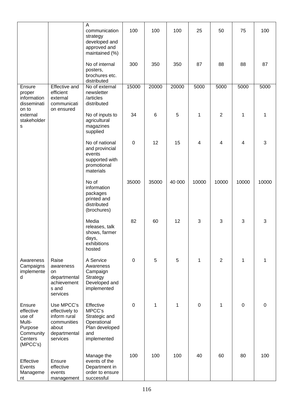|                                                                                        |                                                                                                  | A<br>communication<br>strategy<br>developed and<br>approved and<br>maintained (%)           | 100         | 100   | 100    | 25               | 50             | 75        | 100       |
|----------------------------------------------------------------------------------------|--------------------------------------------------------------------------------------------------|---------------------------------------------------------------------------------------------|-------------|-------|--------|------------------|----------------|-----------|-----------|
|                                                                                        |                                                                                                  | No of internal<br>posters,<br>brochures etc.<br>distributed                                 | 300         | 350   | 350    | 87               | 88             | 88        | 87        |
| Ensure<br>proper<br>information<br>disseminati<br>on to                                | <b>Effective and</b><br>efficient<br>external<br>communicati<br>on ensured                       | No of external<br>newsletter<br>/articles<br>distributed                                    | 15000       | 20000 | 20000  | 5000             | 5000           | 5000      | 5000      |
| external<br>stakeholder<br>S                                                           |                                                                                                  | No of inputs to<br>agricultural<br>magazines<br>supplied                                    | 34          | 6     | 5      | 1                | $\overline{2}$ | 1         | 1         |
|                                                                                        |                                                                                                  | No of national<br>and provincial<br>events<br>supported with<br>promotional<br>materials    | $\mathbf 0$ | 12    | 15     | 4                | 4              | 4         | 3         |
|                                                                                        |                                                                                                  | No of<br>information<br>packages<br>printed and<br>distributed<br>(brochures)               | 35000       | 35000 | 40 000 | 10000            | 10000          | 10000     | 10000     |
|                                                                                        |                                                                                                  | Media<br>releases, talk<br>shows, farmer<br>days,<br>exhibitions<br>hosted                  | 82          | 60    | 12     | 3                | 3              | 3         | 3         |
| Awareness<br>Campaigns<br>implemente<br>d                                              | Raise<br>awareness<br>on<br>departmental<br>achievement<br>s and<br>services                     | A Service<br>Awareness<br>Campaign<br>Strategy<br>Developed and<br>implemented              | $\mathbf 0$ | 5     | 5      | 1                | $\overline{2}$ | 1         | 1         |
| Ensure<br>effective<br>use of<br>Multi-<br>Purpose<br>Community<br>Centers<br>(MPCC's) | Use MPCC's<br>effectively to<br>inform rural<br>communities<br>about<br>departmental<br>services | Effective<br>MPCC's<br>Strategic and<br>Operational<br>Plan developed<br>and<br>implemented | 0           | 1     | 1      | $\boldsymbol{0}$ | 1              | $\pmb{0}$ | $\pmb{0}$ |
| Effective<br>Events<br>Manageme<br>nt                                                  | Ensure<br>effective<br>events<br>management                                                      | Manage the<br>events of the<br>Department in<br>order to ensure<br>successful               | 100         | 100   | 100    | 40               | 60             | 80        | 100       |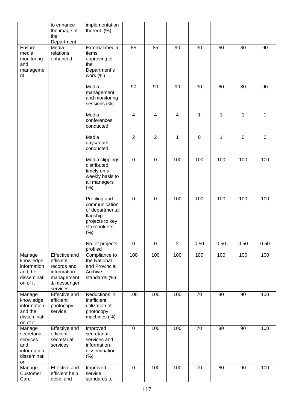|                                                                              | to enhance<br>the image of<br>the                                                                        | implementation<br>thereof. (%)                                                                          |                         |                  |                |                  |      |             |             |
|------------------------------------------------------------------------------|----------------------------------------------------------------------------------------------------------|---------------------------------------------------------------------------------------------------------|-------------------------|------------------|----------------|------------------|------|-------------|-------------|
| Ensure<br>media<br>monitoring<br>and<br>manageme<br>nt                       | Department<br>Media<br>relations<br>enhanced                                                             | External media<br>items<br>approving of<br>the<br>Department's<br>work $(%)$                            | 85                      | 85               | 90             | 30               | 60   | 80          | 90          |
|                                                                              |                                                                                                          | Media<br>management<br>and monitoring<br>sessions (%)                                                   | 90                      | 90               | 90             | 30               | 60   | 80          | 90          |
|                                                                              |                                                                                                          | Media<br>conferences<br>conducted                                                                       | $\overline{\mathbf{4}}$ | 4                | 4              | 1                | 1    | 1           | 1           |
|                                                                              |                                                                                                          | Media<br>days/tours<br>conducted                                                                        | $\overline{2}$          | $\overline{2}$   | 1              | $\boldsymbol{0}$ | 1    | $\mathbf 0$ | $\mathbf 0$ |
|                                                                              |                                                                                                          | Media clippings<br>distributed<br>timely on a<br>weekly basis to<br>all managers<br>(% )                | $\mathbf 0$             | $\boldsymbol{0}$ | 100            | 100              | 100  | 100         | 100         |
|                                                                              |                                                                                                          | Profiling and<br>communication<br>of departmental<br>flagship<br>projects to key<br>stakeholders<br>(%) | $\mathbf 0$             | $\boldsymbol{0}$ | 100            | 100              | 100  | 100         | 100         |
|                                                                              |                                                                                                          | No. of projects<br>profiled                                                                             | $\mathbf 0$             | $\boldsymbol{0}$ | $\overline{2}$ | 0.50             | 0.50 | 0.50        | 0.50        |
| Manage<br>knowledge,<br>information<br>and the<br>disseminati<br>on of it    | <b>Effective and</b><br>efficient<br>records and<br>information<br>management<br>& messenger<br>services | Compliance to<br>the National<br>and Provincial<br>Archive<br>standards (%)                             | 100                     | 100              | 100            | 100              | 100  | 100         | 100         |
| Manage<br>knowledge,<br>information<br>and the<br>disseminati<br>on of it    | Effective and<br>efficient<br>photocopy<br>service                                                       | Reductions in<br>inefficient<br>utilization of<br>photocopy<br>machines (%)                             | 100                     | 100              | 100            | 70               | 80   | 90          | 100         |
| Manage<br>secretariat<br>services<br>and<br>information<br>disseminati<br>on | Effective and<br>efficient<br>secretariat<br>services                                                    | Improved<br>secretariat<br>services and<br>information<br>dissemination<br>(% )                         | $\pmb{0}$               | 100              | 100            | 70               | 80   | 90          | 100         |
| Manage<br>Customer<br>Care                                                   | Effective and<br>efficient help<br>desk and                                                              | Improved<br>service<br>standards to                                                                     | $\pmb{0}$               | 100              | 100            | 70               | 80   | 90          | 100         |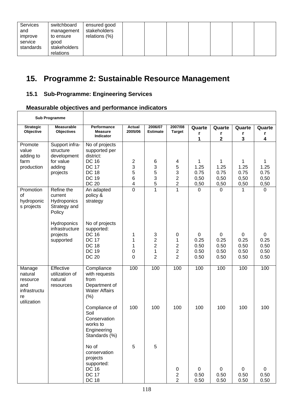| Services<br>and<br>improve<br>service<br>standards | switchboard<br>management<br>to ensure<br>good<br>stakeholders<br>relations | ensured good<br>stakeholders<br>relations (%) |  |  |  |  |  |  |  |
|----------------------------------------------------|-----------------------------------------------------------------------------|-----------------------------------------------|--|--|--|--|--|--|--|
|----------------------------------------------------|-----------------------------------------------------------------------------|-----------------------------------------------|--|--|--|--|--|--|--|

٦

# **15. Programme 2: Sustainable Resource Management**

## **15.1 Sub-Programme: Engineering Services**

 $\overline{1}$ 

# **Measurable objectives and performance indicators**

|                                                                           | <b>Sub Programme</b>                                                          |                                                                                                                              |                          |                                                          |                                                   |                                   |                                   |                                   |                                             |
|---------------------------------------------------------------------------|-------------------------------------------------------------------------------|------------------------------------------------------------------------------------------------------------------------------|--------------------------|----------------------------------------------------------|---------------------------------------------------|-----------------------------------|-----------------------------------|-----------------------------------|---------------------------------------------|
| <b>Strategic</b><br>Objective                                             | <b>Measurable</b><br><b>Objectives</b>                                        | Performance<br><b>Measure</b>                                                                                                | <b>Actual</b><br>2005/06 | 2006/07<br><b>Estimate</b>                               | 2007/08<br><b>Target</b>                          | Quarte                            | Quarte                            | Quarte                            | Quarte                                      |
|                                                                           |                                                                               | Indicator                                                                                                                    |                          |                                                          |                                                   | r<br>1                            | 2                                 | r<br>3                            | r<br>4                                      |
| Promote<br>value<br>adding to<br>farm<br>production                       | Support infra-<br>structure<br>development<br>for value<br>adding<br>projects | No of projects<br>supported per<br>district:<br><b>DC 16</b><br><b>DC 17</b><br><b>DC 18</b><br><b>DC 19</b><br><b>DC 20</b> | 2<br>3<br>5<br>6<br>4    | 6<br>3<br>5<br>3<br>5                                    | 4<br>5<br>3<br>$\overline{c}$<br>$\boldsymbol{2}$ | 1<br>1.25<br>0.75<br>0,50<br>0,50 | 1<br>1.25<br>0.75<br>0,50<br>0,50 | 1<br>1.25<br>0.75<br>0,50<br>0,50 | 1<br>1.25<br>0.75<br>0,50<br>0,50           |
| Promotion<br>of<br>hydroponic<br>s projects                               | Refine the<br>current<br>Hydroponics<br>Strategy and<br>Policy                | An adapted<br>policy &<br>strategy                                                                                           | $\overline{0}$           | $\mathbf{1}$                                             | $\mathbf{1}$                                      | $\mathbf 0$                       | $\mathbf 0$                       | 1                                 | 0                                           |
|                                                                           | Hydroponics<br>infrastructure<br>projects<br>supported                        | No of projects<br>supported:<br><b>DC 16</b><br><b>DC 17</b><br><b>DC 18</b><br><b>DC 19</b><br><b>DC 20</b>                 | 1<br>1<br>1<br>0<br>0    | 3<br>$\overline{\mathbf{c}}$<br>$\overline{c}$<br>1<br>2 | 0<br>1<br>2<br>$\overline{c}$<br>$\overline{2}$   | 0<br>0.25<br>0.50<br>0.50<br>0.50 | 0<br>0.25<br>0.50<br>0.50<br>0.50 | 0<br>0.25<br>0.50<br>0.50<br>0.50 | $\mathbf 0$<br>0.25<br>0.50<br>0.50<br>0.50 |
| Manage<br>natural<br>resource<br>and<br>infrastructu<br>re<br>utilization | Effective<br>utilization of<br>natural<br>resources                           | Compliance<br>with requests<br>from<br>Department of<br><b>Water Affairs</b><br>(% )                                         | 100                      | 100                                                      | 100                                               | 100                               | 100                               | 100                               | 100                                         |
|                                                                           |                                                                               | Compliance of<br>Soil<br>Conservation<br>works to<br>Engineering<br>Standards (%)                                            | 100                      | 100                                                      | 100                                               | 100                               | 100                               | 100                               | 100                                         |
|                                                                           |                                                                               | No of<br>conservation<br>projects<br>supported:<br><b>DC 16</b><br><b>DC 17</b><br><b>DC 18</b>                              | 5                        | 5                                                        | 0<br>$\overline{\mathbf{c}}$<br>$\overline{c}$    | 0<br>0.50<br>0.50                 | 0<br>0.50<br>0.50                 | 0<br>0.50<br>0.50                 | $\mathbf 0$<br>0.50<br>0.50                 |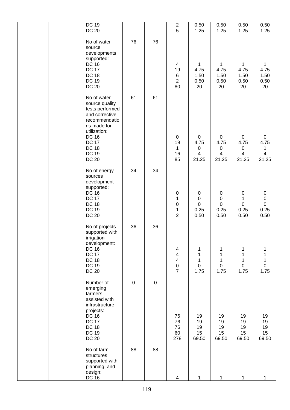| DC 19<br><b>DC 20</b>                                                                                                                                                                              |             |           | $\overline{\mathbf{c}}$<br>5                                                                                   | 0.50<br>1.25                                      | 0.50<br>1.25                                        | 0.50<br>1.25                                                       | 0.50<br>1.25                                  |
|----------------------------------------------------------------------------------------------------------------------------------------------------------------------------------------------------|-------------|-----------|----------------------------------------------------------------------------------------------------------------|---------------------------------------------------|-----------------------------------------------------|--------------------------------------------------------------------|-----------------------------------------------|
| No of water<br>source<br>developments<br>supported:<br><b>DC 16</b><br><b>DC 17</b><br><b>DC 18</b><br><b>DC 19</b><br><b>DC 20</b>                                                                | 76          | 76        | $\overline{4}$<br>19<br>$\,6$<br>$\sqrt{2}$<br>80                                                              | 1<br>4.75<br>1.50<br>0.50<br>20                   | $\mathbf{1}$<br>4.75<br>1.50<br>0.50<br>20          | $\mathbf{1}$<br>4.75<br>1.50<br>0.50<br>20                         | $\mathbf{1}$<br>4.75<br>1.50<br>0.50<br>20    |
| No of water<br>source quality<br>tests performed<br>and corrective<br>recommendatio<br>ns made for<br>utilization:<br><b>DC 16</b><br><b>DC 17</b><br><b>DC 18</b><br><b>DC 19</b><br><b>DC 20</b> | 61          | 61        | $\pmb{0}$<br>19<br>$\mathbf{1}$<br>16<br>85                                                                    | 0<br>4.75<br>$\pmb{0}$<br>$\overline{4}$<br>21.25 | 0<br>4.75<br>$\pmb{0}$<br>$\overline{4}$<br>21.25   | $\pmb{0}$<br>4.75<br>$\pmb{0}$<br>$\overline{\mathbf{4}}$<br>21.25 | 0<br>4.75<br>1<br>4<br>21.25                  |
| No of energy<br>sources<br>development<br>supported:<br><b>DC 16</b><br><b>DC 17</b><br><b>DC 18</b><br><b>DC 19</b><br><b>DC 20</b>                                                               | 34          | 34        | $\pmb{0}$<br>$\mathbf 1$<br>$\mathbf 0$<br>$\mathbf{1}$<br>$\overline{2}$                                      | $\pmb{0}$<br>$\pmb{0}$<br>0<br>0.25<br>0.50       | $\pmb{0}$<br>$\pmb{0}$<br>$\pmb{0}$<br>0.25<br>0.50 | $\pmb{0}$<br>$\mathbf 1$<br>$\pmb{0}$<br>0.25<br>0.50              | 0<br>$\pmb{0}$<br>$\mathsf 0$<br>0.25<br>0.50 |
| No of projects<br>supported with<br>irrigation<br>development:<br><b>DC 16</b><br><b>DC 17</b><br><b>DC 18</b><br><b>DC 19</b><br><b>DC 20</b>                                                     | 36          | 36        | $\overline{\mathbf{4}}$<br>$\overline{\mathbf{4}}$<br>$\overline{\mathbf{4}}$<br>$\mathbf 0$<br>$\overline{7}$ | 1<br>1<br>1<br>$\mathbf 0$<br>1.75                | 1<br>1<br>$\mathbf{1}$<br>$\pmb{0}$<br>1.75         | 1<br>1<br>$\mathbf 1$<br>$\pmb{0}$<br>1.75                         | 1<br>$\pmb{0}$<br>1.75                        |
| Number of<br>emerging<br>farmers<br>assisted with<br>infrastructure<br>projects:<br><b>DC 16</b><br><b>DC 17</b><br><b>DC 18</b><br><b>DC 19</b><br><b>DC 20</b>                                   | $\mathbf 0$ | $\pmb{0}$ | 76<br>76<br>76<br>60<br>278                                                                                    | 19<br>19<br>19<br>15<br>69.50                     | 19<br>19<br>19<br>15<br>69.50                       | 19<br>19<br>19<br>15<br>69.50                                      | 19<br>19<br>19<br>15<br>69.50                 |
| No of farm<br>structures<br>supported with<br>planning and<br>design:<br>DC 16                                                                                                                     | 88          | 88        | 4                                                                                                              | 1                                                 | 1                                                   | 1                                                                  | 1                                             |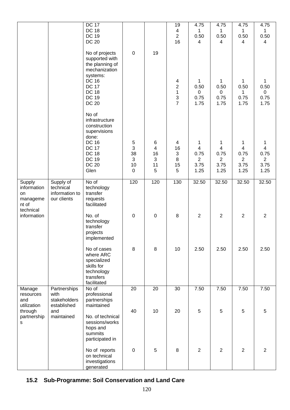|                                                  |                                                         | <b>DC 17</b><br><b>DC 18</b><br><b>DC 19</b><br><b>DC 20</b>                                                                                                     |                                     |                       | 19<br>$\overline{\mathbf{4}}$<br>$\overline{2}$<br>16                   | 4.75<br>$\mathbf{1}$<br>0.50<br>$\overline{4}$ | 4.75<br>$\mathbf{1}$<br>0.50<br>4 | 4.75<br>1<br>0.50<br>4               | 4.75<br>$\mathbf 1$<br>0.50<br>$\overline{4}$      |
|--------------------------------------------------|---------------------------------------------------------|------------------------------------------------------------------------------------------------------------------------------------------------------------------|-------------------------------------|-----------------------|-------------------------------------------------------------------------|------------------------------------------------|-----------------------------------|--------------------------------------|----------------------------------------------------|
|                                                  |                                                         | No of projects<br>supported with<br>the planning of<br>mechanization<br>systems:<br><b>DC 16</b><br><b>DC 17</b><br><b>DC 18</b><br><b>DC 19</b><br><b>DC 20</b> | $\pmb{0}$                           | 19                    | $\overline{\mathbf{4}}$<br>$\mathbf 2$<br>$\mathbf{1}$<br>$\frac{3}{7}$ | 1<br>0.50<br>0<br>0.75<br>1.75                 | 1<br>0.50<br>0<br>0.75<br>1.75    | 1<br>0.50<br>1<br>0.75<br>1.75       | $\mathbf 1$<br>0.50<br>$\mathbf 0$<br>0.75<br>1.75 |
|                                                  |                                                         | No of<br>infrastructure<br>construction<br>supervisions<br>done:<br><b>DC 16</b><br><b>DC 17</b><br><b>DC 18</b>                                                 | 5<br>$\mathbf{3}$<br>38             | 6<br>4<br>16          | $\overline{\mathbf{4}}$<br>16<br>$\sqrt{3}$                             | 1<br>$\overline{4}$<br>0.75                    | 1<br>$\overline{4}$<br>0.75       | 1<br>$\overline{\mathbf{4}}$<br>0.75 | 1<br>$\overline{\mathbf{4}}$<br>0.75               |
|                                                  |                                                         | <b>DC 19</b><br><b>DC 20</b><br>Glen                                                                                                                             | $\mathfrak{S}$<br>10<br>$\mathbf 0$ | $\sqrt{3}$<br>11<br>5 | 8<br>15<br>5                                                            | $\overline{2}$<br>3.75<br>1.25                 | $\overline{2}$<br>3.75<br>1.25    | $\overline{2}$<br>3.75<br>1.25       | $\overline{2}$<br>3.75<br>1.25                     |
| Supply<br>information<br>on<br>manageme<br>nt of | Supply of<br>technical<br>information to<br>our clients | No of<br>technology<br>transfer<br>requests<br>facilitated                                                                                                       | 120                                 | 120                   | 130                                                                     | 32.50                                          | 32.50                             | 32.50                                | 32.50                                              |
| technical<br>information                         |                                                         | No. of<br>technology<br>transfer<br>projects<br>implemented                                                                                                      | $\pmb{0}$                           | $\pmb{0}$             | $\, 8$                                                                  | $\overline{2}$                                 | $\overline{2}$                    | $\overline{2}$                       | $\overline{2}$                                     |
|                                                  |                                                         | No of cases<br>where ARC<br>specialized<br>skills for<br>technology<br>transfers<br>facilitated                                                                  | 8                                   | 8                     | 10                                                                      | 2.50                                           | 2.50                              | 2.50                                 | 2.50                                               |
| Manage<br>resources<br>and<br>utilization        | Partnerships<br>with<br>stakeholders<br>established     | No of<br>professional<br>partnerships<br>maintained                                                                                                              | 20                                  | 20                    | 30                                                                      | 7.50                                           | $\overline{7.50}$                 | 7.50                                 | 7.50                                               |
| through<br>partnership<br>$\mathbf s$            | and<br>maintained                                       | No. of technical<br>sessions/works<br>hops and<br>summits<br>participated in                                                                                     | 40                                  | 10                    | 20                                                                      | $\overline{5}$                                 | 5                                 | $\sqrt{5}$                           | 5                                                  |
|                                                  |                                                         | No of reports<br>on technical<br>investigations<br>generated                                                                                                     | $\boldsymbol{0}$                    | 5                     | $\bf 8$                                                                 | 2                                              | $\overline{2}$                    | $\overline{2}$                       | $\overline{2}$                                     |

## **15.2 Sub-Programme: Soil Conservation and Land Care**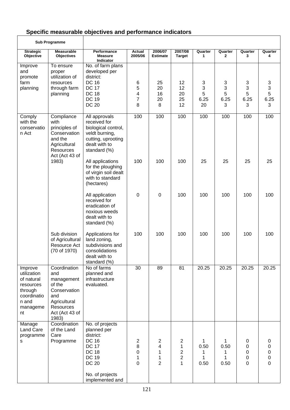# **Specific measurable objectives and performance indicators**

|                                                                                                        | <b>Sub Programme</b>                                                                                                       |                                                                                                                                                                   |                                               |                                                 |                                                                                    |                             |                                       |                                    |                                                   |
|--------------------------------------------------------------------------------------------------------|----------------------------------------------------------------------------------------------------------------------------|-------------------------------------------------------------------------------------------------------------------------------------------------------------------|-----------------------------------------------|-------------------------------------------------|------------------------------------------------------------------------------------|-----------------------------|---------------------------------------|------------------------------------|---------------------------------------------------|
| <b>Strategic</b><br>Objective                                                                          | <b>Measurable</b><br><b>Objectives</b>                                                                                     | Performance<br><b>Measure</b><br>Indicator                                                                                                                        | Actual<br>2005/06                             | 2006/07<br><b>Estimate</b>                      | 2007/08<br><b>Target</b>                                                           | Quarter<br>1                | Quarter<br>2                          | Quarter<br>3                       | Quarter<br>4                                      |
| Improve<br>and<br>promote<br>farm<br>planning                                                          | To ensure<br>proper<br>utilization of<br>resources<br>through farm<br>planning                                             | No. of farm plans<br>developed per<br>district:<br><b>DC 16</b><br><b>DC 17</b><br><b>DC 18</b><br><b>DC 19</b><br><b>DC 20</b>                                   | 6<br>5<br>4<br>7<br>8                         | 25<br>20<br>16<br>20<br>8                       | 12<br>12<br>20<br>25<br>12                                                         | 3<br>3<br>5<br>6.25<br>20   | 3<br>3<br>$\overline{5}$<br>6.25<br>3 | 3<br>$\mathsf 3$<br>5<br>6.25<br>3 | $\frac{3}{5}$<br>6.25<br>3                        |
| Comply<br>with the<br>conservatio<br>n Act                                                             | Compliance<br>with<br>principles of<br>Conservation<br>and the<br>Agricultural<br><b>Resources</b><br>Act (Act 43 of       | All approvals<br>received for<br>biological control,<br>veldt burning,<br>cutting, uprooting<br>dealt with to<br>standard (%)                                     | 100                                           | 100                                             | 100                                                                                | 100                         | 100                                   | 100                                | 100                                               |
|                                                                                                        | 1983)                                                                                                                      | All applications<br>for the ploughing<br>of virgin soil dealt<br>with to standard<br>(hectares)                                                                   | 100                                           | 100                                             | 100                                                                                | 25                          | 25                                    | 25                                 | 25                                                |
|                                                                                                        |                                                                                                                            | All application<br>received for<br>eradication of<br>noxious weeds<br>dealt with to<br>standard (%)                                                               | $\boldsymbol{0}$                              | 0                                               | 100                                                                                | 100                         | 100                                   | 100                                | 100                                               |
|                                                                                                        | Sub division<br>of Agricultural<br>Resource Act<br>(70 of 1970)                                                            | Applications for<br>land zoning,<br>subdivisions and<br>consolidations<br>dealt with to<br>standard (%)                                                           | 100                                           | 100                                             | 100                                                                                | 100                         | 100                                   | 100                                | 100                                               |
| Improve<br>utilization<br>of natural<br>resources<br>through<br>coordinatio<br>n and<br>manageme<br>nt | Coordination<br>and<br>management<br>of the<br>Conservation<br>and<br>Agricultural<br>Resources<br>Act (Act 43 of<br>1983) | No of farms<br>planned and<br>infrastructure<br>evaluated.                                                                                                        | 30                                            | 89                                              | 81                                                                                 | 20.25                       | 20.25                                 | 20.25                              | 20.25                                             |
| Manage<br><b>Land Care</b><br>programme<br>s                                                           | Coordination<br>of the Land<br>Care<br>Programme                                                                           | No. of projects<br>planned per<br>district:<br><b>DC 16</b><br><b>DC 17</b><br><b>DC 18</b><br><b>DC 19</b><br><b>DC 20</b><br>No. of projects<br>implemented and | $\overline{c}$<br>8<br>0<br>$\mathbf{1}$<br>0 | $\overline{2}$<br>4<br>1<br>1<br>$\overline{2}$ | $\overline{2}$<br>$\mathbf{1}$<br>$\overline{c}$<br>$\overline{2}$<br>$\mathbf{1}$ | 1<br>0.50<br>1<br>1<br>0.50 | 1<br>0.50<br>1<br>1<br>0.50           | 0<br>0<br>0<br>0<br>0              | 0<br>$\mathsf 0$<br>$\mathsf{O}\xspace$<br>0<br>0 |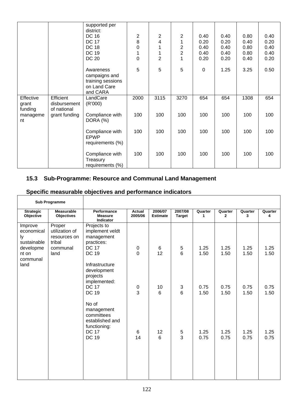|                               |                                          | supported per<br>district:<br><b>DC 16</b><br><b>DC 17</b><br><b>DC 18</b><br><b>DC 19</b><br><b>DC 20</b> | $\overline{c}$<br>8<br>$\mathbf 0$<br>1<br>$\mathbf 0$ | 2<br>4<br>$\overline{2}$ | $\overline{2}$<br>1<br>$\overline{\mathbf{c}}$<br>$\overline{c}$<br>1 | 0.40<br>0.20<br>0.40<br>0.40<br>0.20 | 0.40<br>0.20<br>0.40<br>0.40<br>0.20 | 0.80<br>0.40<br>0.80<br>0.80<br>0.40 | 0.40<br>0.20<br>0.40<br>0.40<br>0.20 |
|-------------------------------|------------------------------------------|------------------------------------------------------------------------------------------------------------|--------------------------------------------------------|--------------------------|-----------------------------------------------------------------------|--------------------------------------|--------------------------------------|--------------------------------------|--------------------------------------|
|                               |                                          | Awareness<br>campaigns and<br>training sessions<br>on Land Care<br>and CARA                                | 5                                                      | 5                        | 5                                                                     | $\Omega$                             | 1.25                                 | 3.25                                 | 0.50                                 |
| Effective<br>grant<br>funding | Efficient<br>disbursement<br>of national | LandCare<br>(R'000)                                                                                        | 2000                                                   | 3115                     | 3270                                                                  | 654                                  | 654                                  | 1308                                 | 654                                  |
| manageme<br>nt                | grant funding                            | Compliance with<br>DORA (%)                                                                                | 100                                                    | 100                      | 100                                                                   | 100                                  | 100                                  | 100                                  | 100                                  |
|                               |                                          | Compliance with<br><b>EPWP</b><br>requirements (%)                                                         | 100                                                    | 100                      | 100                                                                   | 100                                  | 100                                  | 100                                  | 100                                  |
|                               |                                          | Compliance with<br>Treasury<br>requirements (%)                                                            | 100                                                    | 100                      | 100                                                                   | 100                                  | 100                                  | 100                                  | 100                                  |

#### **15.3 Sub-Programme: Resource and Communal Land Management**

|                                                         | <b>Sub Programme</b>                                           |                                                                                                      |                   |                            |                   |              |                         |              |              |
|---------------------------------------------------------|----------------------------------------------------------------|------------------------------------------------------------------------------------------------------|-------------------|----------------------------|-------------------|--------------|-------------------------|--------------|--------------|
| <b>Strategic</b><br>Objective                           | <b>Measurable</b><br>Objectives                                | Performance<br><b>Measure</b><br>Indicator                                                           | Actual<br>2005/06 | 2006/07<br><b>Estimate</b> | 2007/08<br>Target | Quarter<br>1 | Quarter<br>$\mathbf{2}$ | Quarter<br>3 | Quarter<br>4 |
| Improve<br>economical<br>ly<br>sustainable<br>developme | Proper<br>utilization of<br>resources on<br>tribal<br>communal | Projects to<br>implement veldt<br>management<br>practices:<br><b>DC 17</b>                           | $\pmb{0}$         | $\,6\,$                    | $\mathbf 5$       | 1.25         | 1.25                    | 1.25         | 1.25         |
| nt on<br>communal<br>land                               | land                                                           | <b>DC 19</b><br>Infrastructure<br>development<br>projects<br>implemented:                            | $\mathbf 0$       | 12                         | $6\phantom{a}$    | 1.50         | 1.50                    | 1.50         | 1.50         |
|                                                         |                                                                | <b>DC 17</b><br><b>DC 19</b>                                                                         | 0<br>3            | 10<br>6                    | 3<br>6            | 0.75<br>1.50 | 0.75<br>1.50            | 0.75<br>1.50 | 0.75<br>1.50 |
|                                                         |                                                                | No of<br>management<br>committees<br>established and<br>functioning:<br><b>DC 17</b><br><b>DC 19</b> | 6<br>14           | 12<br>6                    | $\sqrt{5}$<br>3   | 1.25<br>0.75 | 1.25<br>0.75            | 1.25<br>0.75 | 1.25<br>0.75 |

# **Specific measurable objectives and performance indicators**

 $\overline{1}$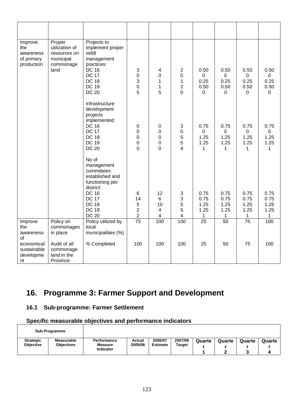| Improve<br>the<br>awareness<br>of primary<br>production | Proper<br>utilization of<br>resources on<br>municipal<br>commonage<br>land | Projects to<br>implement proper<br>veldt<br>management<br>practices:<br><b>DC 16</b><br><b>DC 17</b><br><b>DC 18</b><br><b>DC 19</b><br><b>DC 20</b>                 | $\sqrt{3}$<br>$\boldsymbol{0}$<br>3<br>$\pmb{0}$<br>5                 | 4<br>0<br>1<br>1<br>5                | $\overline{2}$<br>0<br>1<br>$\overline{2}$<br>$\overline{0}$ | 0.50<br>0<br>0.25<br>0.50<br>$\mathbf 0$ | 0.50<br>0<br>0.25<br>0.50<br>$\Omega$    | 0.50<br>$\mathbf 0$<br>0.25<br>0.50<br>$\overline{0}$ | 0.50<br>$\mathbf 0$<br>0.25<br>0.50<br>$\mathbf 0$ |
|---------------------------------------------------------|----------------------------------------------------------------------------|----------------------------------------------------------------------------------------------------------------------------------------------------------------------|-----------------------------------------------------------------------|--------------------------------------|--------------------------------------------------------------|------------------------------------------|------------------------------------------|-------------------------------------------------------|----------------------------------------------------|
|                                                         |                                                                            | Infrastructure<br>development<br>projects<br>implemented:<br><b>DC 16</b><br><b>DC 17</b><br><b>DC 18</b><br><b>DC 19</b><br><b>DC 20</b>                            | 0<br>$\boldsymbol{0}$<br>$\mathbf 0$<br>$\mathbf 0$<br>$\overline{0}$ | 0<br>0<br>0<br>0<br>0                | 3<br>0<br>5<br>5<br>4                                        | 0.75<br>0<br>1.25<br>1.25<br>1           | 0.75<br>$\mathbf 0$<br>1.25<br>1.25<br>1 | 0.75<br>0<br>1.25<br>1.25<br>1                        | 0.75<br>$\mathbf 0$<br>1.25<br>1.25<br>1           |
|                                                         |                                                                            | No of<br>management<br>committees<br>established and<br>functioning per<br>district:<br><b>DC 16</b><br><b>DC 17</b><br><b>DC 18</b><br><b>DC 19</b><br><b>DC 20</b> | $\,6$<br>14<br>5<br>$\overline{2}$<br>$\overline{\mathbf{c}}$         | 12<br>6<br>10<br>$\overline{4}$<br>4 | $\sqrt{3}$<br>3<br>5<br>5<br>4                               | 0.75<br>0.75<br>1.25<br>1.25<br>1        | 0.75<br>0.75<br>1.25<br>1.25<br>1        | 0.75<br>0.75<br>1.25<br>1.25<br>$\mathbf 1$           | 0.75<br>0.75<br>1.25<br>1.25<br>1                  |
| Improve<br>the<br>awareness<br>of                       | Policy on<br>commonages<br>in place                                        | Policy utilized by<br>local<br>municipalities (%)                                                                                                                    | $\overline{75}$                                                       | 100                                  | 100                                                          | $\overline{25}$                          | 50                                       | $\overline{75}$                                       | 100                                                |
| economical<br>sustainable<br>developme<br>nt            | Audit of all<br>commonage<br>land in the<br>Province                       | % Completed                                                                                                                                                          | 100                                                                   | 100                                  | 100                                                          | 25                                       | 50                                       | 75                                                    | 100                                                |

# **16. Programme 3: Farmer Support and Development**

## **16.1 Sub-programme: Farmer Settlement**

|                                      | <b>Sub Programme</b>                   |                               |                   |                            |                          |        |        |        |        |
|--------------------------------------|----------------------------------------|-------------------------------|-------------------|----------------------------|--------------------------|--------|--------|--------|--------|
| <b>Strategic</b><br><b>Objective</b> | <b>Measurable</b><br><b>Objectives</b> | Performance<br><b>Measure</b> | Actual<br>2005/06 | 2006/07<br><b>Estimate</b> | 2007/08<br><b>Target</b> | Quarte | Quarte | Quarte | Quarte |
|                                      |                                        | <b>Indicator</b>              |                   |                            |                          |        |        |        |        |
|                                      |                                        |                               |                   |                            |                          |        |        |        | 4      |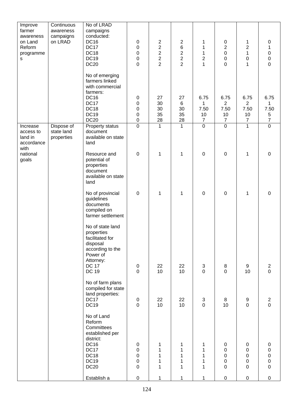| Improve                                                    | Continuous                             | No of LRAD                                                                                                                                 |                                              |                                                                             |                                                              |                                                           |                                                                             |                                                              |                                                                                   |
|------------------------------------------------------------|----------------------------------------|--------------------------------------------------------------------------------------------------------------------------------------------|----------------------------------------------|-----------------------------------------------------------------------------|--------------------------------------------------------------|-----------------------------------------------------------|-----------------------------------------------------------------------------|--------------------------------------------------------------|-----------------------------------------------------------------------------------|
| farmer<br>awareness<br>on Land<br>Reform<br>programme<br>S | awareness<br>campaigns<br>on LRAD      | campaigns<br>conducted:<br><b>DC16</b><br><b>DC17</b><br>DC18<br><b>DC19</b><br><b>DC20</b>                                                | $\pmb{0}$<br>0<br>0<br>$\pmb{0}$<br>0        | $\overline{c}$<br>$\mathbf 2$<br>$\begin{array}{c} 2 \\ 2 \\ 2 \end{array}$ | $\overline{c}$<br>$\begin{array}{c} 6 \\ 2 \\ 2 \end{array}$ | 1<br>1<br>$\mathbf 1$<br>$\boldsymbol{2}$<br>$\mathbf{1}$ | $\pmb{0}$<br>$\overline{c}$<br>$\mathbf 0$<br>$\mathbf 0$<br>$\overline{0}$ | 1<br>$\overline{c}$<br>1<br>0<br>1                           | $\pmb{0}$<br>1<br>$\begin{smallmatrix}0\\0\\0\end{smallmatrix}$<br>$\overline{0}$ |
|                                                            |                                        | No of emerging<br>farmers linked<br>with commercial<br>farmers:<br><b>DC16</b><br>DC17<br><b>DC18</b><br><b>DC19</b><br><b>DC20</b>        | 0<br>0<br>0<br>0<br>0                        | 27<br>30<br>30<br>35<br>$\frac{28}{1}$                                      | 27<br>$\,6$<br>30<br>35<br><b>28</b>                         | 6.75<br>1<br>7.50<br>10<br>$\overline{7}$                 | 6.75<br>$\overline{2}$<br>7.50<br>10<br>$\overline{7}$                      | 6.75<br>$\overline{2}$<br>7.50<br>10<br>$\overline{7}$       | 6.75<br>1<br>7.50<br>$\sqrt{5}$<br>$\overline{7}$                                 |
| Increase<br>access to<br>land in<br>accordance<br>with     | Dispose of<br>state land<br>properties | Property status<br>document<br>available on state<br>land                                                                                  | $\overline{0}$                               | $\overline{1}$                                                              | $\overline{1}$                                               | $\overline{0}$                                            | $\overline{0}$                                                              | $\overline{1}$                                               | $\overline{0}$                                                                    |
| national<br>goals                                          |                                        | Resource and<br>potential of<br>properties<br>document<br>available on state<br>land                                                       | 0                                            | 1                                                                           | 1                                                            | $\pmb{0}$                                                 | $\pmb{0}$                                                                   | $\mathbf 1$                                                  | $\mathbf 0$                                                                       |
|                                                            |                                        | No of provincial<br>guidelines<br>documents<br>compiled on<br>farmer settlement                                                            | $\boldsymbol{0}$                             | 1                                                                           | $\mathbf 1$                                                  | $\mathbf 0$                                               | $\mathbf 0$                                                                 | 1                                                            | $\pmb{0}$                                                                         |
|                                                            |                                        | No of state land<br>properties<br>facilitated for<br>disposal<br>according to the<br>Power of<br>Attorney:<br><b>DC 17</b><br><b>DC 19</b> | $\pmb{0}$<br>$\mathbf 0$                     | 22<br>10                                                                    | 22<br>10                                                     | $\sqrt{3}$<br>$\overline{0}$                              | 8<br>$\overline{0}$                                                         | 9<br>10                                                      | $\begin{array}{c} 2 \\ 0 \end{array}$                                             |
|                                                            |                                        | No of farm plans<br>compiled for state<br>land properties:<br><b>DC17</b><br><b>DC19</b>                                                   | 0<br>0                                       | 22<br>10                                                                    | 22<br>10                                                     | $\ensuremath{\mathsf{3}}$<br>$\mathbf 0$                  | 8<br>10                                                                     | $\boldsymbol{9}$<br>$\mathbf 0$                              | $\begin{array}{c} 2 \\ 0 \end{array}$                                             |
|                                                            |                                        | No of Land<br>Reform<br>Committees<br>established per<br>district:<br><b>DC16</b><br>DC17<br>DC18<br><b>DC19</b><br><b>DC20</b>            | $\pmb{0}$<br>$\boldsymbol{0}$<br>0<br>0<br>0 | 1<br>1<br>1<br>1<br>$\mathbf{1}$                                            | 1<br>1<br>1<br>1<br>$\mathbf{1}$                             | 1<br>$\mathbf{1}$<br>1<br>1<br>1                          | $\pmb{0}$<br>$\pmb{0}$<br>$\mathbf 0$<br>$\mathbf 0$<br>$\mathbf 0$         | $\pmb{0}$<br>$\pmb{0}$<br>$\boldsymbol{0}$<br>$\pmb{0}$<br>0 | $\pmb{0}$<br>$\pmb{0}$<br>$\pmb{0}$<br>$\pmb{0}$<br>$\pmb{0}$                     |
|                                                            |                                        | Establish a                                                                                                                                | 0                                            | 1                                                                           | 1                                                            | 1                                                         | $\pmb{0}$                                                                   | $\mathsf{O}$                                                 | $\pmb{0}$                                                                         |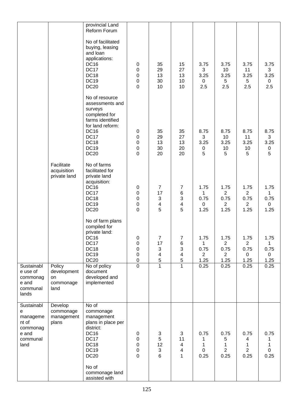|                                                                               |                                                  | provincial Land<br>Reform Forum                                                                                                                                                     |                                                                |                                                       |                                                                                   |                                             |                                                          |                                                          |                                                     |
|-------------------------------------------------------------------------------|--------------------------------------------------|-------------------------------------------------------------------------------------------------------------------------------------------------------------------------------------|----------------------------------------------------------------|-------------------------------------------------------|-----------------------------------------------------------------------------------|---------------------------------------------|----------------------------------------------------------|----------------------------------------------------------|-----------------------------------------------------|
|                                                                               |                                                  | No of facilitated<br>buying, leasing<br>and loan<br>applications:<br><b>DC16</b><br><b>DC17</b><br>DC18<br><b>DC19</b><br><b>DC20</b>                                               | 0<br>0<br>0<br>0<br>0                                          | 35<br>29<br>13<br>30<br>10                            | 15<br>27<br>13<br>10<br>10                                                        | 3.75<br>3<br>3.25<br>$\mathbf 0$<br>2.5     | 3.75<br>10<br>3.25<br>5<br>2.5                           | 3.75<br>11<br>3.25<br>5<br>2.5                           | 3.75<br>3<br>3.25<br>$\mathbf 0$<br>2.5             |
|                                                                               |                                                  | No of resource<br>assessments and<br>surveys<br>completed for<br>farms identified<br>for land reform:<br><b>DC16</b><br><b>DC17</b><br><b>DC18</b><br><b>DC19</b><br><b>DC20</b>    | $\pmb{0}$<br>0<br>0<br>0<br>$\mathbf 0$                        | 35<br>29<br>13<br>30<br>20                            | 35<br>27<br>13<br>20<br>20                                                        | 8.75<br>3<br>3.25<br>0<br>5                 | 8.75<br>10<br>3.25<br>10<br>5                            | 8.75<br>11<br>3.25<br>10<br>5                            | 8.75<br>3<br>3.25<br>$\pmb{0}$<br>5                 |
|                                                                               | Facilitate<br>acquisition<br>private land        | No of farms<br>facilitated for<br>private land<br>acquisition:<br>DC16<br>DC17<br><b>DC18</b><br><b>DC19</b><br><b>DC20</b>                                                         | $\mathbf 0$<br>$\pmb{0}$<br>$\mathbf 0$<br>0<br>0              | $\overline{7}$<br>17<br>3<br>4<br>5                   | $\overline{7}$<br>6<br>$\mathbf{3}$<br>4<br>5                                     | 1.75<br>1<br>0.75<br>$\pmb{0}$<br>1.25      | 1.75<br>$\overline{2}$<br>0.75<br>$\overline{2}$<br>1.25 | 1.75<br>$\overline{2}$<br>0.75<br>$\overline{2}$<br>1.25 | 1.75<br>$\mathbf{1}$<br>0.75<br>$\mathbf 0$<br>1.25 |
|                                                                               |                                                  | No of farm plans<br>compiled for<br>private land:<br><b>DC16</b><br>DC17<br><b>DC18</b><br><b>DC19</b><br><b>DC20</b>                                                               | 0<br>0<br>0<br>$\boldsymbol{0}$<br>$\pmb{0}$<br>$\overline{0}$ | $\overline{7}$<br>17<br>3<br>4<br>5<br>$\overline{1}$ | $\overline{7}$<br>6<br>3<br>$\overline{\mathbf{4}}$<br>$\sqrt{5}$<br>$\mathbf{1}$ | 1.75<br>1<br>0.75<br>$\overline{2}$<br>1.25 | 1.75<br>$\overline{2}$<br>0.75<br>$\overline{2}$<br>1.25 | 1.75<br>$\overline{c}$<br>0.75<br>$\mathbf 0$<br>1.25    | 1.75<br>1<br>0.75<br>$\overline{0}$<br>1.25         |
| Sustainabl<br>e use of<br>commonag<br>e and<br>communal<br>lands              | Policy<br>development<br>on<br>commonage<br>land | No of policy<br>document<br>developed and<br>implemented                                                                                                                            |                                                                |                                                       |                                                                                   | 0.25                                        | 0.25                                                     | 0.25                                                     | 0.25                                                |
| Sustainabl<br>e<br>manageme<br>nt of<br>commonag<br>e and<br>communal<br>land | Develop<br>commonage<br>management<br>plans      | No of<br>commonage<br>management<br>plans in place per<br>district:<br><b>DC16</b><br>DC17<br><b>DC18</b><br><b>DC19</b><br><b>DC20</b><br>No of<br>commonage land<br>assisted with | $\mathbf 0$<br>$\pmb{0}$<br>$\pmb{0}$<br>0<br>0                | 3<br>5<br>12<br>3<br>6                                | 3<br>11<br>$\overline{\mathbf{4}}$<br>4<br>$\mathbf{1}$                           | 0.75<br>1<br>0<br>0.25                      | 0.75<br>5<br>1<br>$\overline{2}$<br>0.25                 | 0.75<br>4<br>1<br>$\overline{2}$<br>0.25                 | 0.75<br>1<br>$\mathbf{1}$<br>$\mathsf 0$<br>0.25    |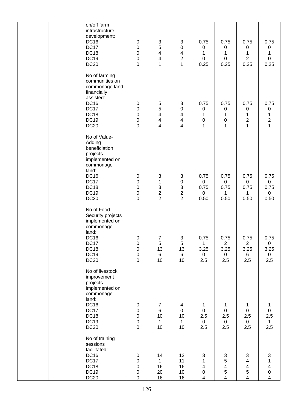| on/off farm<br>infrastructure<br>development:<br><b>DC16</b><br>DC17<br><b>DC18</b><br><b>DC19</b><br><b>DC20</b>                                        | $\pmb{0}$<br>$\pmb{0}$<br>$\mathbf 0$<br>$\pmb{0}$<br>0                | $\sqrt{3}$<br>5<br>$\overline{\mathbf{4}}$<br>4<br>1     | 3<br>$\pmb{0}$<br>$\overline{\mathbf{4}}$<br>2<br>1 | 0.75<br>$\pmb{0}$<br>$\mathbf 1$<br>$\pmb{0}$<br>0.25     | 0.75<br>$\pmb{0}$<br>$\mathbf 1$<br>$\pmb{0}$<br>0.25               | 0.75<br>0<br>1<br>$\overline{2}$<br>0.25                                       | 0.75<br>$\pmb{0}$<br>1<br>$\mathsf 0$<br>0.25                                                            |
|----------------------------------------------------------------------------------------------------------------------------------------------------------|------------------------------------------------------------------------|----------------------------------------------------------|-----------------------------------------------------|-----------------------------------------------------------|---------------------------------------------------------------------|--------------------------------------------------------------------------------|----------------------------------------------------------------------------------------------------------|
| No of farming<br>communities on<br>commonage land<br>financially<br>assisted:<br><b>DC16</b><br>DC17<br>DC18<br><b>DC19</b><br><b>DC20</b>               | 0<br>$\pmb{0}$<br>$\mathbf 0$<br>$\mathbf 0$<br>0                      | $\sqrt{5}$<br>5<br>$\overline{\mathbf{4}}$<br>4<br>4     | 3<br>$\pmb{0}$<br>4<br>$\overline{\mathbf{4}}$<br>4 | 0.75<br>0<br>1<br>0<br>1                                  | 0.75<br>$\pmb{0}$<br>$\mathbf 1$<br>$\mathbf 0$<br>1                | 0.75<br>0<br>1<br>$\overline{c}$<br>1                                          | 0.75<br>$\pmb{0}$<br>$\mathbf{1}$<br>$\mathbf 2$<br>$\mathbf{1}$                                         |
| No of Value-<br>Adding<br>beneficiation<br>projects<br>implemented on<br>commonage<br>land:<br><b>DC16</b><br>DC17<br>DC18<br><b>DC19</b><br><b>DC20</b> | $\pmb{0}$<br>$\pmb{0}$<br>$\mathbf 0$<br>$\pmb{0}$<br>$\boldsymbol{0}$ | $\sqrt{3}$<br>1<br>3<br>$\overline{c}$<br>$\overline{2}$ | 3<br>$\pmb{0}$<br>3<br>2<br>$\overline{2}$          | 0.75<br>$\mathbf 0$<br>0.75<br>$\mathbf 0$<br>0.50        | 0.75<br>$\mathsf 0$<br>0.75<br>1<br>0.50                            | 0.75<br>$\mathbf 0$<br>0.75<br>1<br>0.50                                       | 0.75<br>$\mathbf 0$<br>0.75<br>$\mathbf 0$<br>0.50                                                       |
| No of Food<br>Security projects<br>implemented on<br>commonage<br>land:<br><b>DC16</b><br>DC17<br>DC18<br>DC19<br><b>DC20</b>                            | $\pmb{0}$<br>$\pmb{0}$<br>$\pmb{0}$<br>$\mathsf 0$<br>$\pmb{0}$        | 7<br>5<br>13<br>6<br>10                                  | 3<br>5<br>13<br>$6\phantom{1}$<br>10                | 0.75<br>$\mathbf{1}$<br>3.25<br>$\overline{0}$<br>2.5     | 0.75<br>$\overline{2}$<br>3.25<br>$\overline{0}$<br>2.5             | 0.75<br>$\mathbf{2}$<br>3.25<br>$6\overline{6}$<br>2.5                         | 0.75<br>$\mathbf 0$<br>3.25<br>$\overline{0}$<br>2.5                                                     |
| No of livestock<br>improvement<br>projects<br>implemented on<br>commonage<br>land:<br><b>DC16</b><br>DC17<br>DC18<br><b>DC19</b><br><b>DC20</b>          | $\mathbf 0$<br>$\mathbf 0$<br>$\mathbf 0$<br>$\mathsf 0$<br>$\pmb{0}$  | 7<br>$6\phantom{.}$<br>10<br>$\mathbf{1}$<br>10          | 4<br>$\mathbf 0$<br>10<br>$\mathbf{1}$<br>10        | 1<br>$\mathbf 0$<br>2.5<br>$\overline{0}$<br>2.5          | 1<br>$\mathbf 0$<br>2.5<br>$\overline{0}$<br>2.5                    | 1<br>$\mathbf 0$<br>2.5<br>$\overline{0}$<br>2.5                               | 1<br>$\mathbf 0$<br>2.5<br>$\mathbf{1}$<br>2.5                                                           |
| No of training<br>sessions<br>facilitated:<br><b>DC16</b><br><b>DC17</b><br><b>DC18</b><br><b>DC19</b><br><b>DC20</b>                                    | $\mathbf 0$<br>$\mathbf 0$<br>$\pmb{0}$<br>$\pmb{0}$<br>$\pmb{0}$      | 14<br>1<br>16<br>20<br>16                                | 12<br>11<br>16<br>10<br>16                          | 3<br>$\mathbf 1$<br>$\overline{4}$<br>0<br>$\overline{4}$ | $\mathbf{3}$<br>5<br>$\overline{\mathbf{4}}$<br>5<br>$\overline{4}$ | 3<br>$\overline{\mathbf{4}}$<br>$\overline{\mathbf{4}}$<br>5<br>$\overline{4}$ | $\mathbf{3}$<br>$\mathbf 1$<br>$\overline{\mathbf{4}}$<br>$\mathsf{O}\xspace$<br>$\overline{\mathbf{4}}$ |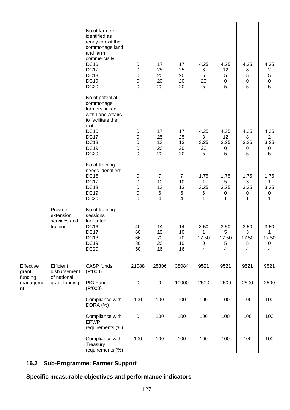|                           |                                                  | No of farmers<br>identified as<br>ready to exit the<br>commonage land<br>and farm<br>commercially:<br><b>DC16</b><br>DC17<br><b>DC18</b><br><b>DC19</b><br><b>DC20</b>  | $\pmb{0}$<br>0<br>0<br>0<br>0         | 17<br>25<br>20<br>20<br>20           | 17<br>25<br>20<br>20<br>20           | 4.25<br>$\ensuremath{\mathsf{3}}$<br>5<br>20<br>5 | 4.25<br>12<br>5<br>$\mathsf 0$<br>5 | 4.25<br>8<br>5<br>$\mathbf 0$<br>5     | 4.25<br>$\mathbf{2}$<br>5<br>$\begin{matrix}0\\5\end{matrix}$ |
|---------------------------|--------------------------------------------------|-------------------------------------------------------------------------------------------------------------------------------------------------------------------------|---------------------------------------|--------------------------------------|--------------------------------------|---------------------------------------------------|-------------------------------------|----------------------------------------|---------------------------------------------------------------|
|                           |                                                  | No of potential<br>commonage<br>farmers linked<br>with Land Affairs<br>to facilitate their<br>exit:<br><b>DC16</b><br>DC17<br><b>DC18</b><br><b>DC19</b><br><b>DC20</b> | $\pmb{0}$<br>0<br>0<br>0<br>0         | 17<br>25<br>13<br>20<br>20           | 17<br>25<br>13<br>20<br>20           | 4.25<br>3<br>3.25<br>20<br>5                      | 4.25<br>12<br>3.25<br>0<br>5        | 4.25<br>8<br>3.25<br>0<br>5            | 4.25<br>$\overline{2}$<br>3.25<br>0<br>5                      |
|                           |                                                  | No of training<br>needs identified:<br><b>DC16</b><br>DC17<br>DC18<br><b>DC19</b><br><b>DC20</b>                                                                        | $\pmb{0}$<br>$\pmb{0}$<br>0<br>0<br>0 | $\overline{7}$<br>10<br>13<br>6<br>4 | $\overline{7}$<br>10<br>13<br>6<br>4 | 1.75<br>1<br>3.25<br>6<br>1                       | 1.75<br>5<br>3.25<br>0<br>1         | 1.75<br>3<br>3.25<br>$\pmb{0}$<br>1    | 1.75<br>1<br>3.25<br>0<br>$\mathbf{1}$                        |
|                           | Provide<br>extension<br>services and<br>training | No of training<br>sessions<br>facilitated:<br><b>DC16</b><br><b>DC17</b><br><b>DC18</b><br>DC <sub>19</sub><br><b>DC20</b>                                              | 40<br>60<br>66<br>80<br>50            | 14<br>10<br>70<br>20<br>16           | 14<br>10<br>70<br>10<br>16           | 3.50<br>1<br>17.50<br>$\pmb{0}$<br>4              | 3.50<br>5<br>17.50<br>5<br>4        | 3.50<br>3<br>17.50<br>$\,$ 5 $\,$<br>4 | 3.50<br>1<br>17.50<br>0<br>4                                  |
| Effective<br>grant        | Efficient<br>disbursement                        | CASP funds<br>(R'000)                                                                                                                                                   | 21088                                 | 25306                                | 38084                                | 9521                                              | 9521                                | 9521                                   | 9521                                                          |
| funding<br>manageme<br>nt | of national<br>grant funding                     | PIG Funds<br>(R'000)                                                                                                                                                    | $\mathbf 0$                           | $\mathbf 0$                          | 10000                                | 2500                                              | 2500                                | 2500                                   | 2500                                                          |
|                           |                                                  | Compliance with<br>DORA (%)                                                                                                                                             | 100                                   | 100                                  | 100                                  | 100                                               | 100                                 | 100                                    | 100                                                           |
|                           |                                                  | Compliance with<br><b>EPWP</b><br>requirements (%)                                                                                                                      | $\pmb{0}$                             | 100                                  | 100                                  | 100                                               | 100                                 | 100                                    | 100                                                           |
|                           |                                                  | Compliance with<br>Treasury<br>requirements (%)                                                                                                                         | 100                                   | 100                                  | 100                                  | 100                                               | 100                                 | 100                                    | 100                                                           |

# **16.2 Sub-Programme: Farmer Support**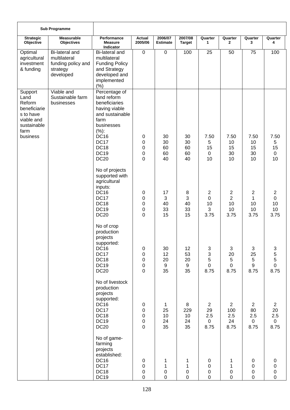|                                                                                                         | <b>Sub Programme</b>                                                                 |                                                                                                                                                                             |                                                                          |                                                  |                                    |                                                    |                                                      |                                                    |                                                       |
|---------------------------------------------------------------------------------------------------------|--------------------------------------------------------------------------------------|-----------------------------------------------------------------------------------------------------------------------------------------------------------------------------|--------------------------------------------------------------------------|--------------------------------------------------|------------------------------------|----------------------------------------------------|------------------------------------------------------|----------------------------------------------------|-------------------------------------------------------|
| <b>Strategic</b><br>Objective                                                                           | <b>Measurable</b><br><b>Objectives</b>                                               | Performance<br><b>Measure</b><br>Indicator                                                                                                                                  | <b>Actual</b><br>2005/06                                                 | 2006/07<br><b>Estimate</b>                       | 2007/08<br><b>Target</b>           | Quarter<br>$\mathbf{1}$                            | Quarter<br>$\mathbf{2}$                              | Quarter<br>3                                       | Quarter<br>4                                          |
| Optimal<br>agricultural<br>investment<br>& funding                                                      | <b>Bi-lateral and</b><br>multilateral<br>funding policy and<br>strategy<br>developed | Bi-lateral and<br>multilateral<br><b>Funding Policy</b><br>and Strategy<br>developed and<br>implemented<br>(% )                                                             | $\pmb{0}$                                                                | $\pmb{0}$                                        | 100                                | 25                                                 | 50                                                   | 75                                                 | 100                                                   |
| Support<br>Land<br>Reform<br>beneficiarie<br>s to have<br>viable and<br>sustainable<br>farm<br>business | Viable and<br>Sustainable farm<br>businesses                                         | Percentage of<br>land reform<br>beneficiaries<br>having viable<br>and sustainable<br>farm<br>businesses<br>(%):<br><b>DC16</b><br><b>DC17</b><br><b>DC18</b><br><b>DC19</b> | 0<br>0<br>0<br>0                                                         | 30<br>30<br>60<br>60                             | 30<br>30<br>60<br>60               | 7.50<br>5<br>15<br>$\mathbf 0$                     | 7.50<br>10<br>15<br>30                               | 7.50<br>10<br>15<br>30                             | 7.50<br>5<br>15<br>$\mathbf 0$                        |
|                                                                                                         |                                                                                      | <b>DC20</b><br>No of projects<br>supported with<br>agricultural                                                                                                             | 0                                                                        | 40                                               | 40                                 | 10                                                 | 10                                                   | 10                                                 | 10                                                    |
|                                                                                                         |                                                                                      | inputs:<br><b>DC16</b><br><b>DC17</b><br><b>DC18</b><br><b>DC19</b><br><b>DC20</b>                                                                                          | 0<br>0<br>0<br>0<br>$\overline{0}$                                       | 17<br>3<br>40<br>33<br>15                        | $\,8\,$<br>3<br>40<br>33<br>15     | $\mathbf{2}$<br>0<br>10<br>3<br>3.75               | $\overline{c}$<br>$\overline{2}$<br>10<br>10<br>3.75 | $\overline{2}$<br>1<br>10<br>10<br>3.75            | $\overline{2}$<br>$\mathbf 0$<br>10<br>10<br>3.75     |
|                                                                                                         |                                                                                      | No of crop<br>production<br>projects<br>supported:<br><b>DC16</b><br><b>DC17</b><br><b>DC18</b><br><b>DC19</b><br><b>DC20</b>                                               | $\pmb{0}$<br>$\pmb{0}$<br>$\pmb{0}$<br>$\mathbf 0$<br>$\mathbf 0$        | 30<br>12<br>20<br>$9\,$<br>35                    | 12<br>53<br>20<br>$9\,$<br>35      | 3<br>3<br>5<br>$\mathbf 0$<br>8.75                 | 3<br>20<br>5<br>$\mathbf 0$<br>8.75                  | 3<br>25<br>5<br>9<br>8.75                          | 3<br>$\frac{5}{5}$<br>$\mathbf 0$<br>8.75             |
|                                                                                                         |                                                                                      | No of livestock<br>production<br>projects<br>supported:<br><b>DC16</b><br>DC17<br><b>DC18</b><br><b>DC19</b><br><b>DC20</b>                                                 | 0<br>$\boldsymbol{0}$<br>$\boldsymbol{0}$<br>$\pmb{0}$<br>$\overline{0}$ | $\mathbf{1}$<br>25<br>10<br>24<br>35             | 8<br>229<br>10<br>24<br>35         | $\overline{2}$<br>29<br>2.5<br>$\mathbf 0$<br>8.75 | $\overline{2}$<br>100<br>2.5<br>24<br>8.75           | $\overline{2}$<br>80<br>2.5<br>$\mathbf 0$<br>8.75 | $\overline{2}$<br>20<br>2.5<br>$\overline{0}$<br>8.75 |
|                                                                                                         |                                                                                      | No of game-<br>farming<br>projects<br>established:<br><b>DC16</b><br>DC17<br><b>DC18</b><br><b>DC19</b>                                                                     | $\pmb{0}$<br>0<br>$\boldsymbol{0}$<br>$\mathbf 0$                        | $\mathbf{1}$<br>$\mathbf{1}$<br>0<br>$\mathbf 0$ | 1<br>1<br>$\pmb{0}$<br>$\mathbf 0$ | 0<br>0<br>$\pmb{0}$<br>$\mathbf 0$                 | 1<br>1<br>$\pmb{0}$<br>$\mathbf 0$                   | 0<br>$\pmb{0}$<br>$\pmb{0}$<br>$\mathbf 0$         | 0<br>0<br>$\mathbf 0$<br>$\overline{0}$               |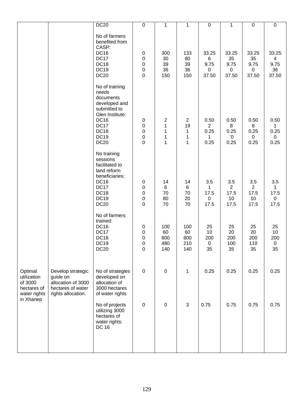|                                                                  |                                                                                                | <b>DC20</b>                                                                                                                                                  | $\mathbf 0$                                                          | 1                               | 1                                                      | $\pmb{0}$                                   | 1                                         | $\pmb{0}$                                        | $\pmb{0}$                                      |
|------------------------------------------------------------------|------------------------------------------------------------------------------------------------|--------------------------------------------------------------------------------------------------------------------------------------------------------------|----------------------------------------------------------------------|---------------------------------|--------------------------------------------------------|---------------------------------------------|-------------------------------------------|--------------------------------------------------|------------------------------------------------|
|                                                                  |                                                                                                | No of farmers<br>benefited from<br>CASP:<br><b>DC16</b><br>DC17<br>DC18<br><b>DC19</b><br><b>DC20</b>                                                        | $\pmb{0}$<br>$\pmb{0}$<br>$\mathbf 0$<br>$\pmb{0}$<br>$\mathbf 0$    | 300<br>30<br>39<br>36<br>150    | 133<br>80<br>39<br>36<br>150                           | 33.25<br>6<br>9.75<br>0<br>37.50            | 33.25<br>35<br>9.75<br>$\pmb{0}$<br>37.50 | 33.25<br>35<br>9.75<br>$\boldsymbol{0}$<br>37.50 | 33.25<br>$\overline{4}$<br>9.75<br>36<br>37.50 |
|                                                                  |                                                                                                | No of training<br>needs<br>documents<br>developed and<br>submitted to<br>Glen Institute:<br><b>DC16</b><br><b>DC17</b><br>DC18<br><b>DC19</b><br><b>DC20</b> | $\pmb{0}$<br>$\pmb{0}$<br>$\mathbf 0$<br>$\mathbf 0$<br>$\mathbf 0$  | 2<br>1<br>$\mathbf 1$<br>1<br>1 | $\mathbf{2}$<br>19<br>$\mathbf{1}$<br>$\mathbf 1$<br>1 | 0.50<br>$\overline{2}$<br>0.25<br>1<br>0.25 | 0.50<br>8<br>0.25<br>$\delta'$<br>0.25    | 0.50<br>8<br>0.25<br>0<br>0.25                   | 0.50<br>1<br>0.25<br>$\mathbf 0$<br>0.25       |
|                                                                  |                                                                                                | No training<br>sessions<br>facilitated to<br>land reform<br>beneficiaries:<br><b>DC16</b><br><b>DC17</b><br><b>DC18</b><br><b>DC19</b><br><b>DC20</b>        | $\pmb{0}$<br>$\pmb{0}$<br>$\mathbf 0$<br>$\mathbf 0$<br>$\mathbf 0$  | 14<br>$\,6$<br>70<br>80<br>70   | 14<br>$\,6\,$<br>$70\,$<br>20<br>70                    | 3.5<br>1<br>17.5<br>$\mathbf 0$<br>17.5     | 3.5<br>2<br>17.5<br>10<br>17.5            | 3.5<br>$\overline{2}$<br>17.5<br>10<br>17.5      | 3.5<br>1<br>17.5<br>$\mathbf 0$<br>17.5        |
|                                                                  |                                                                                                | No of farmers<br>trained:<br><b>DC16</b><br><b>DC17</b><br><b>DC18</b><br><b>DC19</b><br><b>DC20</b>                                                         | $\pmb{0}$<br>$\pmb{0}$<br>$\mathbf 0$<br>$\pmb{0}$<br>$\overline{0}$ | 100<br>60<br>800<br>480<br>140  | 100<br>60<br>800<br>210<br>140                         | 25<br>10<br>200<br>$\mathbf 0$<br>35        | 25<br>20<br>200<br>100<br>35              | 25<br>20<br>200<br>110<br>35                     | 25<br>$10$<br>200<br>$\mathbf 0$<br>35         |
| Optimal<br>utilization<br>of 3000<br>hectares of<br>water rights | Develop strategic<br>guide on<br>allocation of 3000<br>hectares of water<br>rights allocation. | No of strategies<br>developed on<br>allocation of<br>3000 hectares<br>of water rights                                                                        | $\mathbf 0$                                                          | $\pmb{0}$                       | $\mathbf{1}$                                           | 0.25                                        | 0.25                                      | 0.25                                             | 0.25                                           |
| in Xhariep                                                       |                                                                                                | No of projects<br>utilizing 3000<br>hectares of<br>water rights:<br><b>DC 16</b>                                                                             | $\pmb{0}$                                                            | $\boldsymbol{0}$                | $\mathbf{3}$                                           | 0.75                                        | 0.75                                      | 0.75                                             | 0.75                                           |
|                                                                  |                                                                                                |                                                                                                                                                              |                                                                      |                                 |                                                        |                                             |                                           |                                                  |                                                |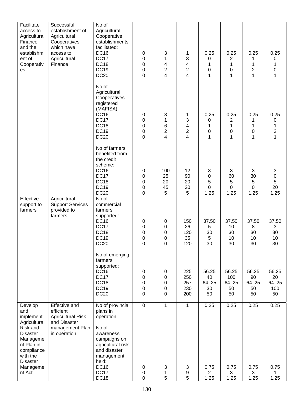| Facilitate<br>access to<br>Agricultural<br>Finance<br>and the<br>establishm<br>ent of<br>Cooperativ<br>es                                                     | Successful<br>establishment of<br>Agricultural<br>Cooperatives<br>which have<br>access to<br>Agricultural<br>Finance | No of<br>Agricultural<br>Cooperative<br>establishments<br>facilitated:<br><b>DC16</b><br><b>DC17</b><br><b>DC18</b><br><b>DC19</b><br><b>DC20</b>                         | $\pmb{0}$<br>$\pmb{0}$<br>0<br>$\mathbf 0$<br>0    | 3<br>1<br>4<br>$\overline{\mathbf{c}}$<br>4   | 1<br>3<br>4<br>2<br>4              | 0.25<br>0<br>1<br>$\pmb{0}$<br>$\mathbf{1}$   | 0.25<br>$\overline{2}$<br>1<br>0<br>1 | 0.25<br>1<br>2<br>1                 | 0.25<br>0<br>1<br>$\boldsymbol{0}$<br>1         |
|---------------------------------------------------------------------------------------------------------------------------------------------------------------|----------------------------------------------------------------------------------------------------------------------|---------------------------------------------------------------------------------------------------------------------------------------------------------------------------|----------------------------------------------------|-----------------------------------------------|------------------------------------|-----------------------------------------------|---------------------------------------|-------------------------------------|-------------------------------------------------|
|                                                                                                                                                               |                                                                                                                      | No of<br>Agricultural<br>Cooperatives<br>registered<br>(MAFISA):<br><b>DC16</b><br><b>DC17</b><br><b>DC18</b><br><b>DC19</b><br><b>DC20</b>                               | $\pmb{0}$<br>0<br>$\pmb{0}$<br>0<br>$\overline{0}$ | $\sqrt{3}$<br>1<br>6<br>$\overline{c}$<br>4   | 1<br>3<br>4<br>$\overline{c}$<br>4 | 0.25<br>0<br>1<br>$\mathbf 0$<br>$\mathbf{1}$ | 0.25<br>2<br>$\mathbf 1$<br>0<br>1    | 0.25<br>1<br>1<br>0<br>1            | 0.25<br>0<br>1<br>$\overline{c}$<br>$\mathbf 1$ |
|                                                                                                                                                               |                                                                                                                      | No of farmers<br>benefited from<br>the credit<br>scheme:<br><b>DC16</b><br><b>DC17</b><br><b>DC18</b><br><b>DC19</b><br><b>DC20</b>                                       | $\pmb{0}$<br>0<br>0<br>0<br>0                      | 100<br>25<br>20<br>45<br>5                    | 12<br>90<br>20<br>20<br>5          | 3<br>$\pmb{0}$<br>5<br>0<br>1.25              | 3<br>60<br>5<br>0<br>1.25             | 3<br>30<br>5<br>$\mathbf 0$<br>1.25 | 3<br>$\pmb{0}$<br>5<br>20<br>1.25               |
| Effective<br>support to<br>farmers                                                                                                                            | Agricultural<br><b>Support Services</b><br>provided to<br>farmers                                                    | No of<br>commercial<br>farmers<br>supported:<br><b>DC16</b><br><b>DC17</b><br><b>DC18</b><br><b>DC19</b><br><b>DC20</b>                                                   | $\pmb{0}$<br>0<br>0<br>$\Omega$<br>0               | 0<br>0<br>0<br>0<br>$\mathbf 0$               | 150<br>26<br>120<br>35<br>120      | 37.50<br>5<br>30<br>5<br>30                   | 37.50<br>10<br>30<br>10<br>30         | 37.50<br>8<br>30<br>10<br>30        | 37.50<br>3<br>30<br>10 <sup>1</sup><br>30       |
|                                                                                                                                                               |                                                                                                                      | No of emerging<br>farmers<br>supported:<br><b>DC16</b><br><b>DC17</b><br><b>DC18</b><br><b>DC19</b><br><b>DC20</b>                                                        | $\pmb{0}$<br>0<br>0<br>0<br>0                      | $\pmb{0}$<br>$\pmb{0}$<br>$\pmb{0}$<br>0<br>0 | 225<br>250<br>257<br>230<br>200    | 56.25<br>40<br>64.25<br>30<br>50              | 56.25<br>100<br>64.25<br>50<br>50     | 56.25<br>90<br>64.25<br>50<br>50    | 56.25<br>20<br>64.25<br>100<br>50               |
| Develop<br>and<br>implement<br>Agricultural<br>Risk and<br><b>Disaster</b><br>Manageme<br>nt Plan in<br>compliance<br>with the<br><b>Disaster</b><br>Manageme | Effective and<br>efficient<br><b>Agricultural Risk</b><br>and Disaster<br>management Plan<br>in operation            | No of provincial<br>plans in<br>operation<br>No of<br>awareness<br>campaigns on<br>agricultural risk<br>and disaster<br>management<br>held:<br><b>DC16</b><br><b>DC17</b> | $\mathbf 0$<br>0                                   | $\mathbf{1}$<br>3                             | $\mathbf{1}$<br>3                  | 0.25<br>0.75<br>$\overline{2}$                | 0.25<br>0.75                          | 0.25<br>0.75                        | 0.25<br>0.75                                    |
| nt Act.                                                                                                                                                       |                                                                                                                      | <b>DC18</b>                                                                                                                                                               | 0<br>0                                             | 1<br>5                                        | 9<br>5                             | 1.25                                          | 3<br>1.25                             | 3<br>1.25                           | 1<br>1.25                                       |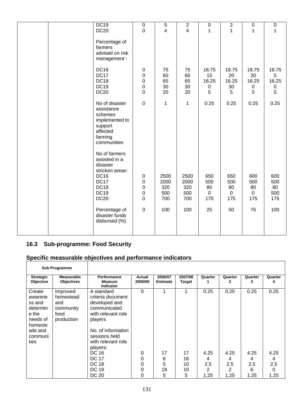| <b>DC19</b>                                                                                                | $\pmb{0}$                                                     | $\mathbf 5$                       | $\mathbf{2}$                      | $\pmb{0}$                              | $\overline{2}$                         | $\pmb{0}$                              | $\pmb{0}$                             |
|------------------------------------------------------------------------------------------------------------|---------------------------------------------------------------|-----------------------------------|-----------------------------------|----------------------------------------|----------------------------------------|----------------------------------------|---------------------------------------|
| <b>DC20</b>                                                                                                | $\mathbf 0$                                                   | 4                                 | $\overline{4}$                    | 1                                      | 1                                      | 1                                      | 1                                     |
| Percentage of<br>farmers<br>advised on risk<br>management:                                                 |                                                               |                                   |                                   |                                        |                                        |                                        |                                       |
| <b>DC16</b><br><b>DC17</b><br><b>DC18</b><br><b>DC19</b><br><b>DC20</b>                                    | $\pmb{0}$<br>$\pmb{0}$<br>$\mathbf 0$<br>$\mathbf 0$<br>0     | 75<br>60<br>65<br>30<br>20        | 75<br>60<br>65<br>30<br>20        | 18.75<br>15<br>16.25<br>$\pmb{0}$<br>5 | 18.75<br>20<br>16.25<br>30<br>5        | 18.75<br>20<br>16.25<br>$\pmb{0}$<br>5 | 18.75<br>5<br>16.25<br>$\pmb{0}$<br>5 |
| No of disaster<br>assistance<br>schemes<br>implemented to<br>support<br>affected<br>farming<br>communities | $\pmb{0}$                                                     | 1                                 | $\mathbf 1$                       | 0.25                                   | 0.25                                   | 0.25                                   | 0.25                                  |
| No of farmers<br>assisted in a<br>disaster<br>stricken areas:                                              |                                                               |                                   |                                   |                                        |                                        |                                        |                                       |
| <b>DC16</b><br><b>DC17</b><br><b>DC18</b><br><b>DC19</b><br><b>DC20</b>                                    | $\pmb{0}$<br>$\pmb{0}$<br>$\pmb{0}$<br>$\pmb{0}$<br>$\pmb{0}$ | 2500<br>2000<br>320<br>500<br>700 | 2500<br>2000<br>320<br>500<br>700 | 650<br>500<br>80<br>$\pmb{0}$<br>175   | 650<br>500<br>80<br>$\mathbf 0$<br>175 | 600<br>500<br>80<br>$\mathbf 0$<br>175 | 600<br>500<br>80<br>500<br>175        |
| Percentage of<br>disaster funds<br>disbursed (%)                                                           | $\pmb{0}$                                                     | 100                               | 100                               | 25                                     | 50                                     | 75                                     | 100                                   |

## **16.3 Sub-programme: Food Security**

|                                                                                                       | <b>Sub Programme</b>                                            |                                                                                                                                                                                                                                     |                              |                            |                           |                               |                               |                               |                               |
|-------------------------------------------------------------------------------------------------------|-----------------------------------------------------------------|-------------------------------------------------------------------------------------------------------------------------------------------------------------------------------------------------------------------------------------|------------------------------|----------------------------|---------------------------|-------------------------------|-------------------------------|-------------------------------|-------------------------------|
| <b>Strategic</b><br>Objective                                                                         | <b>Measurable</b><br><b>Objectives</b>                          | Performance<br><b>Measure</b><br><b>Indicator</b>                                                                                                                                                                                   | Actual<br>2005/06            | 2006/07<br><b>Estimate</b> | 2007/08<br><b>Target</b>  | Quarter                       | Quarter<br>2                  | Quarter<br>3                  | Quarter<br>4                  |
| Create<br>awarene<br>ss and<br>determin<br>e the<br>needs of<br>homeste<br>ads and<br>communi<br>ties | Improved<br>homestead<br>and<br>community<br>food<br>production | A standard<br>criteria document<br>developed and<br>communicated<br>with relevant role<br>players<br>No. of information<br>sessions held<br>with relevant role<br>players:<br><b>DC 16</b><br><b>DC 17</b><br><b>DC 18</b><br>DC 19 | $\Omega$<br>0<br>0<br>0<br>0 | 17<br>6<br>5<br>18         | 1<br>17<br>16<br>10<br>10 | 0.25<br>4.25<br>4<br>2.5<br>2 | 0.25<br>4.25<br>4<br>2.5<br>2 | 0.25<br>4.25<br>4<br>2.5<br>6 | 0.25<br>4.25<br>4<br>2.5<br>0 |
|                                                                                                       |                                                                 | DC 20                                                                                                                                                                                                                               | 0                            | 5                          | 5                         | 1.25                          | 1.25                          | 1.25                          | 1.25                          |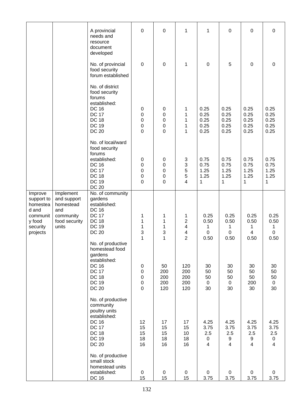|                                                                                          |                                                                                     | A provincial<br>needs and<br>resource<br>document<br>developed                                                                                                     | $\mathbf 0$                                             | $\mathbf 0$                                                                          | 1                                             | 1                                             | 0                                    | $\mathbf 0$                                          | $\mathbf 0$                                        |
|------------------------------------------------------------------------------------------|-------------------------------------------------------------------------------------|--------------------------------------------------------------------------------------------------------------------------------------------------------------------|---------------------------------------------------------|--------------------------------------------------------------------------------------|-----------------------------------------------|-----------------------------------------------|--------------------------------------|------------------------------------------------------|----------------------------------------------------|
|                                                                                          |                                                                                     | No. of provincial<br>food security<br>forum established                                                                                                            | $\mathbf 0$                                             | $\boldsymbol{0}$                                                                     | 1                                             | $\mathbf 0$                                   | 5                                    | $\mathbf 0$                                          | 0                                                  |
|                                                                                          |                                                                                     | No. of district<br>food security<br>forums<br>established:<br><b>DC 16</b><br><b>DC 17</b><br><b>DC 18</b><br><b>DC 19</b><br><b>DC 20</b>                         | $\pmb{0}$<br>0<br>0<br>0<br>$\overline{0}$              | $\pmb{0}$<br>0<br>0<br>0<br>$\mathbf 0$                                              | 1<br>1<br>1<br>1<br>1                         | 0.25<br>0.25<br>0.25<br>0.25<br>0.25          | 0.25<br>0.25<br>0.25<br>0.25<br>0.25 | 0.25<br>0.25<br>0.25<br>0.25<br>0.25                 | 0.25<br>0.25<br>0.25<br>0.25<br>0.25               |
|                                                                                          |                                                                                     | No. of local/ward<br>food security<br>forums<br>established:<br><b>DC 16</b><br><b>DC 17</b><br><b>DC 18</b><br><b>DC 19</b><br><b>DC 20</b>                       | $\pmb{0}$<br>$\pmb{0}$<br>$\pmb{0}$<br>0<br>0           | $\pmb{0}$<br>$\boldsymbol{0}$<br>$\boldsymbol{0}$<br>$\boldsymbol{0}$<br>$\mathbf 0$ | 3<br>$\ensuremath{\mathsf{3}}$<br>5<br>5<br>4 | 0.75<br>0.75<br>1.25<br>1.25<br>1             | 0.75<br>0.75<br>1.25<br>1.25<br>1    | 0.75<br>0.75<br>1.25<br>1.25<br>1                    | 0.75<br>0.75<br>1.25<br>1.25<br>$\mathbf 1$        |
| Improve<br>support to<br>homestea<br>d and<br>communit<br>y food<br>security<br>projects | Implement<br>and support<br>homestead<br>and<br>community<br>food security<br>units | No. of community<br>gardens<br>established:<br><b>DC 16</b><br><b>DC 17</b><br><b>DC 18</b><br><b>DC 19</b><br><b>DC 20</b><br>No. of productive<br>homestead food | 1<br>1<br>1<br>3<br>$\mathbf{1}$                        | 1<br>1<br>1<br>3<br>1                                                                | 1<br>2<br>4<br>4<br>$\overline{2}$            | 0.25<br>0.50<br>1<br>$\boldsymbol{0}$<br>0.50 | 0.25<br>0.50<br>1<br>0<br>0.50       | 0.25<br>0.50<br>1<br>$\overline{\mathbf{4}}$<br>0.50 | 0.25<br>0.50<br>1<br>$\boldsymbol{0}$<br>0.50      |
|                                                                                          |                                                                                     | gardens<br>established:<br><b>DC 16</b><br><b>DC 17</b><br><b>DC 18</b><br><b>DC 19</b><br><b>DC 20</b>                                                            | 0<br>$\pmb{0}$<br>$\pmb{0}$<br>$\pmb{0}$<br>$\mathbf 0$ | 50<br>200<br>200<br>200<br>120                                                       | 120<br>200<br>200<br>200<br>120               | 30<br>50<br>50<br>$\mathbf 0$<br>30           | 30<br>50<br>50<br>$\mathbf 0$<br>30  | 30<br>50<br>50<br>200<br>30                          | 30<br>50<br>50<br>$\mathbf 0$<br>30                |
|                                                                                          |                                                                                     | No. of productive<br>community<br>poultry units<br>established:<br><b>DC 16</b><br><b>DC 17</b><br><b>DC 18</b><br><b>DC 19</b><br><b>DC 20</b>                    | 12<br>15<br>15<br>18<br>16                              | 17<br>15<br>15<br>18<br>16                                                           | 17<br>15<br>10<br>18<br>16                    | 4.25<br>3.75<br>2.5<br>0<br>$\overline{4}$    | 4.25<br>3.75<br>2.5<br>9<br>4        | 4.25<br>3.75<br>2.5<br>9<br>$\overline{4}$           | 4.25<br>3.75<br>2.5<br>$\pmb{0}$<br>$\overline{4}$ |
|                                                                                          |                                                                                     | No. of productive<br>small stock<br>homestead units<br>established:<br>DC 16                                                                                       | $\pmb{0}$<br>15                                         | $\mathbf 0$<br>15                                                                    | $\mathbf 0$<br>15                             | $\mathbf 0$<br>3.75                           | $\pmb{0}$<br>3.75                    | $\pmb{0}$<br>3.75                                    | $\mathbf 0$<br>3.75                                |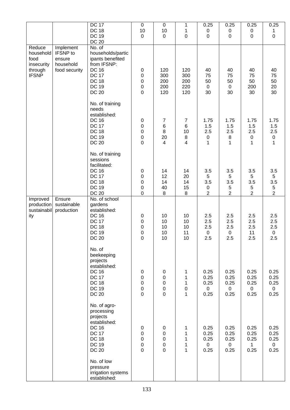|                                                                      |                                                                      | <b>DC 17</b><br><b>DC 18</b>                                                                                                                         | $\pmb{0}$<br>10                                                                         | $\pmb{0}$<br>10                                                       | $\mathbf 1$<br>$\mathbf 1$                                            | 0.25<br>0                              | 0.25<br>$\pmb{0}$                               | 0.25<br>$\pmb{0}$                               | 0.25<br>1                                      |
|----------------------------------------------------------------------|----------------------------------------------------------------------|------------------------------------------------------------------------------------------------------------------------------------------------------|-----------------------------------------------------------------------------------------|-----------------------------------------------------------------------|-----------------------------------------------------------------------|----------------------------------------|-------------------------------------------------|-------------------------------------------------|------------------------------------------------|
|                                                                      |                                                                      | <b>DC 19</b><br><b>DC 20</b>                                                                                                                         | $\mathbf 0$                                                                             | $\pmb{0}$                                                             | $\boldsymbol{0}$                                                      | $\mathbf 0$                            | $\overline{0}$                                  | $\pmb{0}$                                       | $\mathbf 0$                                    |
| Reduce<br>household<br>food<br>insecurity<br>through<br><b>IFSNP</b> | Implement<br><b>IFSNP</b> to<br>ensure<br>household<br>food security | No. of<br>households/partic<br>ipants benefited<br>from IFSNP:<br><b>DC 16</b><br><b>DC 17</b><br><b>DC 18</b><br><b>DC 19</b><br><b>DC 20</b>       | 0<br>0<br>$\pmb{0}$<br>$\pmb{0}$<br>$\mathbf 0$                                         | 120<br>300<br>200<br>200<br>120                                       | 120<br>300<br>200<br>220<br>120                                       | 40<br>75<br>50<br>$\mathbf 0$<br>30    | 40<br>75<br>50<br>$\mathbf 0$<br>30             | 40<br>75<br>50<br>200<br>30                     | 40<br>75<br>50<br>20<br>30                     |
|                                                                      |                                                                      | No. of training<br>needs<br>established:<br><b>DC 16</b><br><b>DC 17</b><br><b>DC 18</b><br><b>DC 19</b><br><b>DC 20</b>                             | $\pmb{0}$<br>$\pmb{0}$<br>$\pmb{0}$<br>$\boldsymbol{0}$<br>$\overline{0}$               | $\overline{7}$<br>$\,6\,$<br>$\bf 8$<br>20<br>$\overline{\mathbf{4}}$ | $\boldsymbol{7}$<br>$\,6$<br>10<br>$\,8\,$<br>4                       | 1.75<br>1.5<br>2.5<br>0<br>1           | 1.75<br>1.5<br>2.5<br>8<br>1                    | 1.75<br>1.5<br>2.5<br>$\pmb{0}$<br>$\mathbf{1}$ | 1.75<br>1.5<br>2.5<br>$\pmb{0}$<br>$\mathbf 1$ |
|                                                                      |                                                                      | No. of training<br>sessions<br>facilitated:<br><b>DC 16</b><br><b>DC 17</b><br><b>DC 18</b><br><b>DC 19</b><br><b>DC 20</b>                          | $\mathbf 0$<br>$\pmb{0}$<br>$\pmb{0}$<br>$\mathbf 0$<br>$\mathbf 0$                     | 14<br>12<br>14<br>40<br>$\bf 8$                                       | 14<br>20<br>14<br>15<br>$\, 8$                                        | 3.5<br>5<br>3.5<br>0<br>$\overline{2}$ | 3.5<br>5<br>3.5<br>$\sqrt{5}$<br>$\overline{2}$ | 3.5<br>5<br>3.5<br>5<br>$\overline{2}$          | 3.5<br>5<br>3.5<br>5<br>$\overline{2}$         |
| Improved<br>production<br>sustainabil<br>ity                         | Ensure<br>sustainable<br>production                                  | No. of school<br>gardens<br>established:<br><b>DC 16</b><br><b>DC 17</b><br><b>DC 18</b><br><b>DC 19</b><br><b>DC 20</b>                             | 0<br>$\pmb{0}$<br>$\mathbf 0$<br>$\boldsymbol{0}$<br>$\overline{0}$                     | 10<br>10<br>10<br>10<br>10                                            | 10<br>10<br>10<br>11<br>10                                            | 2.5<br>2.5<br>2.5<br>0<br>2.5          | 2.5<br>2.5<br>2.5<br>$\pmb{0}$<br>2.5           | 2.5<br>2.5<br>2.5<br>11<br>2.5                  | 2.5<br>2.5<br>2.5<br>$\pmb{0}$<br>2.5          |
|                                                                      |                                                                      | No. of<br>beekeeping<br>projects<br>established:<br><b>DC 16</b><br><b>DC 17</b><br><b>DC 18</b><br><b>DC 19</b><br><b>DC 20</b>                     | $\pmb{0}$<br>0<br>$\mathbf 0$<br>$\pmb{0}$<br>$\overline{0}$                            | $\pmb{0}$<br>0<br>0<br>$\pmb{0}$<br>0                                 | 1<br>$\mathbf{1}$<br>$\mathbf{1}$<br>$\boldsymbol{0}$<br>$\mathbf{1}$ | 0.25<br>0.25<br>0.25<br>0<br>0.25      | 0.25<br>0.25<br>0.25<br>$\mathbf 0$<br>0.25     | 0.25<br>0.25<br>0.25<br>$\mathbf 0$<br>0.25     | 0.25<br>0.25<br>0.25<br>$\mathbf 0$<br>0.25    |
|                                                                      |                                                                      | No. of agro-<br>processing<br>projects<br>established:<br><b>DC 16</b><br><b>DC 17</b><br><b>DC 18</b><br><b>DC 19</b><br><b>DC 20</b><br>No. of low | $\pmb{0}$<br>$\boldsymbol{0}$<br>$\boldsymbol{0}$<br>$\boldsymbol{0}$<br>$\overline{0}$ | $\pmb{0}$<br>$\pmb{0}$<br>$\boldsymbol{0}$<br>0<br>0                  | 1<br>$\mathbf 1$<br>1<br>1<br>1                                       | 0.25<br>0.25<br>0.25<br>0<br>0.25      | 0.25<br>0.25<br>0.25<br>$\mathbf 0$<br>0.25     | 0.25<br>0.25<br>0.25<br>$\mathbf{1}$<br>0.25    | 0.25<br>0.25<br>0.25<br>$\mathbf 0$<br>0.25    |
|                                                                      |                                                                      | pressure<br>irrigation systems<br>established:                                                                                                       |                                                                                         |                                                                       |                                                                       |                                        |                                                 |                                                 |                                                |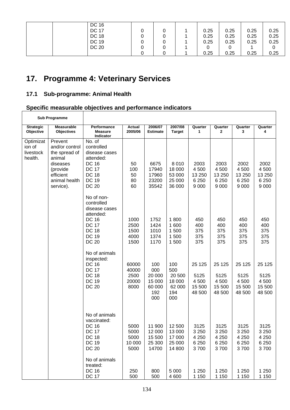| DC 16        |   |  |      |      |      |      |
|--------------|---|--|------|------|------|------|
| <b>DC 17</b> |   |  | 0.25 | 0.25 | 0.25 | 0.25 |
| <b>DC 18</b> | 0 |  | 0.25 | 0.25 | 0.25 | 0.25 |
| DC 19        | 0 |  | 0.25 | 0.25 | 0.25 | 0.25 |
| <b>DC 20</b> | 0 |  |      |      |      |      |
|              |   |  | 0.25 | 0.25 | 0.25 | 0.25 |

٦

# **17. Programme 4: Veterinary Services**

## **17.1 Sub-programme: Animal Health**

 $\overline{1}$ 

|                                             | <b>Sub Programme</b>                                                                                                    |                                                                                                                                        |                                         |                                                        |                                                        |                                               |                                               |                                               |                                               |
|---------------------------------------------|-------------------------------------------------------------------------------------------------------------------------|----------------------------------------------------------------------------------------------------------------------------------------|-----------------------------------------|--------------------------------------------------------|--------------------------------------------------------|-----------------------------------------------|-----------------------------------------------|-----------------------------------------------|-----------------------------------------------|
| <b>Strategic</b><br>Objective               | <b>Measurable</b><br><b>Objectives</b>                                                                                  | Performance<br><b>Measure</b><br>Indicator                                                                                             | Actual<br>2005/06                       | 2006/07<br><b>Estimate</b>                             | 2007/08<br><b>Target</b>                               | Quarter<br>1                                  | Quarter<br>2                                  | Quarter<br>3                                  | Quarter<br>4                                  |
| Optimizat<br>ion of<br>livestock<br>health. | Prevent<br>and/or control<br>the spread of<br>animal<br>diseases<br>(provide<br>efficient<br>animal health<br>service). | No. of<br>controlled<br>disease cases<br>attended:<br><b>DC 16</b><br><b>DC 17</b><br><b>DC 18</b><br><b>DC 19</b><br><b>DC 20</b>     | 50<br>100<br>50<br>80<br>60             | 6675<br>17940<br>17960<br>23200<br>35542               | 8 0 1 0<br>18 000<br>53 000<br>25 000<br>36 000        | 2003<br>4 500<br>13 250<br>6 2 5 0<br>9 0 0 0 | 2003<br>4 500<br>13 250<br>6 2 5 0<br>9 0 0 0 | 2002<br>4 500<br>13 250<br>6 2 5 0<br>9 0 0 0 | 2002<br>4 500<br>13 250<br>6 2 5 0<br>9 0 0 0 |
|                                             |                                                                                                                         | No of non-<br>controlled<br>disease cases<br>attended:<br><b>DC 16</b><br><b>DC 17</b><br><b>DC 18</b><br><b>DC 19</b><br><b>DC 20</b> | 1000<br>2500<br>1500<br>4000<br>1500    | 1752<br>1424<br>1010<br>1374<br>1170                   | 1800<br>1 600<br>1 500<br>1500<br>1 500                | 450<br>400<br>375<br>375<br>375               | 450<br>400<br>375<br>375<br>375               | 450<br>400<br>375<br>375<br>375               | 450<br>400<br>375<br>375<br>375               |
|                                             |                                                                                                                         | No of animals<br>inspected:<br><b>DC 16</b><br><b>DC 17</b><br><b>DC 18</b><br><b>DC 19</b><br><b>DC 20</b>                            | 60000<br>40000<br>2500<br>20000<br>8000 | 100<br>000<br>20 000<br>15 000<br>60 000<br>192<br>000 | 100<br>500<br>20 500<br>18 000<br>62 000<br>194<br>000 | 25 1 25<br>5125<br>4 500<br>15 500<br>48 500  | 25 1 25<br>5125<br>4 500<br>15 500<br>48 500  | 25 1 25<br>5125<br>4 500<br>15 500<br>48 500  | 25 1 25<br>5125<br>4 500<br>15 500<br>48 500  |
|                                             |                                                                                                                         | No of animals<br>vaccinated:<br><b>DC 16</b><br><b>DC 17</b><br><b>DC 18</b><br><b>DC 19</b><br><b>DC 20</b>                           | 5000<br>5000<br>5000<br>10 000<br>5000  | 11 900<br>12 000<br>15 500<br>25 300<br>14700          | 12 500<br>13 000<br>17 000<br>25 000<br>14 800         | 3125<br>3 2 5 0<br>4 2 5 0<br>6 2 5 0<br>3700 | 3125<br>3 2 5 0<br>4 2 5 0<br>6 2 5 0<br>3700 | 3125<br>3 2 5 0<br>4 2 5 0<br>6 2 5 0<br>3700 | 3125<br>3 250<br>4 2 5 0<br>6 2 5 0<br>3700   |
|                                             |                                                                                                                         | No of animals<br>treated:<br><b>DC 16</b><br><b>DC 17</b>                                                                              | 250<br>500                              | 800<br>500                                             | 5 0 0 0<br>4 600                                       | 1 2 5 0<br>1 150                              | 1 250<br>1 1 5 0                              | 1 250<br>1 1 5 0                              | 1 2 5 0<br>1 1 5 0                            |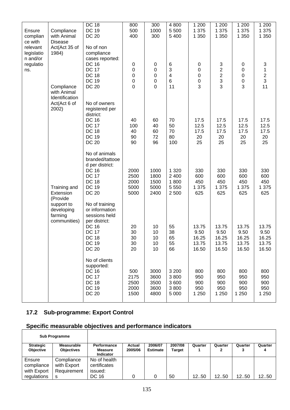|                                               |                                          | <b>DC 18</b><br><b>DC 19</b>                        | 800            | 300                      | 4 800            | $1\,200$                      | 1 200               | 1 200            | 1 200            |
|-----------------------------------------------|------------------------------------------|-----------------------------------------------------|----------------|--------------------------|------------------|-------------------------------|---------------------|------------------|------------------|
| Ensure<br>complian                            | Compliance<br>with Animal                | <b>DC 20</b>                                        | 500<br>400     | 1000<br>300              | 5 500<br>5 4 0 0 | 1 3 7 5<br>1 350              | 1 375<br>1 3 5 0    | 1 3 7 5<br>1 350 | 1 375<br>1 350   |
| ce with<br>relevant<br>legislatio<br>n and/or | <b>Disease</b><br>Act(Act 35 of<br>1984) | No of non<br>compliance<br>cases reported:          |                |                          |                  |                               |                     |                  |                  |
| regulatio<br>ns.                              |                                          | <b>DC 16</b><br><b>DC 17</b>                        | 0<br>$\pmb{0}$ | $\pmb{0}$<br>$\mathbf 0$ | 6<br>3           | $\pmb{0}$<br>$\boldsymbol{0}$ | 3<br>$\overline{2}$ | 0<br>$\pmb{0}$   | 3<br>$\mathbf 1$ |
|                                               |                                          | <b>DC 18</b>                                        | 0              | $\mathbf 0$              | 4                | 0                             | $\overline{c}$      | $\pmb{0}$        | $\frac{2}{3}$    |
|                                               | Compliance                               | <b>DC 19</b><br><b>DC 20</b>                        | 0<br>0         | $\mathbf 0$<br>0         | 6<br>11          | 0<br>3                        | 3<br>3              | $\mathbf 0$<br>3 | 11               |
|                                               | with Animal<br>Identification            |                                                     |                |                          |                  |                               |                     |                  |                  |
|                                               | Act(Act 6 of<br>2002)                    | No of owners<br>registered per<br>district:         |                |                          |                  |                               |                     |                  |                  |
|                                               |                                          | <b>DC 16</b><br><b>DC 17</b>                        | 40<br>100      | 60<br>40                 | 70<br>50         | 17.5<br>12.5                  | 17.5<br>12.5        | 17.5<br>12.5     | 17.5<br>12.5     |
|                                               |                                          | <b>DC 18</b>                                        | 40             | 60                       | 70               | 17.5                          | 17.5                | 17.5             | 17.5             |
|                                               |                                          | <b>DC 19</b><br><b>DC 20</b>                        | 90<br>90       | 72<br>96                 | 80<br>100        | 20<br>25                      | 20<br>25            | 20<br>25         | 20<br>25         |
|                                               |                                          | No of animals<br>branded/tattooe<br>d per district: |                |                          |                  |                               |                     |                  |                  |
|                                               |                                          | <b>DC 16</b>                                        | 2000           | 1000                     | 1 3 2 0          | 330                           | 330                 | 330              | 330              |
|                                               |                                          | <b>DC 17</b><br><b>DC 18</b>                        | 2500<br>2000   | 1800<br>1500             | 2 4 0 0<br>1800  | 600<br>450                    | 600<br>450          | 600<br>450       | 600<br>450       |
|                                               | Training and<br>Extension<br>(Provide    | <b>DC 19</b><br><b>DC 20</b>                        | 5000<br>5000   | 5000<br>2400             | 5 5 5 0<br>2 500 | 1 375<br>625                  | 1 375<br>625        | 1 375<br>625     | 1 375<br>625     |
|                                               | support to<br>developing<br>farming      | No of training<br>or information<br>sessions held   |                |                          |                  |                               |                     |                  |                  |
|                                               | communities)                             | per district:<br><b>DC 16</b>                       | 20             | 10                       | 55               | 13.75                         | 13.75               | 13.75            | 13.75            |
|                                               |                                          | <b>DC 17</b><br><b>DC 18</b>                        | 30<br>30       | 10<br>10                 | 38<br>65         | 9.50<br>16.25                 | 9.50<br>16.25       | 9.50<br>16.25    | 9.50<br>16.25    |
|                                               |                                          | <b>DC 19</b>                                        | 30             | 10                       | 55               | 13.75                         | 13.75               | 13.75            | 13.75            |
|                                               |                                          | <b>DC 20</b>                                        | 20             | 10                       | 66               | 16.50                         | 16.50               | 16.50            | 16.50            |
|                                               |                                          | No of clients<br>supported:<br><b>DC 16</b>         | 500            | 3000                     | 3 2 0 0          | 800                           | 800                 | 800              | 800              |
|                                               |                                          | <b>DC 17</b>                                        | 2175           | 3600                     | 3800             | 950                           | 950                 | 950              | 950              |
|                                               |                                          | <b>DC 18</b><br><b>DC 19</b>                        | 2500<br>2000   | 3500<br>3600             | 3 600<br>3800    | 900<br>950                    | 900<br>950          | 900<br>950       | 900<br>950       |
|                                               |                                          | <b>DC 20</b>                                        | 1500           | 4800                     | 5 0 0 0          | 1 2 5 0                       | 1 2 5 0             | 1 2 5 0          | 1 250            |

# **17.2 Sub-programme: Export Control**

|                                      | <b>Sub Programme</b>                     |                                                          |                   |                            |                   |         |              |         |         |
|--------------------------------------|------------------------------------------|----------------------------------------------------------|-------------------|----------------------------|-------------------|---------|--------------|---------|---------|
| <b>Strategic</b><br><b>Objective</b> | <b>Measurable</b><br><b>Objectives</b>   | <b>Performance</b><br><b>Measure</b><br><b>Indicator</b> | Actual<br>2005/06 | 2006/07<br><b>Estimate</b> | 2007/08<br>Target | Quarter | Quarter<br>2 | Quarter | Quarter |
| Ensure<br>compliance<br>with Export  | Compliance<br>with Export<br>Requirement | No of health<br>certificates<br>issued:                  |                   |                            |                   |         |              |         |         |
| regulations                          | s                                        | DC 16                                                    |                   |                            | 50                | 12.50   | 12.50        | 12.50   | 1250    |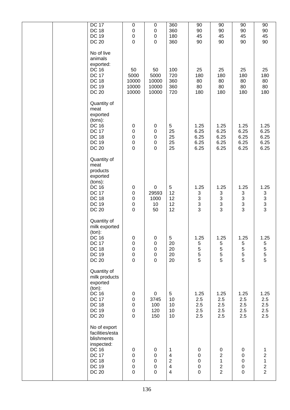| <b>DC 17</b><br>360<br>$\pmb{0}$<br>90<br>90<br>90<br>0<br><b>DC 18</b><br>$\pmb{0}$<br>$\pmb{0}$<br>360<br>90<br>90<br>90<br>$\mathbf 0$<br><b>DC 19</b><br>180<br>45<br>45<br>$\pmb{0}$<br>45<br>$\overline{0}$<br>90<br>90<br><b>DC 20</b><br>$\overline{0}$<br>360<br>90<br>No of live<br>animals<br>exported:<br><b>DC 16</b><br>50<br>100<br>25<br>25<br>50<br>25<br><b>DC 17</b><br>5000<br>5000<br>720<br>180<br>180<br>180<br><b>DC 18</b><br>10000<br>10000<br>360<br>80<br>80<br>80<br>80<br>80<br><b>DC 19</b><br>10000<br>10000<br>360<br>80<br><b>DC 20</b><br>10000<br>720<br>180<br>10000<br>180<br>180<br>Quantity of<br>meat<br>exported<br>(tons):<br>5<br>1.25<br><b>DC 16</b><br>$\pmb{0}$<br>$\pmb{0}$<br>1.25<br>1.25<br><b>DC 17</b><br>$\mathbf 0$<br>$\pmb{0}$<br>25<br>6.25<br>6.25<br>6.25<br><b>DC 18</b><br>$\mathbf 0$<br>$\pmb{0}$<br>25<br>6.25<br>6.25<br>6.25<br><b>DC 19</b><br>25<br>6.25<br>6.25<br>$\boldsymbol{0}$<br>$\pmb{0}$<br>6.25<br><b>DC 20</b><br>$\pmb{0}$<br>$\mathbf 0$<br>25<br>6.25<br>6.25<br>6.25<br>Quantity of<br>meat<br>products<br>exported<br>(tons):<br><b>DC 16</b><br>$\pmb{0}$<br>$\pmb{0}$<br>5<br>1.25<br>1.25<br>1.25<br><b>DC 17</b><br>$\pmb{0}$<br>12<br>29593<br>$\mathfrak{S}$<br>$\ensuremath{\mathsf{3}}$<br>3<br>$\ensuremath{\mathsf{3}}$<br><b>DC 18</b><br>$\ensuremath{\mathsf{3}}$<br>$\ensuremath{\mathsf{3}}$<br>$\pmb{0}$<br>12<br>1000<br>$\frac{3}{3}$<br>3<br><b>DC 19</b><br>12<br>$\ensuremath{\mathsf{3}}$<br>$\pmb{0}$<br>10<br>3<br>3<br>12<br><b>DC 20</b><br>50<br>$\mathbf 0$<br>Quantity of<br>milk exported<br>$(ton)$ :<br><b>DC 16</b><br>5<br>1.25<br>1.25<br>1.25<br>0<br>$\mathbf 0$<br><b>DC 17</b><br>20<br>$\boldsymbol{0}$<br>$\boldsymbol{0}$<br>5<br>5<br>5<br>5<br>$\overline{5}$<br>5<br><b>DC 18</b><br>$\pmb{0}$<br>20<br>$\pmb{0}$<br>$\overline{5}$<br>5<br>$\mathbf 5$<br><b>DC 19</b><br>$\pmb{0}$<br>$\mathsf{O}\xspace$<br>20<br>5<br>5<br>5<br>$\mathbf 0$<br><b>DC 20</b><br>$\mathbf 0$<br>20<br>Quantity of<br>milk products<br>exported<br>$(ton)$ :<br><b>DC 16</b><br>$\mathbf 0$<br>5<br>1.25<br>1.25<br>1.25<br>$\pmb{0}$<br><b>DC 17</b><br>$\mathbf 0$<br>3745<br>10<br>2.5<br>2.5<br>2.5<br><b>DC 18</b><br>$\pmb{0}$<br>2.5<br>2.5<br>100<br>10<br>2.5<br><b>DC 19</b><br>$\pmb{0}$<br>120<br>10<br>2.5<br>2.5<br>2.5<br>$\mathbf 0$<br><b>DC 20</b><br>150<br>10<br>2.5<br>2.5<br>2.5<br>No of export<br>facilities/esta<br>blishments<br>inspected:<br><b>DC 16</b><br>0<br>0<br>1<br>$\pmb{0}$<br>$\pmb{0}$<br>$\pmb{0}$<br>$\overline{2}$<br><b>DC 17</b><br>$\pmb{0}$<br>$\pmb{0}$<br>$\overline{\mathbf{4}}$<br>$\pmb{0}$<br>$\mathsf 0$<br>$\boldsymbol{2}$<br>$\mathbf{1}$<br><b>DC 18</b><br>$\pmb{0}$<br>$\pmb{0}$<br>$\pmb{0}$<br>$\mathsf 0$<br>$\overline{\mathbf{4}}$<br>$\mathbf 0$<br>$\mathbf 0$<br>$\sqrt{2}$<br><b>DC 19</b><br>$\boldsymbol{0}$<br>$\mathsf 0$<br>$\overline{2}$<br><b>DC 20</b><br>$\mathbf 0$<br>$\mathbf 0$<br>$\overline{4}$<br>$\mathbf 0$<br>0 | 90<br>90<br>45<br>90 | 25<br>180<br>80<br>80<br>180 | 1.25<br>6.25<br>6.25<br>6.25<br>6.25 | 1.25<br>$\begin{array}{c} 3 \\ 3 \\ 3 \end{array}$ | 1.25<br>$\mathbf 5$<br>$\mathbf 5$<br>$\frac{5}{5}$ | 1.25<br>2.5<br>2.5<br>2.5<br>2.5 | 1<br>$\begin{array}{c} 2 \\ 1 \\ 2 \\ 2 \end{array}$ |
|------------------------------------------------------------------------------------------------------------------------------------------------------------------------------------------------------------------------------------------------------------------------------------------------------------------------------------------------------------------------------------------------------------------------------------------------------------------------------------------------------------------------------------------------------------------------------------------------------------------------------------------------------------------------------------------------------------------------------------------------------------------------------------------------------------------------------------------------------------------------------------------------------------------------------------------------------------------------------------------------------------------------------------------------------------------------------------------------------------------------------------------------------------------------------------------------------------------------------------------------------------------------------------------------------------------------------------------------------------------------------------------------------------------------------------------------------------------------------------------------------------------------------------------------------------------------------------------------------------------------------------------------------------------------------------------------------------------------------------------------------------------------------------------------------------------------------------------------------------------------------------------------------------------------------------------------------------------------------------------------------------------------------------------------------------------------------------------------------------------------------------------------------------------------------------------------------------------------------------------------------------------------------------------------------------------------------------------------------------------------------------------------------------------------------------------------------------------------------------------------------------------------------------------------------------------------------------------------------------------------------------------------------------------------------------------------------------------------------------------------------------------------------------------------------------------------------------------------------------------------------------------------------------------------------------------------------------------------------------------------------------------------------|----------------------|------------------------------|--------------------------------------|----------------------------------------------------|-----------------------------------------------------|----------------------------------|------------------------------------------------------|
|                                                                                                                                                                                                                                                                                                                                                                                                                                                                                                                                                                                                                                                                                                                                                                                                                                                                                                                                                                                                                                                                                                                                                                                                                                                                                                                                                                                                                                                                                                                                                                                                                                                                                                                                                                                                                                                                                                                                                                                                                                                                                                                                                                                                                                                                                                                                                                                                                                                                                                                                                                                                                                                                                                                                                                                                                                                                                                                                                                                                                              |                      |                              |                                      |                                                    |                                                     |                                  |                                                      |
|                                                                                                                                                                                                                                                                                                                                                                                                                                                                                                                                                                                                                                                                                                                                                                                                                                                                                                                                                                                                                                                                                                                                                                                                                                                                                                                                                                                                                                                                                                                                                                                                                                                                                                                                                                                                                                                                                                                                                                                                                                                                                                                                                                                                                                                                                                                                                                                                                                                                                                                                                                                                                                                                                                                                                                                                                                                                                                                                                                                                                              |                      |                              |                                      |                                                    |                                                     |                                  |                                                      |
|                                                                                                                                                                                                                                                                                                                                                                                                                                                                                                                                                                                                                                                                                                                                                                                                                                                                                                                                                                                                                                                                                                                                                                                                                                                                                                                                                                                                                                                                                                                                                                                                                                                                                                                                                                                                                                                                                                                                                                                                                                                                                                                                                                                                                                                                                                                                                                                                                                                                                                                                                                                                                                                                                                                                                                                                                                                                                                                                                                                                                              |                      |                              |                                      |                                                    |                                                     |                                  |                                                      |
|                                                                                                                                                                                                                                                                                                                                                                                                                                                                                                                                                                                                                                                                                                                                                                                                                                                                                                                                                                                                                                                                                                                                                                                                                                                                                                                                                                                                                                                                                                                                                                                                                                                                                                                                                                                                                                                                                                                                                                                                                                                                                                                                                                                                                                                                                                                                                                                                                                                                                                                                                                                                                                                                                                                                                                                                                                                                                                                                                                                                                              |                      |                              |                                      |                                                    |                                                     |                                  |                                                      |
|                                                                                                                                                                                                                                                                                                                                                                                                                                                                                                                                                                                                                                                                                                                                                                                                                                                                                                                                                                                                                                                                                                                                                                                                                                                                                                                                                                                                                                                                                                                                                                                                                                                                                                                                                                                                                                                                                                                                                                                                                                                                                                                                                                                                                                                                                                                                                                                                                                                                                                                                                                                                                                                                                                                                                                                                                                                                                                                                                                                                                              |                      |                              |                                      |                                                    |                                                     |                                  |                                                      |
|                                                                                                                                                                                                                                                                                                                                                                                                                                                                                                                                                                                                                                                                                                                                                                                                                                                                                                                                                                                                                                                                                                                                                                                                                                                                                                                                                                                                                                                                                                                                                                                                                                                                                                                                                                                                                                                                                                                                                                                                                                                                                                                                                                                                                                                                                                                                                                                                                                                                                                                                                                                                                                                                                                                                                                                                                                                                                                                                                                                                                              |                      |                              |                                      |                                                    |                                                     |                                  |                                                      |
|                                                                                                                                                                                                                                                                                                                                                                                                                                                                                                                                                                                                                                                                                                                                                                                                                                                                                                                                                                                                                                                                                                                                                                                                                                                                                                                                                                                                                                                                                                                                                                                                                                                                                                                                                                                                                                                                                                                                                                                                                                                                                                                                                                                                                                                                                                                                                                                                                                                                                                                                                                                                                                                                                                                                                                                                                                                                                                                                                                                                                              |                      |                              |                                      |                                                    |                                                     |                                  |                                                      |
|                                                                                                                                                                                                                                                                                                                                                                                                                                                                                                                                                                                                                                                                                                                                                                                                                                                                                                                                                                                                                                                                                                                                                                                                                                                                                                                                                                                                                                                                                                                                                                                                                                                                                                                                                                                                                                                                                                                                                                                                                                                                                                                                                                                                                                                                                                                                                                                                                                                                                                                                                                                                                                                                                                                                                                                                                                                                                                                                                                                                                              |                      |                              |                                      |                                                    |                                                     |                                  |                                                      |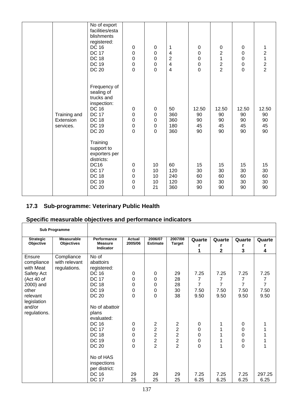|                                        | No of export<br>facilities/esta<br>blishments<br>registered:<br><b>DC 16</b><br><b>DC 17</b><br><b>DC 18</b><br><b>DC 19</b><br><b>DC 20</b> | $\pmb{0}$<br>$\boldsymbol{0}$<br>$\mathbf 0$<br>$\boldsymbol{0}$<br>$\overline{0}$      | 0<br>$\boldsymbol{0}$<br>$\boldsymbol{0}$<br>$\mathbf 0$<br>$\overline{0}$                | 1<br>4<br>$\boldsymbol{2}$<br>$\overline{\mathbf{4}}$<br>$\overline{4}$ | 0<br>$\pmb{0}$<br>$\pmb{0}$<br>$\mathbf 0$<br>$\mathsf{O}\xspace$ | 0<br>$\overline{c}$<br>$\mathbf{1}$<br>$\frac{2}{2}$ | $\mathbf 0$<br>$\mathbf 0$<br>$\mathbf 0$<br>$\pmb{0}$<br>$\overline{0}$ | 1<br>$\begin{array}{c} 2 \\ 1 \\ 2 \\ 2 \end{array}$ |
|----------------------------------------|----------------------------------------------------------------------------------------------------------------------------------------------|-----------------------------------------------------------------------------------------|-------------------------------------------------------------------------------------------|-------------------------------------------------------------------------|-------------------------------------------------------------------|------------------------------------------------------|--------------------------------------------------------------------------|------------------------------------------------------|
| Training and<br>Extension<br>services. | Frequency of<br>sealing of<br>trucks and<br>inspection:<br><b>DC 16</b><br><b>DC 17</b><br><b>DC 18</b><br><b>DC 19</b><br><b>DC 20</b>      | $\pmb{0}$<br>$\boldsymbol{0}$<br>$\boldsymbol{0}$<br>$\boldsymbol{0}$<br>$\overline{0}$ | $\boldsymbol{0}$<br>$\mathbf 0$<br>$\boldsymbol{0}$<br>$\boldsymbol{0}$<br>$\overline{0}$ | 50<br>360<br>360<br>180<br>360                                          | 12.50<br>90<br>90<br>45<br>90                                     | 12.50<br>90<br>90<br>45<br>90                        | 12.50<br>90<br>90<br>45<br>90                                            | 12.50<br>90<br>90<br>45<br>90                        |
|                                        | Training<br>support to<br>exporters per<br>districts:<br><b>DC16</b><br><b>DC 17</b><br><b>DC 18</b><br><b>DC 19</b><br><b>DC 20</b>         | $\pmb{0}$<br>$\boldsymbol{0}$<br>$\boldsymbol{0}$<br>$\boldsymbol{0}$<br>$\mathbf 0$    | 10<br>10<br>10<br>10<br>21                                                                | 60<br>120<br>240<br>120<br>360                                          | 15<br>30<br>60<br>30<br>90                                        | 15<br>30<br>60<br>30<br>90                           | 15<br>30<br>60<br>30<br>90                                               | 15<br>30<br>60<br>$30\,$<br>90                       |

## **17.3 Sub-programme: Veterinary Public Health**

|                                                                                     | <b>Sub Programme</b>                        |                                                                                                   |                                                        |                                                                                        |                                                                           |                                     |                        |                                     |                                                  |
|-------------------------------------------------------------------------------------|---------------------------------------------|---------------------------------------------------------------------------------------------------|--------------------------------------------------------|----------------------------------------------------------------------------------------|---------------------------------------------------------------------------|-------------------------------------|------------------------|-------------------------------------|--------------------------------------------------|
| <b>Strategic</b><br>Objective                                                       | <b>Measurable</b><br><b>Objectives</b>      | Performance<br><b>Measure</b>                                                                     | Actual<br>2005/06                                      | 2006/07<br><b>Estimate</b>                                                             | 2007/08<br><b>Target</b>                                                  | Quarte                              | Quarte                 | Quarte                              | Quarte                                           |
|                                                                                     |                                             | Indicator                                                                                         |                                                        |                                                                                        |                                                                           | r<br>1                              | r<br>2                 | 3                                   | 4                                                |
| Ensure<br>compliance<br>with Meat<br>Safety Act<br>(Act 40 of<br>2000) and<br>other | Compliance<br>with relevant<br>regulations. | No of<br>abattoirs<br>registered:<br><b>DC 16</b><br><b>DC 17</b><br><b>DC 18</b><br><b>DC 19</b> | 0<br>0<br>0<br>$\mathbf 0$                             | 0<br>$\mathbf 0$<br>$\mathbf 0$<br>$\mathbf 0$                                         | 29<br>28<br>28<br>30                                                      | 7.25<br>7<br>$\overline{7}$<br>7.50 | 7.25<br>7<br>7<br>7.50 | 7.25<br>7<br>$\overline{7}$<br>7.50 | 7.25<br>$\overline{7}$<br>$\overline{7}$<br>7.50 |
| relevant<br>legislation<br>and/or<br>regulations.                                   |                                             | <b>DC 20</b><br>No of abattoir<br>plans<br>evaluated:                                             | $\Omega$                                               | $\overline{0}$                                                                         | 38                                                                        | 9.50                                | 9.50                   | 9.50                                | 9.50                                             |
|                                                                                     |                                             | <b>DC 16</b><br><b>DC 17</b><br><b>DC 18</b><br><b>DC 19</b><br><b>DC 20</b>                      | 0<br>0<br>$\mathbf 0$<br>$\mathbf 0$<br>$\overline{0}$ | $\overline{2}$<br>$\overline{c}$<br>$\overline{c}$<br>$\overline{2}$<br>$\overline{2}$ | $\overline{c}$<br>2<br>$\overline{c}$<br>$\overline{2}$<br>$\overline{2}$ | 0<br>0<br>0<br>0<br>0               | 1<br>1<br>1            | 0<br>0<br>0<br>0<br>$\Omega$        |                                                  |
|                                                                                     |                                             | No of HAS<br>inspections<br>per district:<br><b>DC 16</b><br><b>DC 17</b>                         | 29<br>25                                               | 29<br>25                                                                               | 29<br>25                                                                  | 7.25<br>6.25                        | 7.25<br>6.25           | 7.25<br>6.25                        | 297.25<br>6.25                                   |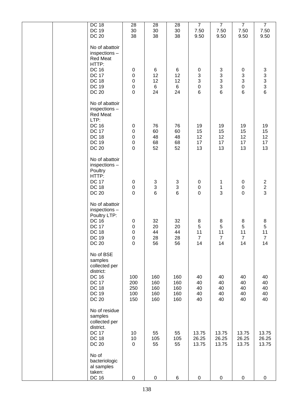|  | DC 18<br><b>DC 19</b><br><b>DC 20</b>                                                                                                      | 28<br>30<br>38                                                         | 28<br>30<br>38                             | 28<br>$30\,$<br>38                         | $\overline{7}$<br>7.50<br>9.50                                                | $\overline{7}$<br>7.50<br>9.50                                     | $\overline{7}$<br>7.50<br>9.50                 | $\overline{7}$<br>7.50<br>9.50                                      |
|--|--------------------------------------------------------------------------------------------------------------------------------------------|------------------------------------------------------------------------|--------------------------------------------|--------------------------------------------|-------------------------------------------------------------------------------|--------------------------------------------------------------------|------------------------------------------------|---------------------------------------------------------------------|
|  | No of abattoir<br>inspections-<br><b>Red Meat</b><br>HTTP:<br><b>DC 16</b><br><b>DC 17</b><br><b>DC 18</b><br><b>DC 19</b><br><b>DC 20</b> | $\pmb{0}$<br>$\pmb{0}$<br>$\pmb{0}$<br>$\mathbf 0$<br>$\mathbf 0$      | $\,6$<br>12<br>12<br>$6\phantom{.0}$<br>24 | 6<br>12<br>12<br>6<br>24                   | $\pmb{0}$<br>$\ensuremath{\mathsf{3}}$<br>$\mathsf 3$<br>$\mathbf 0$<br>$\,6$ | $\ensuremath{\mathsf{3}}$<br>$\mathbf{3}$<br>3<br>$\mathsf 3$<br>6 | 0<br>3<br>$\mathbf{3}$<br>$\mathbf 0$<br>6     | $\begin{array}{c} 3 \\ 3 \\ 3 \\ 6 \end{array}$                     |
|  | No of abattoir<br>inspections-<br><b>Red Meat</b><br>LTP:<br><b>DC 16</b><br><b>DC 17</b><br><b>DC 18</b><br><b>DC 19</b><br><b>DC 20</b>  | $\pmb{0}$<br>$\pmb{0}$<br>$\mathbf 0$<br>$\pmb{0}$<br>$\mathbf 0$      | 76<br>60<br>48<br>68<br>52                 | 76<br>60<br>48<br>68<br>52                 | 19<br>15<br>12<br>17<br>13                                                    | 19<br>15<br>12<br>17<br>13                                         | 19<br>15<br>12<br>17<br>13                     | 19<br>15<br>12<br>17<br>13                                          |
|  | No of abattoir<br>inspections -<br>Poultry<br>HTTP:<br><b>DC 17</b><br><b>DC 18</b><br><b>DC 20</b>                                        | $\pmb{0}$<br>$\pmb{0}$<br>$\mathbf 0$                                  | $\begin{array}{c} 3 \\ 3 \\ 6 \end{array}$ | $\begin{array}{c} 3 \\ 3 \\ 6 \end{array}$ | $\boldsymbol{0}$<br>$\pmb{0}$<br>$\mathbf 0$                                  | 1<br>$\mathbf{1}$<br>3                                             | 0<br>$\pmb{0}$<br>$\mathbf 0$                  | $\begin{array}{c} 2 \\ 2 \\ 3 \end{array}$                          |
|  | No of abattoir<br>inspections -<br>Poultry LTP:<br><b>DC 16</b><br><b>DC 17</b><br><b>DC 18</b><br><b>DC 19</b><br><b>DC 20</b>            | $\pmb{0}$<br>$\pmb{0}$<br>$\mathbf 0$<br>$\mathbf 0$<br>$\overline{0}$ | 32<br>20<br>44<br>28<br>56                 | 32<br>20<br>44<br>28<br>56                 | 8<br>$\sqrt{5}$<br>11<br>$\overline{7}$<br>14                                 | 8<br>5<br>11<br>$\overline{7}$<br>14                               | 8<br>$\mathbf 5$<br>11<br>$\overline{7}$<br>14 | $\begin{array}{c} 8 \\ 5 \\ 11 \end{array}$<br>$\overline{7}$<br>14 |
|  | No of BSE<br>samples<br>collected per<br>district:<br><b>DC 16</b><br><b>DC 17</b><br><b>DC 18</b><br><b>DC 19</b><br><b>DC 20</b>         | 100<br>200<br>250<br>100<br>150                                        | 160<br>160<br>160<br>160<br>160            | 160<br>160<br>160<br>160<br>160            | 40<br>40<br>40<br>40<br>40                                                    | 40<br>40<br>40<br>40<br>40                                         | 40<br>40<br>40<br>40<br>40                     | 40<br>40<br>40<br>40<br>40                                          |
|  | No of residue<br>samples<br>collected per<br>district.<br><b>DC 17</b><br><b>DC 18</b><br><b>DC 20</b>                                     | 10<br>10<br>$\mathsf 0$                                                | 55<br>105<br>55                            | 55<br>105<br>55                            | 13.75<br>26.25<br>13.75                                                       | 13.75<br>26.25<br>13.75                                            | 13.75<br>26.25<br>13.75                        | 13.75<br>26.25<br>13.75                                             |
|  | No of<br>bacteriologic<br>al samples<br>taken:<br><b>DC 16</b>                                                                             | $\pmb{0}$                                                              | $\pmb{0}$                                  | 6                                          | $\,0\,$                                                                       | $\pmb{0}$                                                          | $\pmb{0}$                                      | 0                                                                   |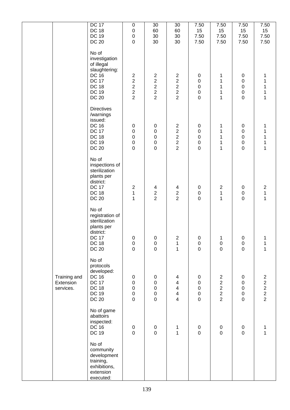|                                        | <b>DC 17</b><br><b>DC 18</b><br><b>DC 19</b><br><b>DC 20</b>                                                                          | $\pmb{0}$<br>$\mathbf 0$<br>$\mathbf 0$<br>$\mathbf 0$                                            | 30<br>60<br>30<br>30                                                     | 30<br>60<br>30<br>30                                                                                                                | 7.50<br>15<br>7.50<br>7.50                                            | 7.50<br>15<br>7.50<br>7.50                                                   | 7.50<br>15<br>7.50<br>7.50                                        | 7.50<br>15<br>7.50<br>7.50                              |
|----------------------------------------|---------------------------------------------------------------------------------------------------------------------------------------|---------------------------------------------------------------------------------------------------|--------------------------------------------------------------------------|-------------------------------------------------------------------------------------------------------------------------------------|-----------------------------------------------------------------------|------------------------------------------------------------------------------|-------------------------------------------------------------------|---------------------------------------------------------|
|                                        | No of<br>investigation<br>of illegal<br>slaughtering:<br><b>DC 16</b><br><b>DC 17</b><br><b>DC 18</b><br><b>DC 19</b><br><b>DC 20</b> | $\overline{c}$<br>$\overline{\mathbf{c}}$<br>$\overline{c}$<br>$\boldsymbol{2}$<br>$\overline{2}$ | $\boldsymbol{2}$<br>$\boldsymbol{2}$<br>$\overline{c}$<br>$\frac{2}{2}$  | $\sqrt{2}$<br>$\boldsymbol{2}$<br>$\overline{\mathbf{c}}$<br>$\frac{2}{2}$                                                          | $\pmb{0}$<br>0<br>$\pmb{0}$<br>$\boldsymbol{0}$<br>$\mathbf 0$        | 1<br>1<br>1<br>1<br>1                                                        | $\pmb{0}$<br>$\pmb{0}$<br>$\pmb{0}$<br>$\pmb{0}$<br>$\mathbf 0$   | 1<br>1<br>1<br>1<br>1                                   |
|                                        | <b>Directives</b><br>/warnings<br>issued:<br><b>DC 16</b><br><b>DC 17</b><br><b>DC 18</b><br><b>DC 19</b><br><b>DC 20</b>             | $\pmb{0}$<br>$\pmb{0}$<br>$\pmb{0}$<br>$\mathsf 0$<br>$\pmb{0}$                                   | $\pmb{0}$<br>$\pmb{0}$<br>$\mathbf 0$<br>$\mathbf 0$<br>$\mathsf 0$      | $\overline{c}$<br>$\begin{array}{c} 2 \\ 2 \\ 2 \end{array}$<br>$\overline{2}$                                                      | 0<br>$\mathsf 0$<br>$\mathbf 0$<br>$\mathbf 0$<br>$\mathbf 0$         | 1<br>1<br>1<br>1<br>1                                                        | $\mathbf 0$<br>$\pmb{0}$<br>$\pmb{0}$<br>$\pmb{0}$<br>$\mathsf 0$ | 1<br>1<br>1<br>1<br>$\mathbf 1$                         |
|                                        | No of<br>inspections of<br>sterilization<br>plants per<br>district:<br><b>DC 17</b><br><b>DC 18</b><br><b>DC 20</b>                   | $\boldsymbol{2}$<br>$\mathbf 1$<br>$\mathbf{1}$                                                   | $\begin{array}{c} 4 \\ 2 \\ 2 \end{array}$                               | 4<br>$\frac{2}{2}$                                                                                                                  | 0<br>$\mathsf 0$<br>$\mathbf 0$                                       | $\overline{\mathbf{c}}$<br>$\mathbf 1$<br>$\overline{1}$                     | $\pmb{0}$<br>$\pmb{0}$<br>$\mathbf 0$                             | $\begin{array}{c} 2 \\ 1 \end{array}$<br>$\overline{1}$ |
|                                        | No of<br>registration of<br>sterilization<br>plants per<br>district:<br><b>DC 17</b><br><b>DC 18</b><br><b>DC 20</b>                  | $\Omega$<br>$\boldsymbol{0}$<br>$\overline{0}$                                                    | $\Omega$<br>$\mathbf 0$<br>$\mathbf 0$                                   | 2<br>$\mathbf 1$<br>$\mathbf{1}$                                                                                                    | $\Omega$<br>$\pmb{0}$<br>$\mathbf 0$                                  | 1<br>$\pmb{0}$<br>$\overline{0}$                                             | $\Omega$<br>$\mathbf 0$<br>$\overline{0}$                         | 1<br>1<br>$\overline{1}$                                |
| Training and<br>Extension<br>services. | No of<br>protocols<br>developed:<br><b>DC 16</b><br><b>DC 17</b><br><b>DC 18</b><br><b>DC 19</b><br><b>DC 20</b>                      | $\pmb{0}$<br>$\pmb{0}$<br>$\pmb{0}$<br>$\boldsymbol{0}$<br>$\mathbf 0$                            | $\pmb{0}$<br>$\boldsymbol{0}$<br>$\pmb{0}$<br>$\mathbf 0$<br>$\mathbf 0$ | $\overline{\mathbf{4}}$<br>$\overline{\mathbf{4}}$<br>$\overline{\mathbf{4}}$<br>$\overline{\mathbf{4}}$<br>$\overline{\mathbf{4}}$ | $\pmb{0}$<br>$\mathsf 0$<br>$\mathsf 0$<br>$\mathbf 0$<br>$\mathbf 0$ | $\overline{2}$<br>$\overline{c}$<br>$\overline{\mathbf{c}}$<br>$\frac{2}{2}$ | $\pmb{0}$<br>$\pmb{0}$<br>$\pmb{0}$<br>$\pmb{0}$<br>0             | $\begin{array}{c}\n2 \\ 2 \\ 2 \\ 2\n\end{array}$       |
|                                        | No of game<br>abattoirs<br>inspected:<br><b>DC 16</b><br><b>DC 19</b>                                                                 | $\pmb{0}$<br>$\mathbf 0$                                                                          | $\pmb{0}$<br>$\pmb{0}$                                                   | $\mathbf{1}$<br>$\mathbf{1}$                                                                                                        | $\pmb{0}$<br>$\mathbf 0$                                              | $\mathbf 0$<br>$\mathbf 0$                                                   | $\pmb{0}$<br>$\mathbf 0$                                          | 1<br>$\overline{1}$                                     |
|                                        | No of<br>community<br>development<br>training,<br>exhibitions,<br>extension<br>executed:                                              |                                                                                                   |                                                                          |                                                                                                                                     |                                                                       |                                                                              |                                                                   |                                                         |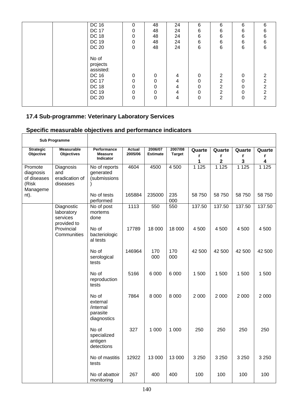| DC 16                                                                                            | 0                         | 48                                  | 24                    | 6                                   | 6                                               | 6                     | 6 |
|--------------------------------------------------------------------------------------------------|---------------------------|-------------------------------------|-----------------------|-------------------------------------|-------------------------------------------------|-----------------------|---|
| <b>DC 17</b>                                                                                     | 0                         | 48                                  | 24                    | 6                                   | 6                                               | 6                     | 6 |
| <b>DC 18</b>                                                                                     | 0                         | 48                                  | 24                    | 6                                   | 6                                               | 6                     | 6 |
| DC 19                                                                                            | 0                         | 48                                  | 24                    | 6                                   | 6                                               | 6                     | 6 |
| <b>DC 20</b>                                                                                     | $\Omega$                  | 48                                  | 24                    | $\,6$                               | 6                                               | 6                     | 6 |
| No of<br>projects<br>assisted:<br>DC 16<br><b>DC 17</b><br><b>DC 18</b><br>DC 19<br><b>DC 20</b> | $\Omega$<br>0<br>$\Omega$ | 0<br>0<br>0<br>$\Omega$<br>$\Omega$ | 4<br>4<br>4<br>4<br>4 | 0<br>$\Omega$<br>0<br>$\Omega$<br>0 | 2<br>$\overline{2}$<br>2<br>2<br>$\overline{2}$ | 0<br>0<br>0<br>0<br>0 |   |

# **17.4 Sub-programme: Veterinary Laboratory Services**

 $\mathbf{r}$ 

|                                                          | <b>Sub Programme</b>                                |                                                           |                          |                            |                          |                  |                  |                  |                                        |
|----------------------------------------------------------|-----------------------------------------------------|-----------------------------------------------------------|--------------------------|----------------------------|--------------------------|------------------|------------------|------------------|----------------------------------------|
| <b>Strategic</b><br>Objective                            | <b>Measurable</b><br><b>Objectives</b>              | Performance<br><b>Measure</b><br>Indicator                | <b>Actual</b><br>2005/06 | 2006/07<br><b>Estimate</b> | 2007/08<br><b>Target</b> | Quarte<br>r<br>1 | Quarte<br>r<br>2 | Quarte<br>r<br>3 | Quarte<br>r<br>$\overline{\mathbf{4}}$ |
| Promote<br>diagnosis<br>of diseases<br>(Risk<br>Manageme | Diagnosis<br>and<br>eradication of<br>diseases      | No of reports<br>generated<br>(submissions                | 4604                     | 4500                       | 4 500                    | 1125             | 1 1 2 5          | 1125             | 1 1 2 5                                |
| nt).                                                     |                                                     | No of tests<br>performed                                  | 165884                   | 235000                     | 235<br>000               | 58 750           | 58 750           | 58 750           | 58 750                                 |
|                                                          | Diagnostic<br>laboratory<br>services<br>provided to | No of post<br>mortems<br>done                             | 1113                     | 550                        | 550                      | 137.50           | 137.50           | 137.50           | 137.50                                 |
|                                                          | Provincial<br>Communities                           | No of<br>bacteriologic<br>al tests                        | 17789                    | 18 000                     | 18 000                   | 4500             | 4 500            | 4 500            | 4 500                                  |
|                                                          |                                                     | No of<br>serological<br>tests                             | 146964                   | 170<br>000                 | 170<br>000               | 42 500           | 42 500           | 42 500           | 42 500                                 |
|                                                          |                                                     | No of<br>reproduction<br>tests                            | 5166                     | 6 0 0 0                    | 6 0 0 0                  | 1500             | 1500             | 1500             | 1500                                   |
|                                                          |                                                     | No of<br>external<br>/internal<br>parasite<br>diagnostics | 7864                     | 8 0 0 0                    | 8 0 0 0                  | 2 0 0 0          | 2 0 0 0          | 2 0 0 0          | 2 000                                  |
|                                                          |                                                     | No of<br>specialized<br>antigen<br>detections             | 327                      | 1 0 0 0                    | 1 0 0 0                  | 250              | 250              | 250              | 250                                    |
|                                                          |                                                     | No of mastitis<br>tests                                   | 12922                    | 13 000                     | 13 000                   | 3 2 5 0          | 3 2 5 0          | 3 2 5 0          | 3 2 5 0                                |
|                                                          |                                                     | No of abattoir<br>monitoring                              | 267                      | 400                        | 400                      | 100              | 100              | 100              | 100                                    |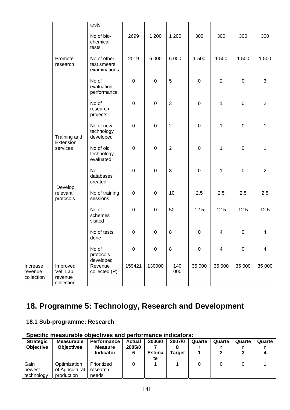|                                   |                                                | tests<br>No of bio-<br>chemical      | 2699             | 1 200            | 1 200          | 300         | 300                     | 300         | 300                     |
|-----------------------------------|------------------------------------------------|--------------------------------------|------------------|------------------|----------------|-------------|-------------------------|-------------|-------------------------|
|                                   | Promote                                        | tests<br>No of other                 | 2019             | 6 0 0 0          | 6 0 0 0        | 1500        | 1500                    | 1500        | 1500                    |
|                                   | research                                       | test smears<br>examinations          |                  |                  |                |             |                         |             |                         |
|                                   |                                                | No of<br>evaluation<br>performance   | $\boldsymbol{0}$ | $\mathbf 0$      | 5              | $\mathbf 0$ | $\overline{2}$          | $\mathbf 0$ | $\sqrt{3}$              |
|                                   |                                                | No of<br>research<br>projects        | $\boldsymbol{0}$ | $\mathbf 0$      | 3              | $\,0\,$     | $\mathbf 1$             | $\mathbf 0$ | $\overline{2}$          |
|                                   | Training and                                   | No of new<br>technology<br>developed | $\mathbf 0$      | $\mathbf 0$      | $\overline{2}$ | $\mathbf 0$ | $\mathbf 1$             | $\mathsf 0$ | $\mathbf{1}$            |
|                                   | Extension<br>services                          | No of old<br>technology<br>evaluated | $\boldsymbol{0}$ | $\mathbf 0$      | $\sqrt{2}$     | $\mathbf 0$ | $\mathbf 1$             | $\mathbf 0$ | $\mathbf 1$             |
|                                   |                                                | <b>No</b><br>databases<br>created    | $\boldsymbol{0}$ | $\mathbf 0$      | 3              | $\mathbf 0$ | $\mathbf 1$             | $\mathbf 0$ | $\overline{2}$          |
|                                   | Develop<br>relevant<br>protocols               | No of training<br>sessions           | $\boldsymbol{0}$ | $\mathsf 0$      | 10             | 2.5         | 2.5                     | 2.5         | 2.5                     |
|                                   |                                                | No of<br>schemes<br>visited          | $\boldsymbol{0}$ | $\mathbf 0$      | 50             | 12.5        | 12.5                    | 12.5        | 12.5                    |
|                                   |                                                | No of tests<br>done                  | $\mathbf 0$      | $\pmb{0}$        | 8              | 0           | $\overline{\mathbf{4}}$ | $\mathbf 0$ | $\overline{\mathbf{4}}$ |
|                                   |                                                | No of<br>protocols<br>developed      | $\mathbf 0$      | $\boldsymbol{0}$ | $\bf 8$        | $\,0\,$     | $\overline{\mathbf{4}}$ | $\mathbf 0$ | 4                       |
| Increase<br>revenue<br>collection | Improved<br>Vet. Lab.<br>revenue<br>collection | Revenue<br>collected (R)             | 159421           | 130000           | 140<br>000     | 35 000      | 35 000                  | 35 000      | 35 000                  |

# **18. Programme 5: Technology, Research and Development**

## **18.1 Sub-programme: Research**

| <b>Strategic</b> | <b>Measurable</b> | Performance      | <b>Actual</b> | 2006/0        | 2007/0        | Quarte | Quarte | Quarte | Quarte |
|------------------|-------------------|------------------|---------------|---------------|---------------|--------|--------|--------|--------|
| <b>Objective</b> | <b>Objectives</b> | <b>Measure</b>   | 2005/0        |               |               |        |        |        |        |
|                  |                   | <b>Indicator</b> | 6             | <b>Estima</b> | <b>Target</b> |        |        |        |        |
|                  |                   |                  |               | te            |               |        |        |        |        |
| Gain             | Optimization      | Prioritized      |               |               |               |        |        |        |        |
| newest           | of Agricultural   | research         |               |               |               |        |        |        |        |
| technology       | production        | needs            |               |               |               |        |        |        |        |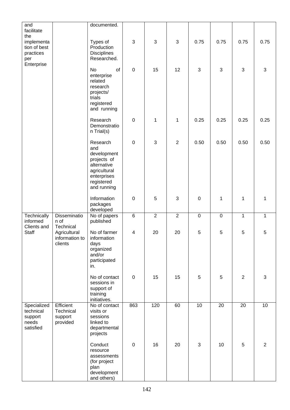| and                                                       |                                                        | documented.                                                                                                              |                  |                |                |            |              |                |                |
|-----------------------------------------------------------|--------------------------------------------------------|--------------------------------------------------------------------------------------------------------------------------|------------------|----------------|----------------|------------|--------------|----------------|----------------|
| facilitate                                                |                                                        |                                                                                                                          |                  |                |                |            |              |                |                |
| the<br>implementa<br>tion of best<br>practices<br>per     |                                                        | Types of<br>Production<br><b>Disciplines</b><br>Researched.                                                              | 3                | 3              | $\mathfrak{S}$ | 0.75       | 0.75         | 0.75           | 0.75           |
| Enterprise                                                |                                                        | No<br>of<br>enterprise<br>related<br>research<br>projects/<br>trials<br>registered<br>and running                        | $\mathbf 0$      | 15             | 12             | $\sqrt{3}$ | 3            | 3              | 3              |
|                                                           |                                                        | Research<br>Demonstratio<br>n Trial(s)                                                                                   | $\mathbf 0$      | $\mathbf{1}$   | 1              | 0.25       | 0.25         | 0.25           | 0.25           |
|                                                           |                                                        | Research<br>and<br>development<br>projects of<br>alternative<br>agricultural<br>enterprises<br>registered<br>and running | $\boldsymbol{0}$ | 3              | $\overline{2}$ | 0.50       | 0.50         | 0.50           | 0.50           |
|                                                           |                                                        | Information<br>packages<br>developed                                                                                     | $\mathbf 0$      | 5              | $\mathfrak{S}$ | $\pmb{0}$  | $\mathbf{1}$ | 1              | $\mathbf 1$    |
| Technically<br>informed                                   | <b>Disseminatio</b><br>n of                            | No of papers<br>published                                                                                                | $\overline{6}$   | $\overline{2}$ | $\overline{2}$ | $\pmb{0}$  | $\mathbf 0$  | 1              | $\mathbf{1}$   |
| Clients and<br>Staff                                      | Technical<br>Agricultural<br>information to<br>clients | No of farmer<br>information<br>days<br>organized<br>and/or<br>participated<br>in.                                        | 4                | 20             | 20             | 5          | 5            | 5              | 5              |
|                                                           |                                                        | No of contact<br>sessions in<br>support of<br>training<br>initiatives.                                                   | $\mathsf 0$      | 15             | 15             | 5          | 5            | $\overline{2}$ | $\mathbf{3}$   |
| Specialized<br>technical<br>support<br>needs<br>satisfied | Efficient<br>Technical<br>support<br>provided          | No of contact<br>visits or<br>sessions<br>linked to<br>departmental<br>projects                                          | 863              | 120            | 60             | 10         | 20           | 20             | 10             |
|                                                           |                                                        | Conduct<br>resource<br>assessments<br>(for project<br>plan<br>development<br>and others)                                 | $\pmb{0}$        | 16             | 20             | $\sqrt{3}$ | 10           | 5              | $\overline{2}$ |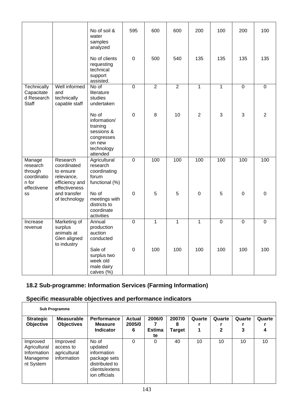|                                                                      |                                                                                       | No of soil &<br>water<br>samples<br>analyzed                                                      | 595            | 600            | 600            | 200            | 100            | 200            | 100            |
|----------------------------------------------------------------------|---------------------------------------------------------------------------------------|---------------------------------------------------------------------------------------------------|----------------|----------------|----------------|----------------|----------------|----------------|----------------|
|                                                                      |                                                                                       | No of clients<br>requesting<br>technical<br>support<br>assisted.                                  | $\mathbf 0$    | 500            | 540            | 135            | 135            | 135            | 135            |
| Technically<br>Capacitate<br>d Research<br>Staff                     | Well informed<br>and<br>technically<br>capable staff                                  | No of<br>literature<br>studies<br>undertaken                                                      | $\overline{0}$ | $\overline{2}$ | $\overline{2}$ | $\mathbf{1}$   | $\mathbf{1}$   | $\overline{0}$ | $\overline{0}$ |
|                                                                      |                                                                                       | No of<br>information/<br>training<br>sessions &<br>congresses<br>on new<br>technology<br>attended | $\mathbf 0$    | 8              | 10             | $\overline{2}$ | 3              | 3              | $\overline{2}$ |
| Manage<br>research<br>through<br>coordinatio<br>n for<br>effectivene | Research<br>coordinated<br>to ensure<br>relevance,<br>efficiency and<br>effectiveness | Agricultural<br>research<br>coordinating<br>forum<br>functional (%)                               | $\overline{0}$ | 100            | 100            | 100            | 100            | 100            | 100            |
| SS                                                                   | and transfer<br>of technology                                                         | No of<br>meetings with<br>districts to<br>coordinate<br>activities                                | $\mathbf 0$    | 5              | 5              | $\mathbf 0$    | 5              | $\mathbf 0$    | $\overline{0}$ |
| Increase<br>revenue                                                  | Marketing of<br>surplus<br>animals at<br>Glen aligned<br>to industry                  | Annual<br>production<br>auction<br>conducted                                                      | $\overline{0}$ | $\mathbf{1}$   | $\mathbf{1}$   | $\mathbf{1}$   | $\overline{0}$ | $\overline{0}$ | $\overline{0}$ |
|                                                                      |                                                                                       | Sale of<br>surplus two<br>week old<br>male dairy<br>calves (%)                                    | $\Omega$       | 100            | 100            | 100            | 100            | 100            | 100            |

## **18.2 Sub-programme: Information Services (Farming Information)**

| <b>Sub Programme</b>                                             |                                                      |                                                                                                      |                              |                               |                       |        |                        |             |        |
|------------------------------------------------------------------|------------------------------------------------------|------------------------------------------------------------------------------------------------------|------------------------------|-------------------------------|-----------------------|--------|------------------------|-------------|--------|
| <b>Strategic</b><br>Objective                                    | <b>Measurable</b><br><b>Objectives</b>               | <b>Performance</b><br><b>Measure</b><br><b>Indicator</b>                                             | <b>Actual</b><br>2005/0<br>6 | 2006/0<br><b>Estima</b><br>te | 2007/0<br>8<br>Target | Quarte | Quarte<br>$\mathbf{2}$ | Quarte<br>3 | Quarte |
| Improved<br>Agricultural<br>Information<br>Manageme<br>nt System | Improved<br>access to<br>agricultural<br>information | No of<br>updated<br>information<br>package sets<br>distributed to<br>clients/extens<br>ion officials | $\Omega$                     | 0                             | 40                    | 10     | 10                     | 10          | 10     |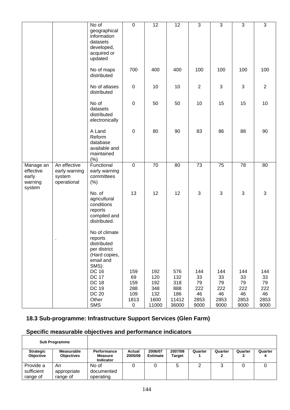|                                                      |                                                        | No of                                                                                               | $\overline{0}$                              | $\overline{12}$                                  | $\overline{12}$                                   | $\overline{3}$                               | $\overline{3}$                               | $\overline{3}$                               | $\overline{3}$                               |
|------------------------------------------------------|--------------------------------------------------------|-----------------------------------------------------------------------------------------------------|---------------------------------------------|--------------------------------------------------|---------------------------------------------------|----------------------------------------------|----------------------------------------------|----------------------------------------------|----------------------------------------------|
|                                                      |                                                        | geographical<br>information<br>datasets<br>developed,<br>acquired or<br>updated                     |                                             |                                                  |                                                   |                                              |                                              |                                              |                                              |
|                                                      |                                                        | No of maps<br>distributed                                                                           | 700                                         | 400                                              | 400                                               | 100                                          | 100                                          | 100                                          | 100                                          |
|                                                      |                                                        | No of atlases<br>distributed                                                                        | $\pmb{0}$                                   | 10                                               | 10                                                | 2                                            | 3                                            | 3                                            | 2                                            |
|                                                      |                                                        | No of<br>datasets<br>distributed<br>electronically                                                  | $\mathbf 0$                                 | 50                                               | 50                                                | 10                                           | 15                                           | 15                                           | 10                                           |
|                                                      |                                                        | A Land<br>Reform<br>database<br>available and<br>maintained<br>(%)                                  | $\pmb{0}$                                   | 80                                               | 90                                                | 83                                           | 86                                           | 88                                           | 90                                           |
| Manage an<br>effective<br>early<br>warning<br>system | An effective<br>early warning<br>system<br>operational | Functional<br>early warning<br>committees<br>(% )                                                   | $\mathbf 0$                                 | $\overline{70}$                                  | 80                                                | $\overline{73}$                              | $\overline{75}$                              | 78                                           | 80                                           |
|                                                      |                                                        | No. of<br>agricultural<br>conditions<br>reports<br>compiled and<br>distributed.                     | 13                                          | 12                                               | 12                                                | 3                                            | 3                                            | 3                                            | $\mathbf{3}$                                 |
|                                                      |                                                        | No of climate<br>reports<br>distributed<br>per district<br>(Hard copies,<br>email and<br>SMS):      |                                             |                                                  |                                                   |                                              |                                              |                                              |                                              |
|                                                      |                                                        | <b>DC 16</b><br><b>DC 17</b><br><b>DC 18</b><br><b>DC 19</b><br><b>DC 20</b><br>Other<br><b>SMS</b> | 159<br>69<br>159<br>288<br>109<br>1813<br>0 | 192<br>120<br>192<br>348<br>132<br>1600<br>11000 | 576<br>132<br>318<br>888<br>186<br>11412<br>36000 | 144<br>33<br>79<br>222<br>46<br>2853<br>9000 | 144<br>33<br>79<br>222<br>46<br>2853<br>9000 | 144<br>33<br>79<br>222<br>46<br>2853<br>9000 | 144<br>33<br>79<br>222<br>46<br>2853<br>9000 |

## **18.3 Sub-programme: Infrastructure Support Services (Glen Farm)**

# **Specific measurable objectives and performance indicators**

 $\overline{1}$ 

| <b>Sub Programme</b>                 |                                 |                                                   |                   |                            |                   |         |         |         |         |
|--------------------------------------|---------------------------------|---------------------------------------------------|-------------------|----------------------------|-------------------|---------|---------|---------|---------|
| <b>Strategic</b><br><b>Objective</b> | Measurable<br><b>Objectives</b> | Performance<br><b>Measure</b><br><b>Indicator</b> | Actual<br>2005/06 | 2006/07<br><b>Estimate</b> | 2007/08<br>Target | Quarter | Quarter | Quarter | Quarter |
| Provide a<br>sufficient<br>range of  | An<br>appropriate<br>range of   | No of<br>documented<br>operating                  |                   |                            |                   |         | າ<br>w  |         |         |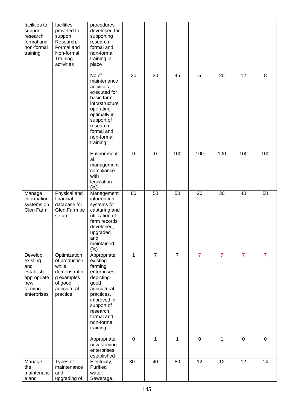| facilities to<br>support<br>research,<br>formal and<br>non-formal<br>training           | facilities<br>provided to<br>support<br>Research,<br>Formal and<br>Non-formal<br>Training<br>activities     | procedures<br>developed for<br>supporting<br>research,<br>formal and<br>non-formal<br>training in<br>place                                                                              |             |                |                |                |                |                |                |
|-----------------------------------------------------------------------------------------|-------------------------------------------------------------------------------------------------------------|-----------------------------------------------------------------------------------------------------------------------------------------------------------------------------------------|-------------|----------------|----------------|----------------|----------------|----------------|----------------|
|                                                                                         |                                                                                                             | No of<br>maintenance<br>activities<br>executed for<br>basic farm<br>infrastructure<br>operating<br>optimally in<br>support of<br>research,<br>formal and<br>non-formal<br>training      | 30          | 30             | 45             | 5              | 20             | 12             | 8              |
|                                                                                         |                                                                                                             | Environment<br>al<br>management<br>compliance<br>with<br>legislation.<br>(% )                                                                                                           | $\mathbf 0$ | $\pmb{0}$      | 100            | 100            | 100            | 100            | 100            |
| Manage<br>information<br>systems on<br>Glen Farm                                        | Physical and<br>financial<br>database for<br>Glen Farm be<br>setup                                          | Management<br>information<br>systems for<br>capturing and<br>utilization of<br>farm records<br>developed,<br>upgraded<br>and<br>maintained<br>(% )                                      | 80          | 50             | 50             | 20             | 30             | 40             | 50             |
| Develop<br>existing<br>and<br>establish<br>appropriate<br>new<br>farming<br>enterprises | Optimization<br>of production<br>while<br>demonstratin<br>g examples<br>of good<br>agricultural<br>practice | Appropriate<br>existing<br>farming<br>enterprises<br>depicting<br>good<br>agricultural<br>practices,<br>improved in<br>support of<br>research,<br>formal and<br>non-formal<br>training. | 1           | $\overline{7}$ | $\overline{7}$ | $\overline{7}$ | $\overline{7}$ | $\overline{7}$ | $\overline{7}$ |
|                                                                                         |                                                                                                             | Appropriate<br>new farming<br>enterprises<br>established                                                                                                                                | $\mathbf 0$ | 1              | 1              | $\pmb{0}$      | 1              | $\mathbf 0$    | $\mathbf 0$    |
| Manage<br>the<br>maintenanc<br>e and                                                    | Types of<br>maintenance<br>and<br>upgrading of                                                              | Electricity,<br>Purified<br>water,<br>Sewerage,                                                                                                                                         | 30          | 40             | 50             | 12             | 12             | 12             | 14             |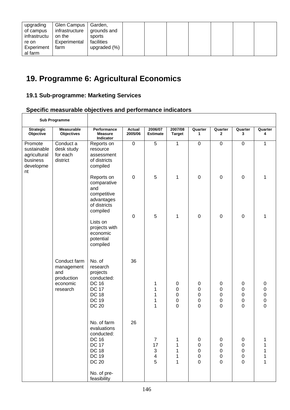| upgrading<br>of campus<br>infrastructu<br>re on<br>Experiment | Glen Campus   Garden,<br>infrastructure<br>on the<br>Experimental<br>farm | grounds and<br>sports<br>facilities<br>upgraded (%) |  |  |  |  |
|---------------------------------------------------------------|---------------------------------------------------------------------------|-----------------------------------------------------|--|--|--|--|
| al farm                                                       |                                                                           |                                                     |  |  |  |  |

# **19. Programme 6: Agricultural Economics**

## **19.1 Sub-programme: Marketing Services**

## **Specific measurable objectives and performance indicators**

| Sub Programme                                                         |                                                                         |                                                                                                                                                        |                          |                                                                                   |                                    |                                 |                                                                |                                                                |                                                              |
|-----------------------------------------------------------------------|-------------------------------------------------------------------------|--------------------------------------------------------------------------------------------------------------------------------------------------------|--------------------------|-----------------------------------------------------------------------------------|------------------------------------|---------------------------------|----------------------------------------------------------------|----------------------------------------------------------------|--------------------------------------------------------------|
| <b>Strategic</b><br>Objective                                         | <b>Measurable</b><br><b>Objectives</b>                                  | Performance<br><b>Measure</b><br>Indicator                                                                                                             | <b>Actual</b><br>2005/06 | 2006/07<br><b>Estimate</b>                                                        | 2007/08<br><b>Target</b>           | Quarter<br>1                    | Quarter<br>$\mathbf{2}$                                        | Quarter<br>3                                                   | Quarter<br>4                                                 |
| Promote<br>sustainable<br>agricultural<br>business<br>developme<br>nt | Conduct a<br>desk study<br>for each<br>district                         | Reports on<br>resource<br>assessment<br>of districts<br>compiled                                                                                       | $\boldsymbol{0}$         | 5                                                                                 | 1                                  | $\mathsf 0$                     | $\boldsymbol{0}$                                               | $\pmb{0}$                                                      | 1                                                            |
|                                                                       |                                                                         | Reports on<br>comparative<br>and<br>competitive<br>advantages<br>of districts<br>compiled                                                              | $\mathbf 0$              | 5                                                                                 | 1                                  | 0                               | $\boldsymbol{0}$                                               | $\mathbf 0$                                                    | 1                                                            |
|                                                                       |                                                                         | Lists on<br>projects with<br>economic<br>potential<br>compiled                                                                                         | $\mathbf 0$              | 5                                                                                 | 1                                  | 0                               | $\boldsymbol{0}$                                               | $\mathbf 0$                                                    | 1                                                            |
|                                                                       | Conduct farm<br>management<br>and<br>production<br>economic<br>research | No. of<br>research<br>projects<br>conducted:<br><b>DC 16</b><br><b>DC 17</b><br><b>DC 18</b><br><b>DC 19</b><br><b>DC 20</b>                           | 36                       | 1<br>1<br>1<br>1<br>1                                                             | 0<br>0<br>0<br>0<br>$\overline{0}$ | 0<br>0<br>0<br>$\mathsf 0$<br>0 | 0<br>$\pmb{0}$<br>$\mathbf 0$<br>$\mathbf 0$<br>$\overline{0}$ | 0<br>$\mathbf 0$<br>$\pmb{0}$<br>$\mathbf 0$<br>$\overline{0}$ | 0<br>$\pmb{0}$<br>$\mathbf 0$<br>$\pmb{0}$<br>$\overline{0}$ |
|                                                                       |                                                                         | No. of farm<br>evaluations<br>conducted:<br><b>DC 16</b><br><b>DC 17</b><br><b>DC 18</b><br><b>DC 19</b><br><b>DC 20</b><br>No. of pre-<br>feasibility | 26                       | $\overline{7}$<br>17<br>$\ensuremath{\mathsf{3}}$<br>$\overline{\mathbf{4}}$<br>5 | 1<br>1                             | 0<br>0<br>0<br>0<br>$\mathbf 0$ | 0<br>0<br>0<br>0<br>$\overline{0}$                             | 0<br>0<br>$\pmb{0}$<br>0<br>$\overline{0}$                     |                                                              |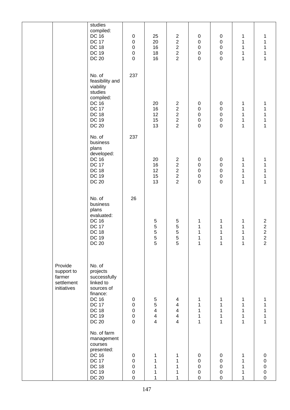|                                                              | studies<br>compiled:<br><b>DC 16</b><br><b>DC 17</b><br><b>DC 18</b><br><b>DC 19</b><br><b>DC 20</b>                                                      | $\pmb{0}$<br>$\pmb{0}$<br>$\pmb{0}$<br>$\pmb{0}$<br>$\mathbf 0$      | 25<br>20<br>16<br>18<br>16                                                               | $\overline{2}$<br>$\overline{c}$<br>$\begin{array}{c} 2 \\ 2 \\ 2 \end{array}$                   | 0<br>$\boldsymbol{0}$<br>$\pmb{0}$<br>$\pmb{0}$<br>$\mathsf 0$ | 0<br>$\pmb{0}$<br>$\mathbf 0$<br>$\mathsf 0$<br>$\overline{0}$      | 1<br>1<br>$\mathbf{1}$<br>$\mathbf{1}$<br>$\mathbf{1}$ | 1<br>1<br>1<br>$\mathbf 1$<br>$\mathbf{1}$                             |
|--------------------------------------------------------------|-----------------------------------------------------------------------------------------------------------------------------------------------------------|----------------------------------------------------------------------|------------------------------------------------------------------------------------------|--------------------------------------------------------------------------------------------------|----------------------------------------------------------------|---------------------------------------------------------------------|--------------------------------------------------------|------------------------------------------------------------------------|
|                                                              | No. of<br>feasibility and<br>viability<br>studies<br>compiled:<br><b>DC 16</b><br><b>DC 17</b><br><b>DC 18</b><br><b>DC 19</b><br><b>DC 20</b>            | 237                                                                  | 20<br>16<br>12<br>15<br>13                                                               | $\overline{c}$<br>$\begin{array}{c}\n2 \\ 2 \\ 2\n\end{array}$                                   | 0<br>$\mathbf 0$<br>$\pmb{0}$<br>$\pmb{0}$<br>$\mathsf 0$      | 0<br>$\pmb{0}$<br>$\mathbf 0$<br>$\mathsf 0$<br>$\mathbf 0$         | 1<br>1<br>$\mathbf{1}$<br>$\mathbf{1}$<br>$\mathbf{1}$ | 1<br>1<br>1<br>$\mathbf 1$<br>$\mathbf{1}$                             |
|                                                              | No. of<br>business<br>plans<br>developed:<br><b>DC 16</b><br><b>DC 17</b><br><b>DC 18</b><br><b>DC 19</b><br><b>DC 20</b>                                 | 237                                                                  | 20<br>16<br>12<br>15<br>13                                                               | $\overline{\mathbf{c}}$<br>$\overline{\mathbf{c}}$<br>$\begin{array}{c} 2 \\ 2 \\ 2 \end{array}$ | 0<br>$\pmb{0}$<br>$\pmb{0}$<br>$\pmb{0}$<br>$\pmb{0}$          | 0<br>$\pmb{0}$<br>$\mathsf 0$<br>$\mathsf{O}\xspace$<br>$\mathbf 0$ | 1<br>$\mathbf 1$<br>1<br>$\mathbf 1$<br>$\mathbf{1}$   | 1<br>1<br>1<br>1<br>$\mathbf{1}$                                       |
|                                                              | No. of<br>business<br>plans<br>evaluated:<br><b>DC 16</b><br><b>DC 17</b><br><b>DC 18</b><br><b>DC 19</b><br><b>DC 20</b>                                 | 26                                                                   | 5<br>$\frac{5}{5}$<br>5<br>5                                                             | 5<br>$\frac{5}{5}$<br>5<br>5                                                                     | 1<br>1<br>$\mathbf 1$<br>$\overline{1}$<br>1                   | 1<br>1<br>1<br>$\mathbf{1}$<br>$\mathbf{1}$                         | $\mathbf{1}$<br>$\mathbf 1$<br>1<br>1<br>1             | $\begin{array}{c} 2 \\ 2 \\ 2 \\ 2 \end{array}$<br>$\overline{2}$      |
| Provide<br>support to<br>farmer<br>settlement<br>initiatives | No. of<br>projects<br>successfully<br>linked to<br>sources of<br>finance:<br><b>DC 16</b><br><b>DC 17</b><br><b>DC 18</b><br><b>DC 19</b><br><b>DC 20</b> | $\pmb{0}$<br>$\pmb{0}$<br>$\pmb{0}$<br>$\pmb{0}$<br>$\overline{0}$   | $\mathbf 5$<br>5<br>$\overline{\mathbf{4}}$<br>$\overline{\mathbf{4}}$<br>$\overline{4}$ | 4<br>4<br>$\overline{\mathbf{4}}$<br>$\overline{\mathbf{4}}$<br>$\overline{4}$                   | 1<br>1<br>1<br>1<br>1                                          | 1<br>1<br>1<br>1<br>$\mathbf{1}$                                    | 1<br>1<br>1<br>1<br>$\mathbf{1}$                       | 1<br>1<br>1<br>$\overline{1}$                                          |
|                                                              | No. of farm<br>management<br>courses<br>presented:<br><b>DC 16</b><br><b>DC 17</b><br><b>DC 18</b><br><b>DC 19</b><br><b>DC 20</b>                        | $\pmb{0}$<br>$\boldsymbol{0}$<br>$\pmb{0}$<br>$\pmb{0}$<br>$\pmb{0}$ | 1<br>1                                                                                   | 1<br>1<br>1<br>1<br>1                                                                            | 0<br>$\pmb{0}$<br>$\pmb{0}$<br>$\pmb{0}$<br>0                  | 0<br>0<br>0<br>$\,0\,$<br>0                                         | 1<br>1<br>1<br>1<br>1                                  | 0<br>$\pmb{0}$<br>$\begin{array}{c} 0 \\ 0 \end{array}$<br>$\mathsf 0$ |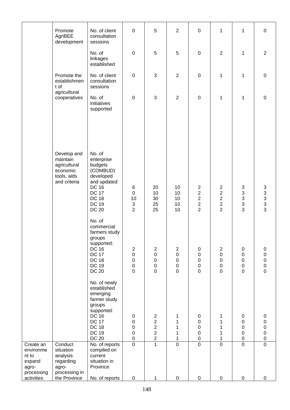| $\mathbf 0$<br>5<br>$\overline{2}$<br>$\mathbf{1}$<br>No. of client<br>$\mathbf 0$<br>1<br>$\mathbf 0$<br>Promote<br>AgriBEE<br>consultation<br>development<br>sessions<br>5<br>$\pmb{0}$<br>5<br>$\mathbf 0$<br>$\overline{2}$<br>1<br>$\overline{2}$<br>No. of<br>linkages<br>established<br>No. of client<br>$\pmb{0}$<br>3<br>$\overline{2}$<br>1<br>Promote the<br>$\mathbf 0$<br>1<br>$\pmb{0}$<br>establishmen<br>consultation<br>t of<br>sessions<br>agricultural<br>$\mathbf{3}$<br>No. of<br>$\overline{2}$<br>$\mathbf 0$<br>$\mathbf 0$<br>$\mathbf 0$<br>1<br>1<br>cooperatives<br>initiatives<br>supported<br>No. of<br>Develop and<br>maintain<br>enterprise<br>agricultural<br>budgets<br>economic<br>(COMBUD)<br>tools, aids<br>developed<br>and criteria<br>and updated:<br><b>DC 16</b><br>20<br>10<br>$\overline{c}$<br>$\overline{c}$<br>$\ensuremath{\mathsf{3}}$<br>$\begin{array}{c} 3 \\ 3 \\ 3 \\ 3 \end{array}$<br>6<br>3<br><b>DC 17</b><br>$\boldsymbol{2}$<br>$\overline{c}$<br>10<br>10<br>$\pmb{0}$<br>3<br>$\boldsymbol{2}$<br>$\boldsymbol{2}$<br><b>DC 18</b><br>10<br>30<br>10<br>$\sqrt{2}$<br>$\mathsf 3$<br>$\boldsymbol{2}$<br><b>DC 19</b><br>$\ensuremath{\mathsf{3}}$<br>25<br>10<br>3<br>$\overline{2}$<br>$\overline{2}$<br>$\overline{2}$<br><b>DC 20</b><br>25<br>10<br>No. of<br>commercial<br>farmers study<br>groups<br>supported:<br><b>DC 16</b><br>$\overline{c}$<br>$\boldsymbol{2}$<br>$\boldsymbol{2}$<br>$\pmb{0}$<br>$\overline{2}$<br>0<br>0<br><b>DC 17</b><br>0<br>0<br>$\pmb{0}$<br>0<br>$\pmb{0}$<br>0<br>0<br><b>DC 18</b><br>$\boldsymbol{0}$<br>$\boldsymbol{0}$<br>$\pmb{0}$<br>$\pmb{0}$<br>$\pmb{0}$<br>0<br>$\pmb{0}$<br>$\pmb{0}$<br><b>DC 19</b><br>$\boldsymbol{0}$<br>$\boldsymbol{0}$<br>$\pmb{0}$<br>0<br>0<br>0<br>$\mathbf 0$<br>$\mathsf 0$<br><b>DC 20</b><br>$\mathbf 0$<br>$\mathbf 0$<br>$\mathbf 0$<br>$\mathbf 0$<br>0<br>No. of newly<br>established<br>emerging<br>farmer study<br>groups<br>supported:<br><b>DC 16</b><br>$\overline{c}$<br>$\pmb{0}$<br>$\pmb{0}$<br>1<br>0<br>0<br>1<br>$\overline{c}$<br><b>DC 17</b><br>$\boldsymbol{0}$<br>$\pmb{0}$<br>1<br>0<br>1<br>0<br><b>DC 18</b><br>$\overline{\mathbf{c}}$<br>$\boldsymbol{0}$<br>0<br>$\mathsf{O}\xspace$<br>1<br>1<br>0<br>$\overline{2}$<br>$\pmb{0}$<br><b>DC 19</b><br>0<br>0<br>0<br>1<br>1<br>$\mathbf 2$<br><b>DC 20</b><br>$\boldsymbol{0}$<br>$\pmb{0}$<br>$\pmb{0}$<br>0<br>1<br>1<br>$\overline{0}$<br>$\mathbf{1}$<br>$\overline{0}$<br>$\overline{0}$<br>$\overline{0}$<br>$\overline{0}$<br>$\overline{0}$<br>Conduct<br>No. of reports<br>Create an<br>situation<br>compiled on<br>environme<br>nt to<br>analysis<br>current<br>situation in<br>regarding<br>expand<br>Province<br>agro-<br>agro-<br>processing in<br>processing |            |              |                |   |   |           |           |                  |   |   |
|--------------------------------------------------------------------------------------------------------------------------------------------------------------------------------------------------------------------------------------------------------------------------------------------------------------------------------------------------------------------------------------------------------------------------------------------------------------------------------------------------------------------------------------------------------------------------------------------------------------------------------------------------------------------------------------------------------------------------------------------------------------------------------------------------------------------------------------------------------------------------------------------------------------------------------------------------------------------------------------------------------------------------------------------------------------------------------------------------------------------------------------------------------------------------------------------------------------------------------------------------------------------------------------------------------------------------------------------------------------------------------------------------------------------------------------------------------------------------------------------------------------------------------------------------------------------------------------------------------------------------------------------------------------------------------------------------------------------------------------------------------------------------------------------------------------------------------------------------------------------------------------------------------------------------------------------------------------------------------------------------------------------------------------------------------------------------------------------------------------------------------------------------------------------------------------------------------------------------------------------------------------------------------------------------------------------------------------------------------------------------------------------------------------------------------------------------------------------------------------------------------------------------------------------------------------------------------------------------------------------------------------------------------------------------------------------------------------------------------------------------------------------------------------------------------|------------|--------------|----------------|---|---|-----------|-----------|------------------|---|---|
|                                                                                                                                                                                                                                                                                                                                                                                                                                                                                                                                                                                                                                                                                                                                                                                                                                                                                                                                                                                                                                                                                                                                                                                                                                                                                                                                                                                                                                                                                                                                                                                                                                                                                                                                                                                                                                                                                                                                                                                                                                                                                                                                                                                                                                                                                                                                                                                                                                                                                                                                                                                                                                                                                                                                                                                                        |            |              |                |   |   |           |           |                  |   |   |
|                                                                                                                                                                                                                                                                                                                                                                                                                                                                                                                                                                                                                                                                                                                                                                                                                                                                                                                                                                                                                                                                                                                                                                                                                                                                                                                                                                                                                                                                                                                                                                                                                                                                                                                                                                                                                                                                                                                                                                                                                                                                                                                                                                                                                                                                                                                                                                                                                                                                                                                                                                                                                                                                                                                                                                                                        |            |              |                |   |   |           |           |                  |   |   |
|                                                                                                                                                                                                                                                                                                                                                                                                                                                                                                                                                                                                                                                                                                                                                                                                                                                                                                                                                                                                                                                                                                                                                                                                                                                                                                                                                                                                                                                                                                                                                                                                                                                                                                                                                                                                                                                                                                                                                                                                                                                                                                                                                                                                                                                                                                                                                                                                                                                                                                                                                                                                                                                                                                                                                                                                        |            |              |                |   |   |           |           |                  |   |   |
|                                                                                                                                                                                                                                                                                                                                                                                                                                                                                                                                                                                                                                                                                                                                                                                                                                                                                                                                                                                                                                                                                                                                                                                                                                                                                                                                                                                                                                                                                                                                                                                                                                                                                                                                                                                                                                                                                                                                                                                                                                                                                                                                                                                                                                                                                                                                                                                                                                                                                                                                                                                                                                                                                                                                                                                                        |            |              |                |   |   |           |           |                  |   |   |
|                                                                                                                                                                                                                                                                                                                                                                                                                                                                                                                                                                                                                                                                                                                                                                                                                                                                                                                                                                                                                                                                                                                                                                                                                                                                                                                                                                                                                                                                                                                                                                                                                                                                                                                                                                                                                                                                                                                                                                                                                                                                                                                                                                                                                                                                                                                                                                                                                                                                                                                                                                                                                                                                                                                                                                                                        |            |              |                |   |   |           |           |                  |   |   |
|                                                                                                                                                                                                                                                                                                                                                                                                                                                                                                                                                                                                                                                                                                                                                                                                                                                                                                                                                                                                                                                                                                                                                                                                                                                                                                                                                                                                                                                                                                                                                                                                                                                                                                                                                                                                                                                                                                                                                                                                                                                                                                                                                                                                                                                                                                                                                                                                                                                                                                                                                                                                                                                                                                                                                                                                        |            |              |                |   |   |           |           |                  |   |   |
|                                                                                                                                                                                                                                                                                                                                                                                                                                                                                                                                                                                                                                                                                                                                                                                                                                                                                                                                                                                                                                                                                                                                                                                                                                                                                                                                                                                                                                                                                                                                                                                                                                                                                                                                                                                                                                                                                                                                                                                                                                                                                                                                                                                                                                                                                                                                                                                                                                                                                                                                                                                                                                                                                                                                                                                                        |            |              |                |   |   |           |           |                  |   |   |
|                                                                                                                                                                                                                                                                                                                                                                                                                                                                                                                                                                                                                                                                                                                                                                                                                                                                                                                                                                                                                                                                                                                                                                                                                                                                                                                                                                                                                                                                                                                                                                                                                                                                                                                                                                                                                                                                                                                                                                                                                                                                                                                                                                                                                                                                                                                                                                                                                                                                                                                                                                                                                                                                                                                                                                                                        | activities | the Province | No. of reports | 0 | 1 | $\pmb{0}$ | $\pmb{0}$ | $\boldsymbol{0}$ | 0 | 0 |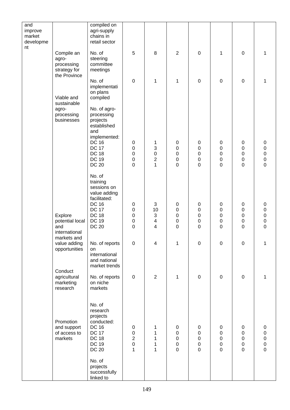| and<br>improve  |                               | compiled on<br>agri-supply    |                                      |                                 |                             |                               |                               |                            |                                            |
|-----------------|-------------------------------|-------------------------------|--------------------------------------|---------------------------------|-----------------------------|-------------------------------|-------------------------------|----------------------------|--------------------------------------------|
| market          |                               | chains in                     |                                      |                                 |                             |                               |                               |                            |                                            |
| developme<br>nt |                               | retail sector                 |                                      |                                 |                             |                               |                               |                            |                                            |
|                 | Compile an<br>agro-           | No. of<br>steering            | 5                                    | 8                               | $\overline{2}$              | $\mathbf 0$                   | $\mathbf 1$                   | $\mathsf 0$                | 1                                          |
|                 | processing                    | committee                     |                                      |                                 |                             |                               |                               |                            |                                            |
|                 | strategy for<br>the Province  | meetings                      |                                      |                                 |                             |                               |                               |                            |                                            |
|                 |                               | No. of<br>implementati        | $\mathbf 0$                          | $\mathbf{1}$                    | 1                           | $\mathbf 0$                   | $\mathbf 0$                   | $\boldsymbol{0}$           | 1                                          |
|                 |                               | on plans                      |                                      |                                 |                             |                               |                               |                            |                                            |
|                 | Viable and<br>sustainable     | compiled                      |                                      |                                 |                             |                               |                               |                            |                                            |
|                 | agro-<br>processing           | No. of agro-<br>processing    |                                      |                                 |                             |                               |                               |                            |                                            |
|                 | businesses                    | projects                      |                                      |                                 |                             |                               |                               |                            |                                            |
|                 |                               | established<br>and            |                                      |                                 |                             |                               |                               |                            |                                            |
|                 |                               | implemented:<br><b>DC 16</b>  | 0                                    | 1                               | $\pmb{0}$                   | $\pmb{0}$                     | 0                             | 0                          | 0                                          |
|                 |                               | <b>DC 17</b>                  | $\boldsymbol{0}$                     | 3                               | $\pmb{0}$                   | $\boldsymbol{0}$              | $\pmb{0}$                     | $\mathsf 0$                | $\pmb{0}$                                  |
|                 |                               | <b>DC 18</b><br><b>DC 19</b>  | $\boldsymbol{0}$<br>$\boldsymbol{0}$ | $\pmb{0}$<br>$\overline{c}$     | $\pmb{0}$<br>$\mathbf 0$    | $\pmb{0}$<br>$\mathbf 0$      | $\pmb{0}$<br>$\mathbf 0$      | $\mathbf 0$<br>$\mathsf 0$ | $\begin{array}{c} 0 \\ 0 \end{array}$      |
|                 |                               | <b>DC 20</b>                  | $\overline{0}$                       | $\overline{1}$                  | $\overline{0}$              | $\overline{0}$                | $\overline{0}$                | $\overline{0}$             | $\mathbf 0$                                |
|                 |                               | No. of<br>training            |                                      |                                 |                             |                               |                               |                            |                                            |
|                 |                               | sessions on                   |                                      |                                 |                             |                               |                               |                            |                                            |
|                 |                               | value adding<br>facilitated:  |                                      |                                 |                             |                               |                               |                            |                                            |
|                 |                               | <b>DC 16</b><br><b>DC 17</b>  | $\pmb{0}$<br>$\boldsymbol{0}$        | $\ensuremath{\mathsf{3}}$<br>10 | $\pmb{0}$<br>$\pmb{0}$      | $\boldsymbol{0}$<br>$\pmb{0}$ | 0<br>$\pmb{0}$                | 0<br>0                     | 0<br>0                                     |
|                 | Explore                       | <b>DC 18</b><br><b>DC 19</b>  | $\boldsymbol{0}$                     | $\ensuremath{\mathsf{3}}$       | $\pmb{0}$                   | $\pmb{0}$                     | $\mathbf 0$                   | $\mathsf 0$                | $\mathbf 0$                                |
|                 | potential local<br>and        | <b>DC 20</b>                  | $\boldsymbol{0}$<br>$\overline{0}$   | 4<br>4                          | $\pmb{0}$<br>$\overline{0}$ | $\pmb{0}$<br>$\mathbf 0$      | $\mathbf 0$<br>$\overline{0}$ | 0<br>$\mathbf 0$           | $\pmb{0}$<br>$\overline{0}$                |
|                 | international<br>markets and  |                               |                                      |                                 |                             |                               |                               |                            |                                            |
|                 | value adding<br>opportunities | No. of reports<br>on          | $\mathbf 0$                          | $\overline{\mathbf{4}}$         | 1                           | $\mathbf 0$                   | $\mathbf 0$                   | $\mathsf 0$                | 1                                          |
|                 |                               | international                 |                                      |                                 |                             |                               |                               |                            |                                            |
|                 |                               | and national<br>market trends |                                      |                                 |                             |                               |                               |                            |                                            |
|                 | Conduct<br>agricultural       | No. of reports                | $\pmb{0}$                            | $\overline{2}$                  | 1                           | $\mathbf 0$                   | $\mathbf 0$                   | $\pmb{0}$                  | 1                                          |
|                 | marketing                     | on niche<br>markets           |                                      |                                 |                             |                               |                               |                            |                                            |
|                 | research                      |                               |                                      |                                 |                             |                               |                               |                            |                                            |
|                 |                               | No. of                        |                                      |                                 |                             |                               |                               |                            |                                            |
|                 |                               | research<br>projects          |                                      |                                 |                             |                               |                               |                            |                                            |
|                 | Promotion                     | conducted:                    |                                      |                                 |                             |                               |                               |                            |                                            |
|                 | and support<br>of access to   | <b>DC 16</b><br><b>DC 17</b>  | $\pmb{0}$<br>$\boldsymbol{0}$        | 1<br>1                          | $\pmb{0}$<br>$\pmb{0}$      | $\pmb{0}$<br>$\pmb{0}$        | $\pmb{0}$<br>$\pmb{0}$        | 0<br>0                     | 0<br>0                                     |
|                 | markets                       | <b>DC 18</b><br><b>DC 19</b>  | $\overline{c}$<br>$\mathbf 0$        | 1<br>1                          | $\pmb{0}$<br>$\pmb{0}$      | $\pmb{0}$<br>$\pmb{0}$        | 0<br>$\pmb{0}$                | 0<br>$\mathsf 0$           | $\begin{array}{c} 0 \\ 0 \\ 0 \end{array}$ |
|                 |                               | <b>DC 20</b>                  | 1                                    | 1                               | $\mathbf 0$                 | $\mathbf 0$                   | $\overline{0}$                | $\mathbf 0$                |                                            |
|                 |                               | No. of                        |                                      |                                 |                             |                               |                               |                            |                                            |
|                 |                               | projects<br>successfully      |                                      |                                 |                             |                               |                               |                            |                                            |
|                 |                               | linked to                     |                                      |                                 |                             |                               |                               |                            |                                            |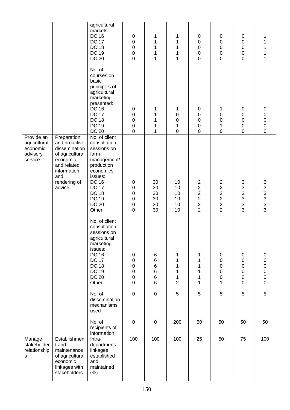|                                                               |                                                                                                                                             | agricultural<br>markets:<br><b>DC 16</b><br><b>DC 17</b><br><b>DC 18</b><br><b>DC 19</b><br><b>DC 20</b>                                                                                           | $\pmb{0}$<br>0<br>0<br>0<br>$\overline{0}$                                                                    | 1<br>1<br>1<br>1<br>1            | 1<br>1<br>1<br>1<br>1                          | $\pmb{0}$<br>0<br>$\mathbf 0$<br>$\mathbf 0$<br>$\mathbf 0$ | $\pmb{0}$<br>0<br>0<br>$\pmb{0}$<br>$\mathbf 0$                                                | $\pmb{0}$<br>$\boldsymbol{0}$<br>$\boldsymbol{0}$<br>0<br>$\overline{0}$       | 1<br>1<br>1<br>1<br>1                                                        |
|---------------------------------------------------------------|---------------------------------------------------------------------------------------------------------------------------------------------|----------------------------------------------------------------------------------------------------------------------------------------------------------------------------------------------------|---------------------------------------------------------------------------------------------------------------|----------------------------------|------------------------------------------------|-------------------------------------------------------------|------------------------------------------------------------------------------------------------|--------------------------------------------------------------------------------|------------------------------------------------------------------------------|
|                                                               |                                                                                                                                             | No. of<br>courses on<br>basic<br>principles of<br>agricultural<br>marketing<br>presented:<br><b>DC 16</b><br><b>DC 17</b><br><b>DC 18</b><br><b>DC 19</b><br><b>DC 20</b>                          | 0<br>0<br>$\mathbf 0$<br>$\boldsymbol{0}$<br>$\boldsymbol{0}$                                                 | 1<br>1<br>1<br>1<br>1            | 1<br>0<br>$\boldsymbol{0}$<br>1<br>$\mathbf 0$ | 0<br>0<br>$\boldsymbol{0}$<br>$\mathbf 0$<br>$\mathsf 0$    | 1<br>0<br>$\pmb{0}$<br>1<br>$\mathsf 0$                                                        | 0<br>0<br>$\mathbf 0$<br>$\mathbf 0$<br>$\pmb{0}$                              | 0<br>$\mathsf 0$<br>$\mathbf 0$<br>$\mathsf 0$<br>$\mathbf 0$                |
| Provide an<br>agricultural<br>economic<br>advisory<br>service | Preparation<br>and proactive<br>dissemination<br>of agricultural<br>economic<br>and related<br>information<br>and<br>rendering of<br>advice | No. of client<br>consultation<br>sessions on<br>farm<br>management/<br>production<br>economics<br>issues:<br><b>DC 16</b><br><b>DC 17</b><br><b>DC 18</b><br><b>DC 19</b><br><b>DC 20</b><br>Other | 0<br>0<br>0<br>$\boldsymbol{0}$<br>$\boldsymbol{0}$<br>$\mathbf 0$                                            | 30<br>30<br>30<br>30<br>30<br>30 | 10<br>10<br>10<br>10<br>10<br>10               | $2222$<br>$222$<br>$\overline{2}$                           | $\overline{c}$<br>$\overline{\mathbf{c}}$<br>$\frac{2}{2}$<br>$\overline{2}$<br>$\overline{2}$ | 3<br>$\ensuremath{\mathsf{3}}$<br>$\mathsf 3$<br>3<br>$\mathbf{3}$<br>3        | 3333333                                                                      |
|                                                               |                                                                                                                                             | No. of client<br>consultation<br>sessions on<br>agricultural<br>marketing<br>issues:<br><b>DC 16</b><br><b>DC 17</b><br><b>DC 18</b><br><b>DC 19</b><br><b>DC 20</b><br>Other                      | $\pmb{0}$<br>$\boldsymbol{0}$<br>$\boldsymbol{0}$<br>$\boldsymbol{0}$<br>$\boldsymbol{0}$<br>$\boldsymbol{0}$ | 6<br>6<br>6<br>6<br>6<br>6       | 1<br>1<br>1<br>1<br>1<br>$\overline{2}$        | 1<br>$\mathbf 1$<br>$\mathbf 1$<br>1<br>$\mathbf 1$<br>1    | $\pmb{0}$<br>$\pmb{0}$<br>$\mathbf 0$<br>$\mathbf 0$<br>$\mathbf 0$<br>1                       | $\pmb{0}$<br>$\mathbf 0$<br>$\pmb{0}$<br>$\pmb{0}$<br>$\pmb{0}$<br>$\mathbf 0$ | 0<br>$\mathsf 0$<br>$\mathsf 0$<br>$\mathbf 0$<br>$\mathsf 0$<br>$\mathsf 0$ |
|                                                               |                                                                                                                                             | No. of<br>dissemination<br>mechanisms<br>used                                                                                                                                                      | $\boldsymbol{0}$                                                                                              | 0                                | 5                                              | 5                                                           | 5                                                                                              | 5                                                                              | 5                                                                            |
|                                                               |                                                                                                                                             | No. of<br>recipients of<br>information                                                                                                                                                             | $\boldsymbol{0}$                                                                                              | $\pmb{0}$                        | 200                                            | 50                                                          | 50                                                                                             | 50                                                                             | 50                                                                           |
| Manage<br>stakeholder<br>relationship<br>${\sf s}$            | Establishmen<br>t and<br>maintenance<br>of agricultural<br>economic<br>linkages with<br>stakeholders                                        | Intra-<br>departmental<br>linkages<br>established<br>and<br>maintained<br>(% )                                                                                                                     | 100                                                                                                           | 100                              | 100                                            | 25                                                          | 50                                                                                             | $\overline{75}$                                                                | 100                                                                          |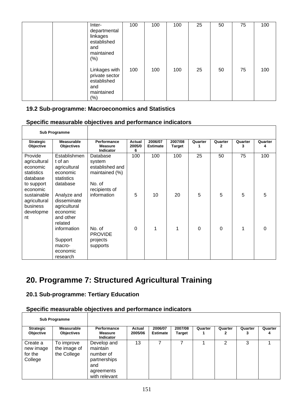| Inter-<br>departmental<br>linkages<br>established<br>and<br>maintained<br>$(\%)$ | 100 | 100 | 100 | 25 | 50 | 75 | 100 |
|----------------------------------------------------------------------------------|-----|-----|-----|----|----|----|-----|
| Linkages with<br>private sector<br>established<br>and<br>maintained<br>$(\%)$    | 100 | 100 | 100 | 25 | 50 | 75 | 100 |

#### **19.2 Sub-programme: Macroeconomics and Statistics**

| Specific measurable objectives and performance indicators |
|-----------------------------------------------------------|
|-----------------------------------------------------------|

|                                                                                         | <b>Sub Programme</b>                                                           |                                                                                    |                       |                            |                          |          |                         |              |              |
|-----------------------------------------------------------------------------------------|--------------------------------------------------------------------------------|------------------------------------------------------------------------------------|-----------------------|----------------------------|--------------------------|----------|-------------------------|--------------|--------------|
| <b>Strategic</b><br>Objective                                                           | <b>Measurable</b><br><b>Objectives</b>                                         | Performance<br><b>Measure</b><br><b>Indicator</b>                                  | Actual<br>2005/0<br>6 | 2006/07<br><b>Estimate</b> | 2007/08<br><b>Target</b> | Quarter  | Quarter<br>$\mathbf{2}$ | Quarter<br>3 | Quarter<br>4 |
| Provide<br>agricultural<br>economic<br>statistics<br>database<br>to support<br>economic | Establishmen<br>t of an<br>agricultural<br>economic<br>statistics<br>database  | Database<br>system<br>established and<br>maintained (%)<br>No. of<br>recipients of | 100                   | 100                        | 100                      | 25       | 50                      | 75           | 100          |
| sustainable<br>agricultural<br>business<br>developme<br>nt                              | Analyze and<br>disseminate<br>agricultural<br>economic<br>and other<br>related | information                                                                        | 5                     | 10                         | 20                       | 5        | 5                       | 5            | 5            |
|                                                                                         | information<br>Support<br>macro-<br>economic<br>research                       | No. of<br><b>PROVIDE</b><br>projects<br>supports                                   | $\mathbf 0$           | 1                          | 1                        | $\Omega$ | $\mathbf 0$             | 1            | 0            |

# **20. Programme 7: Structured Agricultural Training**

## **20.1 Sub-programme: Tertiary Education**

#### **Specific measurable objectives and performance indicators**

| <b>Sub Programme</b>                        |                                           |                                                                                            |                   |                            |                          |         |         |         |              |
|---------------------------------------------|-------------------------------------------|--------------------------------------------------------------------------------------------|-------------------|----------------------------|--------------------------|---------|---------|---------|--------------|
| <b>Strategic</b><br><b>Objective</b>        | Measurable<br><b>Objectives</b>           | Performance<br><b>Measure</b><br>Indicator                                                 | Actual<br>2005/06 | 2006/07<br><b>Estimate</b> | 2007/08<br><b>Target</b> | Quarter | Quarter | Quarter | Quarter<br>4 |
| Create a<br>new image<br>for the<br>College | To improve<br>the image of<br>the College | Develop and<br>maintain<br>number of<br>partnerships<br>and<br>agreements<br>with relevant | 13                |                            |                          |         |         | 3       |              |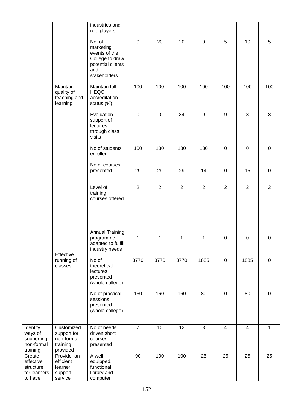|                                                             |                                                                 | industries and<br>role players                                                                      |                |                  |                 |                |                         |                |             |
|-------------------------------------------------------------|-----------------------------------------------------------------|-----------------------------------------------------------------------------------------------------|----------------|------------------|-----------------|----------------|-------------------------|----------------|-------------|
|                                                             |                                                                 | No. of<br>marketing<br>events of the<br>College to draw<br>potential clients<br>and<br>stakeholders | $\pmb{0}$      | 20               | 20              | $\mathbf 0$    | 5                       | 10             | 5           |
|                                                             | Maintain<br>quality of<br>teaching and<br>learning              | Maintain full<br><b>HEQC</b><br>accreditation<br>status (%)                                         | 100            | 100              | 100             | 100            | 100                     | 100            | 100         |
|                                                             |                                                                 | Evaluation<br>support of<br>lectures<br>through class<br>visits                                     | $\pmb{0}$      | $\mathbf 0$      | 34              | $9\,$          | $\boldsymbol{9}$        | 8              | 8           |
|                                                             |                                                                 | No of students<br>enrolled                                                                          | 100            | 130              | 130             | 130            | $\mathsf 0$             | $\pmb{0}$      | $\pmb{0}$   |
|                                                             |                                                                 | No of courses<br>presented                                                                          | 29             | 29               | 29              | 14             | $\mathsf 0$             | 15             | $\pmb{0}$   |
|                                                             |                                                                 | Level of<br>training<br>courses offered                                                             | $\overline{2}$ | $\boldsymbol{2}$ | $\overline{2}$  | $\overline{2}$ | $\overline{2}$          | $\overline{2}$ | $\sqrt{2}$  |
|                                                             | Effective                                                       | <b>Annual Training</b><br>programme<br>adapted to fulfill<br>industry needs                         | 1              | 1                | 1               | 1              | 0                       | $\mathbf 0$    | 0           |
|                                                             | running of<br>classes                                           | No of<br>theoretical<br>lectures<br>presented<br>(whole college)                                    | 3770           | 3770             | 3770            | 1885           | $\pmb{0}$               | 1885           | $\mathsf 0$ |
|                                                             |                                                                 | No of practical<br>sessions<br>presented<br>(whole college)                                         | 160            | 160              | 160             | 80             | $\mathbf 0$             | 80             | 0           |
| Identify<br>ways of<br>supporting<br>non-formal<br>training | Customized<br>support for<br>non-formal<br>training<br>provided | No of needs<br>driven short<br>courses<br>presented                                                 | $\overline{7}$ | 10               | $\overline{12}$ | $\overline{3}$ | $\overline{\mathbf{4}}$ | $\overline{4}$ | $\mathbf 1$ |
| Create<br>effective<br>structure<br>for learners<br>to have | Provide an<br>efficient<br>learner<br>support<br>service        | A well<br>equipped,<br>functional<br>library and<br>computer                                        | 90             | 100              | 100             | 25             | 25                      | 25             | 25          |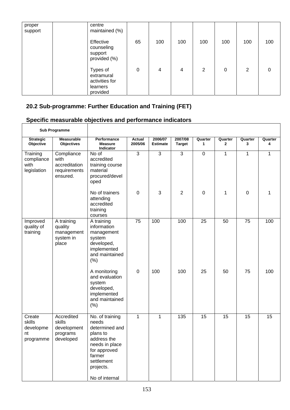| proper<br>support | centre<br>maintained (%)                                         |    |     |     |                |     |     |     |
|-------------------|------------------------------------------------------------------|----|-----|-----|----------------|-----|-----|-----|
|                   | Effective<br>counseling<br>support<br>provided (%)               | 65 | 100 | 100 | 100            | 100 | 100 | 100 |
|                   | Types of<br>extramural<br>activities for<br>learners<br>provided | 0  | 4   | 4   | $\overline{2}$ | 0   | 2   | 0   |

## **20.2 Sub-programme: Further Education and Training (FET)**

## **Specific measurable objectives and performance indicators**

| <b>Sub Programme</b>                             |                                                                 |                                                                                                                                                                |                   |                            |                          |              |                         |                 |              |
|--------------------------------------------------|-----------------------------------------------------------------|----------------------------------------------------------------------------------------------------------------------------------------------------------------|-------------------|----------------------------|--------------------------|--------------|-------------------------|-----------------|--------------|
| <b>Strategic</b><br>Objective                    | <b>Measurable</b><br><b>Objectives</b>                          | Performance<br><b>Measure</b><br>Indicator                                                                                                                     | Actual<br>2005/06 | 2006/07<br><b>Estimate</b> | 2007/08<br><b>Target</b> | Quarter<br>1 | Quarter<br>$\mathbf{2}$ | Quarter<br>3    | Quarter<br>4 |
| Training<br>compliance<br>with<br>legislation    | Compliance<br>with<br>accreditation<br>requirements<br>ensured. | No of<br>accredited<br>training course<br>material<br>procured/devel<br>oped                                                                                   | $\overline{3}$    | $\overline{3}$             | $\overline{3}$           | $\mathbf 0$  | 1                       | 1               | $\mathbf{1}$ |
|                                                  |                                                                 | No of trainers<br>attending<br>accredited<br>training<br>courses                                                                                               | $\mathbf 0$       | 3                          | $\overline{2}$           | $\mathbf 0$  | 1                       | $\mathbf 0$     | 1            |
| Improved<br>quality of<br>training               | A training<br>quality<br>management<br>system in<br>place       | A training<br>information<br>management<br>system<br>developed,<br>implemented<br>and maintained<br>(% )                                                       | 75                | 100                        | 100                      | 25           | 50                      | 75              | 100          |
|                                                  |                                                                 | A monitoring<br>and evaluation<br>system<br>developed,<br>implemented<br>and maintained<br>(% )                                                                | $\mathbf 0$       | 100                        | 100                      | 25           | 50                      | 75              | 100          |
| Create<br>skills<br>developme<br>nt<br>programme | Accredited<br>skills<br>development<br>programs<br>developed    | No. of training<br>needs<br>determined and<br>plans to<br>address the<br>needs in place<br>for approved<br>farmer<br>settlement<br>projects.<br>No of internal | $\mathbf{1}$      | $\mathbf{1}$               | $\overline{135}$         | 15           | 15                      | $\overline{15}$ | 15           |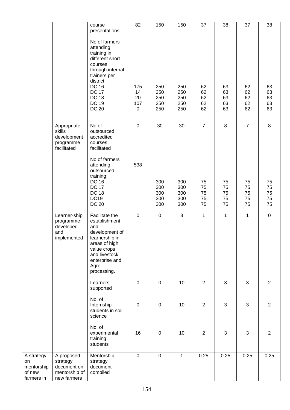|                                                        |                                                                       | course                                                                                                                                                                                                   | 82                                    | 150                             | 150                             | 37                         | 38                         | $\overline{37}$            | 38                         |
|--------------------------------------------------------|-----------------------------------------------------------------------|----------------------------------------------------------------------------------------------------------------------------------------------------------------------------------------------------------|---------------------------------------|---------------------------------|---------------------------------|----------------------------|----------------------------|----------------------------|----------------------------|
|                                                        |                                                                       | presentations                                                                                                                                                                                            |                                       |                                 |                                 |                            |                            |                            |                            |
|                                                        |                                                                       | No of farmers<br>attending<br>training in<br>different short<br>courses<br>through internal<br>trainers per<br>district:<br><b>DC 16</b><br><b>DC 17</b><br><b>DC 18</b><br><b>DC 19</b><br><b>DC 20</b> | 175<br>14<br>20<br>107<br>$\mathbf 0$ | 250<br>250<br>250<br>250<br>250 | 250<br>250<br>250<br>250<br>250 | 62<br>62<br>62<br>62<br>62 | 63<br>63<br>63<br>63<br>63 | 62<br>62<br>62<br>62<br>62 | 63<br>63<br>63<br>63<br>63 |
|                                                        | Appropriate<br>skills<br>development<br>programme<br>facilitated      | No of<br>outsourced<br>accredited<br>courses<br>facilitated                                                                                                                                              | $\pmb{0}$                             | 30                              | 30                              | $\overline{7}$             | 8                          | $\overline{7}$             | $\, 8$                     |
|                                                        |                                                                       | No of farmers<br>attending<br>outsourced<br>training:<br><b>DC 16</b>                                                                                                                                    | 538                                   | 300                             | 300                             | 75                         | 75                         | 75                         | 75                         |
|                                                        |                                                                       | <b>DC 17</b><br><b>DC 18</b><br><b>DC19</b><br><b>DC 20</b>                                                                                                                                              |                                       | 300<br>300<br>300<br>300        | 300<br>300<br>300<br>300        | 75<br>75<br>75<br>75       | 75<br>75<br>75<br>75       | 75<br>75<br>75<br>75       | 75<br>75<br>75<br>75       |
|                                                        | Learner-ship<br>programme<br>developed<br>and<br>implemented          | Facilitate the<br>establishment<br>and<br>development of<br>learnership in<br>areas of high<br>value crops<br>and livestock<br>enterprise and<br>Agro-<br>processing.                                    | $\pmb{0}$                             | $\pmb{0}$                       | $\ensuremath{\mathsf{3}}$       | 1                          | 1                          | $\mathbf 1$                | $\mathbf 0$                |
|                                                        |                                                                       | Learners<br>supported                                                                                                                                                                                    | $\pmb{0}$                             | $\pmb{0}$                       | 10                              | $\overline{2}$             | 3                          | $\mathbf{3}$               | 2                          |
|                                                        |                                                                       | No. of<br>Internship<br>students in soil<br>science                                                                                                                                                      | $\pmb{0}$                             | $\pmb{0}$                       | 10                              | $\overline{2}$             | 3                          | 3                          | 2                          |
|                                                        |                                                                       | No. of<br>experimental<br>training<br>students                                                                                                                                                           | 16                                    | $\pmb{0}$                       | 10                              | $\overline{2}$             | 3                          | 3                          | $\overline{2}$             |
| A strategy<br>on<br>mentorship<br>of new<br>farmers in | A proposed<br>strategy<br>document on<br>mentorship of<br>new farmers | Mentorship<br>strategy<br>document<br>compiled                                                                                                                                                           | $\overline{0}$                        | $\pmb{0}$                       | $\mathbf{1}$                    | 0.25                       | 0.25                       | 0.25                       | 0.25                       |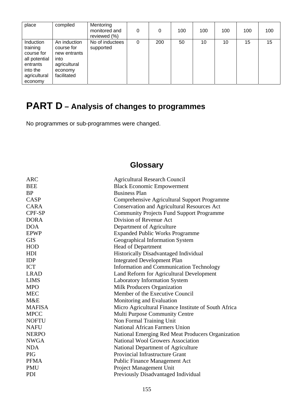| place                                                                                                   | compiled                                                                                     | Mentoring<br>monitored and<br>reviewed (%) | 0 | 0   | 100 | 100 | 100 | 100 | 100 |
|---------------------------------------------------------------------------------------------------------|----------------------------------------------------------------------------------------------|--------------------------------------------|---|-----|-----|-----|-----|-----|-----|
| Induction<br>training<br>course for<br>all potential<br>entrants<br>into the<br>agricultural<br>economy | An induction<br>course for<br>new entrants<br>into<br>agricultural<br>economy<br>facilitated | No of inductees<br>supported               | 0 | 200 | 50  | 10  | 10  | 15  | 15  |

# **PART D – Analysis of changes to programmes**

No programmes or sub-programmes were changed.

## **Glossary**

| <b>Agricultural Research Council</b>                 |
|------------------------------------------------------|
| <b>Black Economic Empowerment</b>                    |
| <b>Business Plan</b>                                 |
| Comprehensive Agricultural Support Programme         |
| <b>Conservation and Agricultural Resources Act</b>   |
| <b>Community Projects Fund Support Programme</b>     |
| Division of Revenue Act                              |
| Department of Agriculture                            |
| <b>Expanded Public Works Programme</b>               |
| Geographical Information System                      |
| Head of Department                                   |
| Historically Disadvantaged Individual                |
| <b>Integrated Development Plan</b>                   |
| <b>Information and Communication Technology</b>      |
| Land Reform for Agricultural Development             |
| <b>Laboratory Information System</b>                 |
| Milk Producers Organization                          |
| Member of the Executive Council                      |
| Monitoring and Evaluation                            |
| Micro Agricultural Finance Institute of South Africa |
| <b>Multi Purpose Community Centre</b>                |
| Non Formal Training Unit                             |
| <b>National African Farmers Union</b>                |
| National Emerging Red Meat Producers Organization    |
| <b>National Wool Growers Association</b>             |
| National Department of Agriculture                   |
| <b>Provincial Infrastructure Grant</b>               |
| <b>Public Finance Management Act</b>                 |
| Project Management Unit                              |
| Previously Disadvantaged Individual                  |
|                                                      |